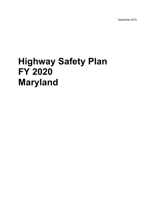September 2019

# **Highway Safety Plan FY 2020 Maryland**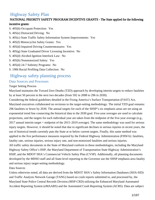## Highway Safety Plan

#### NATIONAL PRIORITY SAFETY PROGRAM INCENTIVE GRANTS - The State applied for the following incentive grants:

- S. 405(b) Occupant Protection: Yes
- S. 405(e) Distracted Driving: No
- S. 405(c) State Traffic Safety Information System Improvements: Yes
- S. 405(f) Motorcyclist Safety Grants: Yes
- S. 405(d) Impaired Driving Countermeasures: Yes
- S. 405(g) State Graduated Driver Licensing Incentive: No
- S. 405(d) Alcohol-Ignition Interlock Law: No
- S. 405(h) Nonmotorized Safety: Yes
- S. 405(d) 24-7 Sobriety Programs: No
- S. 1906 Racial Profiling Data Collection: No

## Highway safety planning process

#### Data Sources and Processes

#### Target Setting Process

Maryland maintains the Toward Zero Deaths (TZD) approach by developing interim targets to reduce fatalities by at least 50 percent in the next two decades (from 592 in 2008 to 296 in 2030).

Considering the federal guidelines detailed in the Fixing America's Surface Transportation (FAST) Act, Maryland executives collaborated on revisions to the target-setting methodology. The initial TZD goal remains: 296 fatalities or fewer by 2030. The annual targets for each of the SHSP's six emphasis areas are set using an exponential trend line connecting the historical data to the 2030 goal. Five-year averages are used to calculate projections, and the targets for each individual year are taken from the midpoint of the five-year average (e.g., 2017 annual interim target = midpoint of the 2015–2019 average). The same methodology was used for serious injury targets. However, it should be noted that due to significant declines in serious injuries in recent years, the use of historical trends currently puts the State at or below current targets. Finally, this same method was applied to the five performance measures required by the Federal Highway Administration (FHWA): fatalities, fatality rate, serious injuries, serious injury rate, and non-motorized fatalities and serious injuries. All traffic safety documents in the State of Maryland conform to these methodologies, including the Maryland Highway Safety Office's HSP, the Maryland Department of Transportation State Highway Administration's HSIP, and the MDOT SHA's Commercial Vehicle Safety Plan (CVSP). Additionally, all planning documents developed by the MHSO staff and all State-level reporting to the Governor use the SHSP emphasis-area fatality and serious injury target-setting methodology.

#### Data Sources

Unless otherwise noted, all data are derived from the MDOT SHA's Safety Information Databases (SHA-SID) and Traffic Analysis Network Garage (TANG) based on crash reports submitted to, and processed by, the Maryland State Police Central Records Division (MSP-CRD) utilizing the Enhanced Maryland Automated Accident Reporting System (eMAARS) and the Automated Crash Reporting System (ACRS). Data are subject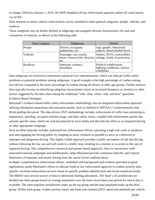to change. Effective January 1, 2015, the MSP mandated all law enforcement agencies submit all crash reports via ACRS.

Data elements in motor vehicle crash analysis can be classified in three general categories: people, vehicles, and roadway.

These categories may be further defined in subgroups and assigned relevant characteristics for ease and consistency of analysis, as shown in the following table:

| Data Category | Subgroups                                                                                      | Details                                                               |
|---------------|------------------------------------------------------------------------------------------------|-----------------------------------------------------------------------|
| People        | Drivers, occupants,<br>pedestrians, etc.                                                       | Age, gender, behavioral<br>aspects, blood alcohol level               |
| Vehicles      | Passenger cars, trucks,<br>buses, motorcycles, bicycles, airbags, levels of protection<br>etc. | Sedans, SUVs, convertibles,                                           |
| Roadway       | Interstate, primary,<br>secondary                                                              | Political subdivisions,<br>lighting conditions, surface<br>conditions |

Data subgroups are reviewed to determine statistical over-representations, which can indicate traffic safety problems or potential problems among subgroups. A good example is the high percentage of crashes among teen drivers compared to the lower percentage of crashes among all drivers or other age groups. Further analysis then typically focuses on identifying subgroup characteristics (such as increased frequency or severity) or other factors suggested by the data when asking the traditional "who, what, where, why, and how" questions. Evidence-Based Strategies

Maryland's evidence-based traffic safety enforcement methodology uses an integrated enforcement approach utilizing checkpoint inspections and saturation patrols, each as outlined in NHTSA's Countermeasures that Work guiding document. The data-driven, HVE methodology includes enforcement of traffic laws pertaining to impairment, speeding, occupant restraint usage, and other safety issues, coupled with enforcement patrols that saturate specific areas, which are well-documented in local media and describe the effort as an impaired-driving or other appropriate campaign.

Such an effort typically includes uniformed law enforcement officers saturating a high-risk crash or incidence area and engaging the driving public by stopping as many violators as possible to serve as a deterrent to improper and dangerous driving. This highly visible approach provides a public perception of risk that driving without following the law can and will result in a traffic stop, resulting in a citation, or an arrest in the case of impaired driving. This comprehensive statistical and partner-based approach, often in concurrence with associated national campaigns and mobilizations, helps Maryland provide continuous Specific and General Deterrence of improper and unsafe driving from the causal factors outlined above.

In-depth, comprehensive enforcement efforts, combined with background and evidence provided on grant applications, guide Maryland's efforts to allocate funds to law enforcement agencies to conduct priority areaspecific overtime enforcement services based on specific problem identification and recent statistical results. The MHSO uses several sources of data to determine funding allocations. The State's 24 jurisdictions are divided into three groups based on average population over the most recent three-year period for which data is available. The most populous jurisdictions make up the top group and the least populated make up the third group. Within each group, crashes (serious injury and fatal) and citations (DUI, speed and unbelted) per vehicle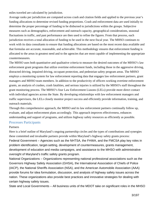miles traveled are calculated by jurisdiction.

Average ranks per jurisdiction are computed across crash and citation fields and applied to the previous year's funding allocations to determine revised funding proportions. Crash and enforcement data are used initially to determine the proper percentage of funding to be disbursed to jurisdictions within the groups. Subjective measures such as demographics, enforcement and outreach capacity, geographical considerations, seasonal fluctuations in traffic, and past performance are then used to refine the figures. From that process, each jurisdiction receives a total allocation of funding to be used in the next fiscal year. The MHSO continues to work with its data consultants to ensure that funding allocations are based on the most recent data available and that formulas are accurate, reasonable, and achievable. This methodology ensures that enforcement funding is allocated to the areas in greatest need and to the agencies that are most capable of implementing the appropriate countermeasures.

The MHSO uses both quantitative and qualitative criteria to measure the desired outcomes of the MHSO's law enforcement grant programs that utilize overtime enforcement funds, including those in the aggressive driving, distracted driving, impaired driving, occupant protection, and pedestrian safety program areas. The MHSO employs a monitoring system for law enforcement reporting data that engages law enforcement partners, grant managers and MHSO team members. In addition to the productivity of officers working overtime enforcement grants, an analysis of crashes, crash fatalities, and serious injuries is utilized by the MHSO's staff throughout the grant monitoring process. The MHSO's four Law Enforcement Liasons (LELs) provide more direct contact with individual agencies across the State. By developing relationships with law enforcement managers and traffic supervisors, the LELs closely monitor project success and efficiently provide information, training, and outreach materials.

Through this comprehensive approach, the MHSO and its law enforcement partners continually follow up, evaluate, and adjust enforcement plans accordingly. This approach improves effectiveness, enhances understanding and support of programs, and utilizes highway safety resources as efficiently as possible.

#### Processes Participants

#### **Partners**

Here is a brief outline of Maryland's ongoing partnership circles and the types of contributions and synergies these committed and invaluable partners provide within Maryland's highway safety grants process: Federal Government – Agencies such as the NHTSA, the FHWA, and the FMCSA play key roles in problem identification, target-setting, development of countermeasures, grants management, development of education and media campaigns, and assistance to the MHSO with administrative oversight of Maryland's traffic safety grants program.

National Organizations – Organizations representing national professional associations such as the Governors Highway Safety Association (GHSA), the International Association of Chiefs of Police (IACP), the National Sheriffs Association (NSA), and the American Automobile Association (AAA) provide forums for idea formulation, discussion, and analysis of highway safety issues across the nation. These organizations also provide best practices and innovative strategies for dealing with certain highway safety issues.

State and Local Governments – All business units of the MDOT take on significant roles in the MHSO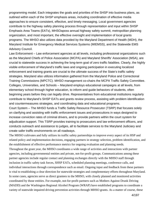programming model. Each integrates the goals and priorities of the SHSP into business plans, as outlined within each of the SHSP emphasis areas, including coordination of effective media approaches to ensure consistent, effective, and timely messaging. Local government agencies contribute to the highway safety planning process through representation and input within SHSP Emphasis Area Teams (EATs), MHSOaposs annual highway safety summit, metropolitan planning organization, and most important, the effective oversight and implementation of local grants programs. The MHSO also utilizes data provided by the Maryland Department of Health (MDH), the Maryland Institute for Emergency Medical Services Systems (MIEMSS), and the Statewide EMS Advisory Council.

Law Enforcement – Law enforcement agencies at all levels, including professional organizations such as the Maryland Chiefs of Police Association (MCPA) and Maryland Sheriffs' Association (MSA), are crucial to statewide success in achieving the long-term goal of zero traffic fatalities. Clearly, the highly visible enforcement of Maryland's traffic laws and ongoing participation in executing localized enforcement and training grants are crucial to the ultimate success of the State's traffic safety strategies. Maryland also utilizes information gathered from the Maryland Police and Correctional Training Commissions (MPCTC). MHSO management co-chairs the MCPA Traffic Safety Committee. Colleges, Universities, and Schools – Maryland employs educational campaigns at all levels, from elementary school through higher education, to inform and guide behaviors of students, often beginning years before they can legally drive. Representatives from educational institutions regularly contribute to Maryland's SHSP EATs and grants review process, assisting with problem identification and countermeasures strategies, and coordinating data and educational programs. Court System – The MHSO funds a Traffic Safety Resource Prosecutor (TSRP) that focuses solely

on clarifying and assisting with traffic enforcement issues and prosecutions in ways designed to increase conviction rates of criminal drivers, and to provide partners within the court system for adjudication support. This TSRP provides training to prosecutors and law enforcement officers, and conducts outreach and assistance to judges, all to facilitate services to the Maryland Judiciary and create safer traffic environments on all roadways.

The MHSO cultivates and fully utilizes its traffic safety partnerships to improve every aspect of its HSP and related policy and implementation decisions, engaging partners in strategy selection, problem identification, and the establishment of effective performance metrics for ongoing evaluation and planning needs. Throughout the grant year, the MHSO coordinates a wide range of activities and interactions with partner agencies, including governmental entities and private, not-for-profit groups. Communications among these partner agencies include regular contact and planning exchanges directly with the MHSO staff through inclusion in traffic safety task forces, SHSP EATs, scheduled planning meetings, conference calls, and individual interactions through correspondence such as email. Ongoing input and feedback from these partners is vital to establishing a clear direction for statewide strategies and complementary efforts throughout Maryland. In some cases, agencies serve as direct grantees to the MHSO, with closely planned and monitored activities coordinated by those entities. For example, not-for-profit partners such as Mothers Against Drunk Driving (MADD) and the Washington Regional Alcohol Program (WRAP) have established programs to coordinate a variety of statewide impaired driving prevention activities through MHSO grants. As a matter of course, these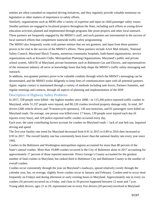entities are often consulted on impaired driving initiatives, and they regularly provide valuable testimony on legislation or other matters of importance to safety efforts.

Similarly, organizations such as MDH offer a variety of expertise and input on child passenger safety issues. Smaller partners are engaged in localized projects throughout the State, including such efforts as young driver education activities planned and implemented through programs like prom projects and other local outreach. These partners are frequently engaged by the MHSO's staff, and such partners are instrumental in the success of local outreach efforts that complement statewide traffic safety programming.

The MHSO also frequently works with partner entities that are not grantees, and input from these partners proves to be vital to the success of the MHSO's efforts. These partners include AAA Mid-Atlantic, National Safety Council, Maryland Shock Trauma, numerous community hospitals, faith-based organizations, service organizations such as Kiwanis Clubs, Metropolitan Planning Organizations, Maryland's public and private school system, ABATE of Maryland, private businesses such as Baltimore Gas and Electric, and representatives of the restaurant industry all serve as knowledge bases that help shape the MHSO's traffic safety messaging and outreach.

In addition, non-grantee partners prove to be valuable conduits through which the MHSO's messaging can be disseminated, and the MHSO works diligently to keep lines of communication open with all potential partners. Again, regular contact is maintained through a variety of methods including task forces, Partners Summits, and regular meetings and contacts, through all aspects of planning and implementation of the HSP.

#### Description of Highway Safety Problems

In 2017, 558 people were killed—the highest number since 2008—in 115,266 police-reported traffic crashes in Maryland, while 51,337 people were injured, and 80,120 crashes involved property damage only. In total, 347 drivers (268 vehicle drivers and 79 motorcycle operators), 130 non-motorists, and 81 passengers were killed on Maryland roads. On average, one person was killed every 17 hours, 139 people were injured each day (6 injuries every hour), and 329 police-reported traffic crashes occurred every day.

Each year, the same contributing factors account for crashes on Maryland roads -- lack of seat belt use, impaired driving and speed.

The five-year fatality rate trend for Maryland decreased from 0.91 in 2015 to 0.89 in 2016 then increased to 0.93 in 2017. The overall fatality rate has consistently been lower than the national fatality rate every year since 1992.

Crashes in the Baltimore and Washington metropolitan regions accounted for more than 80 percent of the State's annual crashes. More than 19,800 crashes occurred in the City of Baltimore alone in 2017 accounting for approximately 17 percent of those reported statewide. Prince George's County accounted for the greatest number of fatal crashes in Maryland, but ranked third to Baltimore City and Baltimore County in the number of overall crashes.

Crashes occur consistently through the year on Maryland's roadways, spread relatively evenly through the calendar year, but, on average, slightly fewer crashes occur in January and February. Crashes tend to occur most frequently on Fridays and during afternoon or early evening hours in Maryland. Approximately one in every six crashes (16 percent) occurred on a Friday, and close to 50 percent happened between 12 noon and 7 p.m. Young adult drivers, ages 21 to 29, represented one in every five drivers (20 percent) involved in Maryland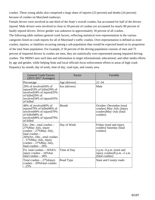crashes. These young adults also comprised a large share of injuries (23 percent) and deaths (24 percent) because of crashes on Maryland roadways.

Female drivers were involved in one-third of the State's overall crashes, but accounted for half of the drivers injured. Male drivers were involved in close to 50 percent of crashes yet accounted for nearly 80 percent of fatally injured drivers. Driver gender was unknown in approximately 18 percent of all crashes. The following table outlines general crash factors, reflecting statistical over-representation in the various categories listed on crash reports for all of Maryland's traffic crashes. Over-representation is defined as more crashes, injuries, or fatalities occurring among a sub-population than would be expected based on its proportion of the total State population. For example, if 50 percent of the driving population consists of men and 75 percent of impaired drivers in crashes are men, they are statistically over-represented among impaired driving crashes. The MHSO uses such data and information to target informational, educational, and other media efforts by age and gender, while helping State and local officials focus enforcement efforts to areas of high crash frequency by month, day of week, time of day, road type, and county area.

|            | <b>General Crash Factors</b><br>$(2013-2017$ Averages)                                                                                                                                                            | Factor        | Variable                                                                                    |
|------------|-------------------------------------------------------------------------------------------------------------------------------------------------------------------------------------------------------------------|---------------|---------------------------------------------------------------------------------------------|
| Percentage |                                                                                                                                                                                                                   | Age (drivers) | $21 - 34$                                                                                   |
| of killed  | 29% of involved 34% of<br>injured33% of killed29% of<br>involved34% of injured33%<br>of killed29% of<br>involved 34% of injured 33%                                                                               | Sex (drivers) | Male                                                                                        |
| of killed  | 48% of involved 49% of<br>injured 79% of killed 48% of<br>involved49% of injured79%<br>of killed48% of<br>involved 49% of injured 79%                                                                             | Month         | October-December (total<br>crashes) May-July (injury<br>crashes)May-July (fatal<br>crashes) |
|            | Oct.-Dec., total crashes -<br>27% May–July, injury<br>crashes $-27\%$ May-July,<br>fatal crashes -<br>26% Oct.-Dec., total crashes<br>– 27% May–July, injury<br>crashes $-27\%$ May-July,<br>fatal crashes $-26%$ | Day of Week   | Friday (total and injury<br>crashes) Saturday (fatal<br>crashes)                            |
|            | Fri. total crashes – 16% Fri.<br>injury crashes - 16% Sat.<br>fatal crashes $-18%$                                                                                                                                | Time of Day   | 2 p.m. $-6$ p.m. (total and<br>injury crashes)9 p.m.–2 a.m.<br>(fatal crashes)              |
| $-25%$     | Total crashes $-27\%$ Injury<br>$crashes - 29\%$ Fatal crashes                                                                                                                                                    | Road Type     | <b>State and County roads</b>                                                               |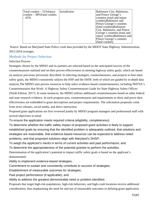| Total crashes $-51\%$ Injury<br>$ {\rm crashes} - 58\%$ Fatal crashes<br>$-65%$ | <b>Jurisdiction</b> | Baltimore City, Baltimore,<br>and Prince George's<br>counties (total and injury<br>crashes)Baltimore and<br>Prince George's counties<br>(fatal crashes) Baltimore<br>City, Baltimore, and Prince<br>George's counties (total and<br>injury crashes)Baltimore and |
|---------------------------------------------------------------------------------|---------------------|------------------------------------------------------------------------------------------------------------------------------------------------------------------------------------------------------------------------------------------------------------------|
|                                                                                 |                     | Prince George's counties<br>(fatal crashes)                                                                                                                                                                                                                      |

Source: Based on Maryland State Police crash data provided by the MDOT State Highway Administration, 2012-2016 averages.

#### Methods for Project Selection

#### Selection Process

Strategies chosen by the MHSO and its partners are selected based on the anticipated success of the countermeasures outlined and on their proven effectiveness in meeting highway safety goals, which are based on analysis processes previously described. In selecting strategies, countermeasures, and projects to best meet safety goals, the MHSO consistently utilizes the HSP and the SHSP, both of which are guided by in-depth data analysis.The MHSO uses proven resources to help select evidence-based countermeasures, including NHTSA's Countermeasures that Work: A Highway Safety Countermeasure Guide for State Highway Safety Offices (Ninth Edition, 2017). In some instances, the MHSO utilizes additional countermeasures based on other federal and state research evidence. In each program area, countermeasures and requirements to show and prove their effectiveness are embedded in grant descriptions and project requirements. The solicitation proposals come from news releases, social media, and direct interaction.

Proposed grant applications are first reviewed jointly by MHSO program managers and professional staff with several objectives in mind:

To ensure the application meets required criteria (eligibility, completeness);

To determine whether the traffic safety impact of proposed grant activities is likely to support established goals by ensuring that the identified problem is adequately outlined, that solutions and strategies are reasonable, that evidence-based resources can be expected to address noted problems, and that proposed solutions align with Maryland's SHSP;

To weigh the applicant's merits in terms of current activities and past performance; and

To determine the appropriateness of the potential grantee to perform the activities.

Determination of the application's potential to impact traffic safety goals is based on the applicant's demonstrated:

Ability to implement evidence-based strategies;

Commitment to sustain and consistently contribute to success of strategies;

Establishment of measurable outcomes for strategies;

Past project performance (if applicable); and

Ability to address the greatest demonstrable need or problem identified.

Proposals that target high-risk populations, high-risk behaviors, and high-crash locations receive additional consideration, thus emphasizing the need for and use of measurable outcomes in defining grant application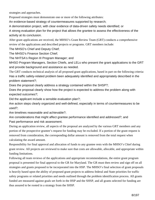strategies and approaches.

Proposed strategies must demonstrate one or more of the following attributes:

An evidence-based strategy of countermeasures supported by research;

A demonstration project, with clear evidence of data-driven safety needs identified; or

A strong evaluation plan for the project that allows the grantee to assess the effectiveness of the activity at its conclusion.

After grant applications are received, the MHSO's Grant Review Team (GRT) conducts a comprehensive review of the applications and described projects or programs. GRT members include:

The MHSO's Chief and Deputy Chief;

The MHSO's Finance Section Chief;

The NHTSA's Region III Program Manager; and

MHSO Program Managers, Section Chiefs, and LELs who present the grant applications to the GRT and provide background and assistance as needed.

The GRT conducts technical analysis of all proposed grant applications, based in part on the following criteria: Has a traffic safety-related problem been adequately identified and appropriately described in the problem statement?;

Does the proposal clearly address a strategy contained within the SHSP?;

Does the proposal clearly show how the project is expected to address the problem along with expected outcomes?;

Did the applicant include a sensible evaluation plan?;

Are action steps clearly organized and well-defined, especially in terms of countermeasures to be used?;

Are timelines reasonable and achievable?;

Are considerations that might affect grantee performance identified and addressed?; and Past performance and risk assessment.

During an application review, all aspects of the proposal are analyzed by the various GRT members and any portion of the prospective grantee's request for funding may be excluded. If a portion of the grant request is removed from consideration, the corresponding dollar amount is removed from the total request when calculating the award amount.

Responsibility for final approval and allocation of funds to any grantee rests with the MHSO's Chief during grant review. All projects are reviewed to make sure that costs are allowable, allocable, and appropriate within funding limitations.

Following all team reviews of the applications and appropriate recommendations, the entire grant program proposal is presented for final approval to the GR for Maryland. The GR must then review and sign off on all strategies and grants proposed to be incorporated into the HSP. The MHSO's final selection of grant proposals is heavily based upon the ability of proposed grant projects to address federal and State priorities for traffic safety programs or related priorities and needs outlined through the problem identification process. All grants funded are measured against goals set forth in the HSP and the SHSP, and all grants selected for funding are thus assured to be rooted in a strategy from the SHSP.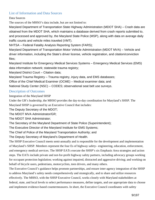#### List of Information and Data Sources

Data Sources

The sources of the MHSO's data include, but are not limited to:

Maryland Department of Transportation State Highway Administration (MDOT SHA) – Crash data are obtained from the MDOT SHA, which maintains a database derived from crash reports submitted to, and processed and approved by, the Maryland State Police (MSP), along with data on average daily traffic counts and vehicle miles traveled (VMT).

NHTSA – Federal Fatality Analysis Reporting System (FARS);

Maryland Department of Transportation Motor Vehicle Administration (MDOT MVA) – Vehicle and driver information, including the State's driver license, vehicle registration, and citation/conviction files;

Maryland Institute for Emergency Medical Services Systems – Emergency Medical Services (EMS) data information network; statewide trauma registry;

Maryland District Court – Citation data;

Maryland Trauma Registry – Trauma registry, injury data, and EMS databases;

Office of the Chief Medical Examiner (OCME) – Medical examiner data; and

National Study Center (NSC) – CODES; observational seat belt use surveys.

#### Description of Outcomes

Integration of the Maryland SHSP

Under the GR's leadership, the MHSO provides the day-to-day coordination for Maryland's SHSP. The Maryland SHSP is governed by an Executive Council that includes:

The Deputy Secretary of the MDOT;

The MDOT MVA Administrator/GR;

The MDOT SHA Administrator;

The Secretary of the Maryland Department of State Police (Superintendent);

The Executive Director of the Maryland Institute for EMS Systems;

The Chief of Police of the Maryland Transportation Authority; and

The Deputy Secretary of Maryland's Department of Health.

The SHSP Executive Council meets semi-annually and is responsible for the development and implementation of Maryland's SHSP. Members represent the four Es of highway safety– engineering, education, enforcement, and emergency medical services. The SHSP EATs execute the SHSP's six Emphasis Area strategies and action steps. The EATs include private and not-for-profit highway safety partners, including advocacy groups working for occupant protection legislation; working against impaired, distracted and aggressive driving; and working on behalf of bicycle users, pedestrians, motorcyclists, teen drivers, and many others.

The Executive Council's guidance helps promote partnerships, and ensure inter-agency integration of the SHSP to address Maryland's safety needs comprehensively and strategically, and to share and utilize resources effectively. The MHSO, with the SHSP Executive Council, works closely with Maryland stakeholders at federal, state, and local levels to select performance measures, define targets, and use appropriate data to choose and implement evidence-based countermeasures. In short, the Executive Council coordinates with safety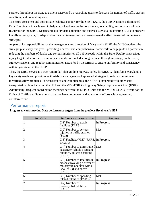partners throughout the State to achieve Maryland's overarching goals to decrease the number of traffic crashes, save lives, and prevent injuries.

To ensure consistent and appropriate technical support for the SHSP EATs, the MHSO assigns a designated Data Coordinator to each team to help control and ensure the consistency, availability, and accuracy of data resources for the SHSP. Dependable quality data collection and analysis is crucial in assisting EATs to properly identify target groups, to adapt and refine countermeasures, and to evaluate the effectiveness of implemented strategies.

As part of its responsibilities for the management and direction of Maryland's SHSP, the MHSO updates the strategic plan every five years, providing a current and comprehensive framework to help guide all partners in reducing the numbers of deaths and serious injuries on all public roads within the State. Fatality and serious injury target reductions are communicated and coordinated among partners through meetings, conferences, strategy sessions, and regular communication networks by the MHSO to ensure uniformity and consistency with targets stated in the SHSP.

Thus, the SHSP serves as a true "umbrella" plan guiding highway safety for MDOT, identifying Maryland's key safety needs and priorities as it establishes an agenda of approved strategies to reduce or eliminate identified safety problems. For consistency and completeness, the SHSP is integrated with other state transportation plans including the HSP and the MDOT SHA's Highway Safety Improvement Plan (HSIP). Additionally, frequent coordination meetings between the MHSO Chief and the MDOT SHA's Director of the Office of Traffic and Safety help to harmonize enforcement and educational efforts with engineering countermeasures.

## Performance report

| Progress towards meeting State performance targets from the previous fiscal year's HSP |  |  |  |  |
|----------------------------------------------------------------------------------------|--|--|--|--|
|----------------------------------------------------------------------------------------|--|--|--|--|

| Sort Order     | Performance measure name                                                                                                      | Progress    |
|----------------|-------------------------------------------------------------------------------------------------------------------------------|-------------|
| $\mathbf{1}$   | C-1) Number of traffic<br>fatalities (FARS)                                                                                   | In Progress |
| $ 2 \>$        | C-2) Number of serious<br>injuries in traffic crashes<br>(State)                                                              | Met         |
| $\vert 3$      | C-3) Fatalities/VMT (FARS, In Progress<br>FHWA)                                                                               |             |
| $\overline{4}$ | C-4) Number of unrestrained Met<br>passenger vehicle occupant<br>fatalities, all seat positions<br>(FARS)                     |             |
| $\overline{5}$ | C-5) Number of fatalities in<br>crashes involving a driver or<br>motorcycle operator with a<br>BAC of .08 and above<br>(FARS) | In Progress |
| $\overline{6}$ | C-6) Number of speeding-<br>related fatalities (FARS)                                                                         | Met         |
| 7              | C-7) Number of<br>motorcyclist fatalities<br>(FARS)                                                                           | In Progress |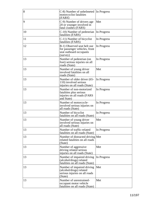| 8  | C-8) Number of unhelmeted<br>motorcyclist fatalities<br>(FARS)                                      | In Progress |
|----|-----------------------------------------------------------------------------------------------------|-------------|
| 9  | C-9) Number of drivers age<br>20 or younger involved in<br>fatal crashes (FARS)                     | Met         |
| 10 | C-10) Number of pedestrian<br>fatalities (FARS)                                                     | In Progress |
| 11 | C-11) Number of bicyclist<br>fatalities (FARS)                                                      | In Progress |
| 12 | B-1) Observed seat belt use<br>for passenger vehicles, front<br>seat outboard occupants<br>(survey) | In Progress |
| 13 | Number of pedestrian (on<br>foot) serious injuries on all<br>roads (State)                          | In Progress |
| 13 | Number of young driver<br>involved fatalities on all<br>roads (State)                               | Met         |
| 13 | Number of older driver (65-<br>110) involved serious<br>injuries on all roads (State)               | In Progress |
| 13 | Number of non-motorized<br>fatalities plus serious<br>injuries on all roads (FARS<br>and State)     | In Progress |
| 13 | Number of motorcycle-<br>involved serious injuries on<br>all roads (State)                          | In Progress |
| 13 | Number of bicyclist<br>fatalities on all roads (State)                                              | In Progress |
| 13 | Number of young driver<br>involved serious injuries on<br>all roads (State)                         | Met         |
| 13 | Number of traffic-related<br>fatalities on all roads (State)                                        | In Progress |
| 13 | Number of distracted driving Met<br>related fatalities on all roads<br>(State)                      |             |
| 13 | Number of aggressive<br>driving related serious<br>injuries on all roads (State)                    | Met         |
| 13 | Number of impaired driving<br>(alcohol/drugs) related<br>fatalities on all roads (State)            | In Progress |
| 13 | Number of impaired driving<br>(alcohol/drugs) related<br>serious injuries on all roads<br>(State)   | Met         |
| 13 | Number of unrestrained-<br>occupant motor vehicle<br>fatalities on all roads (State)                | Met         |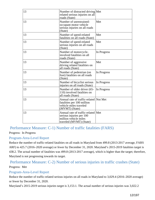| 13 | Number of distracted driving Met<br>related serious injuries on all<br>roads (State)                               |             |
|----|--------------------------------------------------------------------------------------------------------------------|-------------|
| 13 | Number of unrestrained-<br>occupant motor vehicle<br>serious injuries on all roads<br>(State)                      | Met         |
| 13 | Number of speed-related<br>fatalities on all roads (State)                                                         | Met         |
| 13 | Number of speed-related<br>serious injuries on all roads<br>(State)                                                | Met         |
| 13 | Number of motorcycle-<br>involved fatalities on all<br>roads (State)                                               | In Progress |
| 13 | Number of aggressive<br>driving related fatalities on<br>all roads (State)                                         | Met         |
| 13 | Number of pedestrian (on<br>foot) fatalities on all roads<br>(State)                                               | In Progress |
| 13 | Number of bicyclist serious<br>injuries on all roads (State)                                                       | In Progress |
| 13 | Number of older driver (65-<br>110) involved fatalities on<br>all roads (State)                                    | In Progress |
| 13 | Annual rate of traffic-related Not Met<br>fatalities per 100 million<br>vehicle miles traveled<br>(MVMT) (State)   |             |
| 13 | Annual rate of traffic-related Met<br>serious injuries per 100<br>million vehicle miles<br>traveled (MVMT) (State) |             |

Performance Measure: C-1) Number of traffic fatalities (FARS)

#### Progress: In Progress

#### Program-Area-Level Report

Reduce the number of traffic-related fatalities on all roads in Maryland from 499.8 (2013-2017 average, FARS ARF) to 425.7 (2016–2020 average) or fewer by December 31, 2020. Maryland's 2015-2019 fatalities target is 438.2. The actual number of fatalities was 499.8 (2013-2017 average), which is higher than the target; therefore, Maryland is not progressing towards its target.

## Performance Measure: C-2) Number of serious injuries in traffic crashes (State) Progress: Met

#### Program-Area-Level Report

Reduce the number of traffic-related serious injuries on all roads in Maryland to 3,029.4 (2016–2020 average) or fewer by December 31, 2020.

Maryland's 2015-2019 serious injuries target is 3,153.1. The actual number of serious injuries was 3,022.2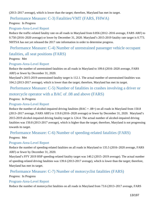(2013–2017 average), which is lower than the target; therefore, Maryland has met its target.

## Performance Measure: C-3) Fatalities/VMT (FARS, FHWA)

Progress: In Progress

#### Program-Area-Level Report

Reduce the traffic-related fatality rate on all roads in Maryland from 0.856 (2012–2016 average, FARS ARF) to 0.750 (2016–2020 average) or lower by December 31, 2020. Maryland's 2015-2019 fatality rate target is 0.773. NHTSA has not yet released the 2017 rate information in order to determine progress.

Performance Measure: C-4) Number of unrestrained passenger vehicle occupant

#### fatalities, all seat positions (FARS)

Progress: Met

#### Program-Area-Level Report

Reduce the number of unrestrained fatalities on all roads in Maryland to 109.6 (2016–2020 average, FARS ARF) or fewer by December 31, 2020.

Maryland's 2015-2019 unrestrained fatality target is 112.1. The actual number of unrestrained fatalities was 104.2 (2013-2017 average), which is lower than the target; therefore, Maryland has met its target.

 Performance Measure: C-5) Number of fatalities in crashes involving a driver or motorcycle operator with a BAC of .08 and above (FARS)

Progress: In Progress

#### Program-Area-Level Report

Reduce the number of alcohol-impaired driving fatalities ( $BAC = .08+$ ) on all roads in Maryland from 150.8 (2013–2017 average, FARS ARF) to 119.8 (2016–2020 average) or fewer by December 31, 2020. Maryland's 2015-2019 alcohol-impaired driving fatality target is 124.4. The actual number of alcohol-impaired driving fatalities was 150.8 (2013-2017 average), which is higher than the target; therefore, Maryland is not progressing towards its target.

#### Performance Measure: C-6) Number of speeding-related fatalities (FARS)

Progress: Met

#### Program-Area-Level Report

Reduce the number of speeding-related fatalities on all roads in Maryland to 135.5 (2016–2020 average, FARS ARF) or fewer by December 31, 2020.

Maryland's FFY 2019 HSP speeding-related fatality target was 140.2 (2015–2019 average). The actual number of speeding-related driving fatalities was 139.6 (2013-2017 average), which is lower than the target; therefore, Maryland has met its target.

## Performance Measure: C-7) Number of motorcyclist fatalities (FARS)

Progress: In Progress

#### Program-Area-Level Report

Reduce the number of motorcyclist fatalities on all roads in Maryland from 73.6 (2013–2017 average, FARS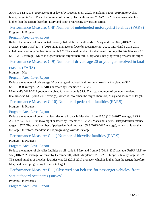ARF) to 64.1 (2016–2020 average) or fewer by December 31, 2020. Maryland's 2015-2019 motorcyclist fatality target is 65.8. The actual number of motorcyclist fatalities was 73.6 (2013-2017 average), which is higher than the target; therefore, Maryland is not progressing towards its target.

## Performance Measure: C-8) Number of unhelmeted motorcyclist fatalities (FARS)

#### Progress: In Progress

#### Program-Area-Level Report

Reduce the number of unhelmeted motorcyclist fatalities on all roads in Maryland from 8.6 (2013–2017 average, FARS ARF) to 7.4 (2016–2020 average) or fewer by December 31, 2020. Maryland's 2015-2019 unhelmeted motorcyclist fatality target is 7.7. The actual number of unhelmeted motorcyclist fatalities was 8.6 (2013-2017 average), which is higher than the target; therefore, Maryland is not progressing towards its target.

#### Performance Measure: C-9) Number of drivers age 20 or younger involved in fatal

crashes (FARS)

Progress: Met

#### Program-Area-Level Report

Reduce the number of drivers age 20 or younger-involved fatalities on all roads in Maryland to 52.2 (2016–2020 average, FARS ARF) or fewer by December 31, 2020.

Maryland's 2015-2019 younger-involved fatality target is 54.1. The actual number of younger-involved fatalities was 44.2 (2013-2017 average), which is lower than the target; therefore, Maryland has met its target.

## Performance Measure: C-10) Number of pedestrian fatalities (FARS)

Progress: In Progress

#### Program-Area-Level Report

Reduce the number of pedestrian fatalities on all roads in Maryland from 105.6 (2013–2017 average, FARS ARF) to 85.8 (2016–2020 average) or fewer by December 31, 2020. Maryland's 2015-2019 pedestrian fatality target is 87.7. The actual number of pedestrian fatalities was 105.6 (2013-2017 average), which is higher than the target; therefore, Maryland is not progressing towards its target.

## Performance Measure: C-11) Number of bicyclist fatalities (FARS)

Progress: In Progress

#### Program-Area-Level Report

Reduce the number of bicyclist fatalities on all roads in Maryland from 9.6 (2013–2017 average, FARS ARF) to 5.5 (2016–2020 average) or fewer by December 31, 2020. Maryland's 2015-2019 bicyclist fatality target is 5.7. The actual number of bicyclist fatalities was 9.6 (2013-2017 average), which is higher than the target; therefore, Maryland is not progressing towards its target.

#### Performance Measure: B-1) Observed seat belt use for passenger vehicles, front

seat outboard occupants (survey)

Progress: In Progress

Program-Area-Level Report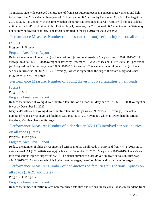To increase statewide observed belt use rate of front seat outboard occupants in passenger vehicles and light trucks from the 2012 calendar base year of 91.1 percent to 96.2 percent by December 31, 2020. The target for 2019 is 95.5. It is unknown at this time whether the target has been met as survey results will not be available until after the HSP is submitted to NHTSA on July 1; however, the 2018 rate of 90.3% indicates the State may not be moving toward its target. (The target submitted in the FFY2018 for 2018 was 94.8.)

## Performance Measure: Number of pedestrian (on foot) serious injuries on all roads (State)

#### Progress: In Progress

#### Program-Area-Level Report

Reduce the number of pedestrian (on foot) serious injuries on all roads in Maryland from 396.8 (2013–2017 average) to 319.8 (2016–2020 average) or fewer by December 31, 2020. Maryland's FFY 2019 HSP pedestrian (on foot) serious injuries target was 329.5 (2015–2019 average). The actual number of pedestrian (on foot) serious injuries was 396.8 (2013–2017 average), which is higher than the target; therefore Maryland is not progressing towards its target.

## Performance Measure: Number of young driver involved fatalities on all roads

#### (State)

Progress: Met

#### Program-Area-Level Report

Reduce the number of young-driver-involved fatalities on all roads in Maryland to 57.9 (2016–2020 average) or fewer by December 31, 2020.

Maryland's 2015-2019 young-driver-involved fatalities target was 59.9 (2015–2019 average). The actual number of young-driver-involved fatalities was 48.8 (2013–2017 average), which is lower than the target; therefore, Maryland has met its target.

#### Performance Measure: Number of older driver (65-110) involved serious injuries

#### on all roads (State)

Progress: In Progress

#### Program-Area-Level Report

Reduce the number of older-driver-involved serious injuries on all roads in Maryland from 474.2 (2013–2017 average) to 442.1 (2016–2020 average) or fewer by December 31, 2020. Maryland's 2015-2019 older-driverinvolved serious injuries target was 458.7. The actual number of older-driver-involved serious injuries was 474.2 (2013–2017 average), which is higher than the target; therefore, Maryland has not met its target.

#### Performance Measure: Number of non-motorized fatalities plus serious injuries on

#### all roads (FARS and State)

Progress: In Progress

#### Program-Area-Level Report

Reduce the number of traffic-related non-motorized fatalities and serious injuries on all roads in Maryland from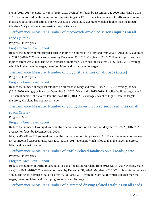578.2 (2013-2017 average) to 465.8 (2016–2020 average) or fewer by December 31, 2020. Maryland's 2015- 2019 non-motorized fatalities and serious injuries target is 479.5. The actual number of traffic-related nonmotorized fatalities and serious injuries was 578.2 (2013–2017 average), which is higher than the target; therefore Maryland is not progressing towards its target.

#### Performance Measure: Number of motorcycle-involved serious injuries on all

#### roads (State)

Progress: In Progress

#### Program-Area-Level Report

Reduce the number of motorcyclist serious injuries on all roads in Maryland from 283.6 (2013–2017 average) to 248.9 (2016–2020 average) or fewer by December 31, 2020. Maryland's 2015-2019 motorcyclist serious injuries target was 258.3. The actual number of motorcyclist serious injuries was 283.6 (2013–2017 average), which is higher than the target; therefore, Maryland has not met its target.

#### Performance Measure: Number of bicyclist fatalities on all roads (State)

Progress: In Progress

#### Program-Area-Level Report

Reduce the number of bicyclist fatalities on all roads in Maryland from 10.0 (2013–2017 average) to 5.9 (2016–2020 average) or fewer by December 31, 2020. Maryland's 2015-2019 bicyclist fatalities target was 6.1. The actual number of bicyclist fatalities was 10.0 (2013–2017 average), which is higher than the target; therefore, Maryland has not met its target.

## Performance Measure: Number of young driver involved serious injuries on all

#### roads (State)

Progress: Met

#### Program-Area-Level Report

Reduce the number of young-driver-involved serious injuries on all roads in Maryland to 528.2 (2016–2020 average) or fewer by December 31, 2020.

Maryland's 2015-2019 young-driver-involved serious injuries target was 553.6. The actual number of youngdriver-involved serious injuries was 420.4 (2013–2017 average), which is lower than the target; therefore, Maryland has met its target.

#### Performance Measure: Number of traffic-related fatalities on all roads (State) Progress: In Progress

#### Program-Area-Level Report

Reduce the number of traffic-related fatalities on all roads in Maryland from 501.8 (2013–2017 average, State data) to 426.3 (2016–2020 average) or fewer by December 31, 2020. Maryland's 2015-2019 fatalities target was 438.8. The actual number of fatalities was 501.8 (2013–2017 average, State data), which is higher than the target; therefore, Maryland is not progressing toward its target.

Performance Measure: Number of distracted driving related fatalities on all roads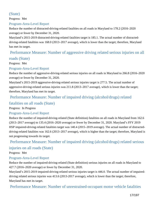## (State)

Progress: Met

#### Program-Area-Level Report

Reduce the number of distracted-driving-related fatalities on all roads in Maryland to 178.2 (2016–2020 average) or fewer by December 31, 2020.

Maryland's 2015-2019 distracted-driving-related fatalities target is 185.1. The actual number of distracteddriving-related fatalities was 168.0 (2013–2017 average), which is lower than the target; therefore, Maryland has met its target.

## Performance Measure: Number of aggressive driving related serious injuries on all

#### roads (State)

Progress: Met

#### Program-Area-Level Report

Reduce the number of aggressive-driving-related serious injuries on all roads in Maryland to 266.8 (2016–2020 average) or fewer by December 31, 2020.

Maryland's 2015-2019 aggressive-driving-related serious injuries target is 277.5. The actual number of aggressive-driving-related serious injuries was 211.8 (2013–2017 average), which is lower than the target; therefore, Maryland has met its target.

#### Performance Measure: Number of impaired driving (alcohol/drugs) related

## fatalities on all roads (State)

#### Progress: In Progress

#### Program-Area-Level Report

Reduce the number of impaired-driving-related (State definition) fatalities on all roads in Maryland from 162.6 (2013–2017 average) to 135.4 (2016–2020 average) or fewer by December 31, 2020. Maryland's FFY 2019 HSP impaired-driving-related fatalities target was 140.4 (2015–2019 average). The actual number of distracteddriving-related fatalities was 162.6 (2013–2017 average), which is higher than the target; therefore, Maryland is not progressing towards its target.

## Performance Measure: Number of impaired driving (alcohol/drugs) related serious

#### injuries on all roads (State)

Progress: Met

#### Program-Area-Level Report

Reduce the number of impaired-driving-related (State definition) serious injuries on all roads in Maryland to 427.7 (2016–2020 average) or fewer by December 31, 2020.

Maryland's 2015-2019 impaired-driving-related serious injuries target is 446.0. The actual number of impaireddriving related serious injuries was 413.6 (2013-2017 average), which is lower than the target; therefore, Maryland has met its target.

Performance Measure: Number of unrestrained-occupant motor vehicle fatalities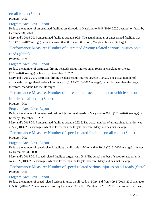#### on all roads (State)

Progress: Met

#### Program-Area-Level Report

Reduce the number of unrestrained fatalities on all roads in Maryland to 96.5 (2016–2020 average) or fewer by December 31, 2020.

Maryland's 2015-2019 unrestrained fatalities target is 99.9. The actual number of unrestrained fatalities was 98.6 (2013–2017 average), which is lower than the target; therefore, Maryland has met its target.

#### Performance Measure: Number of distracted driving related serious injuries on all

#### roads (State)

Progress: Met

#### Program-Area-Level Report

Reduce the number of distracted-driving-related serious injuries on all roads in Maryland to 1,763.9 (2016–2020 average) or fewer by December 31, 2020.

Maryland's 2015-2019 distracted-driving-related serious injuries target is 1,845.0. The actual number of distracted-driving-related serious injuries was 1,317.6 (2013–2017 average), which is lower than the target; therefore, Maryland has met its target.

#### Performance Measure: Number of unrestrained-occupant motor vehicle serious

#### injuries on all roads (State)

Progress: Met

#### Program-Area-Level Report

Reduce the number of unrestrained serious injuries on all roads in Maryland to 281.4 (2016–2020 average) or fewer by December 31, 2020.

Maryland's 2015-2019 unrestrained fatalities target is 292.6. The actual number of unrestrained fatalities was 285.6 (2013–2017 average), which is lower than the target; therefore, Maryland has met its target.

#### Performance Measure: Number of speed-related fatalities on all roads (State)

Progress: Met

#### Program-Area-Level Report

Reduce the number of speed-related fatalities on all roads in Maryland to 104.6 (2016–2020 average) or fewer by December 31, 2020.

Maryland's 2015-2019 speed-related fatalities target was 108.3. The actual number of speed-related fatalities was 91.2 (2013–2017 average), which is lower than the target; therefore, Maryland has met its target.

#### Performance Measure: Number of speed-related serious injuries on all roads (State)

Progress: Met

#### Program-Area-Level Report

Reduce the number of speed-related serious injuries on all roads in Maryland from 409.2 (2013–2017 average) to 566.5 (2016–2020 average) or fewer by December 31, 2020. Maryland's 2015-2019 speed-related serious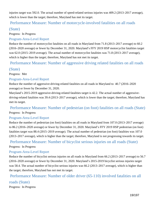injuries target was 592.0. The actual number of speed-related serious injuries was 409.2 (2013–2017 average), which is lower than the target; therefore, Maryland has met its target.

## Performance Measure: Number of motorcycle-involved fatalities on all roads

#### (State)

Progress: In Progress

#### Program-Area-Level Report

Reduce the number of motorcyclist fatalities on all roads in Maryland from 71.8 (2013–2017 average) to 60.2 (2016–2020 average) or fewer by December 31, 2020. Maryland's FFY 2019 HSP motorcyclist fatalities target was 62.0 (2015–2019 average). The actual number of motorcyclist fatalities was 71.8 (2013–2017 average), which is higher than the target; therefore, Maryland has not met its target.

Performance Measure: Number of aggressive driving related fatalities on all roads

#### (State)

Progress: Met

#### Program-Area-Level Report

Reduce the number of aggressive-driving-related fatalities on all roads in Maryland to 40.7 (2016–2020 average) or fewer by December 31, 2020.

Maryland's 2015-2019 aggressive-driving-related fatalities target is 42.2. The actual number of aggressivedriving-related fatalities was 39.4 (2013–2017 average), which is lower than the target; therefore, Maryland has met its target.

## Performance Measure: Number of pedestrian (on foot) fatalities on all roads (State)

Progress: In Progress

#### Program-Area-Level Report

Reduce the number of pedestrian (on foot) fatalities on all roads in Maryland from 107.0 (2013–2017 average) to 86.2 (2016–2020 average) or fewer by December 31, 2020. Maryland's FFY 2019 HSP pedestrian (on foot) fatalities target was 88.4 (2015–2019 average). The actual number of pedestrian (on foot) fatalities was 107.0 (2013–2017 average), which is higher than the target; therefore, Maryland is not progressing towards its target.

#### Performance Measure: Number of bicyclist serious injuries on all roads (State)

#### Progress: In Progress

#### Program-Area-Level Report

Reduce the number of bicyclist serious injuries on all roads in Maryland from 66.2 (2013–2017 average) to 56.7 (2016–2020 average) or fewer by December 31, 2020. Maryland's 2015-2019 bicyclist serious injuries target was 58.4. The actual number of bicyclist serious injuries was 66.2 (2013–2017 average), which is higher than the target; therefore, Maryland has not met its target.

Performance Measure: Number of older driver (65-110) involved fatalities on all

#### roads (State)

Progress: In Progress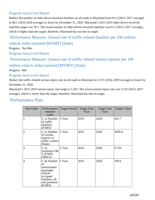#### Program-Area-Level Report

Reduce the number of older-driver-involved fatalities on all roads in Maryland from 91.2 (2013–2017 average) to 68.1 (2016-2020 average) or fewer by December 31, 2020. Maryland's 2015-2019 older-driver-involved fatalities target was 70.3. The actual number of older-driver-involved fatalities was 91.2 (2013–2017 average), which is higher than the target; therefore, Maryland has not met its target.

## Performance Measure: Annual rate of traffic-related fatalities per 100 million vehicle miles traveled (MVMT) (State)

Progress: Not Met

Program-Area-Level Report

Performance Measure: Annual rate of traffic-related serious injuries per 100

million vehicle miles traveled (MVMT) (State)

Progress: Met

#### Program-Area-Level Report

Reduce the traffic-related serious injury rate on all roads in Maryland to 5.372 (2016–2020 average) or lower by December 31, 2020.

Maryland's 2015-2019 serious injury rate target is 5.591. The actual serious injury rate was 5.225 (2013–2017 average), which is lower than the target; therefore, Maryland has met its target.

## Performance Plan

| Sort Order   | Performance<br>measure<br>name                                                                                                 | <b>Target Period</b> | <b>Target Start</b><br>Year | <b>Target End</b><br>Year | <b>Target Value</b> |
|--------------|--------------------------------------------------------------------------------------------------------------------------------|----------------------|-----------------------------|---------------------------|---------------------|
| $\mathbf{1}$ | $C-1$ ) Number 5 Year<br>of traffic<br>fatalities<br>(FARS)                                                                    |                      | 2016                        | 2020                      | 425.7               |
| $ 2\rangle$  | $C-2$ ) Number 5 Year<br>of serious<br>injuries in<br>traffic crashes<br>(State)                                               |                      | 2016                        | 2020                      | 3029.4              |
| $\vert$ 3    | $C-3$<br>Fatalities/VM<br>T (FARS,<br>FHWA)                                                                                    | 5 Year               | 2016                        | 2020                      | 0.750               |
| 4            | $C-4$ ) Number 5 Year<br>of<br>unrestrained<br>passenger<br>vehicle<br>occupant<br>fatalities, all<br>seat positions<br>(FARS) |                      | 2016                        | 2020                      | 109.6               |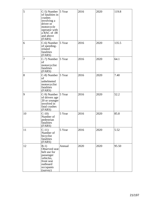| 5  | C-5) Number 5 Year<br>of fatalities in<br>crashes<br>involving a<br>driver or<br>motorcycle<br>operator with<br>a BAC of .08<br>and above<br>(FARS) |        | 2016 | 2020 | 119.8 |
|----|-----------------------------------------------------------------------------------------------------------------------------------------------------|--------|------|------|-------|
| 6  | $C-6$ ) Number   5 Year<br>of speeding-<br>related<br>fatalities<br>(FARS)                                                                          |        | 2016 | 2020 | 135.5 |
| 7  | $C-7$ ) Number 5 Year<br>οf<br>motorcyclist<br>fatalities<br>(FARS)                                                                                 |        | 2016 | 2020 | 64.1  |
| 8  | $C-8$ ) Number 5 Year<br>of<br>unhelmeted<br>motorcyclist<br>fatalities<br>(FARS)                                                                   |        | 2016 | 2020 | 7.40  |
| 9  | C-9) Number 5 Year<br>of drivers age<br>20 or younger<br>involved in<br>fatal crashes<br>(FARS)                                                     |        | 2016 | 2020 | 52.2  |
| 10 | $C-10$<br>Number of<br>pedestrian<br>fatalities<br>(FARS)                                                                                           | 5 Year | 2016 | 2020 | 85.8  |
| 11 | $C-11$<br>Number of<br>bicyclist<br>fatalities<br>(FARS)                                                                                            | 5 Year | 2016 | 2020 | 5.52  |
| 12 | $B-1)$<br>Observed seat<br>belt use for<br>passenger<br>vehicles,<br>front seat<br>outboard<br>occupants<br>(survey)                                | Annual | 2020 | 2020 | 95.50 |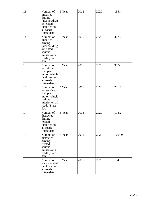| 13 | Number of<br>impaired<br>driving<br>(alcohol/drug<br>s) related<br>fatalities on<br>all roads<br>(State data)          | 5 Year | 2016 | 2020 | 135.4  |
|----|------------------------------------------------------------------------------------------------------------------------|--------|------|------|--------|
| 14 | Number of<br>impaired<br>driving<br>(alcohol/drug<br>s) related<br>serious<br>injuries on all<br>roads (State<br>data) | 5 Year | 2016 | 2020 | 427.7  |
| 15 | Number of<br>unrestrained-<br>occupant<br>motor vehicle<br>fatalities on<br>all roads<br>(State data)                  | 5 Year | 2016 | 2020 | 96.5   |
| 16 | Number of<br>unrestrained-<br>occupant<br>motor vehicle<br>serious<br>injuries on all<br>roads (State<br>data)         | 5 Year | 2016 | 2020 | 281.4  |
| 17 | Number of<br>distracted<br>driving<br>related<br>fatalities on<br>all roads<br>(State data)                            | 5 Year | 2016 | 2020 | 178.2  |
| 18 | Number of<br>distracted<br>driving<br>related<br>serious<br>injuries on all<br>roads (State<br>data)                   | 5 Year | 2016 | 2020 | 1763.9 |
| 19 | Number of<br>speed-related<br>fatalities on<br>all roads<br>(State data)                                               | 5 Year | 2016 | 2020 | 104.6  |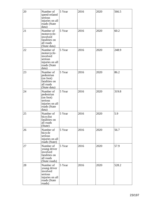| 20 | Number of<br>speed-related<br>serious<br>injuries on all<br>roads (State<br>data)             | 5 Year | 2016 | 2020 | 566.5 |
|----|-----------------------------------------------------------------------------------------------|--------|------|------|-------|
| 21 | Number of<br>motorcycle-<br>involved<br>fatalities on<br>all roads<br>(State data)            | 5 Year | 2016 | 2020 | 60.2  |
| 22 | Number of<br>motorcycle-<br>involved<br>serious<br>injuries on all<br>roads (State<br>data)   | 5 Year | 2016 | 2020 | 248.9 |
| 23 | Number of<br>pedestrian<br>(on foot)<br>fatalities on<br>all roads<br>(State data)            | 5 Year | 2016 | 2020 | 86.2  |
| 24 | Number of<br>pedestrian<br>(on foot)<br>serious<br>injuries on all<br>roads (State<br>data)   | 5 Year | 2016 | 2020 | 319.8 |
| 25 | Number of<br>bicyclist<br>fatalities on<br>all roads<br>(State)                               | 5 Year | 2016 | 2020 | 5.9   |
| 26 | Number of<br>bicycle<br>serious<br>injuries on all<br>roads (State)                           | 5 Year | 2016 | 2020 | 56.7  |
| 27 | Number of<br>young driver<br>involved<br>fatalities on<br>all roads<br>(State roads)          | 5 Year | 2016 | 2020 | 57.9  |
| 28 | Number of<br>young driver<br>involved<br>serious<br>injuries on all<br>roads (State<br>roads) | 5 Year | 2016 | 2020 | 528.2 |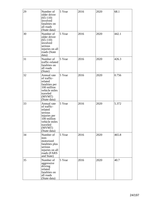| 29 | Number of<br>older driver<br>$(65-110)$<br>involved<br>fatalities on<br>all roads<br>(State data)                                      | 5 Year | 2016 | 2020 | 68.1  |
|----|----------------------------------------------------------------------------------------------------------------------------------------|--------|------|------|-------|
| 30 | Number of<br>older driver<br>$(65-110)$<br>involved<br>serious<br>injuries on all<br>roads (State<br>data)                             | 5 Year | 2016 | 2020 | 442.1 |
| 31 | Number of<br>traffic-related<br>fatalities on<br>all roads<br>(State)                                                                  | 5 Year | 2016 | 2020 | 426.3 |
| 32 | Annual rate<br>of traffic-<br>related<br>fatalities per<br>100 million<br>vehicle miles<br>traveled<br>(MVMT)<br>(State data)          | 5 Year | 2016 | 2020 | 0.756 |
| 33 | Annual rate<br>of traffic-<br>related<br>serious<br>injuries per<br>100 million<br>vehicle miles<br>traveled<br>(MVMT)<br>(State data) | 5 Year | 2016 | 2020 | 5.372 |
| 34 | Number of<br>non-<br>motorized<br>fatalities plus<br>serious<br>injuries on all<br>roads (FARS<br>and State)                           | 5 Year | 2016 | 2020 | 465.8 |
| 35 | Number of<br>aggressive<br>driving<br>related<br>fatalities on<br>all roads<br>(State data)                                            | 5 Year | 2016 | 2020 | 40.7  |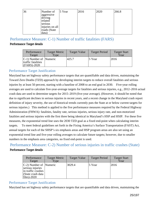| 36 | Number of                  | 5 Year | 2016 | 2020 | 266.8 |
|----|----------------------------|--------|------|------|-------|
|    | laggressive<br>driving     |        |      |      |       |
|    | related                    |        |      |      |       |
|    | serious<br>injuries on all |        |      |      |       |
|    | roads (State               |        |      |      |       |
|    | data)                      |        |      |      |       |

### Performance Measure: C-1) Number of traffic fatalities (FARS)

#### Performance Target details

| Performance<br>Target                                                     | <b>Target Metric</b><br>Type | <b>Target Value</b> | <b>Target Period</b> | <b>Target Start</b><br>Year |
|---------------------------------------------------------------------------|------------------------------|---------------------|----------------------|-----------------------------|
| $ C-1\rangle$ Number of  Numeric<br>traffic fatalities<br>$ $ (FARS)-2020 |                              | 425.7               | 5 Year               | 2016                        |

#### Performance Target Justification

Maryland has set highway safety performance targets that are quantifiable and data driven, maintaining the Toward Zero Deaths (TZD) approach by developing interim targets to reduce overall fatalities and serious injuries by at least 50 percent, starting with a baseline of 2008 to an end goal in 2030. Five-year rolling averages are used to calculate five-year-average targets for fatalities and serious injuries, e.g., 2012–2016 actual crash data are used to determine targets for 2015–2019 (five-year average). (However, it should be noted that due to significant declines in serious injuries in recent years, and a recent change in the Maryland crash report definition of injury severity, the use of historical trends currently puts the State at or below current targets for serious injuries.) This method is applied to the five performance measures required by the Federal Highway Administration (FHWA): fatalities, fatality rate, serious injuries, serious injury rate, and non-motorized fatalities and serious injuries with the first three being identical in Maryland's HSP and HSIP. For these five measures, the exponential trend line uses the 2030 TZD goal as a fixed end-point when calculating interim targets. To meet federal guidelines set forth in the Fixing America's Surface Transportation (FAST) Act, annual targets for each of the SHSP's six emphasis areas and HSP program areas are also set using an exponential trend line and five-year rolling averages to calculate future targets; however, due to smaller numbers in the emphasis area categories, no fixed end-point is used.

## Performance Measure: C-2) Number of serious injuries in traffic crashes (State) Performance Target details

| Performance<br>Target                                                                                    | <b>Target Metric</b><br>Type | <b>Target Value</b> | <b>Target Period</b> | <b>Target Start</b><br>Year |
|----------------------------------------------------------------------------------------------------------|------------------------------|---------------------|----------------------|-----------------------------|
| $ C-2 $ Number of  Numeric<br>serious injuries<br>in traffic crashes<br>(State crash data<br>files)-2020 |                              | 3029.4              | 5 Year               | 2016                        |

#### Performance Target Justification

Maryland has set highway safety performance targets that are quantifiable and data driven, maintaining the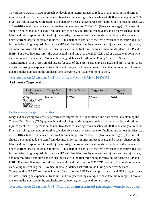Toward Zero Deaths (TZD) approach by developing interim targets to reduce overall fatalities and serious injuries by at least 50 percent in the next two decades, starting with a baseline of 2008 to an end goal in 2030. Five-year rolling averages are used to calculate five-year-average targets for fatalities and serious injuries, e.g., 2012–2016 actual crash data are used to determine targets for 2015–2019 (five-year average). (However, it should be noted that due to significant declines in serious injuries in recent years, and a recent change in the Maryland crash report definition of injury severity, the use of historical trends currently puts the State at or below current targets for serious injuries.) This method is applied to the five performance measures required by the Federal Highway Administration (FHWA): fatalities, fatality rate, serious injuries, serious injury rate, and non-motorized fatalities and serious injuries with the first three being identical in Maryland's HSP and HSIP. For these five measures, the exponential trend line uses the 2030 TZD goal as a fixed end-point when calculating interim targets. To meet federal guidelines set forth in the Fixing America's Surface Transportation (FAST) Act, annual targets for each of the SHSP's six emphasis areas and HSP program areas are also set using an exponential trend line and five-year rolling averages to calculate future targets; however, due to smaller numbers in the emphasis area categories, no fixed end-point is used.

## Performance Measure: C-3) Fatalities/VMT (FARS, FHWA)

#### Performance Target details

| Performance<br>Target                                          | <b>Target Metric</b><br>Type | <b>Target Value</b> | <b>Target Period</b> | <b>Target Start</b><br>Year |
|----------------------------------------------------------------|------------------------------|---------------------|----------------------|-----------------------------|
| $ C-3\rangle$<br>Fatalities/VMT<br>(FARS,<br><b>FHWA)-2020</b> | Numeric                      | 0.750               | 5 Year               | 2016                        |

#### Performance Target Justification

Maryland has set highway safety performance targets that are quantifiable and data driven, maintaining the Toward Zero Deaths (TZD) approach by developing interim targets to reduce overall fatalities and serious injuries by at least 50 percent in the next two decades, starting with a baseline of 2008 to an end goal in 2030. Five-year rolling averages are used to calculate five-year-average targets for fatalities and serious injuries, e.g., 2012–2016 actual crash data are used to determine targets for 2015–2019 (five-year average). (However, it should be noted that due to significant declines in serious injuries in recent years, and a recent change in the Maryland crash report definition of injury severity, the use of historical trends currently puts the State at or below current targets for serious injuries.) This method is applied to the five performance measures required by the Federal Highway Administration (FHWA): fatalities, fatality rate, serious injuries, serious injury rate, and non-motorized fatalities and serious injuries with the first three being identical in Maryland's HSP and HSIP. For these five measures, the exponential trend line uses the 2030 TZD goal as a fixed end-point when calculating interim targets. To meet federal guidelines set forth in the Fixing America's Surface Transportation (FAST) Act, annual targets for each of the SHSP's six emphasis areas and HSP program areas are also set using an exponential trend line and five-year rolling averages to calculate future targets; however, due to smaller numbers in the emphasis area categories, no fixed end-point is used.

Performance Measure: C-4) Number of unrestrained passenger vehicle occupant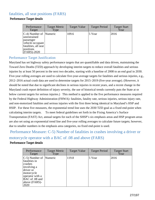## fatalities, all seat positions (FARS)

#### Performance Target details

| Performance<br>Target                                                                                            | <b>Target Metric</b><br>Type | <b>Target Value</b> | <b>Target Period</b> | <b>Target Start</b><br>Year |
|------------------------------------------------------------------------------------------------------------------|------------------------------|---------------------|----------------------|-----------------------------|
| $ C-4 $ Number of  Numeric<br>unrestrained<br>passenger<br>vehicle occupant<br>fatalities, all seat<br>positions |                              | 109.6               | 5 Year               | 2016                        |
| $ $ (FARS)-2020                                                                                                  |                              |                     |                      |                             |

#### Performance Target Justification

Maryland has set highway safety performance targets that are quantifiable and data driven, maintaining the Toward Zero Deaths (TZD) approach by developing interim targets to reduce overall fatalities and serious injuries by at least 50 percent in the next two decades, starting with a baseline of 2008 to an end goal in 2030. Five-year rolling averages are used to calculate five-year-average targets for fatalities and serious injuries, e.g., 2012–2016 actual crash data are used to determine targets for 2015–2019 (five-year average). (However, it should be noted that due to significant declines in serious injuries in recent years, and a recent change in the Maryland crash report definition of injury severity, the use of historical trends currently puts the State at or below current targets for serious injuries.) This method is applied to the five performance measures required by the Federal Highway Administration (FHWA): fatalities, fatality rate, serious injuries, serious injury rate, and non-motorized fatalities and serious injuries with the first three being identical in Maryland's HSP and HSIP. For these five measures, the exponential trend line uses the 2030 TZD goal as a fixed end-point when calculating interim targets. To meet federal guidelines set forth in the Fixing America's Surface Transportation (FAST) Act, annual targets for each of the SHSP's six emphasis areas and HSP program areas are also set using an exponential trend line and five-year rolling averages to calculate future targets; however, due to smaller numbers in the emphasis area categories, no fixed end-point is used.

 Performance Measure: C-5) Number of fatalities in crashes involving a driver or motorcycle operator with a BAC of .08 and above (FARS)

#### Performance Target details

| Performance<br>Target                                                                                                                                    | <b>Target Metric</b><br>Type | <b>Target Value</b> | <b>Target Period</b> | <b>Target Start</b><br>Year |
|----------------------------------------------------------------------------------------------------------------------------------------------------------|------------------------------|---------------------|----------------------|-----------------------------|
| $ C-5)$ Number of<br>fatalities in<br>crashes<br>involving a<br>driver or<br>motorcycle<br>operator with a<br>BAC of .08 and<br>$ above (FARS)-$<br>2020 | Numeric                      | 119.8               | 5 Year               | 2016                        |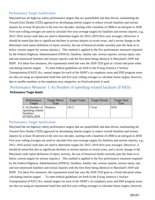#### Performance Target Justification

Maryland has set highway safety performance targets that are quantifiable and data driven, maintaining the Toward Zero Deaths (TZD) approach by developing interim targets to reduce overall fatalities and serious injuries by at least 50 percent in the next two decades, starting with a baseline of 2008 to an end goal in 2030. Five-year rolling averages are used to calculate five-year-average targets for fatalities and serious injuries, e.g., 2012–2016 actual crash data are used to determine targets for 2015–2019 (five-year average). (However, it should be noted that due to significant declines in serious injuries in recent years, and a recent change in the Maryland crash report definition of injury severity, the use of historical trends currently puts the State at or below current targets for serious injuries.) This method is applied to the five performance measures required by the Federal Highway Administration (FHWA): fatalities, fatality rate, serious injuries, serious injury rate, and non-motorized fatalities and serious injuries with the first three being identical in Maryland's HSP and HSIP. For these five measures, the exponential trend line uses the 2030 TZD goal as a fixed end-point when calculating interim targets. To meet federal guidelines set forth in the Fixing America's Surface Transportation (FAST) Act, annual targets for each of the SHSP's six emphasis areas and HSP program areas are also set using an exponential trend line and five-year rolling averages to calculate future targets; however, due to smaller numbers in the emphasis area categories, no fixed end-point is used.

#### Performance Measure: C-6) Number of speeding-related fatalities (FARS) Performance Target details

| Performance<br>Target                                                                 | <b>Target Metric</b><br>Type | <b>Target Value</b> | <b>Target Period</b> | <b>Target Start</b><br>Year |
|---------------------------------------------------------------------------------------|------------------------------|---------------------|----------------------|-----------------------------|
| $ C-6\rangle$ Number of  Numeric<br>speeding-related<br>fatalities<br>$ $ (FARS)-2020 |                              | 135.5               | 5 Year               | 2016                        |

#### Performance Target Justification

Maryland has set highway safety performance targets that are quantifiable and data driven, maintaining the Toward Zero Deaths (TZD) approach by developing interim targets to reduce overall fatalities and serious injuries by at least 50 percent in the next two decades, starting with a baseline of 2008 to an end goal in 2030. Five-year rolling averages are used to calculate five-year-average targets for fatalities and serious injuries, e.g., 2012–2016 actual crash data are used to determine targets for 2015–2019 (five-year average). (However, it should be noted that due to significant declines in serious injuries in recent years, and a recent change in the Maryland crash report definition of injury severity, the use of historical trends currently puts the State at or below current targets for serious injuries.) This method is applied to the five performance measures required by the Federal Highway Administration (FHWA): fatalities, fatality rate, serious injuries, serious injury rate, and non-motorized fatalities and serious injuries with the first three being identical in Maryland's HSP and HSIP. For these five measures, the exponential trend line uses the 2030 TZD goal as a fixed end-point when calculating interim targets. To meet federal guidelines set forth in the Fixing America's Surface Transportation (FAST) Act, annual targets for each of the SHSP's six emphasis areas and HSP program areas are also set using an exponential trend line and five-year rolling averages to calculate future targets; however,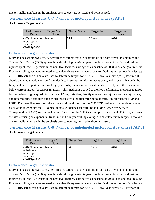due to smaller numbers in the emphasis area categories, no fixed end-point is used.

## Performance Measure: C-7) Number of motorcyclist fatalities (FARS)

#### Performance Target details

| Performance<br>Target                                                             | <b>Target Metric</b><br>Type | <b>Target Value</b> | <b>Target Period</b> | <b>Target Start</b><br>Year |
|-----------------------------------------------------------------------------------|------------------------------|---------------------|----------------------|-----------------------------|
| $ C-7\rangle$ Number of  Numeric<br>motorcyclist<br>fatalities<br>$ $ (FARS)-2020 |                              | 64.1                | 5 Year               | 2016                        |

#### Performance Target Justification

Maryland has set highway safety performance targets that are quantifiable and data driven, maintaining the Toward Zero Deaths (TZD) approach by developing interim targets to reduce overall fatalities and serious injuries by at least 50 percent in the next two decades, starting with a baseline of 2008 to an end goal in 2030. Five-year rolling averages are used to calculate five-year-average targets for fatalities and serious injuries, e.g., 2012–2016 actual crash data are used to determine targets for 2015–2019 (five-year average). (However, it should be noted that due to significant declines in serious injuries in recent years, and a recent change in the Maryland crash report definition of injury severity, the use of historical trends currently puts the State at or below current targets for serious injuries.) This method is applied to the five performance measures required by the Federal Highway Administration (FHWA): fatalities, fatality rate, serious injuries, serious injury rate, and non-motorized fatalities and serious injuries with the first three being identical in Maryland's HSP and HSIP. For these five measures, the exponential trend line uses the 2030 TZD goal as a fixed end-point when calculating interim targets. To meet federal guidelines set forth in the Fixing America's Surface Transportation (FAST) Act, annual targets for each of the SHSP's six emphasis areas and HSP program areas are also set using an exponential trend line and five-year rolling averages to calculate future targets; however, due to smaller numbers in the emphasis area categories, no fixed end-point is used.

## Performance Measure: C-8) Number of unhelmeted motorcyclist fatalities (FARS)

#### Performance Target details

| Performance<br>Target                                                                     | <b>Target Metric</b><br>Type | <b>Target Value</b> | <b>Target Period</b> | <b>Target Start</b><br>Year |
|-------------------------------------------------------------------------------------------|------------------------------|---------------------|----------------------|-----------------------------|
| $ C-8 $ Number of  Numeric<br>unhelmeted<br>motorcyclist<br>fatalities<br>$ $ (FARS)-2020 |                              | 7.40                | 5 Year               | 2016                        |

#### Performance Target Justification

Maryland has set highway safety performance targets that are quantifiable and data driven, maintaining the Toward Zero Deaths (TZD) approach by developing interim targets to reduce overall fatalities and serious injuries by at least 50 percent in the next two decades, starting with a baseline of 2008 to an end goal in 2030. Five-year rolling averages are used to calculate five-year-average targets for fatalities and serious injuries, e.g., 2012–2016 actual crash data are used to determine targets for 2015–2019 (five-year average). (However, it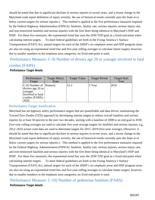should be noted that due to significant declines in serious injuries in recent years, and a recent change in the Maryland crash report definition of injury severity, the use of historical trends currently puts the State at or below current targets for serious injuries.) This method is applied to the five performance measures required by the Federal Highway Administration (FHWA): fatalities, fatality rate, serious injuries, serious injury rate, and non-motorized fatalities and serious injuries with the first three being identical in Maryland's HSP and HSIP. For these five measures, the exponential trend line uses the 2030 TZD goal as a fixed end-point when calculating interim targets. To meet federal guidelines set forth in the Fixing America's Surface Transportation (FAST) Act, annual targets for each of the SHSP's six emphasis areas and HSP program areas are also set using an exponential trend line and five-year rolling averages to calculate future targets; however, due to smaller numbers in the emphasis area categories, no fixed end-point is used.

 Performance Measure: C-9) Number of drivers age 20 or younger involved in fatal crashes (FARS)

#### Performance Target details

| Performance<br>Target                                                                                      | <b>Target Metric</b><br>Type | <b>Target Value</b> | <b>Target Period</b> | <b>Target Start</b><br>Year |
|------------------------------------------------------------------------------------------------------------|------------------------------|---------------------|----------------------|-----------------------------|
| $ C-9 $ Number of  Numeric<br>drivers age 20 or<br>younger<br>involved in fatal<br>crashes (FARS)-<br>2020 |                              | 52.2                | 5 Year               | 2016                        |

#### Performance Target Justification

Maryland has set highway safety performance targets that are quantifiable and data driven, maintaining the Toward Zero Deaths (TZD) approach by developing interim targets to reduce overall fatalities and serious injuries by at least 50 percent in the next two decades, starting with a baseline of 2008 to an end goal in 2030. Five-year rolling averages are used to calculate five-year-average targets for fatalities and serious injuries, e.g., 2012–2016 actual crash data are used to determine targets for 2015–2019 (five-year average). (However, it should be noted that due to significant declines in serious injuries in recent years, and a recent change in the Maryland crash report definition of injury severity, the use of historical trends currently puts the State at or below current targets for serious injuries.) This method is applied to the five performance measures required by the Federal Highway Administration (FHWA): fatalities, fatality rate, serious injuries, serious injury rate, and non-motorized fatalities and serious injuries with the first three being identical in Maryland's HSP and HSIP. For these five measures, the exponential trend line uses the 2030 TZD goal as a fixed end-point when calculating interim targets. To meet federal guidelines set forth in the Fixing America's Surface Transportation (FAST) Act, annual targets for each of the SHSP's six emphasis areas and HSP program areas are also set using an exponential trend line and five-year rolling averages to calculate future targets; however, due to smaller numbers in the emphasis area categories, no fixed end-point is used.

Performance Measure: C-10) Number of pedestrian fatalities (FARS)

#### Performance Target details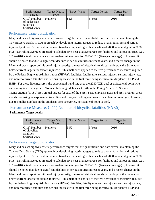| Performance<br>Target                                                   | <b>Target Metric</b><br>Type | <b>Target Value</b> | <b>Target Period</b> | <b>Target Start</b><br>Year |
|-------------------------------------------------------------------------|------------------------------|---------------------|----------------------|-----------------------------|
| $ C-10\rangle$ Number<br>of pedestrian<br>fatalities<br>$ $ (FARS)-2020 | Numeric                      | 85.8                | 5 Year               | 2016                        |

#### Performance Target Justification

Maryland has set highway safety performance targets that are quantifiable and data driven, maintaining the Toward Zero Deaths (TZD) approach by developing interim targets to reduce overall fatalities and serious injuries by at least 50 percent in the next two decades, starting with a baseline of 2008 to an end goal in 2030. Five-year rolling averages are used to calculate five-year-average targets for fatalities and serious injuries, e.g., 2012–2016 actual crash data are used to determine targets for 2015–2019 (five-year average). (However, it should be noted that due to significant declines in serious injuries in recent years, and a recent change in the Maryland crash report definition of injury severity, the use of historical trends currently puts the State at or below current targets for serious injuries.) This method is applied to the five performance measures required by the Federal Highway Administration (FHWA): fatalities, fatality rate, serious injuries, serious injury rate, and non-motorized fatalities and serious injuries with the first three being identical in Maryland's HSP and HSIP. For these five measures, the exponential trend line uses the 2030 TZD goal as a fixed end-point when calculating interim targets. To meet federal guidelines set forth in the Fixing America's Surface Transportation (FAST) Act, annual targets for each of the SHSP's six emphasis areas and HSP program areas are also set using an exponential trend line and five-year rolling averages to calculate future targets; however, due to smaller numbers in the emphasis area categories, no fixed end-point is used.

## Performance Measure: C-11) Number of bicyclist fatalities (FARS)

#### Performance Target details

| Performance<br>Target                                             | <b>Target Metric</b><br><b>Type</b> | <b>Target Value</b> | <b>Target Period</b> | <b>Target Start</b><br>Year |
|-------------------------------------------------------------------|-------------------------------------|---------------------|----------------------|-----------------------------|
| $ C-11)$ Number<br>of bicyclists<br>fatalities<br>$ $ (FARS)-2020 | Numeric                             | 5.52                | $5$ Year             | 2016                        |

#### Performance Target Justification

Maryland has set highway safety performance targets that are quantifiable and data driven, maintaining the Toward Zero Deaths (TZD) approach by developing interim targets to reduce overall fatalities and serious injuries by at least 50 percent in the next two decades, starting with a baseline of 2008 to an end goal in 2030. Five-year rolling averages are used to calculate five-year-average targets for fatalities and serious injuries, e.g., 2012–2016 actual crash data are used to determine targets for 2015–2019 (five-year average). (However, it should be noted that due to significant declines in serious injuries in recent years, and a recent change in the Maryland crash report definition of injury severity, the use of historical trends currently puts the State at or below current targets for serious injuries.) This method is applied to the five performance measures required by the Federal Highway Administration (FHWA): fatalities, fatality rate, serious injuries, serious injury rate, and non-motorized fatalities and serious injuries with the first three being identical in Maryland's HSP and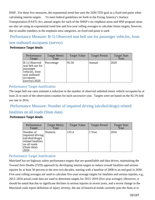HSIP. For these five measures, the exponential trend line uses the 2030 TZD goal as a fixed end-point when calculating interim targets. To meet federal guidelines set forth in the Fixing America's Surface Transportation (FAST) Act, annual targets for each of the SHSP's six emphasis areas and HSP program areas are also set using an exponential trend line and five-year rolling averages to calculate future targets; however, due to smaller numbers in the emphasis area categories, no fixed end-point is used.

## Performance Measure: B-1) Observed seat belt use for passenger vehicles, front seat outboard occupants (survey)

#### Performance Target details

| Performance<br>Target                                                                                                               | <b>Target Metric</b><br>Type | <b>Target Value</b> | <b>Target Period</b> | <b>Target Start</b><br>Year |
|-------------------------------------------------------------------------------------------------------------------------------------|------------------------------|---------------------|----------------------|-----------------------------|
| B-1) Observed<br>seat belt use for<br>passenger<br>vehicles, front<br>seat outboard<br>occupants<br>$\left($ survey $\right)$ -2020 | Percentage                   | 95.50               | Annual               | 2020                        |

#### Performance Target Justification

The target belt use rates estimate a reduction in the number of observed unbelted motor vehicle occupants by at least 25 in each of the observation counties for each successive year. Targets were set based on the 92.1% belt use rate in 2014.

Performance Measure: Number of impaired driving (alcohol/drugs) related

## fatalities on all roads (State data)

#### Performance Target details

| Performance<br>Target                                                                                                    | <b>Target Metric</b><br>Type | <b>Target Value</b> | <b>Target Period</b> | <b>Target Start</b><br>Year |
|--------------------------------------------------------------------------------------------------------------------------|------------------------------|---------------------|----------------------|-----------------------------|
| Number of<br>impaired driving<br>$\alpha$ (alcohol/drugs)<br>related fatalities<br>on all roads<br>(State data)-<br>2020 | Numeric                      | 135.4               | 5 Year               | 2016                        |

#### Performance Target Justification

Maryland has set highway safety performance targets that are quantifiable and data driven, maintaining the Toward Zero Deaths (TZD) approach by developing interim targets to reduce overall fatalities and serious injuries by at least 50 percent in the next two decades, starting with a baseline of 2008 to an end goal in 2030. Five-year rolling averages are used to calculate five-year-average targets for fatalities and serious injuries, e.g., 2012–2016 actual crash data are used to determine targets for 2015–2019 (five-year average). (However, it should be noted that due to significant declines in serious injuries in recent years, and a recent change in the Maryland crash report definition of injury severity, the use of historical trends currently puts the State at or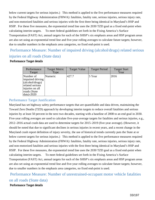below current targets for serious injuries.) This method is applied to the five performance measures required by the Federal Highway Administration (FHWA): fatalities, fatality rate, serious injuries, serious injury rate, and non-motorized fatalities and serious injuries with the first three being identical in Maryland's HSP and HSIP. For these five measures, the exponential trend line uses the 2030 TZD goal as a fixed end-point when calculating interim targets. To meet federal guidelines set forth in the Fixing America's Surface Transportation (FAST) Act, annual targets for each of the SHSP's six emphasis areas and HSP program areas are also set using an exponential trend line and five-year rolling averages to calculate future targets; however, due to smaller numbers in the emphasis area categories, no fixed end-point is used.

## Performance Measure: Number of impaired driving (alcohol/drugs) related serious injuries on all roads (State data)

#### Performance Target details

| Performance<br>Target                                                                                                  | <b>Target Metric</b><br>Type | <b>Target Value</b> | <b>Target Period</b> | <b>Target Start</b><br>Year |
|------------------------------------------------------------------------------------------------------------------------|------------------------------|---------------------|----------------------|-----------------------------|
| Number of<br>impaired driving<br>(alcohol/drugs)<br>related serious<br>injuries on all<br>roads (State<br>$data$ -2020 | Numeric                      | 427.7               | 5 Year               | 2016                        |

#### Performance Target Justification

Maryland has set highway safety performance targets that are quantifiable and data driven, maintaining the Toward Zero Deaths (TZD) approach by developing interim targets to reduce overall fatalities and serious injuries by at least 50 percent in the next two decades, starting with a baseline of 2008 to an end goal in 2030. Five-year rolling averages are used to calculate five-year-average targets for fatalities and serious injuries, e.g., 2012–2016 actual crash data are used to determine targets for 2015–2019 (five-year average). (However, it should be noted that due to significant declines in serious injuries in recent years, and a recent change in the Maryland crash report definition of injury severity, the use of historical trends currently puts the State at or below current targets for serious injuries.) This method is applied to the five performance measures required by the Federal Highway Administration (FHWA): fatalities, fatality rate, serious injuries, serious injury rate, and non-motorized fatalities and serious injuries with the first three being identical in Maryland's HSP and HSIP. For these five measures, the exponential trend line uses the 2030 TZD goal as a fixed end-point when calculating interim targets. To meet federal guidelines set forth in the Fixing America's Surface Transportation (FAST) Act, annual targets for each of the SHSP's six emphasis areas and HSP program areas are also set using an exponential trend line and five-year rolling averages to calculate future targets; however, due to smaller numbers in the emphasis area categories, no fixed end-point is used.

 Performance Measure: Number of unrestrained-occupant motor vehicle fatalities on all roads (State data) Performance Target details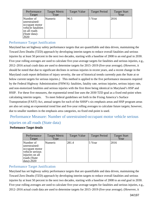| Performance<br>Target                                                                                       | <b>Target Metric</b><br>Type | <b>Target Value</b> | <b>Target Period</b> | <b>Target Start</b><br>Year |
|-------------------------------------------------------------------------------------------------------------|------------------------------|---------------------|----------------------|-----------------------------|
| Number of<br>unrestrained-<br>occupant motor<br>vehicle fatalities<br>on all roads<br>(State data)-<br>2020 | Numeric                      | 96.5                | 5 Year               | 2016                        |

#### Performance Target Justification

Maryland has set highway safety performance targets that are quantifiable and data driven, maintaining the Toward Zero Deaths (TZD) approach by developing interim targets to reduce overall fatalities and serious injuries by at least 50 percent in the next two decades, starting with a baseline of 2008 to an end goal in 2030. Five-year rolling averages are used to calculate five-year-average targets for fatalities and serious injuries, e.g., 2012–2016 actual crash data are used to determine targets for 2015–2019 (five-year average). (However, it should be noted that due to significant declines in serious injuries in recent years, and a recent change in the Maryland crash report definition of injury severity, the use of historical trends currently puts the State at or below current targets for serious injuries.) This method is applied to the five performance measures required by the Federal Highway Administration (FHWA): fatalities, fatality rate, serious injuries, serious injury rate, and non-motorized fatalities and serious injuries with the first three being identical in Maryland's HSP and HSIP. For these five measures, the exponential trend line uses the 2030 TZD goal as a fixed end-point when calculating interim targets. To meet federal guidelines set forth in the Fixing America's Surface Transportation (FAST) Act, annual targets for each of the SHSP's six emphasis areas and HSP program areas are also set using an exponential trend line and five-year rolling averages to calculate future targets; however, due to smaller numbers in the emphasis area categories, no fixed end-point is used.

## Performance Measure: Number of unrestrained-occupant motor vehicle serious injuries on all roads (State data)

#### Performance Target details

| Performance<br>Target                                                                                                    | <b>Target Metric</b><br>Type | <b>Target Value</b> | <b>Target Period</b> | <b>Target Start</b><br>Year |
|--------------------------------------------------------------------------------------------------------------------------|------------------------------|---------------------|----------------------|-----------------------------|
| Number of<br>unrestrained-<br>occupant motor<br>vehicle serious<br>injuries on all<br>roads (State<br>$\vert$ data)-2020 | Numeric                      | 281.4               | 5 Year               | 2016                        |

#### Performance Target Justification

Maryland has set highway safety performance targets that are quantifiable and data driven, maintaining the Toward Zero Deaths (TZD) approach by developing interim targets to reduce overall fatalities and serious injuries by at least 50 percent in the next two decades, starting with a baseline of 2008 to an end goal in 2030. Five-year rolling averages are used to calculate five-year-average targets for fatalities and serious injuries, e.g., 2012–2016 actual crash data are used to determine targets for 2015–2019 (five-year average). (However, it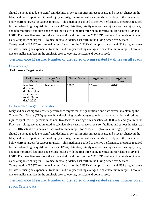should be noted that due to significant declines in serious injuries in recent years, and a recent change in the Maryland crash report definition of injury severity, the use of historical trends currently puts the State at or below current targets for serious injuries.) This method is applied to the five performance measures required by the Federal Highway Administration (FHWA): fatalities, fatality rate, serious injuries, serious injury rate, and non-motorized fatalities and serious injuries with the first three being identical in Maryland's HSP and HSIP. For these five measures, the exponential trend line uses the 2030 TZD goal as a fixed end-point when calculating interim targets. To meet federal guidelines set forth in the Fixing America's Surface Transportation (FAST) Act, annual targets for each of the SHSP's six emphasis areas and HSP program areas are also set using an exponential trend line and five-year rolling averages to calculate future targets; however, due to smaller numbers in the emphasis area categories, no fixed end-point is used.

Performance Measure: Number of distracted driving related fatalities on all roads

#### (State data)

| Performance<br>Target                                                                         | <b>Target Metric</b><br>Type | <b>Target Value</b> | <b>Target Period</b> | <b>Target Start</b><br>Year |
|-----------------------------------------------------------------------------------------------|------------------------------|---------------------|----------------------|-----------------------------|
| Number of<br>distracted<br>driving related<br>fatalities on all<br>roads (State<br>data)-2020 | Numeric                      | 178.2               | 5 Year               | 2016                        |

#### Performance Target details

#### Performance Target Justification

Maryland has set highway safety performance targets that are quantifiable and data driven, maintaining the Toward Zero Deaths (TZD) approach by developing interim targets to reduce overall fatalities and serious injuries by at least 50 percent in the next two decades, starting with a baseline of 2008 to an end goal in 2030. Five-year rolling averages are used to calculate five-year-average targets for fatalities and serious injuries, e.g., 2012–2016 actual crash data are used to determine targets for 2015–2019 (five-year average). (However, it should be noted that due to significant declines in serious injuries in recent years, and a recent change in the Maryland crash report definition of injury severity, the use of historical trends currently puts the State at or below current targets for serious injuries.) This method is applied to the five performance measures required by the Federal Highway Administration (FHWA): fatalities, fatality rate, serious injuries, serious injury rate, and non-motorized fatalities and serious injuries with the first three being identical in Maryland's HSP and HSIP. For these five measures, the exponential trend line uses the 2030 TZD goal as a fixed end-point when calculating interim targets. To meet federal guidelines set forth in the Fixing America's Surface Transportation (FAST) Act, annual targets for each of the SHSP's six emphasis areas and HSP program areas are also set using an exponential trend line and five-year rolling averages to calculate future targets; however, due to smaller numbers in the emphasis area categories, no fixed end-point is used.

 Performance Measure: Number of distracted driving related serious injuries on all roads (State data)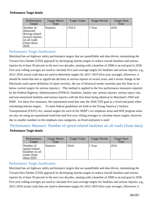#### Performance Target details

| Performance<br>Target                                                                                   | <b>Target Metric</b><br>Type | <b>Target Value</b> | <b>Target Period</b> | <b>Target Start</b><br>Year |
|---------------------------------------------------------------------------------------------------------|------------------------------|---------------------|----------------------|-----------------------------|
| Number of<br>distracted<br>driving related<br>serious injuries<br>on all roads<br>(State data)-<br>2020 | Numeric                      | 1763.9              | 5 Year               | 2016                        |

### Performance Target Justification

Maryland has set highway safety performance targets that are quantifiable and data driven, maintaining the Toward Zero Deaths (TZD) approach by developing interim targets to reduce overall fatalities and serious injuries by at least 50 percent in the next two decades, starting with a baseline of 2008 to an end goal in 2030. Five-year rolling averages are used to calculate five-year-average targets for fatalities and serious injuries, e.g., 2012–2016 actual crash data are used to determine targets for 2015–2019 (five-year average). (However, it should be noted that due to significant declines in serious injuries in recent years, and a recent change in the Maryland crash report definition of injury severity, the use of historical trends currently puts the State at or below current targets for serious injuries.) This method is applied to the five performance measures required by the Federal Highway Administration (FHWA): fatalities, fatality rate, serious injuries, serious injury rate, and non-motorized fatalities and serious injuries with the first three being identical in Maryland's HSP and HSIP. For these five measures, the exponential trend line uses the 2030 TZD goal as a fixed end-point when calculating interim targets. To meet federal guidelines set forth in the Fixing America's Surface Transportation (FAST) Act, annual targets for each of the SHSP's six emphasis areas and HSP program areas are also set using an exponential trend line and five-year rolling averages to calculate future targets; however, due to smaller numbers in the emphasis area categories, no fixed end-point is used.

# Performance Measure: Number of speed-related fatalities on all roads (State data) Performance Target details

| Performance<br>Target                                                                 | <b>Target Metric</b><br>Type | <b>Target Value</b> | <b>Target Period</b> | <b>Target Start</b><br>Year |
|---------------------------------------------------------------------------------------|------------------------------|---------------------|----------------------|-----------------------------|
| Number of<br>speed-related<br>fatalities on all<br>roads (State<br>$\vert$ data)-2020 | Numeric                      | 104.6               | 5 Year               | 2016                        |

### Performance Target Justification

Maryland has set highway safety performance targets that are quantifiable and data driven, maintaining the Toward Zero Deaths (TZD) approach by developing interim targets to reduce overall fatalities and serious injuries by at least 50 percent in the next two decades, starting with a baseline of 2008 to an end goal in 2030. Five-year rolling averages are used to calculate five-year-average targets for fatalities and serious injuries, e.g., 2012–2016 actual crash data are used to determine targets for 2015–2019 (five-year average). (However, it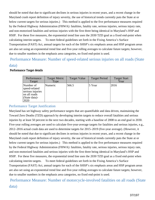should be noted that due to significant declines in serious injuries in recent years, and a recent change in the Maryland crash report definition of injury severity, the use of historical trends currently puts the State at or below current targets for serious injuries.) This method is applied to the five performance measures required by the Federal Highway Administration (FHWA): fatalities, fatality rate, serious injuries, serious injury rate, and non-motorized fatalities and serious injuries with the first three being identical in Maryland's HSP and HSIP. For these five measures, the exponential trend line uses the 2030 TZD goal as a fixed end-point when calculating interim targets. To meet federal guidelines set forth in the Fixing America's Surface Transportation (FAST) Act, annual targets for each of the SHSP's six emphasis areas and HSP program areas are also set using an exponential trend line and five-year rolling averages to calculate future targets; however, due to smaller numbers in the emphasis area categories, no fixed end-point is used.

 Performance Measure: Number of speed-related serious injuries on all roads (State data)

#### Performance Target Target Metric Type Target Value | Target Period | Target Start Year Number of speed-related serious injuries on all roads (State data)- 2020 Numeric 566.5 5 Sear 2016

### Performance Target details

### Performance Target Justification

Maryland has set highway safety performance targets that are quantifiable and data driven, maintaining the Toward Zero Deaths (TZD) approach by developing interim targets to reduce overall fatalities and serious injuries by at least 50 percent in the next two decades, starting with a baseline of 2008 to an end goal in 2030. Five-year rolling averages are used to calculate five-year-average targets for fatalities and serious injuries, e.g., 2012–2016 actual crash data are used to determine targets for 2015–2019 (five-year average). (However, it should be noted that due to significant declines in serious injuries in recent years, and a recent change in the Maryland crash report definition of injury severity, the use of historical trends currently puts the State at or below current targets for serious injuries.) This method is applied to the five performance measures required by the Federal Highway Administration (FHWA): fatalities, fatality rate, serious injuries, serious injury rate, and non-motorized fatalities and serious injuries with the first three being identical in Maryland's HSP and HSIP. For these five measures, the exponential trend line uses the 2030 TZD goal as a fixed end-point when calculating interim targets. To meet federal guidelines set forth in the Fixing America's Surface Transportation (FAST) Act, annual targets for each of the SHSP's six emphasis areas and HSP program areas are also set using an exponential trend line and five-year rolling averages to calculate future targets; however, due to smaller numbers in the emphasis area categories, no fixed end-point is used.

 Performance Measure: Number of motorcycle-involved fatalities on all roads (State data)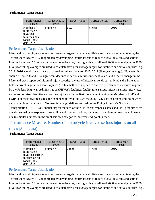#### Performance Target details

| Performance<br>Target                                                                           | <b>Target Metric</b><br>Type | <b>Target Value</b> | <b>Target Period</b> | <b>Target Start</b><br>Year |
|-------------------------------------------------------------------------------------------------|------------------------------|---------------------|----------------------|-----------------------------|
| Number of<br>motorcycle-<br>involved<br>fatalities on all<br>roads (State<br>$\vert$ data)-2020 | Numeric                      | 60.2                | 5 Year               | 2016                        |

### Performance Target Justification

Maryland has set highway safety performance targets that are quantifiable and data driven, maintaining the Toward Zero Deaths (TZD) approach by developing interim targets to reduce overall fatalities and serious injuries by at least 50 percent in the next two decades, starting with a baseline of 2008 to an end goal in 2030. Five-year rolling averages are used to calculate five-year-average targets for fatalities and serious injuries, e.g., 2012–2016 actual crash data are used to determine targets for 2015–2019 (five-year average). (However, it should be noted that due to significant declines in serious injuries in recent years, and a recent change in the Maryland crash report definition of injury severity, the use of historical trends currently puts the State at or below current targets for serious injuries.) This method is applied to the five performance measures required by the Federal Highway Administration (FHWA): fatalities, fatality rate, serious injuries, serious injury rate, and non-motorized fatalities and serious injuries with the first three being identical in Maryland's HSP and HSIP. For these five measures, the exponential trend line uses the 2030 TZD goal as a fixed end-point when calculating interim targets. To meet federal guidelines set forth in the Fixing America's Surface Transportation (FAST) Act, annual targets for each of the SHSP's six emphasis areas and HSP program areas are also set using an exponential trend line and five-year rolling averages to calculate future targets; however, due to smaller numbers in the emphasis area categories, no fixed end-point is used.

# Performance Measure: Number of motorcycle-involved serious injuries on all

# roads (State data)

#### Performance Target details

| Performance<br>Target                                                                                 | <b>Target Metric</b><br>Type | <b>Target Value</b> | <b>Target Period</b> | <b>Target Start</b><br>Year |
|-------------------------------------------------------------------------------------------------------|------------------------------|---------------------|----------------------|-----------------------------|
| Number of<br>motorcycle-<br>involved serious<br>injuries on all<br>roads (State<br>$\vert$ data)-2020 | Numeric                      | 248.9               | 5 Year               | 2016                        |

# Performance Target Justification

Maryland has set highway safety performance targets that are quantifiable and data driven, maintaining the Toward Zero Deaths (TZD) approach by developing interim targets to reduce overall fatalities and serious injuries by at least 50 percent in the next two decades, starting with a baseline of 2008 to an end goal in 2030. Five-year rolling averages are used to calculate five-year-average targets for fatalities and serious injuries, e.g.,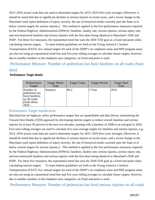2012–2016 actual crash data are used to determine targets for 2015–2019 (five-year average). (However, it should be noted that due to significant declines in serious injuries in recent years, and a recent change in the Maryland crash report definition of injury severity, the use of historical trends currently puts the State at or below current targets for serious injuries.) This method is applied to the five performance measures required by the Federal Highway Administration (FHWA): fatalities, fatality rate, serious injuries, serious injury rate, and non-motorized fatalities and serious injuries with the first three being identical in Maryland's HSP and HSIP. For these five measures, the exponential trend line uses the 2030 TZD goal as a fixed end-point when calculating interim targets. To meet federal guidelines set forth in the Fixing America's Surface Transportation (FAST) Act, annual targets for each of the SHSP's six emphasis areas and HSP program areas are also set using an exponential trend line and five-year rolling averages to calculate future targets; however, due to smaller numbers in the emphasis area categories, no fixed end-point is used.

 Performance Measure: Number of pedestrian (on foot) fatalities on all roads (State data)

#### Performance Target Target Metric Type Target Value | Target Period | Target Start Year Number of pedestrian (on foot) fatalities on all roads (State data)- 2020 Numeric | 86.2 | 5 Year | 2016

#### Performance Target details

### Performance Target Justification

Maryland has set highway safety performance targets that are quantifiable and data driven, maintaining the Toward Zero Deaths (TZD) approach by developing interim targets to reduce overall fatalities and serious injuries by at least 50 percent in the next two decades, starting with a baseline of 2008 to an end goal in 2030. Five-year rolling averages are used to calculate five-year-average targets for fatalities and serious injuries, e.g., 2012–2016 actual crash data are used to determine targets for 2015–2019 (five-year average). (However, it should be noted that due to significant declines in serious injuries in recent years, and a recent change in the Maryland crash report definition of injury severity, the use of historical trends currently puts the State at or below current targets for serious injuries.) This method is applied to the five performance measures required by the Federal Highway Administration (FHWA): fatalities, fatality rate, serious injuries, serious injury rate, and non-motorized fatalities and serious injuries with the first three being identical in Maryland's HSP and HSIP. For these five measures, the exponential trend line uses the 2030 TZD goal as a fixed end-point when calculating interim targets. To meet federal guidelines set forth in the Fixing America's Surface Transportation (FAST) Act, annual targets for each of the SHSP's six emphasis areas and HSP program areas are also set using an exponential trend line and five-year rolling averages to calculate future targets; however, due to smaller numbers in the emphasis area categories, no fixed end-point is used.

Performance Measure: Number of pedestrian (on foot) serious injuries on all roads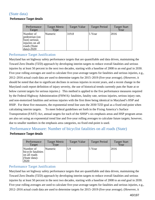# (State data)

#### Performance Target details

| Performance<br>Target                                                                           | <b>Target Metric</b><br>Type | <b>Target Value</b> | <b>Target Period</b> | <b>Target Start</b><br>Year |
|-------------------------------------------------------------------------------------------------|------------------------------|---------------------|----------------------|-----------------------------|
| Number of<br>pedestrian (on<br>foot) serious<br>injuries on all<br>roads (State<br>$data$ -2020 | Numeric                      | 319.8               | 5 Year               | 2016                        |

# Performance Target Justification

Maryland has set highway safety performance targets that are quantifiable and data driven, maintaining the Toward Zero Deaths (TZD) approach by developing interim targets to reduce overall fatalities and serious injuries by at least 50 percent in the next two decades, starting with a baseline of 2008 to an end goal in 2030. Five-year rolling averages are used to calculate five-year-average targets for fatalities and serious injuries, e.g., 2012–2016 actual crash data are used to determine targets for 2015–2019 (five-year average). (However, it should be noted that due to significant declines in serious injuries in recent years, and a recent change in the Maryland crash report definition of injury severity, the use of historical trends currently puts the State at or below current targets for serious injuries.) This method is applied to the five performance measures required by the Federal Highway Administration (FHWA): fatalities, fatality rate, serious injuries, serious injury rate, and non-motorized fatalities and serious injuries with the first three being identical in Maryland's HSP and HSIP. For these five measures, the exponential trend line uses the 2030 TZD goal as a fixed end-point when calculating interim targets. To meet federal guidelines set forth in the Fixing America's Surface Transportation (FAST) Act, annual targets for each of the SHSP's six emphasis areas and HSP program areas are also set using an exponential trend line and five-year rolling averages to calculate future targets; however, due to smaller numbers in the emphasis area categories, no fixed end-point is used.

# Performance Measure: Number of bicyclist fatalities on all roads (State) Performance Target details

| Performance<br>Target                                                    | <b>Target Metric</b><br>Type | <b>Target Value</b> | <b>Target Period</b> | <b>Target Start</b><br>Year |
|--------------------------------------------------------------------------|------------------------------|---------------------|----------------------|-----------------------------|
| Number of<br>bicycle fatalities<br>on all roads<br>(State data)-<br>2020 | Numeric                      | 5.9                 | 5 Year               | 2016                        |

# Performance Target Justification

Maryland has set highway safety performance targets that are quantifiable and data driven, maintaining the Toward Zero Deaths (TZD) approach by developing interim targets to reduce overall fatalities and serious injuries by at least 50 percent in the next two decades, starting with a baseline of 2008 to an end goal in 2030. Five-year rolling averages are used to calculate five-year-average targets for fatalities and serious injuries, e.g., 2012–2016 actual crash data are used to determine targets for 2015–2019 (five-year average). (However, it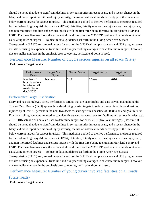should be noted that due to significant declines in serious injuries in recent years, and a recent change in the Maryland crash report definition of injury severity, the use of historical trends currently puts the State at or below current targets for serious injuries.) This method is applied to the five performance measures required by the Federal Highway Administration (FHWA): fatalities, fatality rate, serious injuries, serious injury rate, and non-motorized fatalities and serious injuries with the first three being identical in Maryland's HSP and HSIP. For these five measures, the exponential trend line uses the 2030 TZD goal as a fixed end-point when calculating interim targets. To meet federal guidelines set forth in the Fixing America's Surface Transportation (FAST) Act, annual targets for each of the SHSP's six emphasis areas and HSP program areas are also set using an exponential trend line and five-year rolling averages to calculate future targets; however, due to smaller numbers in the emphasis area categories, no fixed end-point is used.

Performance Measure: Number of bicycle serious injuries on all roads (State)

#### Performance Target details

| Performance<br>Target                                                                 | <b>Target Metric</b><br>Type | <b>Target Value</b> | <b>Target Period</b> | <b>Target Start</b><br>Year |
|---------------------------------------------------------------------------------------|------------------------------|---------------------|----------------------|-----------------------------|
| Number of<br>bicycle serious<br>injuries on all<br>roads (State<br>$\vert$ data)-2020 | Numeric                      | 56.7                | $5$ Year             | 2016                        |

### Performance Target Justification

Maryland has set highway safety performance targets that are quantifiable and data driven, maintaining the Toward Zero Deaths (TZD) approach by developing interim targets to reduce overall fatalities and serious injuries by at least 50 percent in the next two decades, starting with a baseline of 2008 to an end goal in 2030. Five-year rolling averages are used to calculate five-year-average targets for fatalities and serious injuries, e.g., 2012–2016 actual crash data are used to determine targets for 2015–2019 (five-year average). (However, it should be noted that due to significant declines in serious injuries in recent years, and a recent change in the Maryland crash report definition of injury severity, the use of historical trends currently puts the State at or below current targets for serious injuries.) This method is applied to the five performance measures required by the Federal Highway Administration (FHWA): fatalities, fatality rate, serious injuries, serious injury rate, and non-motorized fatalities and serious injuries with the first three being identical in Maryland's HSP and HSIP. For these five measures, the exponential trend line uses the 2030 TZD goal as a fixed end-point when calculating interim targets. To meet federal guidelines set forth in the Fixing America's Surface Transportation (FAST) Act, annual targets for each of the SHSP's six emphasis areas and HSP program areas are also set using an exponential trend line and five-year rolling averages to calculate future targets; however, due to smaller numbers in the emphasis area categories, no fixed end-point is used.

# Performance Measure: Number of young driver involved fatalities on all roads

# (State roads)

#### Performance Target details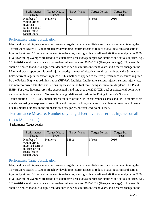| Performance<br>Target                                                                                     | <b>Target Metric</b><br>Type | <b>Target Value</b> | <b>Target Period</b> | <b>Target Start</b><br>Year |
|-----------------------------------------------------------------------------------------------------------|------------------------------|---------------------|----------------------|-----------------------------|
| Number of<br>young driver<br>involved<br>fatalities on all<br>roads (State<br>$\vert \text{roads}$ )-2020 | Numeric                      | 57.9                | 5 Year               | 2016                        |

### Performance Target Justification

Maryland has set highway safety performance targets that are quantifiable and data driven, maintaining the Toward Zero Deaths (TZD) approach by developing interim targets to reduce overall fatalities and serious injuries by at least 50 percent in the next two decades, starting with a baseline of 2008 to an end goal in 2030. Five-year rolling averages are used to calculate five-year-average targets for fatalities and serious injuries, e.g., 2012–2016 actual crash data are used to determine targets for 2015–2019 (five-year average). (However, it should be noted that due to significant declines in serious injuries in recent years, and a recent change in the Maryland crash report definition of injury severity, the use of historical trends currently puts the State at or below current targets for serious injuries.) This method is applied to the five performance measures required by the Federal Highway Administration (FHWA): fatalities, fatality rate, serious injuries, serious injury rate, and non-motorized fatalities and serious injuries with the first three being identical in Maryland's HSP and HSIP. For these five measures, the exponential trend line uses the 2030 TZD goal as a fixed end-point when calculating interim targets. To meet federal guidelines set forth in the Fixing America's Surface Transportation (FAST) Act, annual targets for each of the SHSP's six emphasis areas and HSP program areas are also set using an exponential trend line and five-year rolling averages to calculate future targets; however, due to smaller numbers in the emphasis area categories, no fixed end-point is used.

Performance Measure: Number of young driver involved serious injuries on all

### roads (State roads)

#### Performance Target details

| Performance<br>Target                                                                                   | <b>Target Metric</b><br>Type | <b>Target Value</b> | <b>Target Period</b> | <b>Target Start</b><br>Year |
|---------------------------------------------------------------------------------------------------------|------------------------------|---------------------|----------------------|-----------------------------|
| Number of<br>young driver<br>involved serious<br>injuries on all<br>roads (State<br>$\vert$ roads)-2020 | Numeric                      | 528.2               | 5 Year               | 2016                        |

### Performance Target Justification

Maryland has set highway safety performance targets that are quantifiable and data driven, maintaining the Toward Zero Deaths (TZD) approach by developing interim targets to reduce overall fatalities and serious injuries by at least 50 percent in the next two decades, starting with a baseline of 2008 to an end goal in 2030. Five-year rolling averages are used to calculate five-year-average targets for fatalities and serious injuries, e.g., 2012–2016 actual crash data are used to determine targets for 2015–2019 (five-year average). (However, it should be noted that due to significant declines in serious injuries in recent years, and a recent change in the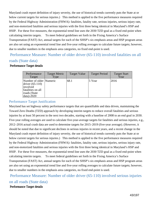Maryland crash report definition of injury severity, the use of historical trends currently puts the State at or below current targets for serious injuries.) This method is applied to the five performance measures required by the Federal Highway Administration (FHWA): fatalities, fatality rate, serious injuries, serious injury rate, and non-motorized fatalities and serious injuries with the first three being identical in Maryland's HSP and HSIP. For these five measures, the exponential trend line uses the 2030 TZD goal as a fixed end-point when calculating interim targets. To meet federal guidelines set forth in the Fixing America's Surface Transportation (FAST) Act, annual targets for each of the SHSP's six emphasis areas and HSP program areas are also set using an exponential trend line and five-year rolling averages to calculate future targets; however, due to smaller numbers in the emphasis area categories, no fixed end-point is used.

# Performance Measure: Number of older driver (65-110) involved fatalities on all roads (State data)

#### Performance Target details

| Performance<br>Target                                                                                                 | <b>Target Metric</b><br>Type | <b>Target Value</b> | <b>Target Period</b> | <b>Target Start</b><br>Year |
|-----------------------------------------------------------------------------------------------------------------------|------------------------------|---------------------|----------------------|-----------------------------|
| Number of older   Numeric<br>driver $(65-110)$<br>involved<br>fatalities on all<br>roads (State<br>$\vert$ data)-2020 |                              | 68.1                | 5 Year               | 2016                        |

# Performance Target Justification

Maryland has set highway safety performance targets that are quantifiable and data driven, maintaining the Toward Zero Deaths (TZD) approach by developing interim targets to reduce overall fatalities and serious injuries by at least 50 percent in the next two decades, starting with a baseline of 2008 to an end goal in 2030. Five-year rolling averages are used to calculate five-year-average targets for fatalities and serious injuries, e.g., 2012–2016 actual crash data are used to determine targets for 2015–2019 (five-year average). (However, it should be noted that due to significant declines in serious injuries in recent years, and a recent change in the Maryland crash report definition of injury severity, the use of historical trends currently puts the State at or below current targets for serious injuries.) This method is applied to the five performance measures required by the Federal Highway Administration (FHWA): fatalities, fatality rate, serious injuries, serious injury rate, and non-motorized fatalities and serious injuries with the first three being identical in Maryland's HSP and HSIP. For these five measures, the exponential trend line uses the 2030 TZD goal as a fixed end-point when calculating interim targets. To meet federal guidelines set forth in the Fixing America's Surface Transportation (FAST) Act, annual targets for each of the SHSP's six emphasis areas and HSP program areas are also set using an exponential trend line and five-year rolling averages to calculate future targets; however, due to smaller numbers in the emphasis area categories, no fixed end-point is used.

 Performance Measure: Number of older driver (65-110) involved serious injuries on all roads (State data)

#### Performance Target details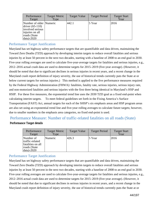| Performance<br>Target                                                                                                     | <b>Target Metric</b><br>Type | <b>Target Value</b> | <b>Target Period</b> | <b>Target Start</b><br>Year |
|---------------------------------------------------------------------------------------------------------------------------|------------------------------|---------------------|----------------------|-----------------------------|
| Number of older Numeric<br>driver $(65-110)$<br>involved serious<br>injuries on all<br>roads (State<br>$\vert$ data)-2020 |                              | 442.1               | 5 Year               | 2016                        |

### Performance Target Justification

Maryland has set highway safety performance targets that are quantifiable and data driven, maintaining the Toward Zero Deaths (TZD) approach by developing interim targets to reduce overall fatalities and serious injuries by at least 50 percent in the next two decades, starting with a baseline of 2008 to an end goal in 2030. Five-year rolling averages are used to calculate five-year-average targets for fatalities and serious injuries, e.g., 2012–2016 actual crash data are used to determine targets for 2015–2019 (five-year average). (However, it should be noted that due to significant declines in serious injuries in recent years, and a recent change in the Maryland crash report definition of injury severity, the use of historical trends currently puts the State at or below current targets for serious injuries.) This method is applied to the five performance measures required by the Federal Highway Administration (FHWA): fatalities, fatality rate, serious injuries, serious injury rate, and non-motorized fatalities and serious injuries with the first three being identical in Maryland's HSP and HSIP. For these five measures, the exponential trend line uses the 2030 TZD goal as a fixed end-point when calculating interim targets. To meet federal guidelines set forth in the Fixing America's Surface Transportation (FAST) Act, annual targets for each of the SHSP's six emphasis areas and HSP program areas are also set using an exponential trend line and five-year rolling averages to calculate future targets; however, due to smaller numbers in the emphasis area categories, no fixed end-point is used.

# Performance Measure: Number of traffic-related fatalities on all roads (State) Performance Target details

| Performance<br>Target                                                                   | <b>Target Metric</b><br>Type | <b>Target Value</b> | <b>Target Period</b> | <b>Target Start</b><br>Year |
|-----------------------------------------------------------------------------------------|------------------------------|---------------------|----------------------|-----------------------------|
| Number of<br>traffic-related<br>fatalities on all<br>roads (State<br>$\vert$ data)-2020 | Numeric                      | 426.3               | 5 Year               | 2016                        |

# Performance Target Justification

Maryland has set highway safety performance targets that are quantifiable and data driven, maintaining the Toward Zero Deaths (TZD) approach by developing interim targets to reduce overall fatalities and serious injuries by at least 50 percent in the next two decades, starting with a baseline of 2008 to an end goal in 2030. Five-year rolling averages are used to calculate five-year-average targets for fatalities and serious injuries, e.g., 2012–2016 actual crash data are used to determine targets for 2015–2019 (five-year average). (However, it should be noted that due to significant declines in serious injuries in recent years, and a recent change in the Maryland crash report definition of injury severity, the use of historical trends currently puts the State at or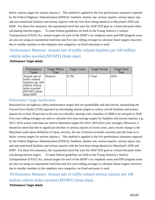below current targets for serious injuries.) This method is applied to the five performance measures required by the Federal Highway Administration (FHWA): fatalities, fatality rate, serious injuries, serious injury rate, and non-motorized fatalities and serious injuries with the first three being identical in Maryland's HSP and HSIP. For these five measures, the exponential trend line uses the 2030 TZD goal as a fixed end-point when calculating interim targets. To meet federal guidelines set forth in the Fixing America's Surface Transportation (FAST) Act, annual targets for each of the SHSP's six emphasis areas and HSP program areas are also set using an exponential trend line and five-year rolling averages to calculate future targets; however, due to smaller numbers in the emphasis area categories, no fixed end-point is used.

# Performance Measure: Annual rate of traffic-related fatalities per 100 million vehicle miles traveled (MVMT) (State data)

#### Performance Target details

| Performance<br>Target                                                                                                               | <b>Target Metric</b><br>Type | <b>Target Value</b> | <b>Target Period</b> | <b>Target Start</b><br>Year |
|-------------------------------------------------------------------------------------------------------------------------------------|------------------------------|---------------------|----------------------|-----------------------------|
| Annual rate of<br>traffic-related<br>fatalities per 100<br>million vehicle<br>miles traveled<br>(MVMT) (State<br>$\vert$ data)-2020 | Numeric                      | 0.756               | 5 Year               | 2016                        |

### Performance Target Justification

Maryland has set highway safety performance targets that are quantifiable and data driven, maintaining the Toward Zero Deaths (TZD) approach by developing interim targets to reduce overall fatalities and serious injuries by at least 50 percent in the next two decades, starting with a baseline of 2008 to an end goal in 2030. Five-year rolling averages are used to calculate five-year-average targets for fatalities and serious injuries, e.g., 2012–2016 actual crash data are used to determine targets for 2015–2019 (five-year average). (However, it should be noted that due to significant declines in serious injuries in recent years, and a recent change in the Maryland crash report definition of injury severity, the use of historical trends currently puts the State at or below current targets for serious injuries.) This method is applied to the five performance measures required by the Federal Highway Administration (FHWA): fatalities, fatality rate, serious injuries, serious injury rate, and non-motorized fatalities and serious injuries with the first three being identical in Maryland's HSP and HSIP. For these five measures, the exponential trend line uses the 2030 TZD goal as a fixed end-point when calculating interim targets. To meet federal guidelines set forth in the Fixing America's Surface Transportation (FAST) Act, annual targets for each of the SHSP's six emphasis areas and HSP program areas are also set using an exponential trend line and five-year rolling averages to calculate future targets; however, due to smaller numbers in the emphasis area categories, no fixed end-point is used.

 Performance Measure: Annual rate of traffic-related serious injuries per 100 million vehicle miles traveled (MVMT) (State data) Performance Target details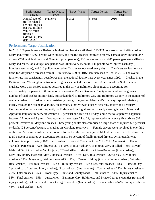| Performance<br>Target                                                                                                                        | <b>Target Metric</b><br>Type | <b>Target Value</b> | <b>Target Period</b> | <b>Target Start</b><br>Year |
|----------------------------------------------------------------------------------------------------------------------------------------------|------------------------------|---------------------|----------------------|-----------------------------|
| Annual rate of<br>traffic-related<br>serious injuries<br>per 100 million<br>vehicle miles<br>traveled<br>(MVMT) (State<br>$\vert$ data)-2020 | Numeric                      | 5.372               | 5 Year               | 2016                        |

#### Performance Target Justification

In 2017, 558 people were killed—the highest number since 2008—in 115,353 police-reported traffic crashes in Maryland, while 51,369 people were injured, and 80,185 crashes involved property damage only. In total, 347 drivers (268 vehicle drivers and 79 motorcycle operators), 130 non-motorists, and 81 passengers were killed on Maryland roads. On average, one person was killed every 16 hours, 141 people were injured each day (6 injuries every hour), and 316 police-reported traffic crashes occurred every day. The five-year fatality rate trend for Maryland decreased from 0.91 in 2015 to 0.89 in 2016 then increased to 0.93 in 2017. The overall fatality rate has consistently been lower than the national fatality rate every year since 1992. Crashes in the Baltimore and Washington metropolitan regions accounted for more than 80 percent of the State's annual crashes. More than 19,800 crashes occurred in the City of Baltimore alone in 2017 accounting for approximately 17 percent of those reported statewide. Prince George's County accounted for the greatest number of fatal crashes in Maryland, but ranked third to Baltimore City and Baltimore County in the number of overall crashes. Crashes occur consistently through the year on Maryland's roadways, spread relatively evenly through the calendar year, but, on average, slightly fewer crashes occur in January and February. Crashes tend to occur most frequently on Fridays and during afternoon or early evening hours in Maryland. Approximately one in every six crashes (16 percent) occurred on a Friday, and close to 50 percent happened between 12 noon and 7 p.m. Young adult drivers, ages 21 to 29, represented one in every five drivers (20 percent) involved in Maryland crashes. These young adults also comprised a large share of injuries (23 percent) or deaths (24 percent) because of crashes on Maryland roadways. Female drivers were involved in one-third of the State's overall crashes, but accounted for half of the drivers injured. Male drivers were involved in close to 50 percent of crashes yet accounted for nearly 80 percent of fatally injured drivers. Driver gender was unknown in approximately 18% of all crashes. General Crash Factors (2013-2017 Averages) Factor Variable Percentage Age (drivers) 21–34 29% of involved; 34% of injured; 33% of killed Sex (drivers) Male 48% of involved; 49% of injured; 79% of killed Month October–December (total crashes); May–July (injury crashes); May–July (fatal crashes) Oct.–Dec., total crashes – 27%; May–July, injury crashes – 27%; May–July, fatal crashes – 26% Day of Week Friday (total and injury crashes); Saturday (fatal crashes) Fri. total crashes –  $16\%$ ; Fri. injury crashes –  $16\%$ ; Sat. fatal crashes –  $18\%$  Time of Day 2 p.m.–6 p.m. (total and injury crashes); 9 p.m.–2 a.m. (fatal crashes) Total crashes – 27%; Injury crashes – 29%; Fatal crashes – 25% Road Type State and County roads Total crashes – 51%; Injury crashes – 58%; Fatal crashes – 65% Jurisdiction Baltimore City, Baltimore, and Prince George's counties (total and injury crashes); Baltimore and Prince George's counties (fatal crashes) Total crashes – 52%; Injury crashes – 46%; Fatal crashes – 31%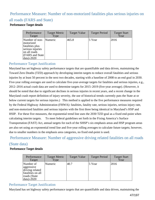# Performance Measure: Number of non-motorized fatalities plus serious injuries on

# all roads (FARS and State)

#### Performance Target details

| Performance<br>Target                                                                                                              | <b>Target Metric</b><br>Type | <b>Target Value</b> | <b>Target Period</b> | <b>Target Start</b><br>Year |
|------------------------------------------------------------------------------------------------------------------------------------|------------------------------|---------------------|----------------------|-----------------------------|
| Number of non-<br>motorized<br>fatalities plus<br>serious injuries<br>on all roads<br><b>(FARS</b> and State<br>$\vert$ data)-2020 | <i>Numeric</i>               | 465.8               | 5 Year               | 2016                        |

### Performance Target Justification

Maryland has set highway safety performance targets that are quantifiable and data driven, maintaining the Toward Zero Deaths (TZD) approach by developing interim targets to reduce overall fatalities and serious injuries by at least 50 percent in the next two decades, starting with a baseline of 2008 to an end goal in 2030. Five-year rolling averages are used to calculate five-year-average targets for fatalities and serious injuries, e.g., 2012–2016 actual crash data are used to determine targets for 2015–2019 (five-year average). (However, it should be noted that due to significant declines in serious injuries in recent years, and a recent change in the Maryland crash report definition of injury severity, the use of historical trends currently puts the State at or below current targets for serious injuries.) This method is applied to the five performance measures required by the Federal Highway Administration (FHWA): fatalities, fatality rate, serious injuries, serious injury rate, and non-motorized fatalities and serious injuries with the first three being identical in Maryland's HSP and HSIP. For these five measures, the exponential trend line uses the 2030 TZD goal as a fixed end-point when calculating interim targets. To meet federal guidelines set forth in the Fixing America's Surface Transportation (FAST) Act, annual targets for each of the SHSP's six emphasis areas and HSP program areas are also set using an exponential trend line and five-year rolling averages to calculate future targets; however, due to smaller numbers in the emphasis area categories, no fixed end-point is used.

# Performance Measure: Number of aggressive driving related fatalities on all roads

# (State data)

#### Performance Target details

| Performance<br>Target                                                                               | <b>Target Metric</b><br>Type | <b>Target Value</b> | <b>Target Period</b> | <b>Target Start</b><br>Year |
|-----------------------------------------------------------------------------------------------------|------------------------------|---------------------|----------------------|-----------------------------|
| Number of<br>aggressive<br>driving related<br>fatalities on all<br>roads (State<br>$\frac{1}{2020}$ | Numeric                      | 40.7                | 5 Year               | 2016                        |

# Performance Target Justification

Maryland has set highway safety performance targets that are quantifiable and data driven, maintaining the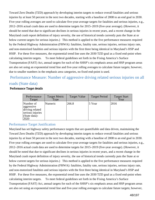Toward Zero Deaths (TZD) approach by developing interim targets to reduce overall fatalities and serious injuries by at least 50 percent in the next two decades, starting with a baseline of 2008 to an end goal in 2030. Five-year rolling averages are used to calculate five-year-average targets for fatalities and serious injuries, e.g., 2012–2016 actual crash data are used to determine targets for 2015–2019 (five-year average). (However, it should be noted that due to significant declines in serious injuries in recent years, and a recent change in the Maryland crash report definition of injury severity, the use of historical trends currently puts the State at or below current targets for serious injuries.) This method is applied to the five performance measures required by the Federal Highway Administration (FHWA): fatalities, fatality rate, serious injuries, serious injury rate, and non-motorized fatalities and serious injuries with the first three being identical in Maryland's HSP and HSIP. For these five measures, the exponential trend line uses the 2030 TZD goal as a fixed end-point when calculating interim targets. To meet federal guidelines set forth in the Fixing America's Surface Transportation (FAST) Act, annual targets for each of the SHSP's six emphasis areas and HSP program areas are also set using an exponential trend line and five-year rolling averages to calculate future targets; however, due to smaller numbers in the emphasis area categories, no fixed end-point is used.

 Performance Measure: Number of aggressive driving related serious injuries on all roads (State data)

#### Performance Target details

| Performance<br>Target                                                                    | <b>Target Metric</b><br>Type | <b>Target Value</b> | <b>Target Period</b> | <b>Target Start</b><br>Year |
|------------------------------------------------------------------------------------------|------------------------------|---------------------|----------------------|-----------------------------|
| Number of<br>laggressive<br>driving related<br>serious injuries<br>(State data)-<br>2020 | Numeric                      | 266.8               | 5 Year               | 2016                        |

### Performance Target Justification

Maryland has set highway safety performance targets that are quantifiable and data driven, maintaining the Toward Zero Deaths (TZD) approach by developing interim targets to reduce overall fatalities and serious injuries by at least 50 percent in the next two decades, starting with a baseline of 2008 to an end goal in 2030. Five-year rolling averages are used to calculate five-year-average targets for fatalities and serious injuries, e.g., 2012–2016 actual crash data are used to determine targets for 2015–2019 (five-year average). (However, it should be noted that due to significant declines in serious injuries in recent years, and a recent change in the Maryland crash report definition of injury severity, the use of historical trends currently puts the State at or below current targets for serious injuries.) This method is applied to the five performance measures required by the Federal Highway Administration (FHWA): fatalities, fatality rate, serious injuries, serious injury rate, and non-motorized fatalities and serious injuries with the first three being identical in Maryland's HSP and HSIP. For these five measures, the exponential trend line uses the 2030 TZD goal as a fixed end-point when calculating interim targets. To meet federal guidelines set forth in the Fixing America's Surface Transportation (FAST) Act, annual targets for each of the SHSP's six emphasis areas and HSP program areas are also set using an exponential trend line and five-year rolling averages to calculate future targets; however,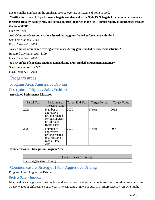due to smaller numbers in the emphasis area categories, no fixed end-point is used.

 Certification: State HSP performance targets are identical to the State DOT targets for common performance measures (fatality, fatality rate, and serious injuries) reported in the HSIP annual report, as coordinated through the State SHSP.

I certify: Yes

A-1) Number of seat belt citations issued during grant-funded enforcement activities\*

Seat belt citations: 2364

Fiscal Year A-1: 2018

#### A-2) Number of impaired driving arrests made during grant-funded enforcement activities\*

Impaired driving arrests: 1109

Fiscal Year A-2: 2018

#### A-3) Number of speeding citations issued during grant-funded enforcement activities\*

Speeding citations: 22226 Fiscal Year A-3: 2018

Program areas

# Program Area: Aggressive Driving

### Description of Highway Safety Problems

#### Associated Performance Measures

| <b>Fiscal Year</b> | Performance<br>measure name                                                                    | Target End Year | <b>Target Period</b> | <b>Target Value</b> |
|--------------------|------------------------------------------------------------------------------------------------|-----------------|----------------------|---------------------|
| 2020               | Number of<br>aggressive<br>driving related<br>serious injuries<br>on all roads<br>(State data) | 2020            | 5 Year               | 266.8               |
| 2020               | Number of<br>aggressive<br>driving related<br>fatalities on all<br>roads (State<br>data)       | 2020            | 5 Year               | 40.7                |

#### Countermeasure Strategies in Program Area

Countermeasure Strategy

# HVE - Aggressive Driving

# Countermeasure Strategy: HVE - Aggressive Driving

Program Area: Aggressive Driving

#### Project Safety Impacts

Maryland has an aggressive driving law and law enforcement agencies are tasked with coordinating numerous 10-day waves of enforcement each year. The campaign, known as ADAPT (Aggressive Drivers Are Public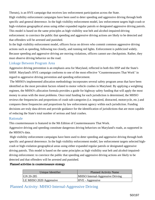Threats), is an HVE campaign that receives law enforcement participation across the State. High visibility enforcement campaigns have been used to deter speeding and aggressive driving through both specific and general deterrence. In the high visibility enforcement model, law enforcement targets high-crash or high-violation geographical areas using either expanded regular patrols or designated aggressive driving patrols. This model is based on the same principles as high visibility seat belt and alcohol-impaired-driving enforcement: to convince the public that speeding and aggressive driving actions are likely to be detected and that offenders will be arrested and punished.

In the high visibility enforcement model, officers focus on drivers who commit common aggressive driving actions such as speeding, following too closely, and running red lights. Enforcement is publicized widely. Because speeding and aggressive driving are moving violations, officers cannot use checkpoints. Rather, they must observe driving behavior on the road.

#### Linkage Between Program Area

Aggressive driving prevention is an emphasis area for Maryland, reflected in both this HSP and the State's SHSP. Maryland's HVE campaign conforms to one of the most effective "Countermeasures That Work" in regard to aggressive driving prevention and speeding enforcement.

 The MHSO's implemented allocation methodology incorporates several safety program areas that have been identified as the most prevalent factors related to motor vehicle crashes in Maryland. By applying a weighting regimen, the MHSO's allocation formula provides a guide for highway safety funding that will apply the most money to areas with the most problems. Once total funding for each jurisdiction is determined, the MHSO reviews the frequencies and proportions of crash sub-categories (i.e. impaired, distracted, motorcycle, etc.) and compares these frequencies and proportions by law enforcement agency within each jurisdiction. Funding decisions are truly data-driven and provide guidance for the identification of jurisdictions that are most capable of reducing the State's total number of serious and fatal crashes.

#### Rationale

This countermeasure is featured in the 9th Edition of Countermeasures That Work.

Aggressive driving and speeding constitute dangerous driving behaviors on Maryland's roads, as supported in the MHSO's data.

 High visibility enforcement campaigns have been used to deter speeding and aggressive driving through both specific and general deterrence. In the high visibility enforcement model, law enforcement targets selected highcrash or high-violation geographical areas using either expanded regular patrols or designated aggressive driving patrols. This model is based on the same principles as high visibility seat belt and alcohol-impaireddriving enforcement: to convince the public that speeding and aggressive driving actions are likely to be detected and that offenders will be arrested and punished.

#### Planned activities in countermeasure strategy

| Unique Identifier       | <b>Planned Activity Name</b>            |
|-------------------------|-----------------------------------------|
| $ GN 20-285$            | <b>MHSO</b> Internal-Aggressive Driving |
| LE MHSO 2020 Aggressive | HVE - Aggressive                        |

Planned Activity: MHSO Internal-Aggressive Driving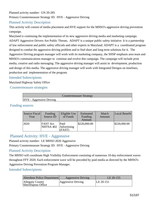# Planned activity number: GN 20-285 Primary Countermeasure Strategy ID: HVE - Aggressive Driving

# Planned Activity Description

This activity will consist of media placement and HVE support for the MHSO's aggressive driving prevention campaign.

Maryland is continuing the implementation of its new aggressive driving media and marketing campaign. ADAPT Aggressive Drivers Are Public Threats. ADAPT is a unique public safety initiative. It is a partnership of law enforcement and public safety officials and other experts in Maryland. ADAPT is a coordinated program designed to combat the aggressive driving problem and to find short and long term solutions for it. The Aggressive Driving program manager will work with its marketing company, the SHSP emphasis area team and MHSO's communications manager to continue and evolve this campaign. The campaign will include print media, creative and radio messaging. The aggressive driving manager will assist in development, production and design of this media. The aggressive driving manager will work with Integrated Designs on timelines, production and implementation of the program.

#### Intended Subrecipients

Maryland Highway Safety Office

Countermeasure strategies

|                                 | <b>Countermeasure Strategy</b> |
|---------------------------------|--------------------------------|
| <b>HVE</b> - Aggressive Driving |                                |

### Funding sources

| Source Fiscal<br>Year | Funding<br>Source ID         | Eligible Use<br>of Funds      | Estimated<br>Funding<br>Amount | Match<br>Amount | Local Benefit |
|-----------------------|------------------------------|-------------------------------|--------------------------------|-----------------|---------------|
| 2020                  | <b>FAST Act</b><br>NHTSA 402 | Paid<br>Advertising<br>(FAST) | \$220,000.00                   |                 | \$220,000.00  |

# Planned Activity: HVE - Aggressive

Planned activity number: LE MHSO 2020 Aggressive

Primary Countermeasure Strategy ID: HVE - Aggressive Driving

### Planned Activity Description

The MHSO will coordinate High Visibility Enforcement consisting of numerous 10-day enforcement waves throughout FFY 2020. Each enforcement wave will be preceded by paid media as directed by the MHSO's Aggressive Driving Prevention Program Manager.

### Intended Subrecipients

| Aberdeen Police Department             | <b>Aggressive Driving</b> | LE 20-155 |
|----------------------------------------|---------------------------|-----------|
| Allegany County<br>Sheriffaposs Office | Aggressive Driving        | LE 20-151 |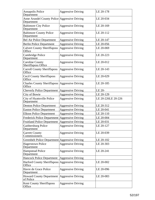| <b>Annapolis Police</b><br>Department                           | <b>Aggressive Driving</b> | LE 20-178          |
|-----------------------------------------------------------------|---------------------------|--------------------|
| Anne Arundel County Police Aggressive Driving<br>Department     |                           | LE 20-034          |
| <b>Baltimore City Police</b><br>Department                      | <b>Aggressive Driving</b> | LE 20-169          |
| <b>Baltimore County Police</b><br>Department                    | <b>Aggressive Driving</b> | LE 20-112          |
| <b>Bel Air Police Department</b>                                | <b>Aggressive Driving</b> | LE 20-147          |
| <b>Berlin Police Department</b>                                 | <b>Aggressive Driving</b> | LE 20-056          |
| <b>Calvert County Sheriffaposs</b><br>Office                    | <b>Aggressive Driving</b> | LE 20-069          |
| Cambridge Police<br>Department                                  | <b>Aggressive Driving</b> | LE 20-223          |
| <b>Caroline County</b><br>Sheriffaposs Office                   | <b>Aggressive Driving</b> | LE 20-012          |
| <b>Carroll County Sheriffaposs</b><br>Office                    | <b>Aggressive Driving</b> | LE 20-143          |
| <b>Cecil County Sheriffaposs</b><br>Office                      | <b>Aggressive Driving</b> | LE 20-029          |
| <b>Charles County Sheriffaposs Aggressive Driving</b><br>Office |                           | LE 20-185          |
| <b>Cheverly Police Department</b>                               | <b>Aggressive Driving</b> | LE 20-             |
| City of Bowie                                                   | <b>Aggressive Driving</b> | LE 20-129          |
| City of Hyattsville Police<br>Department                        | <b>Aggressive Driving</b> | LE 20-226LE 20-226 |
| <b>Denton Police Department</b>                                 | <b>Aggressive Driving</b> | LE 20-312          |
| <b>Easton Police Department</b>                                 | <b>Aggressive Driving</b> | LE 20-041          |
| <b>Elkton Police Department</b>                                 | <b>Aggressive Driving</b> | LE 20-110          |
| Frederick Police Department Aggressive Driving                  |                           | LE 20-004          |
| Fruitland Police Department Aggressive Driving                  |                           | LE 20-031          |
| Gaithersburg Police<br>Department                               | <b>Aggressive Driving</b> | LE 20-127          |
| <b>Garrett County</b><br>Commissioners                          | <b>Aggressive Driving</b> | LE 20-039          |
| Greenbelt Police Department Aggressive Driving                  |                           | LE 20-102          |
| <b>Hagerstown Police</b><br>Department                          | <b>Aggressive Driving</b> | LE 20-303          |
| <b>Hampstead Police</b><br>Department                           | <b>Aggressive Driving</b> | LE 20-241          |
| Hancock Police Department Aggressive Driving                    |                           |                    |
| Harford County Sheriffaposs Aggressive Driving<br>Office        |                           | LE 20-002          |
| Havre de Grace Police<br>Department                             | <b>Aggressive Driving</b> | LE 20-096          |
| Howard County Department Aggressive Driving<br>of Police        |                           | LE 20-083          |
| <b>Kent County Sheriffaposs</b><br>Office                       | <b>Aggressive Driving</b> |                    |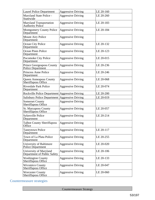| <b>Laurel Police Department</b>                              | <b>Aggressive Driving</b> | LE 20-160 |
|--------------------------------------------------------------|---------------------------|-----------|
| Maryland State Police -<br>Statewide                         | <b>Aggressive Driving</b> | LE 20-260 |
| <b>Maryland Transportation</b><br><b>Authority Police</b>    | <b>Aggressive Driving</b> | LE 20-183 |
| <b>Montgomery County Police</b><br>Department                | <b>Aggressive Driving</b> | LE 20-184 |
| <b>Mount Airy Police</b><br>Department                       | <b>Aggressive Driving</b> |           |
| Ocean City Police<br>Department                              | <b>Aggressive Driving</b> | LE 20-132 |
| <b>Ocean Pines Police</b><br>Department                      | <b>Aggressive Driving</b> | LE 20-123 |
| Pocomoke City Police<br>Department                           | <b>Aggressive Driving</b> | LE 20-015 |
| <b>Prince Georgeaposs County</b><br><b>Police Department</b> | <b>Aggressive Driving</b> | LE 20-236 |
| <b>Princess Anne Police</b><br>Department                    | <b>Aggressive Driving</b> | LE 20-246 |
| <b>Queen Anneaposs County</b><br>Sheriffaposs Office         | <b>Aggressive Driving</b> | LE 20-068 |
| <b>Riverdale Park Police</b><br>Department                   | <b>Aggressive Driving</b> | LE 20-074 |
| Rockville Police Department Aggressive Driving               |                           | LE 20-200 |
| Salisbury Police Department Aggressive Driving               |                           | LE 20-019 |
| <b>Somerset County</b><br>Sheriffaposs Office                | <b>Aggressive Driving</b> |           |
| <b>St. Maryaposs County</b><br>Sheriffaposs Office           | <b>Aggressive Driving</b> | LE 20-057 |
| Sykesville Police<br>Department                              | <b>Aggressive Driving</b> | LE 20-214 |
| <b>Talbot County Sheriffaposs</b><br>Office                  | Aggressive Driving        |           |
| <b>Taneytown Police</b><br>Department                        | <b>Aggressive Driving</b> | LE 20-117 |
| Town of La Plata Police<br>Department                        | <b>Aggressive Driving</b> | LE 20-255 |
| University of Baltimore<br><b>Police Department</b>          | <b>Aggressive Driving</b> | LE 20-020 |
| University of Maryland<br>Department of Public Safety        | <b>Aggressive Driving</b> | LE 20-106 |
| <b>Washington County</b><br>Sheriffaposs Office              | <b>Aggressive Driving</b> | LE 20-133 |
| <b>Wicomico County</b><br><b>Sheriffaposs Office</b>         | <b>Aggressive Driving</b> | LE 20-047 |
| <b>Worcester County</b><br>Sheriffaposs Office               | <b>Aggressive Driving</b> | LE 20-060 |

# Countermeasure strategies

Countermeasure Strategy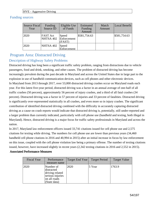#### HVE - Aggressive Driving

### Funding sources

| Source Fiscal<br>Year | Funding<br>Source ID                     | Eligible Use<br>of Funds | Estimated<br>Funding<br>Amount | Match<br>Amount | Local Benefit |
|-----------------------|------------------------------------------|--------------------------|--------------------------------|-----------------|---------------|
| 2020                  | <b>FAST Act</b><br>NHTSA 402 Enforcement | Speed<br>(FAST)          | \$581,754.63                   |                 | \$581,754.63  |
| 2020                  | NHTSA 402                                | Speed<br>Enforcement     |                                |                 |               |

# Program Area: Distracted Driving

# Description of Highway Safety Problems

Distracted driving has long been a significant traffic safety problem, ranging from distractions due to vehicle passengers, food and drink, smoking, and other causes. The problem of distracted driving has become increasingly prevalent during the past decade in Maryland and across the United States due in large part to the explosion in use of handheld communication devices, such as cell phones and other electronic devices. In Maryland from 2013 through 2017, over 53,000 distracted driving crashes occur on Maryland roads each year. For this latest five-year period, distracted driving was a factor in an annual average of one-half of all traffic crashes (50 percent), approximately 56 percent of injury crashes, and a third of all fatal crashes (34 percent). Distracted driving was a factor in 57 percent of injuries and 33 percent of fatalities. Distracted driving is significantly over-represented statistically in all crashes, and even more so in injury crashes. The significant contribution of identified distracted driving combined with the difficulty in accurately capturing distracted driving as a cause on crash reports would indicate that distracted driving is, potentially, still under-reported and a larger problem than currently indicated, particularly with cell phone use (handheld and texting, both illegal in Maryland). Hence, distracted driving is a major focus for traffic safety professionals in Maryland and across the nation.

In 2017, Maryland law enforcement officers issued 33,741 citations issued for cell phone use and 2,575 citations for texting while driving. The numbers for cell phone use are lower than previous years (34,460 handheld cell phone citations in 2016 and 40,994 in 2015) after an initial increase in focus by law enforcement on this issue, coupled with the cell phone violation law being a primary offense. The number of texting citations issued, however, have increased slightly in recent years (2,342 texting citations in 2016 and 2,552 in 2015).

#### Associated Performance Measures

| <b>Fiscal Year</b> | Performance<br>measure name                                                                    | Target End Year | <b>Target Period</b> | <b>Target Value</b> |
|--------------------|------------------------------------------------------------------------------------------------|-----------------|----------------------|---------------------|
| 2020               | Number of<br>distracted<br>driving related<br>serious injuries<br>on all roads<br>(State data) | 2020            | 5 Year               | 1763.9              |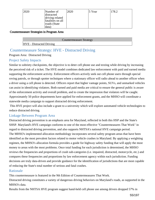| '2020 | Number of         | 2020 | 5 Year | 178.2 |
|-------|-------------------|------|--------|-------|
|       | distracted        |      |        |       |
|       | driving related   |      |        |       |
|       | fatalities on all |      |        |       |
|       | roads (State      |      |        |       |
|       | data)             |      |        |       |

#### Countermeasure Strategies in Program Area

Countermeasure Strategy

HVE - Distracted Driving

# Countermeasure Strategy: HVE - Distracted Driving

Program Area: Distracted Driving

### Project Safety Impacts

Similar to sobriety checkpoints, the objective is to deter cell phone use and texting while driving by increasing the perceived risk of a ticket. The HVE model combines dedicated law enforcement with paid and earned media supporting the enforcement activity. Enforcement officers actively seek out cell phone users through special roving patrols, or through spotter techniques where a stationary officer will radio ahead to another officer when a driver using a cell phone is detected. Officers report that higher vantage points, SUVs, and unmarked vehicles can assist in identifying violators. Both earned and paid media are critical to ensure the general public is aware of the enforcement activity and overall problem, and to create the impression that violators will be caught. Approximately 50 police departments have applied for enforcement grants, and the MHSO will coordinate a statewide media campaign to support distracted driving enforcement.

 This HVE project will also include a grant to a university which will explore automated vehicle technologies to reduce distracted driving.

### Linkage Between Program Area

Distracted driving prevention is an emphasis area for Maryland, reflected in both this HSP and the State's SHSP. Maryland's HVE campaign conforms to one of the most effective "Countermeasures That Work" in regard to distracted driving prevention, and also supports NHTSA's national HVE campaign period. The MHSO's implemented allocation methodology incorporates several safety program areas that have been identified as the most prevalent factors related to motor vehicle crashes in Maryland. By applying a weighting regimen, the MHSO's allocation formula provides a guide for highway safety funding that will apply the most money to areas with the most problems. Once total funding for each jurisdiction is determined, the MHSO reviews the frequencies and proportions of crash sub-categories (i.e. impaired, distracted, motorcycle, etc.) and compares these frequencies and proportions by law enforcement agency within each jurisdiction. Funding decisions are truly data-driven and provide guidance for the identification of jurisdictions that are most capable of reducing the State's total number of serious and fatal crashes.

### Rationale

This countermeasure is featured in the 9th Edition of Countermeasures That Work.

Distracted driving constitutes a variety of dangerous driving behaviors on Maryland's roads, as supported in the MHSO's data.

Results from the NHTSA HVE program suggest hand-held cell phone use among drivers dropped 57% in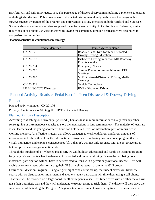Hartford, CT and 32% in Syracuse, NY. The percentage of drivers observed manipulating a phone (e.g., texting or dialing) also declined. Public awareness of distracted driving was already high before the program, but surveys suggest awareness of the program and enforcement activity increased in both Hartford and Syracuse. Surveys also showed most motorists supported the enforcement activity. In California and Delaware, similar reductions in cell phone use were observed following the campaign, although decreases were also noted in comparison communities.

| Unique Identifier       | <b>Planned Activity Name</b>                                                 |
|-------------------------|------------------------------------------------------------------------------|
| GN 20-176               | Roadster Pedal Kart for Teen Distracted &<br><b>Drowsy Driving Education</b> |
| GN 20-197               | Distracted Driving impact on MD Roadway<br><b>First Responders</b>           |
| GN 20-234               | <b>Emergency Nurses</b>                                                      |
| GN 20-265               | <b>Trauma Prevention Assemblies and PTA</b><br>Meetings                      |
| GN 20-290               | MHSO Internal-Distracted Driving Media<br>Campaign                           |
| GN 20-311               | <b>Vehicle Technology</b>                                                    |
| LE MHSO 2020 Distracted | <b>HVE</b> - Distracted Driving                                              |

# Planned Activity: Roadster Pedal Kart for Teen Distracted & Drowsy Driving Education

Planned activity number: GN 20-176

Primary Countermeasure Strategy ID: HVE - Distracted Driving

### Planned Activity Description

According to Washington University, ([wustl.edu\)](https://wustl.edu) humans take in more information visually than any other sense, giving us a tremendous capacity to store pictures/actions in long term memory. The majority of teens are visual learners and the young adolescent brain can hold seven items of information, plus or minus two in working memory. An effective strategy that allows teenagers to work with larger and larger amounts of information is to show them how the information fits together. Employing an educational program that is visual, interactive, and explains consequences (If A, than B), will not only resonate with the 16-20 age group, but will provide a stronger retention rate.

Through the purchase of a 4-wheeled pedal cart, we will build an educational and hands-on learning program for young drivers that teaches the dangers of distracted and impaired driving. Due to the cart being nonmotorized, participation will not have to be restricted to teens with a permit or provisional license. This will enable us to reach teens prior to starting their GLS as well as teens that are in the GLS process.

Distraction Education Program - Using a figure-eight cone course set-up, the student driver will travel the course with no distraction or impairment and another student participant will time them using a cell phone. That time will be recorded on a large board for all participants to see. This timed drive with no other factors will raise their optimistic bias and they will understand we're not trying to trick them. The driver will then drive the same course while texting the Pledge of Allegiance to another student, again being timed. Because students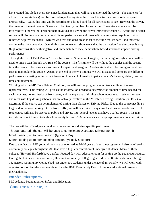have recited this pledge every day since kindergarten, they will have memorized the words. The audience (or all participating students) will be directed to yell every time the driver hits a traffic cone or reduces speed dramatically. Again, this time will be recorded on a large board for all participants to see. Between the driver, the timer and the text receiver 3 teens will be directly involved for each run. The entire audience will be involved with the yelling, keeping them involved and giving the driver immediate feedback. At the end of each run we will discuss and compare the different performances and times with any mistakes re-pointed out to reinforce negative feedback. Drivers who text and don't crash most of the time feel it's safe - and therefore continue the risky behavior. Overall this cart course will show teens that the distraction free the course is easy (high optimism), then with negative and immediate feedback, demonstrate how distractions impede driving performance.

Through the use of Fatal Vision Alcohol Impairment Simulation Goggles, the same figure-eight course will be used to time a teen through two runs of the course. The first time will be without the goggles and the second time the teen will be using various levels of impairment goggles. Another student will be timing as the driver tries to manipulate the course. Again, at the end of the two timings, we will discuss and compare the different performances, creating an important lesson on how alcohol greatly impairs a person's balance, vision, reaction time and judgment.

Working with the MD Teen Driving Coalition, we will test the program among teens utilizing the teen representatives. This testing will give us the information needed to determine the amount of time needed for each run/class, honest feedback from teens, and the expertise of driving school educators. We will research and meet with key driving schools that are actively involved in the MD Teen Driving Coalition (ex: Elite) to determine if the course can be implemented during their classes on Driving Risks. Due to the course needing a large indoor area or parking lot free from traffic, we will determine if any class locations are conducive. The road course will also be offered at public and private high school events that have a safety-focus. This may include but is not limited to high school safety fairs or PTA-run events such as pre-prom educational activities.

The cart will be offered year-round with concentrations during specific peak times:

Throughout April, the cart will be used to compliment Distracted Driving Month

Month leading up to prom season (typically May)

Month leading up to homecoming season (typically October)

Due to the fact that MD young drivers are categorized as 16-20 years of age, the program will also be offered to community colleges throughout MD that have a high concentration of undergrad students. Many of these colleges (Howard, Harford) have a safety-focused day with adequate room for setting up the pedal court course. During the last academic enrollment, Howard Community College registered over 500 students under the age of 18, Harford Community College had just under 500 students, under the age of 18. Finally, we will work with organizations on teen-focused events such as the BGE Teen Safety Day to bring our educational program to their audience.

### Intended Subrecipients

Mid-Atlantic Foundation for Safety and Education

Countermeasure strategies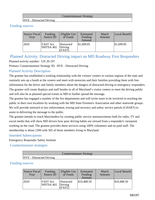|                                 | Countermeasure Strategy |  |
|---------------------------------|-------------------------|--|
| <b>HVE</b> - Distracted Driving |                         |  |

#### Funding sources

| Source Fiscal<br>Year | Funding<br>Source ID         | Eligible Use<br>of Funds        | Estimated<br>Funding<br>Amount | Match<br>Amount | Local Benefit |
|-----------------------|------------------------------|---------------------------------|--------------------------------|-----------------|---------------|
| 2020                  | <b>FAST</b> Act<br>NHTSA 402 | Distracted<br>Driving<br>(FAST) | \$1,699.85                     |                 | \$1,699.85    |

# Planned Activity: Distracted Driving impact on MD Roadway First Responders Planned activity number: GN 20-197

Primary Countermeasure Strategy ID: HVE - Distracted Driving

### Planned Activity Description

The grantee has established a working relationship with the visitors' centers in various regions of the state and routinely sets up a booth at the centers and meet with motorists and their families providing them with free information for the driver and family members about the dangers of distracted driving to emergency responders. The grantee will create displays and staff booths in all of Maryland's visitor centers to meet the driving public and will also be at planned special events in MD to further spread the message.

The grantee has engaged a number of the fire departments and will invite more to be involved in reaching the public in their own localities by working with the MD State Firemen's Association and other statewide groups. We will provide outreach to law enforcement, towing and recovery and safety service patrols (CHART) to assist in delivering the message to the public.

The grantee intends to reach Marylanders by creating public service announcements both for radio, TV and social media that will show MD drivers how poor driving habits are viewed from a responder's viewpoint working on the road. The grantee provides these services using 100% volunteers and no paid staff. The membership is about 1200 with 302 of those members living in Maryland.

### Intended Subrecipients

Emergency Responder Safety Institute

Countermeasure strategies

|                                 | Countermeasure Strategy |
|---------------------------------|-------------------------|
| <b>HVE</b> - Distracted Driving |                         |

### Funding sources

| Source Fiscal<br>Year | Funding<br>Source ID                   | Eligible Use<br>of Funds | Estimated<br>Funding<br>Amount | Match<br>Amount | Local Benefit |
|-----------------------|----------------------------------------|--------------------------|--------------------------------|-----------------|---------------|
| 2020                  | <b>FAST Act</b><br>$NHTSA 402$ Driving | Distracted<br>(FAST)     | \$10,488.50                    |                 | \$10,488.50   |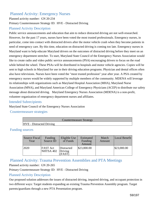# Planned Activity: Emergency Nurses

Planned activity number: GN 20-234 Primary Countermeasure Strategy ID: HVE - Distracted Driving

### Planned Activity Description

Public service announcements and education that aim to reduce distracted driving are not well-researched. However, for the past 17 years, nurses have been voted the most trusted professionals. Emergency nurses, in particular, come into contact with distracted drivers after the motor vehicle crash when they become patients in need of emergency care. By this time, education on distracted driving is coming too late. Emergency nurses in Maryland want to help educate Maryland drivers on the outcomes of distracted driving before they meet on an emergency department stretcher. To start, Maryland State Council of the Emergency Nurses Association would like to create radio and video public service announcements (PSA) encouraging drivers to focus on the road while behind the wheel. These PSAs will be distributed in hospitals and motor vehicle agencies. Copies will be sent to high schools in Maryland for use in their driving education programs. Physician and dental offices often also have televisions. Nurses have been voted the "most trusted profession" year after year. A PSA created by emergency nurses would be widely supported by multiple members of the community. MDENA will leverage its relationships with organizations such as Maryland Hospital Association (MHA), Maryland Nurse Association (MNA), and Maryland American College of Emergency Physicians (ACEP) to distribute our safety message about distracted driving. Maryland Emergency Nurses Association (MDENA) is a non-profit, volunteer organization of emergency department nurses and affiliates.

#### Intended Subrecipients

Maryland State Council of the Emergency Nurses Association

Countermeasure strategies

|                                 | <b>Countermeasure Strategy</b> |
|---------------------------------|--------------------------------|
| <b>HVE</b> - Distracted Driving |                                |

#### Funding sources

| Source Fiscal<br>Year | Funding<br>Source ID         | Eligible Use<br>of Funds      | Estimated<br>Funding<br>Amount | Match<br>Amount | Local Benefit |
|-----------------------|------------------------------|-------------------------------|--------------------------------|-----------------|---------------|
| 2020                  | <b>FAST Act</b><br>NHTSA 402 | Distracted<br>Driving<br>FAST | \$23,000.00                    |                 | \$23,000.00   |

# Planned Activity: Trauma Prevention Assemblies and PTA Meetings

Planned activity number: GN 20-265

Primary Countermeasure Strategy ID: HVE - Distracted Driving

### Planned Activity Description

Our proposed solution addresses the issues of distracted driving, impaired driving, and occupant protection in two different ways: Target students expanding an existing Trauma Prevention Assembly program. Target parents/guardians through a new PTA Presentation program.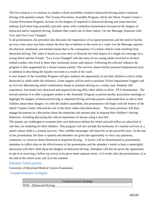The first solution is to continue to conduct school assemblies related to distracted driving and/or impaired driving with updated content. The Trauma Prevention Assembly Program, led by the Shock Trauma Center's Trauma Prevention Program, focuses on the dangers of impaired or distracted driving and smart decision making. Each hour long assembly typically opens with a slideshow presentation focused on the dangers of distracted and/or impaired driving. Students then watch one of three videos: Get the Message; Someone Like You; and Two Lives Changed.

In all presentations, the presenter also discusses the importance of occupant protection and the need to buckle up every time since seat belts remain the first line of defense in the event of a crash. Get the Message captures the physical, emotional, and mental trauma that is the consequence of a motor vehicle crash resulting from distracted driving. The video is based on a true story to illustrate the fatal impact of a single text message on a young driver and her friends. "Two Lives Changed" tells the story of two young adults involved in alcoholrelated crashes who lived to share their emotional stories and injuries. Following the selected video(s), the program is then augmented by a former trauma patient. The survivor shares his/her personal inspirational story in addition to describing the injuries received as a result of the crash.

A new feature of the Assembly Program will give students the opportunity to test their abilities to drive while distracted or while under the influence. Grant support will be used to purchase Vision Impairment Goggles and an Activity Mat/steering wheel combination meant to simulate driving on a windy road. Students will experience, first-hand, how distracted and impaired driving affect their ability to drive. PTA Presentation The second solution is to offer a program similar to the Assembly Program at parent-teacher association meetings to highlight the dangers of distracted driving or impaired driving and help parents understand how to talk to their children about these dangers. As with the student assemblies, the presentation will begin with the history of the Shock Trauma Center followed by one of the three videos described above. The nurse presenter will then engage the parents in a discussion about the important role parents play in shaping their children's driving behaviors, including discussing the critical importance of always using a seat belt.

The parents are challenged to examine their own behaviors behind the wheel and self-reflect on what kind of role they are modeling for their children. This program will also include the testimony of a trauma survivor or a parent whose child is a trauma survivor. This credible messenger will share his or her powerful story. At the end of the presentation, the floor is opened and attendees are given the opportunity to voice any questions,

comments, or concerns about distracted or impaired driving. A survey will be disseminated to presentation attendees to collect data on the effectiveness of the presentation and the attendee's intent to have a meaningful discussion with their child about the dangers of distracted driving. Attendees will also be given the opportunity to opt-in to receiving a follow-up survey to be given three separate times: 1) 6 weeks after the presentation; 2) at the end of the school year; and 3) in the summer.

#### Intended Subrecipients

University of Maryland Medical System Foundation

Countermeasure strategies

Countermeasure Strategy

HVE - Distracted Driving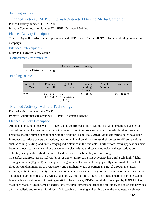### Funding sources

# Planned Activity: MHSO Internal-Distracted Driving Media Campaign

Planned activity number: GN 20-290

Primary Countermeasure Strategy ID: HVE - Distracted Driving

### Planned Activity Description

This activity will consist of media placement and HVE support for the MHSO's distracted driving prevention campaign.

### Intended Subrecipients

Maryland Highway Safety Office

Countermeasure strategies

|                                 | Countermeasure Strategy |  |
|---------------------------------|-------------------------|--|
| <b>HVE</b> - Distracted Driving |                         |  |

#### Funding sources

| Source Fiscal<br>Year | Funding<br>Source ID         | Eligible Use<br>of Funds      | Estimated<br>Funding<br>Amount | Match<br>Amount | Local Benefit |
|-----------------------|------------------------------|-------------------------------|--------------------------------|-----------------|---------------|
| 2020                  | <b>FAST Act</b><br>NHTSA 402 | Paid<br>Advertising<br>(FAST) | \$165,000.00                   |                 | \$165,000.00  |

# Planned Activity: Vehicle Technology

#### Planned activity number: GN 20-311

#### Primary Countermeasure Strategy ID: HVE - Distracted Driving

### Planned Activity Description

Automated or autonomous vehicles have vehicle control capabilities without human interaction. Transfer of control can either happen voluntarily or involuntarily in circumstances in which the vehicle takes over after detecting that the human cannot cope with the situation (Nabo et al., 2013). Many car technologies have been introduced to reduce drivers distractions, most of which allow drivers to use their voices for different actions such as calling, texting, and even changing radio stations in their vehicles. Furthermore, many applications have been developed to restrict cellphone usage in vehicles. Although these technologies and applications are definitely a step in the right direction to tackle driver distraction, they are not enough.

The Safety and Behavioral Analysis (SABA) Center at Morgan State University has a full-scale high-fidelity driving simulator (Figure 1) and an eye-tracking system. The simulator is physically comprised of a cockpit, three surrounding monitors to project front and peripheral views as participants travel through the virtual network, an ignition key, safety seat belt and other components necessary for the operation of the vehicle in the simulated environment: steering wheel, hand brake, throttle, signal-light controllers, emergency blinkers, and brake pedals as well as an automatic gear stick. The software, VR-Design Studio developed by FORUM8 Co., visualizes roads, bridges, ramps, roadside objects, three-dimensional trees and buildings, and so on and provides a fairly realistic environment for drivers. It is capable of creating and editing the entire road network elements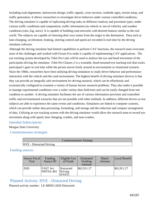including road alignments, intersection design, traffic signals, cross sections, roadside signs, terrain setup, and traffic generation. It allows researchers to investigate driver behavior under various controlled conditions. The driving simulator is capable of replicating driving tasks on different roadway and pavement types, under various traffic conditions and composition, traffic information (in-vehicle or out-of-vehicle), and weather conditions (rain, fog, snow). It is capable of building road networks with desired features similar to the real world. The subjects are capable of choosing their own routes from the origin to the destination. Data such as lane-changing, acceleration, braking, steering control and speed are recorded in real time by the driving simulator software.

Although the driving simulator had limited capabilities to perform CAV functions, the research team overcame most of the challenges and worked with Forum 8 to make it capable of implementing CAV applications. The eye tracking system developed by Tobii Pro Labs will be used to analyze the eye and head movement of the participants driving the simulator. Tobii Pro Glasses 2 is a wearable, head-mounted eye tracking tool that tracks participant's gaze in real time while the person moves freely around an environment or situational scenario. Since the 1960s, researchers have been utilizing driving simulators to study driver behavior and performance interaction with the vehicle and the road environment. The highest benefit of driving simulator devices is that they can provide an integrally safe environment for driving research, which can be effortlessly and economically configured to examine a variety of human factors research problems. They also make it possible to manage experimental conditions over a wider variety than field-tests and can be easily changed from one condition to another. A driving simulator facilitates the use of various information provision and controlled traffic and environmental scenarios that are not possible with other methods. In addition, different drivers as test subjects are able to experience the same events and conditions. Simulators are linked to computer systems, which can provide online data processing, formatting, and storage and the reduction and compact arrangement of data. Utilizing an eye tracking system with the driving simulator would allow the research team to record eye movement along with speed, lane changing, crashes, and near-crashes.

#### Intended Subrecipients

Morgan State University

Countermeasure strategies

Countermeasure Strategy

#### HVE - Distracted Driving

### Funding sources

| Source Fiscal<br>Year | Funding<br>Source ID         | Eligible Use<br>of Funds      | Estimated<br>Funding<br>Amount | Match<br>Amount | Local Benefit |
|-----------------------|------------------------------|-------------------------------|--------------------------------|-----------------|---------------|
| 2020                  | <b>FAST</b> Act<br>NHTSA 402 | Distracted<br>Driving<br>FAST | \$62,911.27                    |                 | \$62,911.27   |

# Planned Activity: HVE - Distracted Driving

Planned activity number: LE MHSO 2020 Distracted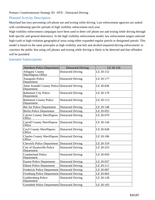# Planned Activity Description

Maryland has laws preventing cell phone use and texting while driving. Law enforcement agencies are tasked with coordinating specific periods of high visibility enforcement each year.

High visibility enforcement campaigns have been used to deter cell phone use and texting while driving through both specific and general deterrence. In the high visibility enforcement model, law enforcement targets selected high-crash or high-violation geographical areas using either expanded regular patrols or designated patrols. This model is based on the same principles as high visibility seat belt and alcohol-impaired-driving enforcement: to convince the public that using cell phones and texting while driving is likely to be detected and that offenders will be punished.

### Intended Subrecipients

| Aberdeen Police Department                                  | <b>Distracted Driving</b> | LE 20-156 |
|-------------------------------------------------------------|---------------------------|-----------|
| <b>Allegany County</b><br>Sheriffaposs Office               | <b>Distracted Driving</b> | LE 20-152 |
| <b>Annapolis Police</b><br>Department                       | <b>Distracted Driving</b> | LE 20-177 |
| Anne Arundel County Police Distracted Driving<br>Department |                           | LE 20-036 |
| <b>Baltimore City Police</b><br>Department                  | <b>Distracted Driving</b> | LE 20-170 |
| <b>Baltimore County Police</b><br>Department                | <b>Distracted Driving</b> | LE 20-113 |
| <b>Bel Air Police Department</b>                            | <b>Distracted Driving</b> | LE 20-148 |
| <b>Berlin Police Department</b>                             | <b>Distracted Driving</b> | LE 20-055 |
| <b>Calvert County Sheriffaposs</b><br>Office                | <b>Distracted Driving</b> | LE 20-070 |
| <b>Carroll County Sheriffaposs</b><br>Office                | <b>Distracted Driving</b> | LE 20-144 |
| <b>Cecil County Sheriffaposs</b><br>Office                  | <b>Distracted Driving</b> | LE 20-028 |
| <b>Charles County Sheriffaposs</b><br>Office                | <b>Distracted Driving</b> | LE 20-186 |
| <b>Cheverly Police Department</b>                           | <b>Distracted Driving</b> | LE 20-319 |
| City of Hyattsville Police<br>Department                    | <b>Distracted Driving</b> | LE 20-253 |
| <b>Cumberland Police</b><br>Department                      | <b>Distracted Driving</b> | LE 20-050 |
| <b>Easton Police Department</b>                             | <b>Distracted Driving</b> | LE 20-037 |
| <b>Elkton Police Department</b>                             | <b>Distracted Driving</b> | LE 20-111 |
| <b>Frederick Police Department</b>                          | <b>Distracted Driving</b> | LE 20-007 |
| Frostburg Police Department Distracted Driving              |                           | LE 20-065 |
| Gaithersburg Police<br>Department                           | <b>Distracted Driving</b> | LE 20-128 |
| Greenbelt Police Department Distracted Driving              |                           | LE 20-105 |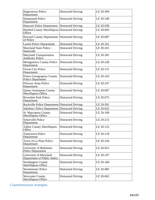| <b>Hagerstown Police</b><br>Department                       | <b>Distracted Driving</b> | LE 20-304 |
|--------------------------------------------------------------|---------------------------|-----------|
| <b>Hampstead Police</b><br>Department                        | <b>Distracted Driving</b> | LE 20-240 |
| Hancock Police Department Distracted Driving                 |                           | LE 20-058 |
| Harford County Sheriffaposs Distracted Driving<br>Office     |                           | LE 20-003 |
| Howard County Department   Distracted Driving<br>of Police   |                           | LE 20-087 |
| <b>Laurel Police Department</b>                              | <b>Distracted Driving</b> | LE 20-161 |
| Maryland State Police -<br>Statewide                         | <b>Distracted Driving</b> | LE 20-261 |
| <b>Maryland Transportation</b><br><b>Authority Police</b>    | <b>Distracted Driving</b> | LE 20-281 |
| <b>Montgomery County Police</b><br>Department                | <b>Distracted Driving</b> | LE 20-228 |
| Ocean City Police<br>Department                              | <b>Distracted Driving</b> | LE 20-131 |
| <b>Prince Georgeaposs County</b><br><b>Police Department</b> | <b>Distracted Driving</b> | LE 20-243 |
| <b>Princess Anne Police</b><br>Department                    | <b>Distracted Driving</b> | LE 20-247 |
| <b>Queen Anneaposs County</b><br>Sheriffaposs Office         | <b>Distracted Driving</b> | LE 20-067 |
| <b>Riverdale Park Police</b><br>Department                   | <b>Distracted Driving</b> | LE 20-075 |
| <b>Rockville Police Department Distracted Driving</b>        |                           | LE 20-201 |
| Salisbury Police Department Distracted Driving               |                           | LE 20-025 |
| <b>St. Maryaposs County</b><br>Sheriffaposs Office           | <b>Distracted Driving</b> | LE 20-100 |
| <b>Sykesville Police</b><br>Department                       | <b>Distracted Driving</b> | LE 20-215 |
| <b>Talbot County Sheriffaposs</b><br>Office                  | <b>Distracted Driving</b> | LE 20-122 |
| <b>Taneytown Police</b><br>Department                        | <b>Distracted Driving</b> | LE 20-118 |
| Town of La Plata Police<br>Department                        | <b>Distracted Driving</b> | LE 20-256 |
| University of Baltimore<br><b>Police Department</b>          | Distracted Driving        | LE 20-021 |
| University of Maryland<br>Department of Public Safety        | <b>Distracted Driving</b> | LE 20-107 |
| <b>Washington County</b><br>Sheriffaposs Office              | <b>Distracted Driving</b> | LE 20-166 |
| <b>Westminster Police</b><br>Department                      | Distracted Driving        | LE 20-085 |
| <b>Worcester County</b><br><b>Sheriffaposs Office</b>        | <b>Distracted Driving</b> | LE 20-063 |

Countermeasure strategies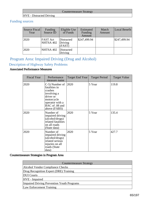#### Countermeasure Strategy

#### HVE - Distracted Driving

# Funding sources

| Source Fiscal<br>Year | Funding<br>Source ID         | Eligible Use<br>of Funds        | Estimated<br>Funding<br>Amount | Match<br>Amount | Local Benefit |
|-----------------------|------------------------------|---------------------------------|--------------------------------|-----------------|---------------|
| 2020                  | <b>FAST Act</b><br>NHTSA 402 | Distracted<br>Driving<br>(FAST) | \$247,499.94                   |                 | \$247,499.94  |
| 2020                  | NHTSA 402                    | Distracted<br>Driving           |                                |                 |               |

# Program Area: Impaired Driving (Drug and Alcohol)

# Description of Highway Safety Problems

# Associated Performance Measures

| <b>Fiscal Year</b> | Performance<br>measure name                                                                                                               | Target End Year | <b>Target Period</b> | <b>Target Value</b> |
|--------------------|-------------------------------------------------------------------------------------------------------------------------------------------|-----------------|----------------------|---------------------|
| 2020               | C-5) Number of<br>fatalities in<br>crashes<br>involving a<br>driver or<br>motorcycle<br>operator with a<br>BAC of .08 and<br>above (FARS) | 2020            | 5 Year               | 119.8               |
| 2020               | Number of<br>impaired driving<br>(alcohol/drugs)<br>related fatalities<br>on all roads<br>(State data)                                    | 2020            | 5 Year               | 135.4               |
| 2020               | Number of<br>impaired driving<br>(alcohol/drugs)<br>related serious<br>injuries on all<br>roads (State<br>data)                           | 2020            | 5 Year               | 427.7               |

#### Countermeasure Strategies in Program Area

| <b>Countermeasure Strategy</b>                    |
|---------------------------------------------------|
| Alcohol Vendor Compliance Checks                  |
| Drug Recognition Expert (DRE) Training            |
| <b>DUI</b> Courts                                 |
| HVE - Impaired                                    |
| <b>Impaired Driving Prevention Youth Programs</b> |
| Law Enforcement Training                          |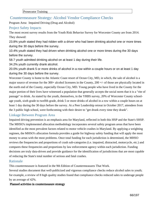# Countermeasure Strategy: Alcohol Vendor Compliance Checks

Program Area: Impaired Driving (Drug and Alcohol)

### Project Safety Impacts

The most recent survey results from the Youth Risk Behavior Survey for Worcester County are from 2014. They showed:

23.8% youth stated they had ridden with a driver who had been drinking alcohol one or more times during the 30 days before the survey.

10.4% youth stated they had driven when drinking alcohol one or more times during the 30 days before the survey.

58.7 youth admitted drinking alcohol on at least 1 day during their life.

34.2% youth currently drank alcohol.

20.0% youth drank 5 or more drinks of alcohol in a row within a couple hours or on at least 1 day during the 30 days before the survey.

Worcester County is home to the Atlantic Coast resort of Ocean City, MD, in which, the sale of alcohol is a major source of revenue for the 300+ alcohol licensees in the County, 200 +/- of those are physically located in the north end of the County, especially Ocean City, MD. Young people who have lived in the County for the major portion of their lives have witnessed a population that generally accepts the social norm that it is a "rite of passage" to drink. As stated by the youth, themselves, in the YRBS survey, 20% of Worcester County schoolage youth, sixth grade to twelfth grade, drink 5 or more drinks of alcohol in a row within a couple hours on at least 1 day during the 30 days before the survey. At a Peer Leadership retreat in October 2017, attendees from the 3 public high school, were forthcoming with their desire to "get drunk every time they drank".

# Linkage Between Program Area

Impaired driving prevention is an emphasis area for Maryland, reflected in both this HSP and the State's SHSP. The MHSO's implemented allocation methodology incorporates several safety program areas that have been identified as the most prevalent factors related to motor vehicle crashes in Maryland. By applying a weighting regimen, the MHSO's allocation formula provides a guide for highway safety funding that will apply the most money to areas with the most problems. Once total funding for each jurisdiction is determined, the MHSO reviews the frequencies and proportions of crash sub-categories (i.e. impaired, distracted, motorcycle, etc.) and compares these frequencies and proportions by law enforcement agency within each jurisdiction. Funding decisions are truly data-driven and provide guidance for the identification of jurisdictions that are most capable of reducing the State's total number of serious and fatal crashes.

### Rationale

This countermeasure is featured in the 9th Edition of Countermeasures That Work.

Several studies document that well-publicized and vigorous compliance checks reduce alcohol sales to youth; for example, a review of 8 high quality studies found that compliance checks reduced sales to underage people by an average of 42%.

#### Planned activities in countermeasure strategy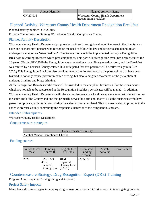| Unique Identifier | <b>Planned Activity Name</b>                                              |
|-------------------|---------------------------------------------------------------------------|
| GN 20-016         | <b>Worcester County Health Department</b><br><b>Recognition Breakfast</b> |

# Planned Activity: Worcester County Health Department Recognition Breakfast Planned activity number: GN 20-016

Primary Countermeasure Strategy ID: Alcohol Vendor Compliance Checks

# Planned Activity Description

Worcester County Health Department proposes to continue to recognize alcohol licensees in the County who have one or more staff persons who recognize the need to follow the law and refuse to sell alcohol to an underage cadet upon an "attempted buy". The Recognition would be implemented through a Recognition Breakfast, rewarding licensees which pass compliance. This particular recognition event has been executed for 18 years. (During FFY 2019 the Recognition was executed in a local library meeting room, and the Breakfast was catered by a licensed County caterer. It is anticipated that this practice will be followed again in FFY 2020.) This Recognition Breakfast also provides an opportunity to showcase the partnerships that have been fostered to not only reduce/prevent impaired driving, but also to heighten awareness of the prevention of underage drinking and binge drinking.

At the Recognition Breakfast certificates will be awarded to the compliant businesses. For those businesses which are not able to be represented at the Recognition Breakfast, certificates will be mailed. In addition, Worcester County Health Department will place advertisements in 2 local newspapers, one that primarily serves the south end of the County and one that primarily serves the north end, that will list the businesses who have passed compliance, with no failures, during the calendar year completed. This is a mechanism to promote to the entire Worcester County community the responsible behavior of the compliant businesses.

# Intended Subrecipients

Worcester County Health Department

Countermeasure strategies

| Countermeasure Strategy                 |
|-----------------------------------------|
| <b>Alcohol Vendor Compliance Checks</b> |
|                                         |

# Funding sources

| Source Fiscal<br>Year | Funding<br>Source ID                               | Eligible Use<br>of Funds                  | Estimated<br>Funding<br>Amount | Match<br>Amount | Local Benefit |
|-----------------------|----------------------------------------------------|-------------------------------------------|--------------------------------|-----------------|---------------|
| 2020                  | <b>FAST</b> Act<br>405d<br>Impaired<br>Driving Low | 405d<br>Impaired<br>Driving Low<br>(FAST) | \$2,953.50                     |                 |               |

Countermeasure Strategy: Drug Recognition Expert (DRE) Training

Program Area: Impaired Driving (Drug and Alcohol)

# Project Safety Impacts

Many law enforcement agencies employ drug recognition experts (DREs) to assist in investigating potential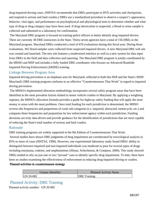drug-impaired driving cases. (NHTSA recommends that DREs participate in HVE activities and checkpoints, and respond to serious and fatal crashes.) DREs use a standardized procedure to observe a suspect's appearance, behavior, vital signs, and performance on psychophysical and physiological tests to determine whether and what type of drug or drug category may have been used. If drug intoxication is suspected, a blood or urine sample is collected and submitted to a laboratory for confirmation.

 The Maryland DRE program is focused on training police officers to better identify drug impaired drivers. There are currently 38 DRE instructors in the State. Thirty-seven agencies have a total of 156 DREs in the Maryland program. Maryland DREs conducted a total of 676 evaluations during this fiscal year. During those evaluations, 302 blood samples were collected from suspected impaired drivers. A new Maryland DRE web site was created and launched. The new site features a modernized interface as well as a new system for data input from DREs in the field and data collection and reporting. The Maryland DRE program is jointly coordinated by the MHSO and MSP and includes a fully funded DRE coordinator who focuses on Advanced Roadside Impaired Driving Enforcement (ARIDE) training.

#### Linkage Between Program Area

Impaired driving prevention is an emphasis area for Maryland, reflected in both this HSP and the State's SHSP. Maryland's DRE training program conforms to an effective "Countermeasures That Work" in regard to impaired driving prevention.

 The MHSO's implemented allocation methodology incorporates several safety program areas that have been identified as the most prevalent factors related to motor vehicle crashes in Maryland. By applying a weighting regimen, the MHSO's allocation formula provides a guide for highway safety funding that will apply the most money to areas with the most problems. Once total funding for each jurisdiction is determined, the MHSO reviews the frequencies and proportions of crash sub-categories (i.e. impaired, distracted, motorcycle, etc.) and compares these frequencies and proportions by law enforcement agency within each jurisdiction. Funding decisions are truly data-driven and provide guidance for the identification of jurisdictions that are most capable of reducing the State's total number of serious and fatal crashes.

### Rationale

DRE training programs are widely supported in the 9th Edition of Countermeasures That Work.

 Several studies have shown DRE judgments of drug impairment are corroborated by toxicological analysis in 85% or more of cases (NHTSA, 1996). However, one experimental laboratory study found DREs' ability to distinguish between impaired and non-impaired individuals was moderate to poor for several types of drugs including marijuana, codeine, and amphetamines (Shinar, Schechtman, & Compton, 2000). This study showed DREs tended to rely on just one or two "pivotal" cues to identify specific drug impairment. To date, there have been no studies examining the effectiveness of enforcement in reducing drug-impaired driving or crashes.

#### Planned activities in countermeasure strategy

| Unique Identifier | <b>Planned Activity Name</b> |
|-------------------|------------------------------|
| GN 20-082         | DRE Training                 |

# Planned Activity: DRE Training

Planned activity number: GN 20-082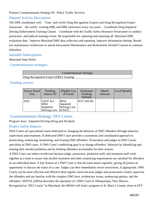Primary Countermeasure Strategy ID: Police Traffic Services

### Planned Activity Description

The DRE coordinator will: Train and certify Drug Recognition Experts and Drug Recognition Expert Instructors Re-certify existing DRE and DRE instructors every two years Coordinate Drug Impaired Driving Enforcement Training Classes Coordinate with the Traffic Safety Resource Prosecutors to conduct prosecutor and judicial training events Be responsible for capturing and reporting all Maryland DRE evaluation data Improve Maryland DRE data collection and reporting Improve information sharing Breath test maintenance technicians to attend Intoximeter Maintenance and Borkenstein Alcohol Courses to continue education.

#### Intended Subrecipients

#### Maryland State Police

Countermeasure strategies

| Countermeasure Strategy                |  |
|----------------------------------------|--|
| Drug Recognition Expert (DRE) Training |  |

#### Funding sources

| Source Fiscal<br>Year | Funding<br>Source ID                               | Eligible Use<br>of Funds                  | Estimated<br>Funding<br>Amount | Match<br>Amount | Local Benefit |
|-----------------------|----------------------------------------------------|-------------------------------------------|--------------------------------|-----------------|---------------|
| 2020                  | <b>FAST Act</b><br>405d<br>Impaired<br>Driving Low | 405d<br>Impaired<br>Driving Low<br>(FAST) | \$157,362.84                   |                 |               |

# Countermeasure Strategy: DUI Courts

Program Area: Impaired Driving (Drug and Alcohol)

# Project Safety Impacts

DWI Courts are specialized courts dedicated to changing the behavior of DWI offenders through intensive supervision and treatment. A dedicated DWI Court provides a systematic and coordinated approach to prosecuting, sentencing, monitoring, and treating DWI offenders. Prosecutors and judges in DWI Courts specialize in DWI cases. A DWI Court's underlying goal is to change offenders' behavior by identifying and treating their alcohol problems and by holding offenders accountable for their actions.

A DWI Court can reduce recidivism because judge, prosecutor, probation staff, and treatment staff work together as a team to assure that alcohol treatment and other sentencing requirements are satisfied for offenders on an individual basis. A key feature of a DWI Court is that the team meets regularly, giving all parties an opportunity to discuss the status of a case. Judges can then immediately revise restrictions, if appropriate. DWI Courts can be more efficient and effective than regular courts because judges and prosecutors closely supervise the offenders and are familiar with the complex DWI laws, evidentiary issues, sentencing options, and the offenders. NHTSA (2003a) describes the operation of a DWI Court in Albuquerque, New Mexico. Recognized as "DUI Courts" in Maryland, the MHSO will fund a program in St. Mary's County alone in FFY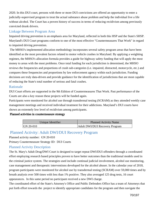2020. In this DUI court, persons with three or more DUI convictions are offered an opportunity to enter a judicially-supervised program to treat the actual substance abuse problem and help the individual live a life without alcohol. The Court has a proven history of success in terms of reducing recidivism among previously convicted drunk drivers.

### Linkage Between Program Area

Impaired driving prevention is an emphasis area for Maryland, reflected in both this HSP and the State's SHSP. Maryland's DUI Court programs conform to one of the most effective "Countermeasures That Work" in regard to impaired driving prevention.

 The MHSO's implemented allocation methodology incorporates several safety program areas that have been identified as the most prevalent factors related to motor vehicle crashes in Maryland. By applying a weighting regimen, the MHSO's allocation formula provides a guide for highway safety funding that will apply the most money to areas with the most problems. Once total funding for each jurisdiction is determined, the MHSO reviews the frequencies and proportions of crash sub-categories (i.e. impaired, distracted, motorcycle, etc.) and compares these frequencies and proportions by law enforcement agency within each jurisdiction. Funding decisions are truly data-driven and provide guidance for the identification of jurisdictions that are most capable of reducing the State's total number of serious and fatal crashes.

### Rationale

DUI Court efforts are supported in the 9th Edition of Countermeasures That Work. Past performance of the Courts are also a key reason these projects will be funded again.

Participants were monitored for alcohol use through transdermal testing (SCRAM) as they attended weekly case management meetings and received individual treatment for their addictions. Maryland's DUI courts have shown an extremely low level of recidivism among participants.

#### Planned activities in countermeasure strategy

| Unique Identifier | Planned Activity Name                 |  |  |
|-------------------|---------------------------------------|--|--|
| $ GN 20-010$      | <b>Adult DWI/DUI Recovery Program</b> |  |  |

# Planned Activity: Adult DWI/DUI Recovery Program

Planned activity number: GN 20-010

Primary Countermeasure Strategy ID: DUI Courts

# Planned Activity Description

The St. Mary's Adult Drug/DWI Court is designed to target repeat DWI/DUI offenders through a coordinated effort employing research based principles proven to have better outcomes than the traditional models used in the criminal justice system. The strategies used include continual judicial involvement, alcohol use monitoring, case management and therapeutic interventions developed for the alcohol abuser. In the calendar year of 2018, program participants were monitored for alcohol use by transdermal testing (SCRAM) over 59,000 times and by breath analysis over 500 times with less than 1% positive. They also averaged 125 drug tests, 16 court appearances. In this same period no participant received a new DWI charge.

The coordinated effort of the State's Attorney's Office and Public Defenders Office has a team of Attorneys that put forth effort towards the project to identify appropriate candidates for the program and then navigate the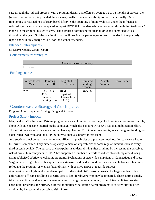case through the judicial process. With a program design that offers on average 12 to 18 months of service, the (repeat DWI offender) is provided the necessary skills to develop an ability to function normally. Once functioning is returned to a sobriety based lifestyle, the operating of motor vehicles under the influence is reduced significantly when compared to repeat DWI/DUI offenders who are processed through the "traditional" models in the criminal justice system. The number of offenders for alcohol, drug and combined varies throughout the year. St. Mary's Circuit Court will provide the percentages of each offender in the quarterly report and will only charge MSHO for the alcohol offenders.

#### Intended Subrecipients

St. Mary's County Circuit Court

Countermeasure strategies

|                   | <b>Countermeasure Strategy</b> |
|-------------------|--------------------------------|
| <b>DUI</b> Courts |                                |
|                   |                                |

#### Funding sources

| Source Fiscal<br>Year | Funding<br>Source ID                               | Eligible Use<br>of Funds                  | Estimated<br>Funding<br>Amount | Match<br>Amount | Local Benefit |
|-----------------------|----------------------------------------------------|-------------------------------------------|--------------------------------|-----------------|---------------|
| 2020                  | <b>FAST Act</b><br>405d<br>Impaired<br>Driving Low | 405d<br>Impaired<br>Driving Low<br>(FAST) | \$17,625.50                    |                 |               |

# Countermeasure Strategy: HVE - Impaired

Program Area: Impaired Driving (Drug and Alcohol)

# Project Safety Impacts

Maryland's HVE - Impaired Driving program consists of publicized sobriety checkpoints and saturation patrols, along with an extensive internal media campaign which also supports NHTSA's national mobilization effort. This effort consists of police agencies that have applied for MHSO overtime grants, as well as grant funding for a dedicated DUI team and the MHSO's internal media support for that team.

At a sobriety checkpoint, law enforcement officers stop vehicles at a predetermined location to check whether the driver is impaired. They either stop every vehicle or stop vehicles at some regular interval, such as every third or tenth vehicle. The purpose of checkpoints is to deter driving after drinking by increasing the perceived risk of arrest. In recent years, NHTSA has supported a number of efforts to reduce alcohol-impaired driving using publicized sobriety checkpoint programs. Evaluations of statewide campaigns in Connecticut and West Virginia involving sobriety checkpoints and extensive paid media found decreases in alcohol-related fatalities following the program, as well as fewer drivers with positive BACs at roadside surveys.

A saturation patrol (also called a blanket patrol or dedicated DWI patrol) consists of a large number of law enforcement officers patrolling a specific area to look for drivers who may be impaired. These patrols usually take place at times and locations where impaired driving crashes commonly occur. Like publicized sobriety checkpoint programs, the primary purpose of publicized saturation patrol programs is to deter driving after drinking by increasing the perceived risk of arrest.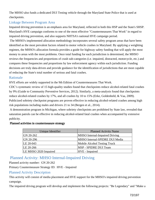The MHSO also funds a dedicated DUI Testing vehicle through the Maryland State Police that is used at checkpoints.

## Linkage Between Program Area

Impaired driving prevention is an emphasis area for Maryland, reflected in both this HSP and the State's SHSP. Maryland's HVE campaign conforms to one of the most effective "Countermeasures That Work" in regard to impaired driving prevention, and also supports NHTSA's national HVE campaign period.

 The MHSO's implemented allocation methodology incorporates several safety program areas that have been identified as the most prevalent factors related to motor vehicle crashes in Maryland. By applying a weighting regimen, the MHSO's allocation formula provides a guide for highway safety funding that will apply the most money to areas with the most problems. Once total funding for each jurisdiction is determined, the MHSO reviews the frequencies and proportions of crash sub-categories (i.e. impaired, distracted, motorcycle, etc.) and compares these frequencies and proportions by law enforcement agency within each jurisdiction. Funding decisions are truly data-driven and provide guidance for the identification of jurisdictions that are most capable of reducing the State's total number of serious and fatal crashes.

## Rationale

HVE efforts are widely supported in the 9th Edition of Countermeasures That Work.

CDC's systematic review of 15 high-quality studies found that checkpoints reduce alcohol-related fatal crashes by 9% (Guide to Community Preventive Services, 2012). Similarly, a meta-analysis found that checkpoints reduce alcohol-related crashes by 17%, and all crashes by 10 to 15% (Erke, Goldenbeld, & Vaa, 2009). Publicized sobriety checkpoint programs are proven effective in reducing alcohol-related crashes among high risk populations including males and drivers 21 to 34 (Bergen et al., 2014).

 A demonstration program in Michigan, where sobriety checkpoints are prohibited by State law, revealed that saturation patrols can be effective in reducing alcohol-related fatal crashes when accompanied by extensive publicity.

| Unique Identifier     | <b>Planned Activity Name</b>   |
|-----------------------|--------------------------------|
| GN 20-262             | MHSO Internal-Impaired Driving |
| GN 20-296             | MHSO Internal-SPIDRE DUI Media |
| LE 20-043             | Mobile Alcohol Testing Truck   |
| LE 20-266             | <b>MSP</b> - SPIDRE DUI Team   |
| LE MHSO 2020 Impaired | HVE - Impaired                 |

#### Planned activities in countermeasure strategy

## Planned Activity: MHSO Internal-Impaired Driving

Planned activity number: GN 20-262

Primary Countermeasure Strategy ID: HVE - Impaired

## Planned Activity Description

This activity will consist of media placement and HVE support for the MHSO's impaired driving prevention campaign.

The impaired driving program will develop and implement the following projects: "Be Legendary" and "Make a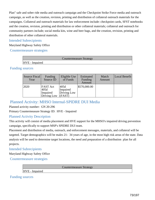Plan" safe and sober ride media and outreach campaign and the Checkpoint Strike Force media and outreach campaign, as well as the creation, revision, printing and distribution of collateral outreach materials for the campaigns. Collateral and outreach materials for law enforcement include: checkpoint cards, SFST notebooks and the creation, revision, printing and distribution or other collateral materials; collateral and outreach for community partners include; social media kits, wine and beer bags, and the creation, revision, printing and distribution of other collateral materials.

## Intended Subrecipients

Maryland Highway Safety Office

### Countermeasure strategies

|                | <b>Countermeasure Strategy</b> |  |
|----------------|--------------------------------|--|
| HVE - Impaired |                                |  |

## Funding sources

| Source Fiscal<br>Year | Funding<br>Source ID                               | Eligible Use<br>of Funds                  | Estimated<br>Funding<br>Amount | Match<br>Amount | Local Benefit |
|-----------------------|----------------------------------------------------|-------------------------------------------|--------------------------------|-----------------|---------------|
| 2020                  | <b>FAST Act</b><br>405d<br>Impaired<br>Driving Low | 405d<br>Impaired<br>Driving Low<br>(FAST) | \$570,000.00                   |                 |               |

## Planned Activity: MHSO Internal-SPIDRE DUI Media

Planned activity number: GN 20-296

Primary Countermeasure Strategy ID: HVE - Impaired

## Planned Activity Description

This activity will consist of media placement and HVE support for the MHSO's impaired driving prevention campaign, specifically to support MSP's SPIDRE DUI team.

Placement and distribution of media, outreach, and enforcement messages, materials, and collateral will be targeted. Target demographics will be males 21- 34 years of age, in the most high risk areas of the state. Data analysis will be used to determine target locations, the need and preparation of a distribution plan for all projects.

### Intended Subrecipients

Maryland Highway Safety Office

Countermeasure strategies

Countermeasure Strategy

HVE - Impaired

Funding sources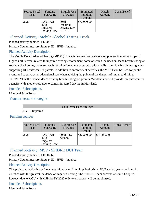| Source Fiscal<br>Year | <b>Funding</b><br>Source ID                        | Eligible Use<br>of Funds                  | Estimated<br>Funding<br>Amount | Match<br>Amount | Local Benefit |
|-----------------------|----------------------------------------------------|-------------------------------------------|--------------------------------|-----------------|---------------|
| 2020                  | <b>FAST Act</b><br>405d<br>Impaired<br>Driving Low | 405d<br>Impaired<br>Driving Low<br>(FAST) | \$70,000.00                    |                 |               |

## Planned Activity: Mobile Alcohol Testing Truck

Planned activity number: LE 20-043

Primary Countermeasure Strategy ID: HVE - Impaired

## Planned Activity Description

The Mobile Breath Alcohol Testing (MBAT) Truck is designed to serve as a support vehicle for any type of high visibility event related to impaired driving enforcement, some of which includes on-scene breath testing at sobriety checkpoints, increased visibility of enforcement of activity with readily accessible breath testing when supporting DUI enforcement patrols. In addition to enforcement activities, the MBAT can be used for public events and to serve as an educational tool when advising the public of the dangers of impaired driving. The MBAT will enhance MSP's existing breath testing program in Maryland and will provide law enforcement agencies with another resource to combat impaired driving in Maryland.

## Intended Subrecipients

### Maryland State Police

Countermeasure strategies

Countermeasure Strategy

HVE - Impaired

## Funding sources

| Source Fiscal<br>Year | Funding<br>Source ID                               | Eligible Use<br>of Funds | Estimated<br>Funding<br>Amount | Match<br>Amount | Local Benefit |
|-----------------------|----------------------------------------------------|--------------------------|--------------------------------|-----------------|---------------|
| 2020                  | <b>FAST</b> Act<br>405d<br>Impaired<br>Driving Low | $405d$ Low<br>Alcohol    | \$37,380.00                    | \$37,380.00     |               |

## Planned Activity: MSP - SPIDRE DUI Team

Planned activity number: LE 20-266

Primary Countermeasure Strategy ID: HVE - Impaired

## Planned Activity Description

This project is a selective enforcement initiative utilizing impaired driving HVE tactics year-round and in counties with the greatest incidence of impaired driving. The SPIDRE Team consists of seven troopers, however due to MOU with MSP for FY 2020 only two troopers will be reimbursed.

## Intended Subrecipients

Maryland State Police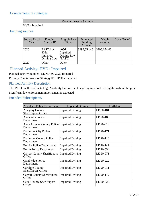## Countermeasure strategies

|                | Countermeasure Strategy |  |
|----------------|-------------------------|--|
| HVE - Impaired |                         |  |

## Funding sources

| Source Fiscal<br>Year | Funding<br>Source ID                               | Eligible Use<br>of Funds                  | Estimated<br><b>Funding</b><br>Amount | Match<br>Amount | Local Benefit |
|-----------------------|----------------------------------------------------|-------------------------------------------|---------------------------------------|-----------------|---------------|
| 2020                  | <b>FAST</b> Act<br>405d<br>Impaired<br>Driving Low | 405d<br>Impaired<br>Driving Low<br>(FAST) | \$296,654.46                          | \$296,654.46    |               |
| 2020                  | Other                                              | Other                                     |                                       |                 |               |

## Planned Activity: HVE - Impaired

Planned activity number: LE MHSO 2020 Impaired

Primary Countermeasure Strategy ID: HVE - Impaired

## Planned Activity Description

The MHSO will coordinate High Visibility Enforcement targeting impaired driving throughout the year. Significant law enforcement involvement is expected.

## Intended Subrecipients

| Aberdeen Police Department                                       | <b>Impaired Driving</b> | LE 20-154 |
|------------------------------------------------------------------|-------------------------|-----------|
| <b>Allegany County</b><br><b>Sheriffaposs Office</b>             | <b>Impaired Driving</b> | LE 20-181 |
| <b>Annapolis Police</b><br>Department                            | <b>Impaired Driving</b> | LE 20-180 |
| <b>Anne Arundel County Police Impaired Driving</b><br>Department |                         | LE 20-018 |
| <b>Baltimore City Police</b><br>Department                       | <b>Impaired Driving</b> | LE 20-171 |
| <b>Baltimore County Police</b><br>Department                     | <b>Impaired Driving</b> | LE 20-116 |
| <b>Bel Air Police Department</b>                                 | <b>Impaired Driving</b> | LE 20-149 |
| <b>Berlin Police Department</b>                                  | <b>Impaired Driving</b> | LE 20-054 |
| <b>Calvert County Sheriffaposs</b><br>Office                     | <b>Impaired Driving</b> | LE 20-071 |
| Cambridge Police<br>Department                                   | <b>Impaired Driving</b> | LE 20-222 |
| <b>Caroline County</b><br><b>Sheriffaposs Office</b>             | <b>Impaired Driving</b> | LE 20-011 |
| <b>Carroll County Sheriffaposs</b><br>Office                     | <b>Impaired Driving</b> | LE 20-142 |
| <b>Cecil County Sheriffaposs</b><br>Office                       | <b>Impaired Driving</b> | LE 20-026 |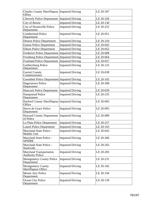| <b>Charles County Sheriffaposs Impaired Driving</b><br>Office |                         | LE 20-187 |
|---------------------------------------------------------------|-------------------------|-----------|
| <b>Cheverly Police Department</b>                             | <b>Impaired Driving</b> | LE 20-320 |
| City of Bowie                                                 | <b>Impaired Driving</b> | LE 20-130 |
| City of Hyattsville Police<br>Department                      | <b>Impaired Driving</b> | LE 20-252 |
| <b>Cumberland Police</b><br>Department                        | <b>Impaired Driving</b> | LE 20-051 |
| <b>Denton Police Department</b>                               | <b>Impaired Driving</b> | LE 20-310 |
| <b>Easton Police Department</b>                               | <b>Impaired Driving</b> | LE 20-042 |
| <b>Elkton Police Department</b>                               | <b>Impaired Driving</b> | LE 20-052 |
| Frederick Police Department Impaired Driving                  |                         | LE 20-008 |
| Frostburg Police Department Impaired Driving                  |                         | LE 20-064 |
| Fruitland Police Department   Impaired Driving                |                         | LE 20-027 |
| Gaithersburg Police<br>Department                             | <b>Impaired Driving</b> | LE 20-125 |
| <b>Garrett County</b><br>Commissioners                        | <b>Impaired Driving</b> | LE 20-038 |
| Greenbelt Police Department Impaired Driving                  |                         | LE 20-103 |
| <b>Hagerstown Police</b><br>Department                        | <b>Impaired Driving</b> | LE 20-308 |
| Hancock Police Department   Impaired Driving                  |                         | LE 20-059 |
| <b>Hampstead Police</b><br>Department                         | <b>Impaired Driving</b> | LE 20-235 |
| Harford County Sheriffaposs Impaired Driving<br>Office        |                         | LE 20-005 |
| Havre de Grace Police<br>Department                           | <b>Impaired Driving</b> | LE 20-095 |
| <b>Howard County Department Impaired Driving</b><br>of Police |                         | LE 20-089 |
| La Plata Police Department                                    | <b>Impaired Driving</b> | LE 20-257 |
| <b>Laurel Police Department</b>                               | <b>Impaired Driving</b> | LE 20-163 |
| Maryland State Police -<br>Mobile Unit                        | <b>Impaired Driving</b> | LE 20-043 |
| Maryland State Police -<br><b>SPIDRE</b>                      | <b>Impaired Driving</b> | LE 20-266 |
| Maryland State Police -<br>Statewide                          | <b>Impaired Driving</b> | LE 20-263 |
| <b>Maryland Transportation</b><br><b>Authority Police</b>     | <b>Impaired Driving</b> | LE 20-283 |
| <b>Montgomery County Police</b><br>Department                 | <b>Impaired Driving</b> | LE 20-231 |
| <b>Montgomery County</b><br><b>Sheriffaposs Office</b>        | <b>Impaired Driving</b> | LE 20-182 |
| <b>Mount Airy Police</b><br>Department                        | <b>Impaired Driving</b> | LE 20-194 |
| Ocean City Police<br>Department                               | <b>Impaired Driving</b> | LE 20-139 |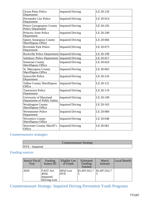| <b>Ocean Pines Police</b><br>Department                      | <b>Impaired Driving</b> | LE 20-120 |
|--------------------------------------------------------------|-------------------------|-----------|
| Pocomoke City Police<br>Department                           | <b>Impaired Driving</b> | LE 20-014 |
| <b>Prince Georgeaposs County</b><br><b>Police Department</b> | <b>Impaired Driving</b> | LE 20-245 |
| <b>Princess Anne Police</b><br>Department                    | <b>Impaired Driving</b> | LE 20-249 |
| <b>Queen Anneaposs County</b><br>Sheriffaposs Office         | <b>Impaired Driving</b> | LE 20-066 |
| <b>Riverdale Park Police</b><br>Department                   | <b>Impaired Driving</b> | LE 20-073 |
| Rockville Police Department Impaired Driving                 |                         | LE 20-199 |
| <b>Salisbury Police Department Impaired Driving</b>          |                         | LE 20-017 |
| <b>Somerset County</b><br>Sheriffaposs Office                | <b>Impaired Driving</b> | LE 20-024 |
| St. Maryaposs County<br>Sheriffaposs Office                  | <b>Impaired Driving</b> | LE 20-062 |
| <b>Sykesville Police</b><br>Department                       | <b>Impaired Driving</b> | LE 20-216 |
| <b>Talbot County Sheriffaposs</b><br>Office                  | <b>Impaired Driving</b> | LE 20-121 |
| <b>Taneytown Police</b><br>Department                        | <b>Impaired Driving</b> | LE 20-119 |
| University of Maryland<br>Department of Public Safety        | <b>Impaired Driving</b> | LE 20-109 |
| <b>Washington County</b><br>Sheriffaposs Office              | <b>Impaired Driving</b> | LE 20-165 |
| <b>Westminster Police</b><br>Department                      | <b>Impaired Driving</b> | LE 20-084 |
| <b>Wicomico County</b><br>Sheriffaposs Office                | <b>Impaired Driving</b> | LE 20-048 |
| <b>Worcester County Sheriff's</b><br>Office                  | <b>Impaired Driving</b> | LE 20-061 |

## Countermeasure strategies

| Countermeasure Strategy |  |
|-------------------------|--|
| HVE - Impaired          |  |

## Funding sources

| <b>Source Fiscal</b><br>Year | Funding<br>Source ID                               | Eligible Use<br>of Funds | Estimated<br>Funding<br>Amount              | Match<br>Amount | Local Benefit |
|------------------------------|----------------------------------------------------|--------------------------|---------------------------------------------|-----------------|---------------|
| 2020                         | <b>FAST Act</b><br>405d<br>Impaired<br>Driving Low | $405d$ Low<br><b>HVE</b> | $\vert$ \$1,697,022.7 $\vert$ \$1,697,022.7 |                 |               |

# Countermeasure Strategy: Impaired Driving Prevention Youth Programs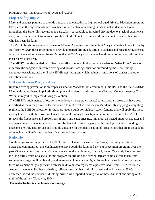#### Program Area: Impaired Driving (Drug and Alcohol)

## Project Safety Impacts

Maryland engages partners to provide outreach and education to high school-aged drivers. Education programs take place in the high schools and have been very effective at reaching thousands of students each year throughout the State. This age group is particularly susceptible to impaired driving due to a lack of experience and youth programs seek to motivate youth not to drink, not to drink and drive, and not to ride with a driver who has been drinking.

The MHSO funds presentations known as Alcohol Awareness for Students at Maryland high schools. Given by staff from WRAP, these presentations provide impaired driving education to students and raise their awareness of alcohol-related impairment issues. More than 4,000 Maryland students heard these presentations during the most recent grant year.

 The MHSO has also funded two other major efforts in local high schools: a variety of "After Prom" projects to minimize the dangers of impaired driving and provide lasting education surrounding those potentially dangerous occasions; and the "Every 15 Minutes" program which includes simulations of crashes and other education activities.

## Linkage Between Program Area

Impaired driving prevention is an emphasis area for Maryland, reflected in both this HSP and the State's SHSP. Maryland's youth-based impaired driving prevention efforts conforms to an effective "Countermeasures That Work" in regard to impaired driving prevention.

 The MHSO's implemented allocation methodology incorporates several safety program areas that have been identified as the most prevalent factors related to motor vehicle crashes in Maryland. By applying a weighting regimen, the MHSO's allocation formula provides a guide for highway safety funding that will apply the most money to areas with the most problems. Once total funding for each jurisdiction is determined, the MHSO reviews the frequencies and proportions of crash sub-categories (i.e. impaired, distracted, motorcycle, etc.) and compares these frequencies and proportions by law enforcement agency within each jurisdiction. Funding decisions are truly data-driven and provide guidance for the identification of jurisdictions that are most capable of reducing the State's total number of serious and fatal crashes.

## Rationale

Youth programs are supported in the 9th Edition of Countermeasures That Work, receiving two stars. States and communities have conducted extensive youth drinking-and-driving-prevention programs over the past 25 years. Youth programs of some type are conducted in most, if not all, states. One study has examined the long-term effects of a social norms program on drinking and driving. Breath samples were taken from students at a large public university as they returned home late at night. Following the social norms program, there was a marginally significant decrease in drivers who registered a positive BAC, from 15.3% to 10.8%. Among drivers who had been drinking, self-reported number of drinks consumed and measured BACs decreased, as did the number of drinking-drivers who reported having five or more drinks at one sitting on the night of the survey (Goodwin, 2004)

## Planned activities in countermeasure strategy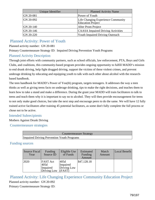| Unique Identifier | <b>Planned Activity Name</b>                                   |
|-------------------|----------------------------------------------------------------|
| GN 20-081         | Power of Youth                                                 |
| GN 20-092         | Life Changing Experience Community<br><b>Education Project</b> |
| GN 20-140         | After Prom Project                                             |
| GN 20-146         | <b>CAASA</b> Impaired Driving Activities                       |
| GN 20-220         | <b>Youth Impaired Driving Outreach</b>                         |

## Planned Activity: Power of Youth

Planned activity number: GN 20-081

Primary Countermeasure Strategy ID: Impaired Driving Prevention Youth Programs

## Planned Activity Description

Through joint efforts with community partners, such as school officials, law enforcement, PTA, Boys and Girls Clubs, and coalitions, this community-based program provides ongoing opportunity to fulfill MADD's mission to end drunk driving, help fight drugged driving, support the victims of these violent crimes, and prevent underage drinking by educating and equipping youth to talk with each other about alcohol with the researchbased handbook.

The teen handbook for MADD's Power of You(th) program, targets teenagers. It addresses the way a teen thinks as well as giving teens facts on underage drinking, tips to make the right decisions, and teaches them to learn how to take a stand and make a difference. During the grant year MADD will train facilitators to talk to teens and teach them why it is important to say no to alcohol. They will then provide encouragement for teens to not only make good choices, but take the next step and encourage peers to do the same. We will have 12 fully trained active facilitators after training 45 potential facilitators, as some don't fully complete the full process or chose not to be active.

## Intended Subrecipients

Mothers Against Drunk Driving

Countermeasure strategies

| Countermeasure Strategy                    |  |
|--------------------------------------------|--|
| Impaired Driving Prevention Youth Programs |  |

## Funding sources

| Source Fiscal<br>Year | Funding<br>Source ID                               | Eligible Use<br>of Funds                  | Estimated<br>Funding<br>Amount | Match<br>Amount | Local Benefit |
|-----------------------|----------------------------------------------------|-------------------------------------------|--------------------------------|-----------------|---------------|
| 2020                  | <b>FAST</b> Act<br>405d<br>Impaired<br>Driving Low | 405d<br>Impaired<br>Driving Low<br>(FAST) | \$47,128.18                    |                 |               |

Planned Activity: Life Changing Experience Community Education Project Planned activity number: GN 20-092

Primary Countermeasure Strategy ID: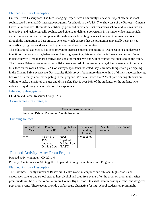## Planned Activity Description

Cinema Drive Description: The Life Changing Experiences Community Education Project offers the most sophisticated traveling 3D interactive programs for schools in the USA. The showcase of the Project is Cinema Drive, an innovative 90-minute scientifically grounded experience that transforms school auditoriums into an interactive and technologically sophisticated cinema to deliver a powerful 3-D narrative, video testimonials, and an audience interactive component through hand-held voting devices. Cinema Drive was developed through the integration of best practice science, which ensures that the program is universally relevant yet scientifically rigorous and sensitive to youth across diverse communities.

This educational experience has been proven to increase students intentions to wear seat belts and decrease intentions of unsafe driving behaviors such texting, speeding, driving under the influence, and more. Teens indicate they will make more positive decisions for themselves and will encourage their peers to do the same. The Cinema Drive program has an established track record of improving young driver awareness of the risks they face on the roads. Overall, 72% of survey respondents indicated they learn new things from participating in the Cinema Drive experience. Post activity field surveys found more than one third of drivers reported having behaved differently since participating in the program. We have shown that 23% of participating students are willing to make behavioral changes and drive safer. That is over 60% of the students, or the students who indicate risky driving behaviors before the experience.

### Intended Subrecipients

Children and Parent Resource Group, INC

Countermeasure strategies

| Countermeasure Strategy                           |  |
|---------------------------------------------------|--|
| <b>Impaired Driving Prevention Youth Programs</b> |  |

## Funding sources

| Source Fiscal<br>Year | Funding<br>Source ID                               | Eligible Use<br>of Funds                  | Estimated<br>Funding<br>Amount | Match<br>Amount | Local Benefit |
|-----------------------|----------------------------------------------------|-------------------------------------------|--------------------------------|-----------------|---------------|
| 2020                  | <b>FAST Act</b><br>405d<br>Impaired<br>Driving Low | 405d<br>Impaired<br>Driving Low<br>(FAST) | \$20,000.00                    |                 |               |

## Planned Activity: After Prom Project

Planned activity number: GN 20-140

Primary Countermeasure Strategy ID: Impaired Driving Prevention Youth Programs

## Planned Activity Description

The Baltimore County Bureau of Behavioral Health works in conjunction with local high schools and encourages parents and school staff to host alcohol and drug free events after the prom on prom night. After prom funds will be offered to 24 Baltimore County High Schools to assist them in hosting alcohol and drug-free post prom events. These events provide a safe, secure alternative for high school students on prom night.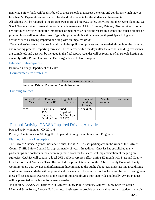Highway Safety funds will be distributed to those schools that accept the terms and conditions which may be less than 24. Expenditures will support food and refreshments for the students at these events.

All schools will be required to incorporate two approved highway safety activities into their event planning, e.g. Shock Trauma's video presentation, social media messages, AAA's Drinking, Driving, Disaster video or other pre-approved activities about the importance of making wise decisions regarding alcohol and other drug use on prom night as well as at other times. Typically, prom night is a time when youth participate in high-risk activities such as driving impaired or riding with an impaired driver.

 Technical assistance will be provided through the application process and, as needed, throughout the planning and reporting process. Reporting forms will be collected within ten days after the alcohol and drug free events are completed, and data will be included in the final report. Agendas will be required of all schools hosting an assembly. After Prom Planning and Event Agendas will also be required.

## Intended Subrecipients

Baltimore County Department of Health

Countermeasure strategies

| Countermeasure Strategy                    |
|--------------------------------------------|
| Impaired Driving Prevention Youth Programs |

## Funding sources

| Source Fiscal<br>Year | Funding<br>Source ID                               | Eligible Use<br>of Funds                  | Estimated<br>Funding<br>Amount | Match<br>Amount | Local Benefit |
|-----------------------|----------------------------------------------------|-------------------------------------------|--------------------------------|-----------------|---------------|
| 2020                  | <b>FAST Act</b><br>405d<br>Impaired<br>Driving Low | 405d<br>Impaired<br>Driving Low<br>(FAST) | \$10,500.00                    |                 |               |

## Planned Activity: CAASA Impaired Driving Activities

## Planned activity number: GN 20-146

Primary Countermeasure Strategy ID: Impaired Driving Prevention Youth Programs

## Planned Activity Description

The Calvert Alliance Against Substance Abuse, Inc. (CAASA) has participated in the work of the Calvert County Traffic Safety Council for approximately 18 years. In addition, CAASA has established many partnerships and contacts in the community that allows for the successful implementation of the program strategies. CAASA will conduct a local DUI public awareness effort during 3D month with State and County Law Enforcement Agencies. This effort includes a presentation before the Calvert County Board of County Commissioners with awards and information disseminated to the public about local and state impaired driving crashes and arrests. Media will be present and the event will be televised. A luncheon will be held to recognizes these offices and raise awareness to the issue of impaired driving both statewide and locally. Award plaques will be presented to the law enforcement awardees.

 In addition, CAASA will partner with Calvert County Public Schools, Calvert County Sheriff's Office, Maryland State Police, Barrack "U", and local businesses to provide educational outreach to students regarding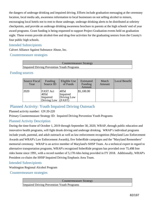the dangers of underage drinking and impaired driving. Efforts include graduation messaging at the ceremony location, local media ads, awareness information to local businesses on not selling alcohol to minors, encouraging local hotels not to rent to those underage, underage drinking alerts to be distributed at sobriety checkpoints, and provide an underage drinking awareness brochure to parents at the high schools' end of year award programs. Grant funding is being requested to support Project Graduation events held on graduation night. These events provide alcohol-free and drug-free activities for the graduating seniors from the County's four public high schools.

### Intended Subrecipients

Calvert Alliance Against Substance Abuse, Inc.

Countermeasure strategies

| Countermeasure Strategy                           |
|---------------------------------------------------|
| <b>Impaired Driving Prevention Youth Programs</b> |

## Funding sources

| Source Fiscal<br>Year | <b>Funding</b><br>Source ID                 | Eligible Use<br>of Funds                  | Estimated<br>Funding<br>Amount | Match<br>Amount | Local Benefit |
|-----------------------|---------------------------------------------|-------------------------------------------|--------------------------------|-----------------|---------------|
| 2020                  | FAST Act<br>405d<br>Impaired<br>Driving Low | 405d<br>Impaired<br>Driving Low<br>(FAST) | \$5,100.00                     |                 |               |

## Planned Activity: Youth Impaired Driving Outreach

### Planned activity number: GN 20-220

Primary Countermeasure Strategy ID: Impaired Driving Prevention Youth Programs

## Planned Activity Description

During the time-frame of October 1, 2019 through September 30, 2020, WRAP, through public education and innovative health programs, will fight drunk driving and underage drinking. WRAP's individual programs include youth, parental, and adult outreach as well as law enforcement recognition (Maryland Law Enforcement Awards and WRAP's Law Enforcement Awards), five SoberRide campaigns and the "Maryland Remembers" memorial ceremony. WRAP is an active member of Maryland's SHSP Team. As a technical expert in regard to alternative transportation programs, WRAP's recognized SoberRide program has provided over 75,498 free rides home since 1991, with a record number of 5,178 rides being provided in FY 2018. Additionally, WRAP's President co-chairs the SHSP Impaired Driving Emphasis Area Team.

## Intended Subrecipients

Washington Regional Alcohol Program

## Countermeasure strategies

Countermeasure Strategy

Impaired Driving Prevention Youth Programs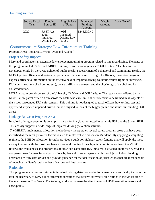## Funding sources

| Source Fiscal<br>Year | Funding<br>Source ID                               | Eligible Use<br>of Funds                  | Estimated<br>Funding<br>Amount | Match<br>Amount | Local Benefit |
|-----------------------|----------------------------------------------------|-------------------------------------------|--------------------------------|-----------------|---------------|
| 2020                  | <b>FAST</b> Act<br>405d<br>Impaired<br>Driving Low | 405d<br>Impaired<br>Driving Low<br>(FAST) | \$245,630.40                   |                 |               |

## Countermeasure Strategy: Law Enforcement Training

Program Area: Impaired Driving (Drug and Alcohol)

## Project Safety Impacts

Maryland coordinates an extensive law enforcement training program related to impaired driving. Elements of this program include SFST and ARIDE training, as well as a large-scale "DUI Institute." The Institute was developed jointly by the UMD School of Public Health's Department of Behavioral and Community Health, the MHSO, police officers, and national experts on alcohol-impaired driving. The 40-hour, in-service program exposes officers to information on the effectiveness of impaired driving countermeasures (ignition interlocks, DUI courts, sobriety checkpoints, etc.), police traffic management, and the physiology of alcohol and its abuse/addiction.

MCPA is again proud sponsor of the University Of Maryland DUI Institute. The registrations offered by the MCPA allow patrol officers from across the State who excel in DUI enforcement to be trained in all aspects of the issues surrounded DUI enforcement. This training is not designed to teach officers how to find, test and apprehend suspected impaired drivers, but is designed to look at the bigger picture and issues surrounding DUI arrest.

## Linkage Between Program Area

Impaired driving prevention is an emphasis area for Maryland, reflected in both this HSP and the State's SHSP. This activity supports a wide range of impaired driving prevention activities.

 The MHSO's implemented allocation methodology incorporates several safety program areas that have been identified as the most prevalent factors related to motor vehicle crashes in Maryland. By applying a weighting regimen, the MHSO's allocation formula provides a guide for highway safety funding that will apply the most money to areas with the most problems. Once total funding for each jurisdiction is determined, the MHSO reviews the frequencies and proportions of crash sub-categories (i.e. impaired, distracted, motorcycle, etc.) and compares these frequencies and proportions by law enforcement agency within each jurisdiction. Funding decisions are truly data-driven and provide guidance for the identification of jurisdictions that are most capable of reducing the State's total number of serious and fatal crashes.

## Rationale

This program encompasses training in impaired driving detection and enforcement, and specifically includes the training necessary to carry out enforcement operations that receive extremely high ratings in the 9th Edition of Countermeasures That Work. The training works to increase the effectiveness of HVE saturation patrols and checkpoints.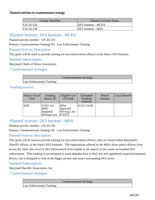#### Planned activities in countermeasure strategy

| Unique Identifier | <b>Planned Activity Name</b> |
|-------------------|------------------------------|
| GN 20-134         | DUI Institute - MCPA         |
| $ GN 20-136$      | DUI Institute - MSA          |

## Planned Activity: DUI Institute - MCPA

Planned activity number: GN 20-134

Primary Countermeasure Strategy ID: Law Enforcement Training

### Planned Activity Description

This grant will be used to provide training for law enforcement officers at the State's DUI Institute.

### Intended Subrecipients

Maryland Chiefs of Police Association

Countermeasure strategies

|                          | Countermeasure Strategy |
|--------------------------|-------------------------|
| Law Enforcement Training |                         |

## Funding sources

| Source Fiscal<br>Year | Funding<br>Source ID                               | Eligible Use<br>of Funds                  | Estimated<br>Funding<br>Amount | Match<br>Amount | Local Benefit |
|-----------------------|----------------------------------------------------|-------------------------------------------|--------------------------------|-----------------|---------------|
| 2020                  | <b>FAST Act</b><br>405d<br>Impaired<br>Driving Low | 405d<br>Impaired<br>Driving Low<br>(FAST) | \$135,110.00                   |                 |               |

## Planned Activity: DUI Institute - MSA

Planned activity number: GN 20-136

Primary Countermeasure Strategy ID: Law Enforcement Training

## Planned Activity Description

This grant will be used to provide training for law enforcement officers, who are based within Maryland's Sheriff's offices, at the State's DUI Institute. The registrations offered by the MSA allow patrol officers from across the State who excel in DUI enforcement to be trained in all aspects of the issues surrounded DUI enforcement. This training is not designed to teach deputies how to find, test and apprehend suspected impaired drivers, but is designed to look at the bigger picture and issues surrounding DUI arrest.

## Intended Subrecipients

Maryland Sheriffs' Association, Inc.

Countermeasure strategies

Countermeasure Strategy

Law Enforcement Training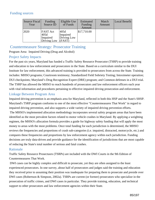## Funding sources

| Source Fiscal<br>Year | Funding<br>Source ID                               | Eligible Use<br>of Funds                  | Estimated<br>Funding<br>Amount | Match<br>Amount | Local Benefit |
|-----------------------|----------------------------------------------------|-------------------------------------------|--------------------------------|-----------------|---------------|
| 2020                  | <b>FAST Act</b><br>405d<br>Impaired<br>Driving Low | 405d<br>Impaired<br>Driving Low<br>(FAST) | \$17,710.00                    |                 |               |

## Countermeasure Strategy: Prosecutor Training

Program Area: Impaired Driving (Drug and Alcohol)

## Project Safety Impacts

For the past six years, Maryland has funded a Traffic Safety Resource Prosecutor (TSRP) to provide training and education to law enforcement and prosecutors in the State. Based on a curriculum similar to the DUI Institute for law enforcement, this advanced training is provided to prosecutors from across the State. Training includes: MHSO programs; Courtroom testimony; Standardized Field Sobriety Testing; Intoximeter operation; DUI checkpoints; Maryland's Drug Recognition Expert (DRE) program; and Common defenses in a DUI trial. The TSRP has allowed the MHSO to reach hundreds of prosecutors and law enforcement officers each year with vital information and procedures pertaining to effective impaired driving prosecution and enforcement.

## Linkage Between Program Area

Impaired driving prevention is an emphasis area for Maryland, reflected in both this HSP and the State's SHSP. Maryland's TSRP program conforms to one of the most effective "Countermeasures That Work" in regard to impaired driving prevention, and also supports a wide variety of impaired driving prevention efforts. The MHSO's implemented allocation methodology incorporates several safety program areas that have been identified as the most prevalent factors related to motor vehicle crashes in Maryland. By applying a weighting regimen, the MHSO's allocation formula provides a guide for highway safety funding that will apply the most money to areas with the most problems. Once total funding for each jurisdiction is determined, the MHSO reviews the frequencies and proportions of crash sub-categories (i.e. impaired, distracted, motorcycle, etc.) and compares these frequencies and proportions by law enforcement agency within each jurisdiction. Funding decisions are truly data-driven and provide guidance for the identification of jurisdictions that are most capable of reducing the State's total number of serious and fatal crashes.

## Rationale

Traffic Safety Resource Prosectuors (TSRPs) are included with the DWI Courts in the 9th Edition of Countermeasures That Work.

 DWI cases can be highly complex and difficult to prosecute, yet they are often assigned to the least experienced prosecutors. In one survey, about half of prosecutors and judges said the training and education they received prior to assuming their position was inadequate for preparing them to prosecute and preside over DWI cases (Robertson & Simpson, 2002a). TSRPs are current (or former) prosecutors who specialize in the prosecution of traffic crimes, and DWI cases in particular. They provide training, education, and technical support to other prosecutors and law enforcement agencies within their State.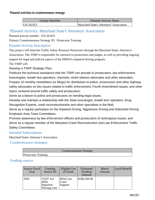#### Planned activities in countermeasure strategy

| Unique Identifier | Planned Activity Name                   |  |  |
|-------------------|-----------------------------------------|--|--|
| $ GN 20-023 $     | Maryland State's Attorneys' Association |  |  |

## Planned Activity: Maryland State's Attorneys' Association

Planned activity number: GN 20-023

Primary Countermeasure Strategy ID: Prosecutor Training

## Planned Activity Description

This project will fund the Traffic Safety Resource Prosecutor through the Maryland States Attorney's Association. The TSRP is responsible for outreach to prosecutors and judges, as well as providing ongoing support for legal and judicial aspects of the MHSO's impaired driving program. The TSRP will:

Develop a TSRP Strategic Plan;

Publicize the technical assistance that the TSRP can provide to prosecutors, law enforcement, toxicologists, breath test operators, chemists, victim-witness advocates and other advocates; Prepare 10 monthly newsletters (or Blogs) for distribution to police, prosecutors and other highway safety advocates on key issues related to traffic enforcement, Fourth Amendment issues, and other topics centered around traffic safety and prosecution;

Serve as a liaison to police and prosecutors on trending legal issues;

Develop and maintain a relationship with the State toxicologist, breath tech operators, Drug Recognition Experts, crash reconstructionists and other specialists in the field;

Serve as a regular participant on the Impaired Driving; Aggressive Driving and Distracted Driving Emphasis Area Team Committees;

Promote awareness by law enforcement officers and prosecutors of victimaposs issues; and Serve as a regular member of the Maryland Crash Reconstruction and Law Enforcement Traffic Safety Committees.

## Intended Subrecipients

Maryland States Attorney's Association

Countermeasure strategies

|                            | Countermeasure Strategy |  |
|----------------------------|-------------------------|--|
| <b>Prosecutor Training</b> |                         |  |

### Funding sources

| Source Fiscal<br>Year | Funding<br>Source ID                               | Eligible Use<br>of Funds       | Estimated<br>Funding<br>Amount | Match<br>Amount | Local Benefit |
|-----------------------|----------------------------------------------------|--------------------------------|--------------------------------|-----------------|---------------|
| 2020                  | <b>FAST</b> Act<br>405d<br>Impaired<br>Driving Low | $405d$ Low<br>Court<br>Support | \$188,269.00                   |                 |               |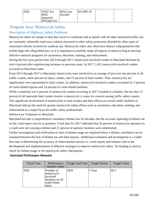| 12020 | <b>FAST Act</b><br>405d<br>Impaired<br>Driving Low | 405d Low<br>Alcohol | \$13,995.19 |  |  |
|-------|----------------------------------------------------|---------------------|-------------|--|--|
|-------|----------------------------------------------------|---------------------|-------------|--|--|

# Program Area: Motorcycle Safety

## Description of Highway Safety Problems

Motorcycle riders are unique in that they travel in conditions and at speeds with all other motorized traffic, but are extremely vulnerable road users without structural or other safety protection afforded by other types of motorized vehicles licensed for roadway use. Motorcycle riders also often have distinct subpopulations that exhibit high risk riding behaviors, so it is important to carefully study all aspects of motorcycling to develop effective outreach programs for awareness, education, training, and enforcement.

During the five-year period from 2013 through 2017, motorcycle-involved crashes in Maryland declined by over 6 percent after experiencing increases in previous years. In 2017, 1,451 motorcycle-involved crashes occurred on Maryland roads .

From 2013 through 2017 in Maryland, motorcycles were involved in an average of just over one percent of all traffic crashes, three percent of injury crashes, and 15 percent of fatal crashes. Thus, motorcycles are significantly over-represented in fatal crashes. In addition, motorcycle-involved crashes accounted for 3 percent of crash-related injuries and 14 percent of crash-related fatalities.

While a relatively low 6 percent of motorcycle crashes occurring in 2017 resulted in a fatality, the fact that 15 percent of all statewide fatal crashes involve a motorcycle is cause for concern among traffic safety experts. This significant involvement of motorcycles in fatal crashes and their effects on overall traffic fatalities in Maryland indicate the need for greater motorcycle safety efforts such as awareness, education, training, and enforcement as a major focus for traffic safety professionals.

Helmet-Law Violations in Maryland

Maryland has had a comprehensive mandatory helmet law for decades, but the accurate capturing of helmet use on the crash report may be in question. Crash data for 2017 indicated that 26 percent of motorcycle operators in a crash were not wearing a helmet and 21 percent of operator fatalities were unhelmeted.

Further investigation and verification of rates of helmet usage are required before a distinct correlation can be assumed between the lack of helmet use and fatal injuries. Additional evaluation and investigation is a viable first step in determining the accuracy of observational surveys vs. crash reports and remains vital to the development and implementation of effective strategies to improve motorcycle safety. No funding is used to check for helmet usage or for motorcycle safety checkpoints.

#### Associated Performance Measures

| <b>Fiscal Year</b> | Performance<br>measure name                                                        | Target End Year | <b>Target Period</b> | <b>Target Value</b> |
|--------------------|------------------------------------------------------------------------------------|-----------------|----------------------|---------------------|
| 2020               | Number of<br>motorcycle-<br>involved<br>fatalities on all<br>roads (State<br>data) | 2020            | 5 Year               | 60.2                |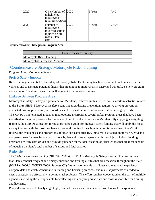| 2020 | $(C-8)$ Number of $ 2020$<br>unhelmeted<br>motorcyclist<br>fatalities (FARS)             |      | 5 Year | 7.40  |
|------|------------------------------------------------------------------------------------------|------|--------|-------|
| 2020 | Number of<br>motorcycle-<br>involved serious<br>injuries on all<br>roads (State<br>data) | 2020 | 5 Year | 248.9 |

#### Countermeasure Strategies in Program Area

| Countermeasure Strategy           |
|-----------------------------------|
| Motorcycle Rider Training         |
| Motorcyclist Safety and Awareness |

## Countermeasure Strategy: Motorcycle Rider Training

### Program Area: Motorcycle Safety

## Project Safety Impacts

Rider training is essential to the safety of motorcyclists. The training teaches operators how to maneuver their vehicles and to navigate potential threats that are unique to motorcyclists. Maryland will utilize a new program consisting of "mentored rides" that will augment existing rider training.

## Linkage Between Program Area

Motorcyclist safety is a key program area for Maryland, reflected in this HSP as well as certain activities related to the State's SHSP. Motorcyclist safety spans impaired driving prevention, aggressive driving prevention, distracted driving prevention, and coordinates closely with numerous national HVE campaign periods. The MHSO's implemented allocation methodology incorporates several safety program areas that have been identified as the most prevalent factors related to motor vehicle crashes in Maryland. By applying a weighting regimen, the MHSO's allocation formula provides a guide for highway safety funding that will apply the most money to areas with the most problems. Once total funding for each jurisdiction is determined, the MHSO reviews the frequencies and proportions of crash sub-categories (i.e. impaired, distracted, motorcycle, etc.) and compares these frequencies and proportions by law enforcement agency within each jurisdiction. Funding decisions are truly data-driven and provide guidance for the identification of jurisdictions that are most capable of reducing the State's total number of serious and fatal crashes.

## Rationale

The NAMS encourages training (NHTSA, 2000a). NHTSA's Motorcycle Safety Program Plan recommends that States conduct frequent and timely education and training at sites that are accessible throughout the State (NHTSA, 2006b). NCHRP (2008, Strategy C2) further recommends that States evaluate crash experience, compare data and crash scenarios with training and licensing practices, and make adjustments as needed to ensure practices are effectively targeting crash problems. This effort requires cooperation on the part of multiple agencies, including those responsible for collecting and analyzing crash data and those responsible for training and licensing.

Planned activities will closely align highly trained, experienced riders with those having less experience.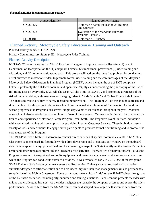#### Planned activities in countermeasure strategy

| Unique Identifier | <b>Planned Activity Name</b>                             |
|-------------------|----------------------------------------------------------|
| $ GN 20-229$      | Motorcycle Safety Education & Training<br>and Outreach   |
| $ GN 20-323$      | Evaluation of the Maryland BikeSafe<br>Program - Phase 2 |
| LE 20-101         | Motorcycle - BikeSafe                                    |

# Planned Activity: Motorcycle Safety Education & Training and Outreach

Planned activity number: GN 20-229

Primary Countermeasure Strategy ID: Motorcycle Rider Training

## Planned Activity Description

NHTSA's "Countermeasures that Work" lists four strategies to improve motorcyclist safety: 1) use of Department of Transportation (DOT) compliant helmets; (2) impairment prevention; (3) rider training and education; and (4) communications/outreach. This project will address the identified problem by conducting direct outreach to motorcycle riders to promote formal rider training and the core messages of the Maryland Motorcycle Safety (Education & Training) Program (MCSP), which include; the use of DOT compliant helmets, preferably the full-face/modular, and open-face/3/4, styles, incorporating the philosophy of the use of full riding gear on every ride, a.k.a. All The Gear All The Time (ATGATT), and promoting awareness of the risk of impaired riding with messages encouraging riders to "Ride Straight" and "Sober Riders Ride Longer". The goal is to create a culture of safety regarding motorcycling. The Program will do this though outreach and rider training. For this project rider outreach will be conducted at a minimum of four events. As the riding season progresses the Program adds several single-day events to its calendar throughout the year. Motorist outreach will also be conducted at a minimum of two of these events. Outreach activities will be conducted by trained and experienced Motorcycle Safety Program Event Staff. The Program's Event Staff are individuals with specialized training with an emphasis on providing Premier Customer Service. These individuals use a variety of tools and techniques to engage event participants to promote formal rider training and to promote the core messages of the Program.

The MCSP utilizes a Mobile Classroom to conduct direct outreach at special motorcycle events. The Mobile Classroom is an enclosed 18-foot trailer with a drop-down ramp and a "concession" window on the outboard side. It is wrapped in vinyl promotional graphics featuring a map of the State identifying the Program's training center and other messages promoting the Program's core activities. It serves two primary purposes: it gives the Program a means to transport and secure its equipment and materials at an event; and it serves as a base from which the Program can conduct its outreach activities. It was remodeled early in 2018. One of the Program's SMARTrainers (Safe Motorcyclist Awareness and Recognition Trainer) a scenario-based traffic situation simulator designed to attract attention and to help riders improve their road management skills, is permanently setup inside of the Mobile Classroom. Event participants take a virtual "ride" on the SMARTrainer through one of the 15 traffic scenarios, including city, suburban and touring situations. Each scenario presents the rider with unique and challenging hazards. As the rider navigates the scenario the computer assesses and scores the riders performance. A video feed from the SMARTrainer can be displayed on a large TV that can be seen from the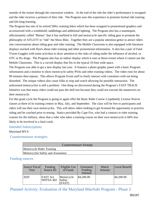outside of the trainer through the concession window. At the end of the ride the rider's performance is recapped and the rider receives a printout of their ride. The Program uses this experience to promote formal ride training and life-long learning.

The Program has one of its retired 500cc training bikes which has been wrapped in promotional graphics and accessorized with a windshield, saddlebags and additional lighting. The Program also has a mannequin, affectionately called "Manny" that it has outfitted in full and motorcycle specific riding gear to promote the philosophy of ATGATT to "ride" the Show Bike. Together they are a popular attention-getter to attract riders into conversations about riding gear and rider training. The Mobile Classroom is also equipped with literature displays stocked with flyers about rider training and other promotional information. It also has a pair of Fatal Vision Goggles with some activities to draw attention to the risks of riding under the influence of alcohol, or OTC or Rx drugs. The Program also has an indoor display which it uses at those events where it cannot use the Mobile Classroom. This is a curved display that fits in the typical 10-foot wide space.

The Program was able to get a new display last year. It features a photo graphic panel with a basic Program information and a monitor to show motorcycle safety PSAs and other training videos. The video runs for about 90 minutes then repeats. This allows Program Event staff to freely interact with customers with out being disturbed. The unique videos also cause folks to stop and watch allowing for possible interaction. The unlicensed motorcyclist is still a problem. One thing we discovered during the Program's FAST TRACK Initiative was that many riders could not pass the skill test because they could not execute the maneuvers on their motorcycle.

For this grant cycle the Program is going to again offer the Basic Rider Course 2 (updated); License Waiver classes at three of its training centers in May, July, and September. The class will be free to participants and riders will use their own motorcycles. This will allow riders looking to get licensed the opportunity to practice riding and be coached prior to testing. Statics provided By Cape Fox, who had a contract to rider training courses for the military, show that a rider who takes a training course on their own motorcycle is 60% less likely to be involved in a fatal crash.

## Intended Subrecipients

### Maryland MVA

### Countermeasure strategies

| Countermeasure Strategy           |
|-----------------------------------|
| Motorcycle Rider Training         |
| Motorcyclist Safety and Awareness |

## Funding sources

| <b>Source Fiscal</b><br>Year | Funding<br>Source ID         | Eligible Use<br>of Funds            | Estimated<br>Funding<br>Amount | Match<br>Amount | Local Benefit |
|------------------------------|------------------------------|-------------------------------------|--------------------------------|-----------------|---------------|
| 2020                         | <b>FAST Act</b><br>NHTSA 402 | Motorcycle<br>Safety<br><b>FAST</b> | \$4,200.00                     |                 | \$4,200.00    |

Planned Activity: Evaluation of the Maryland BikeSafe Program - Phase 2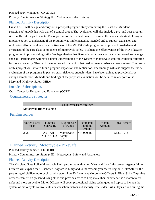## Planned activity number: GN 20-323 Primary Countermeasure Strategy ID: Motorcycle Rider Training

## Planned Activity Description

Crash CoRE will design and carry out a pre-/post-program study comparing the BikeSafe Maryland participants' knowledge with that of a control group. The evaluation will also include a pre- and post-program rider skills test for participants. The objectives of the evaluation are: Examine the scope and extent of program implementation to understand if the program was implemented as intended and to support expansion and replication efforts Evaluate the effectiveness of the MD BikeSafe program on improved knowledge and awareness of the core class components of motorcycle safety Evaluate the effectiveness of the MD BikeSafe program on improved riding skills We hypothesize that BikeSafe participants will show improved knowledge and skill. Participants will have a better understanding of the system of motorcycle control, collision causation factors and security. They will have improved rider skills that lead to fewer crashes and near-misses. The results of this project will inform future program expansion and replication. The findings will also support the future evaluation of the program's impact on crash risk once enough riders have been trained to provide a large enough sample size. Methods and findings of the proposed evaluation will be detailed in a report to the Maryland Highway Safety Office.

## Intended Subrecipients

Crash Center for Research and Education (CORE)

Countermeasure strategies

|                                  | Countermeasure Strategy |  |
|----------------------------------|-------------------------|--|
| <b>Motorcycle Rider Training</b> |                         |  |

## Funding sources

| Source Fiscal<br>Year | Funding<br>Source ID         | Eligible Use<br>of Funds       | Estimated<br>Funding<br>Amount | Match<br>Amount | Local Benefit |
|-----------------------|------------------------------|--------------------------------|--------------------------------|-----------------|---------------|
| 2020                  | <b>FAST</b> Act<br>NHTSA 402 | Motorcycle<br>Safety<br>(FAST) | \$13,970.18                    |                 | \$13,970.18   |

## Planned Activity: Motorcycle - BikeSafe

Planned activity number: LE 20-101

Primary Countermeasure Strategy ID: Motorcyclist Safety and Awareness

## Planned Activity Description

The Maryland State Police Motorcycle Unit, partnering with allied Maryland Law Enforcement Agency Motor Officers will expand the "BikeSafe" Program in Maryland to the Washington Metro Region. "BikeSafe" is the partnering of civilian motorcyclists with sworn Law Enforcement Motorcycle Officers in Rider Skills Days that offer assessment on present driving skills and provide advice to help make their experience as a motorcyclist safer and more enjoyable. Motor Officers will cover professional riding techniques and topics to include the system of motorcycle control, collision causation factors and security. The Rider Skills Days are run during the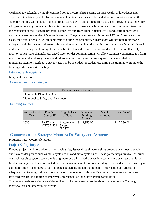week and at weekends, by highly qualified police motorcyclists passing on their wealth of knowledge and experience in a friendly and informal manner. Training locations will be held at various locations around the state, the training will include both classroom-based advice and on-road ride-outs. This program is designed for all types of motorcycles ranging from high powered performance machines or a smaller commuter bikes. For the expansion of the BikeSafe program, Motor Officers from allied Agencies will conduct training twice a month between the months of May to September. The goal is to have a minimum of 12 to 16 students in each class, for a total of 240 to 320 students trained during the second year. Instructors will promote motorcycle safety through the display and use of safety equipment throughout the training curriculum. As Motor Officers in uniform conducting this training, they are subject to law enforcement actions and will be able to effectively monitor police radio channels. Advanced rider to rider communication will allow seamless communication from instructor to student during the on-road ride-outs immediately correcting any rider behaviors that need immediate attention. Reflective ANSI vests will be provided for student use during the training to promote the training and enhance rider safety.

### Intended Subrecipients

#### Maryland State Police

### Countermeasure strategies

| Countermeasure Strategy           |  |  |  |  |
|-----------------------------------|--|--|--|--|
| Motorcycle Rider Training         |  |  |  |  |
| Motorcyclist Safety and Awareness |  |  |  |  |

#### Funding sources

| Source Fiscal<br>Year | Funding<br>Source ID         | Eligible Use<br>of Funds       | Estimated<br>Funding<br>Amount | Match<br>Amount | Local Benefit |
|-----------------------|------------------------------|--------------------------------|--------------------------------|-----------------|---------------|
| 2020                  | <b>FAST</b> Act<br>NHTSA 402 | Motorcycle<br>Safety<br>(FAST) | \$112,350.00                   |                 | \$112,350.00  |

## Countermeasure Strategy: Motorcyclist Safety and Awareness

### Program Area: Motorcycle Safety

## Project Safety Impacts

Funded projects will help address motorcycle safety issues through partnerships among government agencies and stakeholder groups such as motorcycle dealers and motorcycle clubs. These partnerships involve scheduled outreach activities geared toward reducing motorcycle-involved crashes in areas where crash rates are highest. Media campaigns will be coordinated to increase awareness of motorcycle safety issues and will use a variety of communications techniques to reach targeted audiences. In addition to public information and education, adequate rider training and licensure are major components of Maryland's efforts to decrease motorcycleinvolved crashes, in addition to improved enforcement of the State's traffic safety laws.

The State's goals are to improve rider skill and to increase awareness levels and "share the road" among motorcyclists and other vehicle drivers.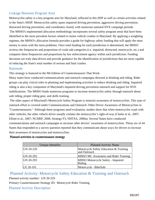## Linkage Between Program Area

Motorcyclist safety is a key program area for Maryland, reflected in this HSP as well as certain activities related to the State's SHSP. Motorcyclist safety spans impaired driving prevention, aggressive driving prevention, distracted driving prevention, and coordinates closely with numerous national HVE campaign periods.

 The MHSO's implemented allocation methodology incorporates several safety program areas that have been identified as the most prevalent factors related to motor vehicle crashes in Maryland. By applying a weighting regimen, the MHSO's allocation formula provides a guide for highway safety funding that will apply the most money to areas with the most problems. Once total funding for each jurisdiction is determined, the MHSO reviews the frequencies and proportions of crash sub-categories (i.e. impaired, distracted, motorcycle, etc.) and compares these frequencies and proportions by law enforcement agency within each jurisdiction. Funding decisions are truly data-driven and provide guidance for the identification of jurisdictions that are most capable of reducing the State's total number of serious and fatal crashes.

#### Rationale

This strategy is featured in the 9th Edition of Countermeasures That Work.

Many states have conducted communications and outreach campaigns directed at drinking and riding. Rider groups can play critical roles in planning and implementing activities to reduce drinking and riding. Impaired riding is also a key component of Maryland's impaired driving prevention outreach and support for HVE mobilizations. The MHSO funds numerous programs to increase motorcyclist safety through outreach about safe riding, proper riding gear, and skills training.

The other aspect of Maryland's Motorcycle Safety Program is motorist awareness of motorcyclists. This type of outreach effort is covered under Communications and Outreach: Other Driver Awareness of Motorcyclists in "Countermeasures." Although these programs need evaluation, studies show that when motorcycles crash with other vehicles, the other vehicle driver usually violates the motorcyclist's right-of-way (Clarke et al., 2007; Elliott et al., 2007; NCHRP, 2008, Strategy F3; NHTSA, 2000a). Several States have conducted communications and outreach campaigns to increase other drivers' awareness of motorcyclists. Thirty-six of 44 States that responded to a survey question reported that they communicate about ways for drivers to increase their awareness of motorcycles and motorcyclists.

#### Planned activities in countermeasure strategy

| Unique Identifier | <b>Planned Activity Name</b>                           |
|-------------------|--------------------------------------------------------|
| $ GN 20-229$      | Motorcycle Safety Education & Training<br>and Outreach |
| $ GN 20-292 $     | <b>MHSO MC Awareness and Rider Training</b>            |
| $ GN 20-293$      | MHSO Motorcycle Safety - Impaired<br>Riding            |
| $LE 20-101$       | Motorcycle - BikeSafe                                  |

Planned Activity: Motorcycle Safety Education & Training and Outreach Planned activity number: GN 20-229

Primary Countermeasure Strategy ID: Motorcycle Rider Training

Planned Activity Description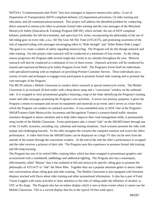NHTSA's "Countermeasures that Work" lists four strategies to improve motorcyclist safety: 1) use of Department of Transportation (DOT) compliant helmets; (2) impairment prevention; (3) rider training and education; and (4) communications/outreach. This project will address the identified problem by conducting direct outreach to motorcycle riders to promote formal rider training and the core messages of the Maryland Motorcycle Safety (Education & Training) Program (MCSP), which include; the use of DOT compliant helmets, preferably the full-face/modular, and open-face/3/4, styles, incorporating the philosophy of the use of full riding gear on every ride, a.k.a. All The Gear All The Time (ATGATT), and promoting awareness of the risk of impaired riding with messages encouraging riders to "Ride Straight" and "Sober Riders Ride Longer". The goal is to create a culture of safety regarding motorcycling. The Program will do this though outreach and rider training. For this project rider outreach will be conducted at a minimum of four events. As the riding season progresses the Program adds several single-day events to its calendar throughout the year. Motorist outreach will also be conducted at a minimum of two of these events. Outreach activities will be conducted by trained and experienced Motorcycle Safety Program Event Staff. The Program's Event Staff are individuals with specialized training with an emphasis on providing Premier Customer Service. These individuals use a variety of tools and techniques to engage event participants to promote formal rider training and to promote the core messages of the Program.

The MCSP utilizes a Mobile Classroom to conduct direct outreach at special motorcycle events. The Mobile Classroom is an enclosed 18-foot trailer with a drop-down ramp and a "concession" window on the outboard side. It is wrapped in vinyl promotional graphics featuring a map of the State identifying the Program's training center and other messages promoting the Program's core activities. It serves two primary purposes: it gives the Program a means to transport and secure its equipment and materials at an event; and it serves as a base from which the Program can conduct its outreach activities. It was remodeled early in 2018. One of the Program's SMARTrainers (Safe Motorcyclist Awareness and Recognition Trainer) a scenario-based traffic situation simulator designed to attract attention and to help riders improve their road management skills, is permanently setup inside of the Mobile Classroom. Event participants take a virtual "ride" on the SMARTrainer through one of the 15 traffic scenarios, including city, suburban and touring situations. Each scenario presents the rider with unique and challenging hazards. As the rider navigates the scenario the computer assesses and scores the riders performance. A video feed from the SMARTrainer can be displayed on a large TV that can be seen from the outside of the trainer through the concession window. At the end of the ride the rider's performance is recapped and the rider receives a printout of their ride. The Program uses this experience to promote formal ride training and life-long learning.

The Program has one of its retired 500cc training bikes which has been wrapped in promotional graphics and accessorized with a windshield, saddlebags and additional lighting. The Program also has a mannequin, affectionately called "Manny" that it has outfitted in full and motorcycle specific riding gear to promote the philosophy of ATGATT to "ride" the Show Bike. Together they are a popular attention-getter to attract riders into conversations about riding gear and rider training. The Mobile Classroom is also equipped with literature displays stocked with flyers about rider training and other promotional information. It also has a pair of Fatal Vision Goggles with some activities to draw attention to the risks of riding under the influence of alcohol, or OTC or Rx drugs. The Program also has an indoor display which it uses at those events where it cannot use the Mobile Classroom. This is a curved display that fits in the typical 10-foot wide space.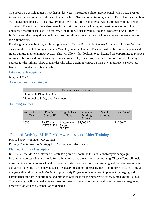The Program was able to get a new display last year. It features a photo graphic panel with a basic Program information and a monitor to show motorcycle safety PSAs and other training videos. The video runs for about 90 minutes then repeats. This allows Program Event staff to freely interact with customers with out being disturbed. The unique videos also cause folks to stop and watch allowing for possible interaction. The unlicensed motorcyclist is still a problem. One thing we discovered during the Program's FAST TRACK Initiative was that many riders could not pass the skill test because they could not execute the maneuvers on their motorcycle.

For this grant cycle the Program is going to again offer the Basic Rider Course 2 (updated); License Waiver classes at three of its training centers in May, July, and September. The class will be free to participants and riders will use their own motorcycles. This will allow riders looking to get licensed the opportunity to practice riding and be coached prior to testing. Statics provided By Cape Fox, who had a contract to rider training courses for the military, show that a rider who takes a training course on their own motorcycle is 60% less likely to be involved in a fatal crash.

### Intended Subrecipients

#### Maryland MVA

### Countermeasure strategies

| Countermeasure Strategy           |
|-----------------------------------|
| Motorcycle Rider Training         |
| Motorcyclist Safety and Awareness |

### Funding sources

| Source Fiscal<br>Year | Funding<br>Source ID         | Eligible Use<br>of Funds       | Estimated<br>Funding<br>Amount | Match<br>Amount | Local Benefit |
|-----------------------|------------------------------|--------------------------------|--------------------------------|-----------------|---------------|
| 2020                  | <b>FAST</b> Act<br>NHTSA 402 | Motorcycle<br>Safety<br>(FAST) | \$4,200.00                     |                 | \$4,200.00    |

## Planned Activity: MHSO MC Awareness and Rider Training

### Planned activity number: GN 20-292

Primary Countermeasure Strategy ID: Motorcycle Rider Training

## Planned Activity Description

In FY 2020 the MVA's Motorcycle Safety Program will continue the annual motorcycle campaign, incorporating messaging and media for both motorists awareness and rider training. These efforts will include mass media and other outreach and education efforts to increase both rider training and motorist awareness. Collateral materials may be developed as necessary to support these activities The motorcycle safety program manger will work with the MVA Motorcycle Safety Program to develop and implement messaging and components for both rider training and motorist awareness for the motorcycle safety campaign for FY 2020. The campaign will include the development of materials, media resources and other outreach strategies as necessary, as well as placement of paid media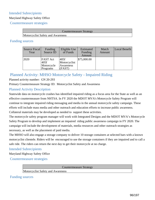## Intended Subrecipients

### Maryland Highway Safety Office

### Countermeasure strategies

Countermeasure Strategy

Motorcyclist Safety and Awareness

## Funding sources

| Source Fiscal<br>Year | Funding<br>Source ID                              | Eligible Use<br>of Funds                    | Estimated<br>Funding<br>Amount | Match<br>Amount | Local Benefit |
|-----------------------|---------------------------------------------------|---------------------------------------------|--------------------------------|-----------------|---------------|
| 2020                  | <b>FAST</b> Act<br>405f<br>Motorcycle<br>Programs | 405f<br>Motorcyclist<br>Awareness<br>(FAST) | \$75,000.00                    |                 |               |

## Planned Activity: MHSO Motorcycle Safety - Impaired Riding

### Planned activity number: GN 20-293

Primary Countermeasure Strategy ID: Motorcyclist Safety and Awareness

## Planned Activity Description

Statewide data on motorcycle crashes has identified impaired riding as a focus area for the State as well as an effective countermeasure from NHTSA. In FY 2020 the MDOT MVA's Motorcycle Safety Program will continue to integrate impaired riding messaging and media in the annual motorcycle safety campaign. These efforts will include mass media and other outreach and education efforts to increase public awareness. Collateral materials may be developed as needed to support these activities.

The motorcycle safety program manager will work with Integrated Designs and the MDOT MVA's Motorcycle Safety Program to develop and implement an impaired riding public awareness campaign in FY 2020. The campaign will include the development of materials, media resources and other outreach strategies as necessary, as well as the placement of paid media.

The MHSO will also engage a storage company to deliver 10 storage containers at selected bars with a known motorcyclist clientele. Riders will be encouraged to use the storage containers if they are impaired and to call a safe ride. The riders can return the next day to get their motorcycle at no charge.

## Intended Subrecipients

Maryland Highway Safety Office

Countermeasure strategies

Countermeasure Strategy

Motorcyclist Safety and Awareness

Funding sources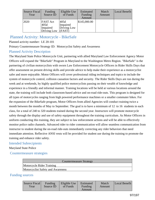| Source Fiscal<br>Year | Funding<br>Source ID                               | Eligible Use<br>of Funds                  | Estimated<br>Funding<br>Amount | Match<br>Amount | Local Benefit |
|-----------------------|----------------------------------------------------|-------------------------------------------|--------------------------------|-----------------|---------------|
| 2020                  | <b>FAST Act</b><br>405d<br>Impaired<br>Driving Low | 405d<br>Impaired<br>Driving Low<br>(FAST) | \$145,000.00                   |                 |               |

## Planned Activity: Motorcycle - BikeSafe

Planned activity number: LE 20-101

Primary Countermeasure Strategy ID: Motorcyclist Safety and Awareness

## Planned Activity Description

The Maryland State Police Motorcycle Unit, partnering with allied Maryland Law Enforcement Agency Motor Officers will expand the "BikeSafe" Program in Maryland to the Washington Metro Region. "BikeSafe" is the partnering of civilian motorcyclists with sworn Law Enforcement Motorcycle Officers in Rider Skills Days that offer assessment on present driving skills and provide advice to help make their experience as a motorcyclist safer and more enjoyable. Motor Officers will cover professional riding techniques and topics to include the system of motorcycle control, collision causation factors and security. The Rider Skills Days are run during the week and at weekends, by highly qualified police motorcyclists passing on their wealth of knowledge and experience in a friendly and informal manner. Training locations will be held at various locations around the state, the training will include both classroom-based advice and on-road ride-outs. This program is designed for all types of motorcycles ranging from high powered performance machines or a smaller commuter bikes. For the expansion of the BikeSafe program, Motor Officers from allied Agencies will conduct training twice a month between the months of May to September. The goal is to have a minimum of 12 to 16 students in each class, for a total of 240 to 320 students trained during the second year. Instructors will promote motorcycle safety through the display and use of safety equipment throughout the training curriculum. As Motor Officers in uniform conducting this training, they are subject to law enforcement actions and will be able to effectively monitor police radio channels. Advanced rider to rider communication will allow seamless communication from instructor to student during the on-road ride-outs immediately correcting any rider behaviors that need immediate attention. Reflective ANSI vests will be provided for student use during the training to promote the training and enhance rider safety.

### Intended Subrecipients

Maryland State Police

Countermeasure strategies

| Countermeasure Strategy           |  |
|-----------------------------------|--|
| Motorcycle Rider Training         |  |
| Motorcyclist Safety and Awareness |  |

### Funding sources

| Eligible Use<br>Source Fiscal<br>Funding<br>of Funds<br>Source ID<br>Year | Estimated<br>Funding<br>Amount | Match<br>Amount | Local Benefit |
|---------------------------------------------------------------------------|--------------------------------|-----------------|---------------|
|---------------------------------------------------------------------------|--------------------------------|-----------------|---------------|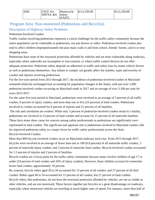| 2020 | <b>FAST</b> Act<br>NHTSA 402 Safety | Motorcycle<br>(FAST) | \$112,350.00 |  | \$112,350.00 |
|------|-------------------------------------|----------------------|--------------|--|--------------|
|------|-------------------------------------|----------------------|--------------|--|--------------|

## Program Area: Non-motorized (Pedestrians and Bicyclist) Description of Highway Safety Problems

#### Pedestrian-Involved Crashes

Traffic crashes involving pedestrians represent a critical challenge for the traffic safety community because the entire population can be vulnerable as pedestrians, not just drivers or riders. Pedestrian-involved crashes also tend to affect children disproportionately because many walk to and from school, friends' homes, and in or near shopping areas.

Pedestrians have none of the structural protection afforded by vehicles and are most vulnerable along roadways, especially where sidewalks are incomplete or non-existent, or where traffic control devices do not offer adequate protection. Pedestrian safety depends on adherence to traffic and safety laws by motor vehicle drivers as well as pedestrians themselves. Any failure to comply can greatly affect the number, types and severity of crashes and injuries involving pedestrians.

For the five-year period from 2013 through 2017, the incidence of pedestrian-involved crashes in Maryland remained relatively unchanged (not accounting for population changes in the State), with just over 3,400 pedestrian-involved crashes occurring on Maryland roads in 2017 and an average of over 3,100 per year for years 2013-2017.

For the same five-year period in Maryland, pedestrians were involved in an average of 3 percent of all traffic crashes, 8 percent of injury crashes, and more than one in five (23 percent) of fatal crashes. Pedestrians involved in crashes accounted for 6 percent of injuries and 21 percent of all fatalities.

The risk and correlation are evident: While only 3 percent of pedestrian-involved crashes result in a fatality, pedestrians are involved in 23 percent of fatal crashes and account for 21 percent of all statewide fatalities. These facts alone show cause for concern among safety professionals as pedestrians are significantly overrepresented in fatal crashes. The significant and apparent risk to pedestrians involved in Maryland crashes calls for improved pedestrian safety as a major focus for traffic safety professionals across the State. Bicycle-Involved Crashes

More than 800 bicycle-involved crashes occur on Maryland roadways each year. From 2013 through 2017, bicycles were involved in an average of fewer than one in 100 (0.8 percent) of all statewide traffic crashes, 2 percent of statewide injury crashes, and 2 percent of statewide fatal crashes. Bicycle-involved crashes accounted for 1.5 percent of injuries and 2 percent of fatalities.

Bicycle crashes are a focus point for the traffic safety community because many involve children of age 17 or under (24 percent of total crashes and 26% of injury crashes). However, those children account for somewhat fewer fatal crashes, approximately 18 percent.

By contrast, bicycle riders aged 20 to 24 accounted for 13 percent of all crashes, and 27 percent of all fatal crashes. Riders aged 40 to 54 accounted for 12 percent of all crashes, but 27 percent of fatal crashes. Bicycle riders, like pedestrians, do not have the structural protection afforded by vehicles, are not as visible as other vehicles, and are not motorized. These factors together put bicycles at a great disadvantage on roadways, especially where motorized vehicles are traveling at much higher rates of speed. For instance, more than half of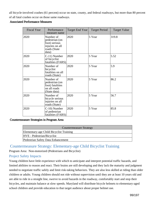all bicycle-involved crashes (61 percent) occur on state, county, and federal roadways, but more than 80 percent of all fatal crashes occur on those same roadways.

#### Associated Performance Measures

| <b>Fiscal Year</b> | Performance<br>measure name                                                              | Target End Year | <b>Target Period</b> | <b>Target Value</b> |
|--------------------|------------------------------------------------------------------------------------------|-----------------|----------------------|---------------------|
| 2020               | Number of<br>pedestrian (on<br>foot) serious<br>injuries on all<br>roads (State<br>data) | 2020            | 5 Year               | 319.8               |
| 2020               | C-11) Number<br>of bicyclist<br>fatalities (FARS)                                        | 2020            | 5 Year               | 5.52                |
| 2020               | Number of<br>bicyclist<br>fatalities on all<br>roads (State)                             | 2020            | 5 Year               | 5.9                 |
| 2020               | Number of<br>pedestrian (on<br>foot) fatalities<br>on all roads<br>(State data)          | 2020            | 5 Year               | 86.2                |
| 2020               | Number of<br>bicycle serious<br>injuries on all<br>roads (State)                         | 2020            | 5 Year               | 56.7                |
| 2020               | C-10) Number<br>of pedestrian<br>fatalities (FARS)                                       | 2020            | 5 Year               | 85.8                |

#### Countermeasure Strategies in Program Area

| <b>Countermeasure Strategy</b>          |  |  |
|-----------------------------------------|--|--|
| Elementary-age Child Bicyclist Training |  |  |
| HVE - Pedestrian/Bicyclist              |  |  |
| Pedestrian Safety Data Enhancement      |  |  |

## Countermeasure Strategy: Elementary-age Child Bicyclist Training

Program Area: Non-motorized (Pedestrians and Bicyclist)

## Project Safety Impacts

Young children have little experience with which to anticipate and interpret potential traffic hazards, and limited abilities to reason and react. Their brains are still developing and they lack the maturity and judgment needed to negotiate traffic safely and limit risk-taking behaviors. They are also less skilled at riding than older children or adults. Young children should not ride without supervision until they are at least 10 years old and are able to ride in a straight line, swerve to avoid hazards in the roadway, comfortably start and stop their bicycles, and maintain balance at slow speeds. Maryland will distribute bicycle helmets to elementary-aged school children and provide education to that target audience about proper helmet use.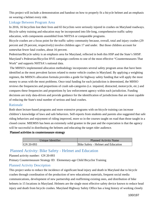This project will include a demonstration and handout on how to properly fit a bicycle helmet and an emphasis on wearing a helmet every ride.

## Linkage Between Program Area

In 2016, 16 bicyclists lost their lives and 65 bicyclists were seriously injured in crashes on Maryland roadways. Bicycle safety training and education may be incorporated into life-long, comprehensive traffic safety education, with components assembled from NHTSA or comparable programs.

Bicycle crashes are a focus point for the traffic safety community because, overall, total and injury crashes (29 percent and 29 percent, respectively) involve children ages 17 and under. But those children account for somewhat fewer fatal crashes, about 16 percent.

Pedestrian/Bicycle safety is an emphasis area for Maryland, reflected in both this HSP and the State's SHSP. Maryland's Pedestrian/Bicyclist HVE campaign confirms to one of the most effective "Countermeasures That Work" and supports NHTSA's national data.

 The MHSO's implemented allocation methodology incorporates several safety program areas that have been identified as the most prevalent factors related to motor vehicle crashes in Maryland. By applying a weighting regimen, the MHSO's allocation formula provides a guide for highway safety funding that will apply the most money to areas with the most problems. Once total funding for each jurisdiction is determined, the MHSO reviews the frequencies and proportions of crash sub-categories (i.e. impaired, distracted, motorcycle, etc.) and compares these frequencies and proportions by law enforcement agency within each jurisdiction. Funding decisions are truly data-driven and provide guidance for the identification of jurisdictions that are most capable of reducing the State's total number of serious and fatal crashes.

### Rationale

Both short lecture-based programs and more extensive programs with on-bicycle training can increase children's knowledge of laws and safe behaviors. Self-reports from students and parents also suggested that safe riding behaviors and enjoyment of riding improved, more so in the courses taught on road than those taught in a closed course. MIEMSS has been an extremely solid grantee in the past and the expectation is that the agency will be successful in distributing the helmets and educating the target rider audience.

### Planned activities in countermeasure strategy

| Unique Identifier |              | Planned Activity Name              |  |  |
|-------------------|--------------|------------------------------------|--|--|
|                   | $ GN 20-093$ | Bike Safety - Helmet and Education |  |  |

## Planned Activity: Bike Safety - Helmet and Education

Planned activity number: GN 20-093

Primary Countermeasure Strategy ID: Elementary-age Child Bicyclist Training

## Planned Activity Description

This project seeks to reduce the incidence of significant head injury and death in Maryland due to bicycle crashes through coordination of the production of new educational materials, frequent social media communications, development of new partnership and reaffirming existing ones, and distribution of bike helmets in 15 locations in Maryland. Helmets are the single most effective safety device known to reduce head injury and death from bicycle crashes. Maryland Highway Safety Office has a long history of working closely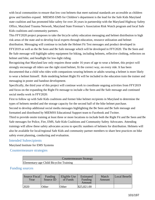with local communities to ensure that low cost helmets that meet national standards are accessible as children grow and families expand. MIEMSS EMS for Children's department is the lead for the Safe Kids Maryland state coalition and has promoted bike safety for over 26 years in partnership with the Maryland Highway Safety Office, Maryland Trauma Network, Maryland State Fireman's Association Risk Watch program and local Safe Kids coalitions and community partners.

This FFY2020 project proposes to take the bicycle safety education messaging and helmet distribution to high risk areas of the state and to develop local experts through education, resource utilization and helmet distribution. Messaging will continue to include the Helmet Fit Test messages and product developed in FFY2019 as well as the Be Seen and Be Safe message which will be developed in FFY2020. The Be Seen and Be Safe message will highlight safety equipment for biking, including helmets, reflective clothing, reflectors on helmet and bike, and headlight for low-light riding.

Recognizing that Maryland law only requires those under 16 years of age to wear a helmet, this project will strongly encourage all riders use the right sized helmet, fit the correct way, on every ride. It has been documented that a child who rides with companions wearing helmets or adults wearing a helmet is more likely to wear a helmet himself. Role modeling helmet Right Fit will be included in the education train the trainer and messaging in poster and handout development.

Specifically, the third year of this project will continue work to coordinate ongoing activities from FFY2019 and focus on the expanding the Right Fit message to include a Be Seen and Be Safe message and continued social media work in FFY2020:

First to follow up with Safe Kids coalitions and former bike helmet recipients in Maryland to determine the types of helmets needed and the storage capacity for the second half of the bike helmet purchase.

Second to develop additional social media messages highlighting the Be Seen and Be Safe message and formatted and distributed by MIEMSS Educational Support team to Facebook and Twitter.

Third to provide onsite training at least three or more locations to include both the Right Fit and Be Seen and Be Safe messages for Police, Fire, EMS, Safe Kids Coalitions and Community Safety Advocates. Attending trainings will allow these safety advocates access to specific numbers of helmets for distribution. Helmets will also be available for local/regional Safe Kids and community partner members to share best practices on bike safety event planning, conducting and evaluation.

### Intended Subrecipients

Maryland Institute for EMS Systems

Countermeasure strategies

| Countermeasure Strategy                 |
|-----------------------------------------|
| Elementary-age Child Bicyclist Training |

### Funding sources

| Source Fiscal<br>Year | Funding<br>Source ID | Eligible Use<br>of Funds | Estimated<br>Funding<br>Amount | Match<br>Amount | Local Benefit |
|-----------------------|----------------------|--------------------------|--------------------------------|-----------------|---------------|
| 12020                 | Other                | Other                    | \$25,821.00                    |                 |               |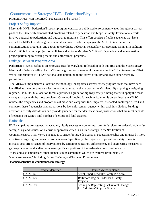## Countermeasure Strategy: HVE - Pedestrian/Bicyclist

Program Area: Non-motorized (Pedestrians and Bicyclist)

## Project Safety Impacts

Maryland's HVE - Pedestrian/Bicyclist program consists of publicized enforcement waves throughout various parts of the State with demonstrated problems related to pedestrian and bicyclist safety. Educational efforts involve outreach to pedestrians and outreach to motorists. This effort consists of police agencies that have applied for MHSO overtime grants, several statewide media campaigns, the MHSO's internal media communications programs, and a grant to coordinate pedestrian-related law enforcement training. In addition, the MHSO is funding a project to publicize and enforce Maryland's "3 Foot" bicycle law and an evaluation project pertaining to existing media and enforcement programs.

## Linkage Between Program Area

Pedestrian/Bicyclist safety is an emphasis area for Maryland, reflected in both this HSP and the State's SHSP. Maryland's Pedestrian/Bicyclist HVE campaign conforms to one of the most effective "Countermeasures That Work" and supports NHTSA's national data pertaining to the extent of injury and death experienced by pedestrians.

 The MHSO's implemented allocation methodology incorporates several safety program areas that have been identified as the most prevalent factors related to motor vehicle crashes in Maryland. By applying a weighting regimen, the MHSO's allocation formula provides a guide for highway safety funding that will apply the most money to areas with the most problems. Once total funding for each jurisdiction is determined, the MHSO reviews the frequencies and proportions of crash sub-categories (i.e. impaired, distracted, motorcycle, etc.) and compares these frequencies and proportions by law enforcement agency within each jurisdiction. Funding decisions are truly data-driven and provide guidance for the identification of jurisdictions that are most capable of reducing the State's total number of serious and fatal crashes.

## Rationale

HVE campaigns are a generally accepted, highly successful countermeasure. As it relates to pedestrian/bicyclist safety, Maryland focuses on a corridor approach which is a 4-star strategy in the 9th Edition of Countermeasures That Work. The idea is to strive for large decreases in pedestrian crashes and injuries by more effectively targeting resources to problem areas. Specifically, the objective of pedestrian safety zones is to increase cost-effectiveness of interventions by targeting education, enforcement, and engineering measures to geographic areas and audiences where significant portions of the pedestrian crash problem exist. Maryland also emphasizes other elements in its campaigns which are featured prominently in "Countermeasures," including Driver Training and Targeted Enforcement.

Planned activities in countermeasure strategy

| Unique Identifier | <b>Planned Activity Name</b>                                               |
|-------------------|----------------------------------------------------------------------------|
| GN 20-046         | <b>Street Smart Ped/Bike Safety Program</b>                                |
| GN 20-079         | <b>Baltimore Region Pedestrian Safety</b><br>Projects                      |
| GN 20-189         | Scaling & Replicating Behavioral Change<br>for Pedestrian/Bicyclist Safety |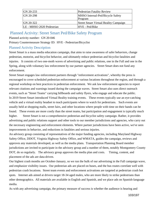| GN 20-233                 | Pedestrian Fatality Review                   |
|---------------------------|----------------------------------------------|
| GN 20-298                 | MHSO Internal-Ped/Bicycle Safety<br>Program  |
| GN 20-322                 | <b>Street Smart Virtual Reality Campaign</b> |
| LE - MHSO 2020 Pedestrian | HVE - Ped/Bike                               |

## Planned Activity: Street Smart Ped/Bike Safety Program

Planned activity number: GN 20-046

Primary Countermeasure Strategy ID: HVE - Pedestrian/Bicyclist

## Planned Activity Description

Street Smart is a mass media education campaign, that aims to raise awareness of safer behaviors, change pedestrian, motorist, and bicyclist behavior, and ultimately reduce pedestrian and bicyclist fatalities and injuries. It consists of two one-moth waves of advertising and public relations, one in the Fall and one in the Spring, along with voluntary law enforcement by our partner agencies. Street Smart does not fund any enforcement.

Street Smart engages law enforcement partners through "enforcement activations", whereby the press is encouraged to cover scheduled pedestrian enforcement at various locations throughout the region, and through a regional workshop on best practices in pedestrian enforcement. We ask law enforcement agencies to report relevant citations and warnings issued during the campaign waves. Street Smart also uses direct outreach events, such as "Street Teams" carrying billboards and safety flyers, who engage and educate the public. In 2019 Street Smart introduced Virtual Reality training events. These events typically use an eye-catching vehicle and a virtual reality headset to teach participants where to watch for pedestrians. Such events are usually held at shopping malls, street fairs, and other locations where people with time on their hands can be found. These events are more costly than the street teams, but participation and engagement is typically much higher. Street Smart is not a comprehensive pedestrian and bicyclist safety campaign. Rather, it provides advertising and public relations support and other tools to our member jurisdictions and agencies, who carry out the necessary engineering and enforcement elements. Where partner jurisdictions have been active, we've seen improvements in behavior, and reductions in fatalities and serious injuries.

An advisory group consisting of representatives of the major funding agencies, including Maryland Highway Safety Office, DDOT, Virginia Highway Safety Office, and WMATA, guides the campaign, reviews and approves any materials developed, as well as the media plans. Transportation Planning Board member jurisdictions are invited to participate in the advisory group and a number of them, notably Montgomery County DOT, do so regularly. The advisory group approves the media plan and costs. Timing, content, and placement of the ads are data-driven.

Our highest crash months are October-January, so we run the bulk of our advertising in the Fall campaign wave, and emphasize visibility issues. Our pedestrian ads are placed on buses, and the bus routes correlate well with pedestrian crash locations. Street team events and enforcement activations are targeted at pedestrian crash hot spots. Internet ads aimed at drivers target 18-34 aged males, who are more likely to strike pedestrians than other demographics. All materials are available in English and Spanish, and we place ads on Spanish-language media.

As with any advertising campaign, the primary measure of success is whether the audience is hearing and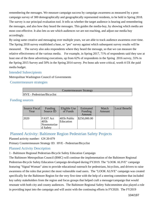remembering the messages. We measure campaign success by campaign awareness as measured by a postcampaign survey of 300 demographically and geographically represented residents, to be held in Spring 2018. The survey is our principal evaluation tool. It tells us whether the target audience is hearing and remembering the messages, and also how they heard the messages. This guides the media-buy, by showing which media are most cost-effective. It also lets us see which audiences we are not reaching, and adjust our media buy accordingly.

By using same creative and messaging over multiple years, we are able to track audience awareness over time. The Spring 2018 survey established a base, or "pre" survey against which subsequent survey results will be measured. The survey also asks respondents where they heard the message, so that we can measure the relative effectiveness of the various media. For example, in Spring 2017, 71% of respondents said they saw at least one of the three advertising executions, up from 62% of respondents in the Spring 2016 survey, 55% in the Spring 2015 Survey and 50% in the Spring 2014 survey. Pro bono ads were critical, worth 4-5X the paid media budget.

## Intended Subrecipients

Metropolitan Washington Council of Governments

Countermeasure strategies

|                                   | Countermeasure Strategy |  |
|-----------------------------------|-------------------------|--|
| <b>HVE</b> - Pedestrian/Bicyclist |                         |  |

## Funding sources

| Source Fiscal<br>Year | Funding<br>Source ID                                | Eligible Use<br>of Funds | Estimated<br>Funding<br>Amount | Match<br>Amount | Local Benefit |
|-----------------------|-----------------------------------------------------|--------------------------|--------------------------------|-----------------|---------------|
| 2020                  | <b>FAST</b> Act<br>l405h<br>Nonmotorize<br>d Safety | 405h Public<br>Education | \$250,000.00                   |                 |               |

## Planned Activity: Baltimore Region Pedestrian Safety Projects

Planned activity number: GN 20-079

Primary Countermeasure Strategy ID: HVE - Pedestrian/Bicyclist

## Planned Activity Description

1 - Baltimore Regional Pedestrian-Bicycle Safety Education Campaign

The Baltimore Metropolitan Council (BMC) will continue the implementation of the Baltimore Regional Pedestrian-Bicycle Safety Education Campaign developed during FY2019. The "LOOK ALIVE" campaign featuring "Signal Woman" aims to provide educational outreach for pedestrians, bicyclists, and drivers to raise awareness of the rules that protect the most vulnerable road users. The "LOOK ALIVE" campaign was created specifically for the Baltimore Region for the very first time with the help of a steering committee that included key safety stakeholders from the region and focus groups that helped craft a message/campaign that would resonate with both city and county audiences. The Baltimore Regional Safety Subcommittee also played a role in providing input into the campaign and will assist with the continuing efforts in FY2020. The FY2019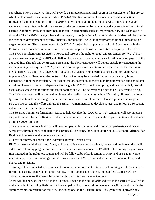consultant, Sherry Matthews, Inc., will provide a strategic plan and final report at the conclusion of that project which will be used to best target efforts in FY2020. The final report will include a thorough evaluation following the implementation of the FY2019 creative campaign in the form of surveys aimed at the target audience to determine the level of awareness and effectiveness of the campaign and any associated behavioral change. Additional evaluation may include media-related metrics such as impressions, hits, and webpage clickthroughs. The FY2019 strategic plan and final report, in conjunction with crash and citation data, will be used in the continued development of creative materials throughout FY2020 to identify any additional messaging or target populations. The primary focus of this FY2020 project is to implement the Look Alive creative in the Baltimore media market, so minor creative revisions are possible will not constitute a majority of the effort. The BMC consultant contract states 'The Council reserves the right to renew this Agreement for two (2) oneyear extensions beginning in 2019 and 2020, on the same terms and conditions set forth herein' on page 2 of the attached file. Through this contractual agreement, the BMC contractor will be responsible for conducting the media planning and buys in FY2020; the contractor has proven connections and experience in the Baltimore media market (see attached). Page 7, Section 3 of the attached RFP, clearly authorizes Sherry Matthews to implement Media Plans under the contract: The contract may be extended for no more than two, 1-year extensions, if funding is available. Contract extensions may include media plan implementation and any related activities. There will be two independent campaigns in FY2020, one in the Spring and one in the Fall, that will each last six weeks and locations and target populations will be determined using the FY2019 strategic plan. The BMC contractor will design and implement the media campaign to include TV, radio, billboard, and other types of traditional media along with online and social media. A 30-second video was produced during the FY2019 project and this effort will use the Signal Woman material to develop at least one follow-up 30-second video to supplement the campaign.

The Steering Committee formed in FY2019 to help develop the "LOOK ALIVE" campaign will stay in place and, with support from the Regional Safety Subcommittee, continue to guide the implementation and evaluation of the FY2020 campaign.

The education and outreach efforts will be accompanied by increased enforcement of pedestrian and driver safety laws through the second part of this proposal. The campaign will cover the entire Baltimore Metropolitan Region and be made available to state partners.

2 - Law Enforcement Training for Pedestrian-Bicycle Traffic Laws

BMC will work with the MHSO, State, and local police agencies to evaluate, revise, and implement the traffic enforcement training program for pedestrian safety that was developed in FY2019. The training program was first initiated in the Baltimore region and will be followed by other locations in Maryland in FY2020 where interest is expressed. A planning committee was formed in FY2019 and will continue to collaborate on next phases and revisions.

Training will be conducted with a series of modules on enforcement actions. Each training will be customized for the sponsoring agency holding the training. At the conclusion of the training, a field exercise will be conducted to increase the level-of-comfort with conducting enforcement actions.

There will be one workshop held in the Baltimore region in the fall of 2019 and two in the spring of 2020 prior to the launch of the spring 2020 Look Alive campaign. Two more training workshops will be conducted in the summer months to prepare for fall 2020, including one on the Eastern Shore. This grant would provide any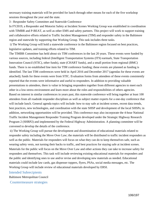necessary training materials will be provided for lunch through other means for each of the five workshop sessions throughout the year and the state.

3 - Responder Safety Committee and Statewide Conference

In FY2019, a Responder and Motorist Safety at Incident Scenes Working Group was established in coordination with TIMBR and P-BEAT, as well as other EMS and safety partners. This project will work to support training and collaborative efforts related to Traffic Incident Management (TIM) and responder safety in the Baltimore region and statewide by supporting that Working Group. This task includes three tasks.

i) The Working Group will hold a statewide conference in the Baltimore region focused on best practices, legislative updates, and training efforts related to TIM.

The TIMBR Committee has held about six TIM conferences in the last 20 years. These events were funded by various sources, including federal (Intelligent Transportation Systems (ITS) earmark, State Transportation Innovation Council (STIC), other funds), state (CHART funds), and a small portion from regional (BMC) funds. There is no established line item for TIM conference funding; these events are planned as funding is identified. The last TIM conferences were held in April 2016 and December 2017 (agendas for these events are attached); funds for these events were from STIC. Evaluation forms from attendees of these events consistently reported that the events were informative and useful to responders. In addition to providing valuable presentations to attendees, there is value in bringing responders together from different agencies to meet each other in a low-stress environment and learn more about the roles and responsibilities of others agencies. Based on interest in similar conferences in years past, this statewide conference will bring together at least 100 attendees from all roadside responder disciplines as well as subject matter experts for a one-day conference that will include lunch. General agenda topics will include: how to stay safe at incident scenes, recent data trends, best practices, new technologies, and coordination with the state SHSP and development of the local SHSPs; in addition, networking opportunities will be provided. This conference may also incorporate the 4-hour National Traffic Incident Management Responder Training Program developed under the Strategic Highway Research Program 2 (SHRP2) and implemented by the Federal Highway Administration. A planning committee will be convened to develop the details of the conference.

ii) The Working Group will pursue the development and dissemination of educational materials related to responder safety including the Move Over Law; the materials will be distributed to traffic incident responders as well as the public. Materials for responders will focus on what they can do to keep themselves safe, such as wearing safety vests, not turning their backs to traffic, and best practices for staying safe at incident scenes. Materials for the public will focus on the Move Over Law and other actions they can take to increase safety for responders and themselves. This task will include reviewing existing educational materials for responders and the public and identifying ones to use and/or revise and developing new materials as needed. Educational materials could include law cards, gas dispenser toppers, flyers, PSAs, social media messages, etc. The Working Group will include review of educational materials developed by ERSI.

#### Intended Subrecipients

Baltimore Metropolitan Council

Countermeasure strategies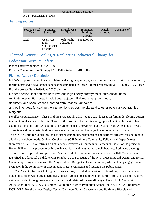#### Countermeasure Strategy

HVE - Pedestrian/Bicyclist

## Funding sources

| Source Fiscal<br>Year | Funding<br>Source ID                               | Eligible Use<br>of Funds | Estimated<br>Funding<br>Amount | Match<br>Amount | Local Benefit |
|-----------------------|----------------------------------------------------|--------------------------|--------------------------------|-----------------|---------------|
| 2020                  | <b>FAST Act</b><br>405h<br>Nonmotorize<br>d Safety | 405h Public<br>Education | \$352,000.00                   |                 |               |

## Planned Activity: Scaling & Replicating Behavioral Change for

## Pedestrian/Bicyclist Safety

Planned activity number: GN 20-189

Primary Countermeasure Strategy ID: HVE - Pedestrian/Bicyclist

## Planned Activity Description

MICA's proposed project to support Maryland's highway safety goals and objectives will build on the research, ideation, prototype development and testing completed in Phase I of the project (July 2018 - June 2019). Phase II of the project (July 2019-June 2020) aims to:

further develop, test and evaluate low- and high-fidelity prototypes of intervention ideas;

replicate intervention ideas in additional, adjacent Baltimore neighborhoods;

document and share lessons learned from Phases I ampamp;

and outline ideas for scaling the interventions across the city (and to other potential geographies in Maryland).

Neighborhood Expansion Phase II of the project (July 2019 - June 2020) focuses on further developing design intervention ideas that evolved in Phase I of the project in the existing geography of Bolton Hill while also extending this to include two additional neighborhoods: Reservoir Hill and Station North/Greenmount West. These two additional neighborhoods were selected for scaling the project using several key criteria. The MICA Center for Social Design has strong community relationships and partners already working in both additional neighborhoods. Graham Coreil-Allen (OSI Baltimore Community Fellow) and Jasper Barnes (Director of BYKE Collective) are both already involved as Community Partners in Phase I of the project in Bolton Hill and have proven to be invaluable advisors and neighborhood collaborators. Both have ongoing activities and deep relationships in both Station North/Greenmount West and Reservoir Hill. We also have identified an additional candidate Kim Schulke, a 2018 graduate of the MICA MA in Social Design and former Community Design Fellow with the Neighborhood Design Center in Baltimore, who is already engaged in a project with the community in Greenmount West to reimagine and redesign the public space.

The MICA Center for Social Design also has a strong, extended network of relationships, collaborators and potential partners with current activities and deep connections to draw upon for the project in each of the three neighborhoods. Among these existing partners and relationships are Mt. Royal, Bolton Hill Community Association, BYKE, B-360, Bikemore, Baltimore Office of Promotion & amp; The Arts (BOPA), Baltimore DOT, MTA, Neighborhood Design Center, Baltimore Policy Department and Baltimore Bicycleworks.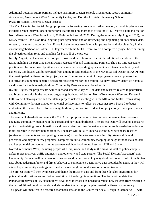Additional potential future partners include: Baltimore Design School, Greenmount West Community Association, Greenmount West Community Center; and Dorothy I. Height Elementary School. Phase II: Human-Centered Design Process

The MICA Center for Social Design proposes the following process to further develop, expand, implement and evaluate design interventions in these three Baltimore neighborhoods of Bolton Hill, Reservoir Hill and Station North/Greenmount West from July 1, 2019 through June 30, 2020. During the summer (July-August 2019), the MICA team will focus on finalizing the grant agreement, and on reviewing and organizing all documents, data, research, ideas and prototypes from Phase I of the project associated with pedestrian and bicycle safety in the current neighborhood of Bolton Hill. Together with the MDOT team, we will complete a project brief outlining the objectives, plan, roles and timeline for Phase II of the project.

In July/August, the team will also complete position descriptions and recruit the additional members of the team, including the part-time Social Design Associate(s) and Community Partners. The part-time Associate position will be undertaken by either one person or two depending upon candidate interest, availability and expertise. Candidates will be recruited from among recent graduates of the MA in Social Design (MASD) team that participated in Phase I of the project; and/or from recent alumni of the program who also possess the qualifications in human-centered design process required for the position. We have already identified potential candidates for the three neighborhood Community Partners as mentioned earlier.

In July-August, the project team will collect and assemble key MDOT data and research related to pedestrian and bicycle behavior in the two new target neighborhoods of Station North/Greenmount West and Reservoir Hill. We will also organize and facilitate a project kick-off meeting with the MICA and MDOT teams along with Community Partners and other potential collaborators to reflect on outcomes from Phase I, to better understand the data collected for new neighborhoods, and receive feedback on project objectives, plans, roles and timeline.

The team will also draft and renew the MICA IRB proposal required to continue human-centered research engaging community members in the current and new neighborhoods. The project team will develop a research protocol articulating research methods and create interview questionnaires and other tools needed to undertake initial research in the new neighborhoods. The team will initially undertake continued secondary research (reviewing documents and completing interviews) to continue to assess existing city, state and federal pedestrian and bicycle safety programs. complete an initial community mapping of neighborhood stakeholders and key potential collaborators in the two new neighborhood areas: Reservoir Hill and Station North/Greenmount West, including people who live, work, and study in the areas, as well as police/campus safety representatives, traffic engineers, and other city and state partner. The Social Design Associate(s) and Community Partners will undertake observations and interviews in key neighborhood areas to collect qualitative data about pedestrian, biker and driver behavior to complement quantitative data provided by MDOT; they will attend key community meetings and meet with key neighborhood stakeholder organizations. The project team will then synthesize and theme the research data and from these develop suggestions for potential modifications and/or further evolution of the design interventions. The team will update the Personas/archetypes of key stakeholders developed in Phase I as needed to reflect new insights from research in the two additional neighborhoods; and also update the design principles created in Phase I as necessary. This phase will manifest in a research shareback session in the Center for Social Design in October 2019 with

108/197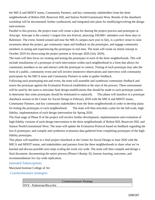the MICA and MDOT teams, Community Partners, and key community stakeholders from the three neighborhoods of Bolton Hill, Reservoir Hill, and Station North/Greenmount West. Results of the shareback workshop will be documented, further synthesized, and integrated into plans for modifying/evolving the design interventions.

Parallel to this process, the project team will create a plan for sharing the project process and prototypes at Artscape. Artscape is the country's largest free arts festival, attracting 350,000+ attendees over three days to Baltimore. The event, hosted around and near the MICA campus each year in July, is a perfect venue to raise awareness about the project, get community input and feedback on the prototypes, and engage community members in seeing and experiencing the prototypes in real time. The team will create an initial concept in October 2019 for showcasing the project present at Artscape 2020 (July 2020).

The team will then focus on creating and testing the prototypes in each of the three neighborhoods. This will include installations of a prototype of each intervention within each neighborhood in a form that allows for community members to see and interact with the prototype in context. Testing of each prototype may take the form of a public, community event and will involve immersive observations and interviews with community participants by the MICA team and Community Partners in order to gather feedback.

Following each prototyping test and event, the team will assemble and synthesize community feedback and assess the prototype against the Evaluation Protocol established at the start of the process. These assessments will be used by the team to articulate final design modifications that should be made to each prototype (and/or to determine that some prototypes should be eliminated or replaced). This phase will manifest in a prototype shareback session in the Center for Social Design in February 2020 with the MICA and MDOT teams, Community Partners, and key community stakeholders from the three neighborhoods in order to develop plans for testing the prototypes in each neighborhood. The team will then articulate a plan for the full-scale, highfidelity, implementation of each design intervention for Spring 2020.

The final stage of Phase II of the project will involve further development, implementation and evaluation of high-fidelity versions of each design intervention in the three neighborhoods of Bolton Hill, Reservoir Hill, and Station North/Greenmount West. The team will update the Evaluation Protocol based on feedback regarding the low-fi prototypes; and compile and synthesize evaluation data gathered from completing prototypes of the highfidelity prototypes.

This phase will manifest in a final project shareback at the Center for Social Design in June 2020 with the MICA and MDOT teams, and stakeholders and partners from the three neighborhoods to share what we've learned and discuss possible next steps scaling the work city-wide. The team will then compile and design a final document, documenting the entire process (Phases I  $\&$ amp; II), lessons learning, outcomes, and recommendations for city-wide replication.

#### Intended Subrecipients

Maryland Institute College of Art

Countermeasure strategies

Countermeasure Strategy

HVE - Pedestrian/Bicyclist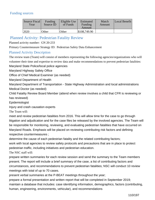## Funding sources

| Source Fiscal<br>Year | Funding<br>Source ID | Eligible Use<br>of Funds | Estimated<br>Funding<br>Amount | Match<br>Amount | Local Benefit |
|-----------------------|----------------------|--------------------------|--------------------------------|-----------------|---------------|
| 2020                  | Other                | Other                    | \$108,749.90                   |                 |               |

## Planned Activity: Pedestrian Fatality Review

Planned activity number: GN 20-233

Primary Countermeasure Strategy ID: Pedestrian Safety Data Enhancement

## Planned Activity Description

The review team (Team) will consist of members representing the following agencies/organizations who will volunteer their time and expertise to review data and make recommendations to prevent pedestrian fatalities: Maryland State Police/local police agencies

Maryland Highway Safety Office

Office of Chief Medical Examiner (as needed)

Maryland Department of Health

Maryland Department of Transportation - State Highway Administration and local administrations Medical Doctor (as needed)

Child Fatality Review Board Member (attend when review involves a child that CFR is reviewing or has reviewed)

Epidemiologist

Injury and crash causation experts

The Team will:

meet and review pedestrian fatalities from 2016. This will allow time for the case to go through litigation and adjudication and for the case files be released by the involved agencies. The Team will be responsible for monitoring, reviewing, and evaluating pedestrian fatalities that have occurred on Maryland Roads. Emphasis will be placed on reviewing contributing risk factors and defining respective countermeasures ;

determine the cause of each pedestrian fatality and the related contributing factors;

work with local agencies to review safety protocols and precautions that are in place to protect pedestrian traffic, including initiatives and pedestrian education.

The NSC staff will:

prepare written summaries for each review session and send the summary to the Team members present. The report will include a brief summary of the case, a list of contributing factors and circumstances, and recommendations to prevent pedestrian fatalities; NSC will conduct 10 review meetings with total of up to 70 cases.

present verbal summaries at the P-BEAT meetings throughout the year;

prepare a formal presentation and written report that will be completed in September 2019; maintain a database that includes: case identifying information, demographics, factors (contributing, human, engineering, environments, vehicular), and recommendations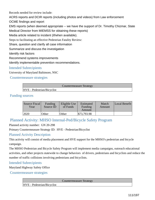Records needed for review include:

ACRS reports and DCIR reports (including photos and videos) from Law enforcement

OCME findings and report

EMS reports (when deemed appropriate -- we have the support of Dr. Timothy Chizmar, State

Medical Director from MIEMSS for obtaining these reports)

Media article related to incident (if/when available).

Steps to facilitating an effective Pedestrian Fatality Review:

Share, question and clarify all case information

Summarize and discuss the investigation

Identify risk factors

Recommend systems improvements

Identify implementable prevention recommendations.

## Intended Subrecipients

University of Maryland Baltimore, NSC

Countermeasure strategies

|                            | <b>Countermeasure Strategy</b> |
|----------------------------|--------------------------------|
| HVE - Pedestrian/Bicyclist |                                |

## Funding sources

| Source Fiscal<br>Year | Funding<br>Source ID | Eligible Use<br>of Funds | Estimated<br>Funding<br>Amount | Match<br>Amount | Local Benefit |
|-----------------------|----------------------|--------------------------|--------------------------------|-----------------|---------------|
| 12020                 | Other                | Other                    | \$73,793.98                    |                 |               |

# Planned Activity: MHSO Internal-Ped/Bicycle Safety Program

Planned activity number: GN 20-298

Primary Countermeasure Strategy ID: HVE - Pedestrian/Bicyclist

## Planned Activity Description

This activity will consist of media placement and HVE support for the MHSO's pedestrian and bicycle campaign.

The MHSO Pedestrian and Bicycle Safety Program will implement media campaigns, outreach educational activities, and other projects statewide to change behaviors of drivers, pedestrians and bicyclists and reduce the number of traffic collisions involving pedestrians and bicyclists.

## Intended Subrecipients

Maryland Highway Safety Office

Countermeasure strategies

Countermeasure Strategy

HVE - Pedestrian/Bicyclist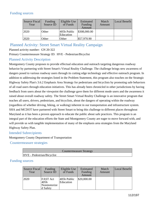## Funding sources

| <b>Source Fiscal</b><br>Year | Funding<br>Source ID | Eligible Use<br>of Funds | Estimated<br>Funding<br>Amount | Match<br>Amount | Local Benefit |
|------------------------------|----------------------|--------------------------|--------------------------------|-----------------|---------------|
| 2020                         | Other                | 405h Public<br>Education | \$308,000.00                   |                 |               |
| 2020                         | Other                | Other                    | \$57,970.90                    |                 |               |

## Planned Activity: Street Smart Virtual Reality Campaign

Planned activity number: GN 20-322

Primary Countermeasure Strategy ID: HVE - Pedestrian/Bicyclist

### Planned Activity Description

Montgomery County proposes to provide effectual education and outreach targeting dangerous roadway behavior by partnering with Street Smart's Virtual Reality Challenge. The challenge brings new awareness of dangers posed to various roadway users through its cutting edge technology and effective outreach program. In addition to addressing the strategies listed in the Problem Statement, this program also touches on the Strategic Highway Safety Plan's 3.6.2 Emphasis Area Strategy for pedestrians and bicyclists by promoting safe behaviors of all road users through education initiatives. This has already been chronicled in other jurisdictions by having feedback from users about the viewpoint the challenge gave them for different mode users and the awareness it raised about overall roadway safety. The Street Smart Virtual Reality Challenge is an innovative program that teaches all users, drivers, pedestrians, and bicyclists, about the dangers of operating within the roadway (regardless of whether driving, biking, or walking) inherent in our transportation and infrastructure system. SHA and MCDOT have partnered with Street Smart to bring this challenge to different places throughout Maryland as it has been a proven approach to educate the public about safe practices. This program is an integral part of the education efforts the State and Montgomery County are eager to move forward with, and will provide us with tangible implementation of many of the emphasis area strategies from the Maryland Highway Safety Plan.

#### Intended Subrecipients

Montgomery County Department of Transportation

Countermeasure strategies

|                            | Countermeasure Strategy |
|----------------------------|-------------------------|
| HVE - Pedestrian/Bicyclist |                         |

## Funding sources

| Source Fiscal<br>Year | Funding<br>Source ID                                | Eligible Use<br>of Funds | Estimated<br>Funding<br>Amount | Match<br>Amount | Local Benefit |
|-----------------------|-----------------------------------------------------|--------------------------|--------------------------------|-----------------|---------------|
| 2020                  | <b>FAST Act</b><br>l405h<br>Nonmotorize<br>d Safety | 405h Public<br>Education | \$20,000.00                    |                 |               |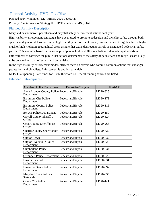## Planned Activity: HVE - Ped/Bike

Planned activity number: LE - MHSO 2020 Pedestrian Primary Countermeasure Strategy ID: HVE - Pedestrian/Bicyclist

## Planned Activity Description

Maryland has numerous pedestrian and bicyclist safety enforcement actions each year.

High visibility enforcement campaigns have been used to promote pedestrian and bicyclist safety through both specific and general deterrence. In the high visibility enforcement model, law enforcement targets selected highcrash or high-violation geographical areas using either expanded regular patrols or designated pedestrian safety patrols. This model is based on the same principles as high visibility seat belt and alcohol-impaired-driving enforcement: to convince the public that actions detrimental to the safety of pedestrians and bicyclists are likely to be detected and that offenders will be punished.

In the high visibility enforcement model, officers focus on drivers who commit common actions that endanger pedestrians and bicyclists. Enforcement is publicized widely.

MHSO is expending State funds for HVE, therefore no Federal funding sources are listed.

### Intended Subrecipients

| Aberdeen Police Department                                  | Pedestrian/Bicycle | LE 20-158 |
|-------------------------------------------------------------|--------------------|-----------|
| Anne Arundel County Police Pedestrian/Bicycle<br>Department |                    | LE 20-325 |
| <b>Baltimore City Police</b><br>Department                  | Pedestrian/Bicycle | LE 20-173 |
| <b>Baltimore County Police</b><br>Department                | Pedestrian/Bicycle | LE 20-115 |
| <b>Bel Air Police Department</b>                            | Pedestrian/Bicycle | LE 20-150 |
| Carroll County Sheriff's<br>Office                          | Pedestrian/Bicycle | LE 20-327 |
| <b>Cecil County Sheriffaposs</b><br>Office                  | Pedestrian/Bicycle | LE 20-268 |
| <b>Charles County Sheriffaposs</b><br>Office                | Pedestrian/Bicycle | LE 20-329 |
| City of Bowie                                               | Pedestrian/Bicycle | LE 20-332 |
| City of Hyattsville Police<br>Department                    | Pedestrian/Bicycle | LE 20-328 |
| <b>Cumberland Police</b><br>Department                      | Pedestrian/Bicycle | LE 20-334 |
| Greenbelt Police Department Pedestrian/Bicycle              |                    | LE 20-326 |
| <b>Hagerstown Police</b><br>Department                      | Pedestrian/Bicycle | LE 20-331 |
| <b>Havre De Grace Police</b><br>Department                  | Pedestrian/Bicycle | LE 20-097 |
| Maryland State Police -<br>Statewide                        | Pedestrian/Bicycle | LE 20-335 |
| <b>Ocean City Police</b><br>Department                      | Pedestrian/Bicycle | LE 20-141 |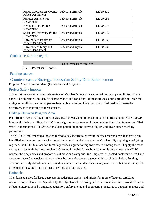| <b>Prince Georgeaposs County</b><br><b>Police Department</b> | Pedestrian/Bicycle | LE 20-330 |
|--------------------------------------------------------------|--------------------|-----------|
| Princess Anne Police<br>Department                           | Pedestrian/Bicycle | LE 20-258 |
| <b>Riverdale Park Police</b><br>Department                   | Pedestrian/Bicycle | LE 20-077 |
| <b>Salisbury University Police</b><br>Department             | Pedestrian/Bicycle | LE 20-049 |
| University of Baltimore<br><b>Police Department</b>          | Pedestrian/Bicycle | LE 20-033 |
| University of Maryland<br>Police Department                  | Pedestrian/Bicycle | LE 20-333 |

#### Countermeasure strategies

|                            | <b>Countermeasure Strategy</b> |  |
|----------------------------|--------------------------------|--|
| HVE - Pedestrian/Bicyclist |                                |  |

### Funding sources

# Countermeasure Strategy: Pedestrian Safety Data Enhancement

Program Area: Non-motorized (Pedestrians and Bicyclist)

## Project Safety Impacts

This effort consists of a large scale review of Maryland's pedestrian-involved crashes by a multidisciplinary panel. The objective is to identify characteristics and conditions of those crashes and to provide outreach that mitigates conditions leading to pedestrian-involved crashes. The effort is also designed to increase the effectiveness of reporting of these crashes.

## Linkage Between Program Area

Pedestrian/Bicyclist safety is an emphasis area for Maryland, reflected in both this HSP and the State's SHSP. Maryland's Pedestrian/Bicyclist HVE campaign conforms to one of the most effective "Countermeasures That Work" and supports NHTSA's national data pertaining to the extent of injury and death experienced by pedestrians.

The MHSO's implemented allocation methodology incorporates several safety program areas that have been identified as the most prevalent factors related to motor vehicle crashes in Maryland. By applying a weighting regimen, the MHSO's allocation formula provides a guide for highway safety funding that will apply the most money to areas with the most problems. Once total funding for each jurisdiction is determined, the MHSO reviews the frequencies and proportions of crash sub-categories (i.e. impaired, distracted, motorcycle, etc.) and compares these frequencies and proportions by law enforcement agency within each jurisdiction. Funding decisions are truly data-driven and provide guidance for the identification of jurisdictions that are most capable of reducing the State's total number of serious and fatal crashes.

## Rationale

The idea is to strive for large decreases in pedestrian crashes and injuries by more effectively targeting resources to problem areas. Specifically, the objective of reviewing pedestrian crash data is to provide for more effective interventions by targeting education, enforcement, and engineering measures to geographic areas and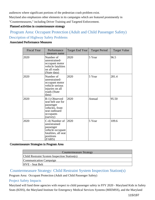audiences where significant portions of the pedestrian crash problem exist.

Maryland also emphasizes other elements in its campaigns which are featured prominently in "Countermeasures," including Driver Training and Targeted Enforcement.

#### Planned activities in countermeasure strategy

# Program Area: Occupant Protection (Adult and Child Passenger Safety) Description of Highway Safety Problems

#### Associated Performance Measures

| <b>Fiscal Year</b> | Performance<br>measure name                                                                                    | Target End Year | <b>Target Period</b> | <b>Target Value</b> |
|--------------------|----------------------------------------------------------------------------------------------------------------|-----------------|----------------------|---------------------|
| 2020               | Number of<br>unrestrained-<br>occupant motor<br>vehicle fatalities<br>on all roads<br>(State data)             | 2020            | 5 Year               | 96.5                |
| 2020               | Number of<br>unrestrained-<br>occupant motor<br>vehicle serious<br>injuries on all<br>roads (State<br>data)    | 2020            | 5 Year               | 281.4               |
| 2020               | B-1) Observed<br>seat belt use for<br>passenger<br>vehicles, front<br>seat outboard<br>occupants<br>(survey)   | 2020            | Annual               | 95.50               |
| 2020               | C-4) Number of<br>unrestrained<br>passenger<br>vehicle occupant<br>fatalities, all seat<br>positions<br>(FARS) | 2020            | 5 Year               | 109.6               |

#### Countermeasure Strategies in Program Area

| <b>Countermeasure Strategy</b>               |
|----------------------------------------------|
| Child Restraint System Inspection Station(s) |
| Communication Campaign                       |
| HVE - Seat Belt                              |

## Countermeasure Strategy: Child Restraint System Inspection Station(s)

Program Area: Occupant Protection (Adult and Child Passenger Safety)

#### Project Safety Impacts

Maryland will fund three agencies with respect to child passenger safety in FFY 2020 - Maryland Kids in Safety Seats (KISS), the Maryland Institute for Emergency Medical Services Systems (MIEMSS), and the Maryland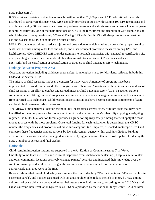State Police (MSP).

KISS provides consistently effective outreach , with more than 26,000 pieces of CPS educational materials distributed to caregivers this past year. KISS annually provides or assists with training 100 CPS technicians and distributes roughly 500 car seats via a low-cost purchase program and a short-term special needs loaner program to families statewide. One of the main functions of KISS is the recruitment and retention of CPS technicians of which Maryland has approximately 500 total. During CPS activities, KISS staff also promotes adult seat belt use and assists the MHSO in adult seat belt use efforts.

MIEMSS conducts activities to reduce injuries and deaths due to vehicle crashes by promoting proper use of car seats, seat belt use among older kids and adults, and other occupant protection measures among EMS and healthcare providers. MIEMSS staff provides trainings to hospitals and assists with neonatal re-certification site visits, meeting with key maternal and child health administrators to discuss CPS policies and services. MSP will fund the certification or recertification of troopers as child passenger safety technicians.

#### Linkage Between Program Area

Occupant protection, including child passenger safety, is an emphasis area for Maryland, reflected in both this HSP and the State's SHSP.

The misuse of child restraints has been a concern for many years. A number of programs have been implemented to provide parents and other caregivers with "hands-on" assistance with the installation and use of child restraints in an effort to combat widespread misuse. Child passenger safety (CPS) inspection stations, sometimes called "fitting stations" are places or events where parents and caregivers can receive this assistance from certified CPS technicians. Child restraint inspection stations have become common components of State and local child passenger safety programs.

 The MHSO's implemented allocation methodology incorporates several safety program areas that have been identified as the most prevalent factors related to motor vehicle crashes in Maryland. By applying a weighting regimen, the MHSO's allocation formula provides a guide for highway safety funding that will apply the most money to areas with the most problems. Once total funding for each jurisdiction is determined, the MHSO reviews the frequencies and proportions of crash sub-categories (i.e. impaired, distracted, motorcycle, etc.) and compares these frequencies and proportions by law enforcement agency within each jurisdiction. Funding decisions are data-driven and provide guidance in identifying jurisdictions that are most capable of reducing the State's number of serious and fatal crashes.

#### Rationale

Child restraint inspection stations are supported in the 9th Edition of Countermeasures That Work. One study found that Safe Kids child restraint inspection events held at car dealerships, hospitals, retail outlets and other community locations positively changed parents' behavior and increased their knowledge over a 6 week follow-up period: children arriving at the second event were restrained more safely and more appropriately than they were at the first.

Research shows that use of child safety seats reduce the risk of death by 71% for infants and 54% for toddlers in passenger cars[1], and booster seats used with lap and shoulder belts reduce the risk of injury by 45% among children 4-8 years old when compared to seat belt usage alone. Unfortunately, according to the 2016 Maryland Crash Outcome Data Evaluation System (CODES) data provided by the National Study Center, 1,284 children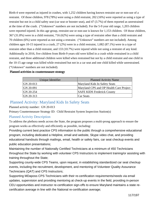Birth-4 were reported as injured in crashes, with 1,252 children having known restraint use or non-use of a restraint. Of those children, 978 (78%) were using a child restraint, 202 (16%) were reported as using a type of restraint but not in a child safety seat (car seat or booster seat), and 47 (3.7%) of them reported as unrestrained at the time of the crash. ("Unknown" numbers are not included). For the 5-9 year old range, 1,203 children were reported injured. In this age group, restraint use or non-use is known for 1,153 children. Of those children, 367 (31.8%) were in a child restraint, 716 (62%) were using a type of restraint other than a child restraint and 70 children (6%) were reported as not using a restraint. ("Unknown" numbers are not included). Among children ages 10-15 injured in a crash, 27 (2%) were in a child restraint, 1,082 (87.1%) were in a type of restraint other than a child restraint, and 133 (10.7%) were injured while not using a restraint of any kind. Additionally in 2016, five children from Birth-9 years old were killed in a crash while restrained in a child restraint, and three additional children were killed when restrained but not by a child restraint and one child in the 10-15 age range was killed while restrained but not in a car seat and one child killed while unrestrained. ("Unknown" numbers are not included).

| Unique Identifier | <b>Planned Activity Name</b>            |
|-------------------|-----------------------------------------|
| GN 20-013         | Maryland Kids In Safety Seats           |
| GN 20-091         | Maryland CPS and OP Health Care Project |
| GN 20-254         | <b>SAFE KIDS Frederick County</b>       |
| GN 20-313         | Car Seats                               |

#### Planned activities in countermeasure strategy

## Planned Activity: Maryland Kids In Safety Seats

Planned activity number: GN 20-013

Primary Countermeasure Strategy ID: Child Restraint System Inspection Station(s)

## Planned Activity Description

To address the plethora needs across the State, the program proposes a multi-prong approach to ensure the program works as effectively and efficiently as possible, including:

Providing current best practice CPS information to the public through a comprehensive educational program, including dedicated a Helpline, email and website, Skype video chat, and providing educational handouts through mailings, email, health or safety fairs, car seat checkup events and public education presentations;

Maintaining the number of Nationally Certified Technicians at a minimum of 450 Technicians throughout the State by working with volunteer CPS Instructors to implement training/or assisting with training throughout the State;

Supporting county-wide CPS Teams, upon request, in establishing standardized car seat checkup events, including the recruitment, development, and mentoring of Volunteer Quality Assurance Technicians (QAT) and CPS Instructors;

Supporting MDaposs CPS Technicians with their re-certification requirements/needs via email updates, supervision and providing mentoring at check-up events in the field, providing in-person CEU opportunities and instructor re-certification sign-offs to ensure Maryland maintains a state recertification average in line with the National re-certification average;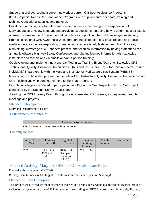Supporting and overseeing a current network of current Car Seat Assistance Programs (CSAP)/Special Needs Car Seat Loaner Programs with supplemental car seats, training and technical/educational supplies and materials;

Developing a training tool for a law enforcement audience pertaining to the explanation of Marylandaposs CPS law language and providing suggestions regarding how to determine a ticketable offense to increase their knowledge and confidence in upholding the child passenger safety law; Promoting National CPS Awareness Week through the distribution of a press release and social media outlets, as well as responding to media inquiries in a timely fashion throughout the year; Maintaining knowledge of current best practice and technical information by having staff attend the annual LifeSavers Highway Safety Conference, and sharing learned information with statewide instructors and technicians via emails and/or in-person training;

Co-developing and implementing a two-day Technical Training Event (Day 1 for Statewide CPS Technicians, Quality Assurance Technicians (QAT) and Instructors, Day 2 for Special Needs Trained individuals) in partnership with the Maryland Institute for Medical Services System (MIEMSS); Maintaining a scholarship program for volunteer CPS Instructors, Quality Assurance Technicians and CPS Technicians who donate their time to the State Program;

Completing obligations related to participating in a Digital Car Seat Inspection Form Pilot Project conducted by the National Safety Council; and

 Leading the CPS Advisory Board through statewide-related CPS issues, as they arise, through meetings and projects.

#### Intended Subrecipients

Maryland Department of Health

Countermeasure strategies

| Countermeasure Strategy                      |  |  |
|----------------------------------------------|--|--|
| Child Restraint System Inspection Station(s) |  |  |

## Funding sources

| Source Fiscal<br>Year | Funding<br>Source ID               | Eligible Use<br>of Funds                        | Estimated<br>Funding<br>Amount | Match<br>Amount | Local Benefit |
|-----------------------|------------------------------------|-------------------------------------------------|--------------------------------|-----------------|---------------|
| 2020                  | <b>FAST Act</b><br>405b OP<br>High | $405b$ High<br>Occupant<br>Protection<br>(FAST) | \$260,619.00                   |                 |               |

# Planned Activity: Maryland CPS and OP Health Care Project

Planned activity number: GN 20-091

Primary Countermeasure Strategy ID: Child Restraint System Inspection Station(s)

## Planned Activity Description

This project seeks to reduce the incidence of injuries and deaths in Maryland due to vehicle crashes through a variety of occupant protection (OP) interventions. According to NHTSA, correct restraint use significantly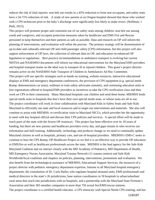reduces the risk of fatal injuries: seat belt use results in a 45% reduction to front seat occupants, and safety seats have a 54-71% reduction of risk. A study of new parents at an Oregon hospital showed that those who worked with a CPS technician prior to the baby's discharge were significantly less likely to make errors. (Hoffman, J Peds, 2015).

This project will promote proper and consistent use of car safety seats among children, seat belt use among youth and caregivers, and occupant protection measures taken by healthcare and EMS Fire and Rescue personnel to keep themselves and their patients as safe as possible. Data and research on OP will inform the planning of interventions, and evaluation will refine the process. The primary strategy will be dissemination of up-to-date and culturally-relevant OP and child passenger safety (CPS) information, but this project will also support enforcement of OP laws, the collection of relevant data on OP, and education on enhanced OP legislation or regulations. Best practice recommendations in ambulance transport is evolving but current NHTSA and NASEMSO documents will inform our educational interventions for the Maryland EMS providers and hospital transport teams on the ideal way to transport ill or injured children. This grant's project director remains active on the NASEMSO Safe Transport of Children in Ambulances Ad Hoc Committee. This project will use specific strategies such as hands-on training, website resources, interactive educational displays at EMS and emergency department conferences, the provision of CPS equipment (e.g. special needs & demonstration car seats), webinars to train safety advocates remotely, and continuing education units or free registrations offered to hospital/EMS providers as incentives to take the CPS certification class and then work on CPS in their community. Many Maryland hospitals cast children and send them home; MIEMSS lends special needs seats to hospitals that don't have their own special needs seats, or whose seats are all in use. The project coordinator will work in close collaboration with Maryland Kids in Safety Seats and Safe Kids Maryland to efficiently use state and local resources and to target our interventions and materials. She also will continue to assist with MIEMSS; re-certification visits to Maryland NICUs, which provides her the opportunity to meet with key hospital official and discuss their CPS policies and services. A special effort will be made to reach parts of the state with the fewest OP resources. This project has been effective over its 18 years of funding, but there are new parents and healthcare providers every day, and gaps remain in who receives our information and skill training. Additionally, technology and products change so we need to continually update Maryland citizens as well as hospitals, primary care, and out-of-hospital providers. MIEMSS's EMS-C seeks to continue to host the CPS & amp; OP Healthcare Project as we feel it is an effective way to provide OP education to EMS/fire as well as healthcare professionals across the state. MIEMSS is the lead agency for the Safe Kids Maryland Coalition and we interact closely with the MD Academy of Pediatrics, MD Department of Health, MD Emergency Nurses Association, Maryland Trauma Network (11 trauma centers) and Safe Kids Worldwide/local coalitions and chapters on policies, planning, interventions, promotions and evaluation. We also benefit from the technological assistance of MIEMSS; Educational Support Services, the resources of a project director with pediatric emergency department expertise, liaisons in all Maryland hospital emergency departments, the consultation of Dr. Carla Bailey who regulates hospital neonatal units, EMS professionals and medical directors in the state's 26 jurisdictions, base station coordinators in 50 hospitals in urban/suburban/ rural areas that reach into jurisdictions with no hospitals, and a partnership with the Maryland State Fireman's Association and their 365 member companies in more than 750 actual fire/EMS/rescue stations. The project coordinator is a certified health educator, a CPS instructor with Special Needs CPS training, and has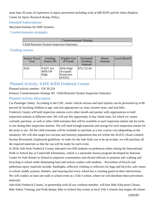more than 20 years of experience in injury prevention including work at MD KISS and the Johns Hopkins Center for Injury Research & amp; Policy.

## Intended Subrecipients

Maryland Institute for EMS Systems

Countermeasure strategies

| Countermeasure Strategy                      |  |
|----------------------------------------------|--|
| Child Restraint System Inspection Station(s) |  |

## Funding sources

| Source Fiscal<br>Year | Funding<br>Source ID                 | Eligible Use<br>of Funds                        | Estimated<br>Funding<br>Amount | Match<br>Amount | Local Benefit |
|-----------------------|--------------------------------------|-------------------------------------------------|--------------------------------|-----------------|---------------|
| 2020                  | <b>FAST</b> Act<br>$405b$ OP<br>High | $405b$ High<br>Occupant<br>Protection<br>(FAST) | \$70,722.00                    |                 |               |

# Planned Activity: SAFE KIDS Frederick County

## Planned activity number: GN 20-254

Primary Countermeasure Strategy ID: Child Restraint System Inspection Station(s)

## Planned Activity Description

Car Passenger Safety According to the CDC, motor vehicle serious and fatal injuries can be prevented up to 80 percent by buckling children in age- and size-appropriate car seats, booster seats, and seat belts. Frederick County will hold inspection stations every other month and partner with organizations to hold inspection stations at different sites. We will use this opportunity to buy infant seats, for which we cannot currently purchase, as well as other child restraints that will be available at each inspection station site for techs to use during their inspection stations. We will need enough materials and storage for each inspection station for the techs to use. All the child restraints will be available to purchase at a low cost/no cost (depending on the situation). We will also target low-income and minority populations that are within the ALICE (Asset Limited, Income Restrained, Employed) guidelines. In order for the Safe Kids van to be up-to-date, we will purchase all the required materials so that the van will be ready for each event.

In 2018, Safe Kids Frederick County educated over 850 students on pedestrian safety during the International Walk to School day at Centerville Elementary, which is a nationally known program developed by National Center for Safe Routes to School to empower communities and elected officials to promote safe walking and bicycling to school while eliminating fatal and serious crashes with students. Prevention of bicycle and pedestrian injury materials include, flashlights, reflective clothing or reflectors for bags and bicycles, safe routes to school, buddy systems, helmets, and ensuring that every school has a crossing guard on their intersections. We will conduct at least one walk to school event at a Title I school, where we will distribute these prevention materials.

Safe Kids Frederick County, in partnership with all our coalition member, will host Bike Education Classes, Bike Safety Training, and Walk & amp; Bike to School Day events at local Title I schools that targets all school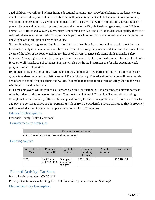aged children. We will hold helmet-fitting educational sessions, give away bike helmets to students who are unable to afford them, and hold an assembly that will present important stakeholders within our community. Within these presentations, we will communicate safety measures that will encourage and educate students to prevent bicycle and pedestrian injuries. Last year, the Frederick Bicycle Coalition gave away over 180 bike helmets at Hillcrest and Waverly Elementary School that have 82% and 63% of students that qualify for free or reduced price meals, respectively. This year, we hope to reach more schools and more students to increase the knowledge of the children of Frederick County.

Shayne Boucher, a League Certified Instructor (LCI) and lead bike instructor, will work with the Safe Kids Frederick County coordinator, who will be trained as a LCI during this grant period, to ensure that students are aware of the rules of the road, watching for distracted drivers, practice safe riding skills in a Bike Safety Education Week, register their bikes, and participate in a group ride to school with support from the local police force on Walk & Bike to School Days. Shayne will also be the lead instructor the for bike education week programs in the 3rd quarter.

By implementing these solutions, it will help address and maintain low burden of injury for vulnerable user groups in underrepresented population areas of Frederick County. This education initiative will promote safe behaviors of not only bicycle riders and walkers, but make road users more aware of safely sharing the road with bicyclists and pedestrians.

Full-time employees will be trained as Licensed Certified Instructor (LCI) in order to teach bicycle safety to schools, rodeos, and other events. Staffing Coordinator will attend LCI training. The coordinator will go through Instructor Candidacy (\$85 one time application fee) for Car Passenger Safety to become an Instructor and pay a re-certification fee of \$55. Partnering with us from the Frederick Bicycle Coalition, Shayne Boucher, will be needed at events and cost \$50 per session for a total of 20 sessions.

#### Intended Subrecipients

Frederick County Health Department

Countermeasure strategies

| <b>Countermeasure Strategy</b>               |  |
|----------------------------------------------|--|
| Child Restraint System Inspection Station(s) |  |

## Funding sources

| Source Fiscal<br>Year | Funding<br>Source ID         | Eligible Use<br>of Funds         | Estimated<br>Funding<br>Amount | Match<br>Amount | Local Benefit |
|-----------------------|------------------------------|----------------------------------|--------------------------------|-----------------|---------------|
| 2020                  | <b>FAST Act</b><br>NHTSA 402 | Occupant<br>Protection<br>(FAST) | \$59,189.84                    |                 | \$59,189.84   |

## Planned Activity: Car Seats

Planned activity number: GN 20-313

Primary Countermeasure Strategy ID: Child Restraint System Inspection Station(s)

Planned Activity Description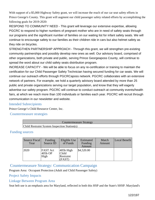With support of a \$5,000 Highway Safety grant, we will increase the reach of our car seat safety efforts in Prince George's County. This grant will augment our child passenger safety related efforts by accomplishing the following goals for 2019-2020:

RESPOND TO COMMUNITY NEED - This grant will leverage our extensive expertise, allowing PGCRC to respond to higher numbers of pregnant mother who are in need of safety seats through our programs and the significant number of families on our waiting list for infant safety seats. We will continue to encourage safety to our families as their children ride in cars but also helmet safety as they ride on bicycles.

STRENGTHEN PARTNERSHIP APPROACH - Through this grant, we will strengthen pre-existing community partnerships and possibly develop new ones as well. Our advisory board, comprised of other organizations, both private and public, serving Prince Georgeaposs County, will continue to spread the word about our child safety seats distribution program.

INCREASE CAPACITY - We will be able to focus on any re-certification or training to maintain the certification for our Child Passenger Safety Technician having secured funding for car seats. We will continue our outreach efforts through PGCRCaposs network. PGCRC collaborates with an extensive network of partners. For example, we hold a quarterly advisory board attended by more than 25 public and private organizations serving our target population, and know that they will eagerly advertise our safety program. PGCRC will continue to conduct outreach at community events/health fairs, at which we reach more than 100 individuals or families each year. PGCRC will recruit through communication in our newsletter and website.

## Intended Subrecipients

Prince George's Child Resource Center, Inc.

Countermeasure strategies

| <b>Countermeasure Strategy</b>               |
|----------------------------------------------|
| Child Restraint System Inspection Station(s) |

## Funding sources

| Source Fiscal<br>Year | Funding<br>Source ID               | Eligible Use<br>of Funds                    | Estimated<br>Funding<br>Amount | Match<br>Amount | Local Benefit |
|-----------------------|------------------------------------|---------------------------------------------|--------------------------------|-----------------|---------------|
| 2020                  | <b>FAST Act</b><br>405b OP<br>High | $405b$ High<br>Child<br>Restraint<br>(FAST) | \$4,520.00                     |                 |               |

## Countermeasure Strategy: Communication Campaign

Program Area: Occupant Protection (Adult and Child Passenger Safety)

## Project Safety Impacts

## Linkage Between Program Area

Seat belt use is an emphasis area for Maryland, reflected in both this HSP and the State's SHSP. Maryland's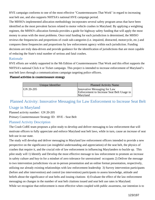HVE campaign conforms to one of the most effective "Countermeasures That Work" in regard to increasing seat belt use, and also supports NHTSA's national HVE campaign period.

The MHSO's implemented allocation methodology incorporates several safety program areas that have been identified as the most prevalent factors related to motor vehicle crashes in Maryland. By applying a weighting regimen, the MHSO's allocation formula provides a guide for highway safety funding that will apply the most money to areas with the most problems. Once total funding for each jurisdiction is determined, the MHSO reviews the frequencies and proportions of crash sub-categories (i.e. impaired, distracted, motorcycle, etc.) and compares these frequencies and proportions by law enforcement agency within each jurisdiction. Funding decisions are truly data-driven and provide guidance for the identification of jurisdictions that are most capable of reducing the State's total number of serious and fatal crashes.

#### Rationale

HVE efforts are widely supported in the 9th Edition of Countermeasures That Work and this effort supports the NHTSA's national Click it or Ticket campaign. This project is intended to increase enforcement of Maryland's seat belt laws through a communications campaign targeting police officers.

#### Planned activities in countermeasure strategy

| Unique Identifier | <b>Planned Activity Name</b>                                                           |
|-------------------|----------------------------------------------------------------------------------------|
| $ GN 20-205$      | Innovative Messaging for Law<br>Enforcement to Increase Seat Belt Usage in<br>Maryland |

# Planned Activity: Innovative Messaging for Law Enforcement to Increase Seat Belt Usage in Maryland

Planned activity number: GN 20-205 Primary Countermeasure Strategy ID: HVE - Seat Belt

## Planned Activity Description

The Crash CoRE team proposes a pilot study to develop and deliver messaging to law enforcement that will motivate officers to fully appreciate and enforce Maryland seat belt laws, while in turn, cause an increase of seat belt use in our state.

The study will develop and deliver messaging to Maryland law enforcement officers intended to provide a new perspective on the significance (an insightful understanding and appreciation) of the seat belt, the physics of crashes that require it, and the crucial role of law enforcement in influencing Marylanders to buckle up. This pilot study will 1) Identify and Develop the most effective message to law enforcement to promote an increase in safety culture and buy-in for a mindset of zero tolerance for unrestrained occupants 2) Deliver the message to two intervention jurisdictions via an in-person presentation and an online format presentation, respectively, utilizing our already existing relationships with law enforcement leadership 3) Survey intervention participants (before and after intervention) and control (no intervention) participants to assess knowledge, attitude and beliefs about the significance of seat belts and issuing citations 4) Evaluate the effect of the law enforcement messaging on changes in the number of seat belt citations issued and seat belt use rates in Maryland. While we recognize that enforcement is most effective when coupled with public awareness, our intention is to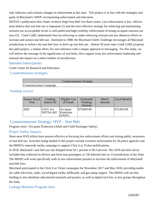only influence and evaluate changes in enforcement at this time. This project is in line with the strategies and goals of Maryland's SHSP, incorporating enforcement and education.

NHTSA's publication How States Achieve High Seat Belt Use Rates states, Law enforcement is key: officers must believe that seat belt use is important [1] and the most effective strategy for achieving and maintaining restraint use at acceptable levels is well publicized high-visibility enforcement of strong occupant restraint use laws [5]. Crash CoRE understands that not enforcing or under enforcing restraint use law obstructs efforts to increase and sustain seat belt use. Instituted in 1988, the Maryland Chiefs Challenge encourages all Maryland jurisdictions to enforce the seat belt laws to drive up seat belt use. Almost 30 years later Crash CoRE proposes this pilot project, a similar effort, for zero tolerance with a unique approach to messaging. For this study, we will deliver the message of the significance of seat belts, elicit support from law enforcement leadership and measure the impact on a select number of jurisdictions.

### Intended Subrecipients

Crash Center for Research and Education

Countermeasure strategies

|                        | Countermeasure Strategy |  |
|------------------------|-------------------------|--|
| Communication Campaign |                         |  |

### Funding sources

| Source Fiscal<br>Year | Funding<br>Source ID         | Eligible Use<br>of Funds         | Estimated<br>Funding<br>Amount | Match<br>Amount | Local Benefit |
|-----------------------|------------------------------|----------------------------------|--------------------------------|-----------------|---------------|
| 2020                  | <b>FAST</b> Act<br>NHTSA 402 | Occupant<br>Protection<br>(FAST) | \$79,893.89                    |                 | \$79,893.89   |

## Countermeasure Strategy: HVE - Seat Belt

Program Area: Occupant Protection (Adult and Child Passenger Safety)

## Project Safety Impacts

Short-term HVE efforts have proven effective at focusing law enforcement efforts and raising public awareness of seat belt use. Activities being funded in this project include overtime enforcement for 30 police agencies and the MHSO's statewide media campaign to support Click it or Ticket mobilizations.

In 2018, Maryland's seat belt use rate dropped from 92.1 percent to 90.3 percent. The 2018 seat belt survey included data collected on drivers and front-seat passengers at 130 selected sites in 13 jurisdictions of the State. The MHSO will work specifically with its law enforcement partners to increase the enforcement of Maryland' seat belt laws.

Maryland participated in the Click It or Ticket campaigns for November 2017 and May 2018, providing media for cable television, radio, social/digital media, billboards, and gas pump toppers. The MHSO will use this funding to also distribute educational materials and posters, as well as digital tool kits, to key groups throughout the State.

## Linkage Between Program Area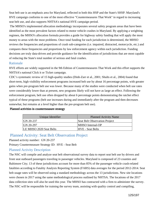Seat belt use is an emphasis area for Maryland, reflected in both this HSP and the State's SHSP. Maryland's HVE campaign conforms to one of the most effective "Countermeasures That Work" in regard to increasing seat belt use, and also supports NHTSA's national HVE campaign period.

 The MHSO's implemented allocation methodology incorporates several safety program areas that have been identified as the most prevalent factors related to motor vehicle crashes in Maryland. By applying a weighting regimen, the MHSO's allocation formula provides a guide for highway safety funding that will apply the most money to areas with the most problems. Once total funding for each jurisdiction is determined, the MHSO reviews the frequencies and proportions of crash sub-categories (i.e. impaired, distracted, motorcycle, etc.) and compares these frequencies and proportions by law enforcement agency within each jurisdiction. Funding decisions are truly data-driven and provide guidance for the identification of jurisdictions that are most capable of reducing the State's total number of serious and fatal crashes.

#### Rationale

HVE efforts are widely supported in the 9th Edition of Countermeasures That Work and this effort supports the NHTSA's national Click it or Ticket campaign.

CDC's systematic review of 15 high-quality studies (Dinh-Zarr et al., 2001; Shults et al., 2004) found that short-term, high visibility enforcement programs increased belt use by about 16 percentage points, with greater gains when pre-program belt use was lower. Because many of the studies were conducted when belt use rates were considerably lower than at present, new programs likely will not have as large an effect. Following the enforcement program, belt use often dropped by about 6 percentage points demonstrating the ratchet effect typical of these programs (belt use increases during and immediately after the program and then decreases somewhat, but remains at a level higher than the pre-program belt use).

| Unique Identifier       | <b>Planned Activity Name</b>  |
|-------------------------|-------------------------------|
| $ GN 20-237$            | Seat Belt Observation Project |
| $ GN 20-297$            | <b>MHSO</b> Internal-OP       |
| LE MHSO 2020 Seat Belts | <b>HVE</b> - Seat Belts       |

#### Planned activities in countermeasure strategy

## Planned Activity: Seat Belt Observation Project

Planned activity number: GN 20-237

Primary Countermeasure Strategy ID: HVE - Seat Belt

## Planned Activity Description

The NSC will compile and analyze seat belt observational survey data to report seat belt use by drivers and front seat outboard passengers traveling in passenger vehicles. Maryland is composed of 23 counties and Baltimore City; 13 of these jurisdictions account for more than 85% of the passenger vehicle crash-related fatalities according to Fatality Analysis Reporting System (FARS) data averages for the period 2012-2014. Seat belt usage rates will be observed using a standard methodology across the 13 jurisdictions. New site locations were chosen in 2017 using the same methodological process outlined by NHTSA. The locations of the 2017 data collection sites will also be used this year. The MHSO has contracted with a firm to administer the survey. The NSC will be responsible for training the survey team, assisting with quality control and compiling,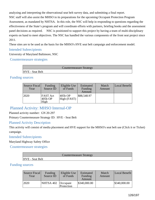analyzing and interpreting the observational seat belt survey data, and submitting a final report. NSC staff will also assist the MHSO in its preparations for the upcoming Occupant Protection Program Assessment, as mandated by NHTSA. In this role, the NSC will help in responding to questions regarding the effectiveness of the State's program and will coordinate efforts with partners, briefing books and the assessment panel decisions as required. NSC is positioned to support this project by having a team of multi-disciplinary experts on hand to meet objectives. The NSC has handled the various components of the front seat project since 2011.

These sites are to be used as the basis for the MHSO's HVE seat belt campaign and enforcement model.

### Intended Subrecipients

University of Maryland Baltimore, NSC

Countermeasure strategies

|                        | <b>Countermeasure Strategy</b> |  |
|------------------------|--------------------------------|--|
| <b>HVE</b> - Seat Belt |                                |  |

## Funding sources

| Source Fiscal<br>Year | Funding<br>Source ID               | Eligible Use<br>of Funds | Estimated<br>Funding<br>Amount | Match<br>Amount | Local Benefit |
|-----------------------|------------------------------------|--------------------------|--------------------------------|-----------------|---------------|
| 2020                  | <b>FAST Act</b><br>405b OP<br>High | $405b$ OP<br>High (FAST) | \$88,548.97                    |                 |               |

## Planned Activity: MHSO Internal-OP

Planned activity number: GN 20-297

Primary Countermeasure Strategy ID: HVE - Seat Belt

## Planned Activity Description

This activity will consist of media placement and HVE support for the MHSO's seat belt use (Click it or Ticket) campaign.

#### Intended Subrecipients

Maryland Highway Safety Office

Countermeasure strategies

|                        | <b>Countermeasure Strategy</b> |  |
|------------------------|--------------------------------|--|
| <b>HVE</b> - Seat Belt |                                |  |

#### Funding sources

| Source Fiscal<br>Year | Funding<br>Source ID | Eligible Use<br>of Funds | Estimated<br>Funding<br>Amount | Match<br>Amount | Local Benefit |
|-----------------------|----------------------|--------------------------|--------------------------------|-----------------|---------------|
| 12020                 | NHTSA 402            | Occupant<br>Protection   | \$340,000.00                   |                 | \$340,000.00  |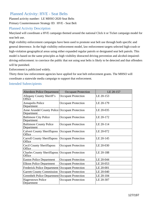## Planned Activity: HVE - Seat Belts

Planned activity number: LE MHSO 2020 Seat Belts Primary Countermeasure Strategy ID: HVE - Seat Belt

## Planned Activity Description

Maryland will coordinate a HVE campaign themed around the national Click it or Ticket campaign model for seat belt use.

High visibility enforcement campaigns have been used to promote seat belt use through both specific and general deterrence. In the high visibility enforcement model, law enforcement targets selected high-crash or high-violation geographical areas using either expanded regular patrols or designated seat belt patrols. This model is based on the same principles as high visibility distracted driving prevention and alcohol-impaireddriving enforcement: to convince the public that not using seat belts is likely to be detected and that offenders will be punished.

Enforcement is publicized widely.

Thirty three law enforcement agencies have applied for seat belt enforcement grants. The MHSO will coordinate a statewide media campaign to support that enforcement.

### Intended Subrecipients

| <b>Aberdeen Police Department</b>                            | <b>Occupant Protection</b> | LE 20-157 |
|--------------------------------------------------------------|----------------------------|-----------|
| Allegany County Sheriff's<br>Office                          | <b>Occupant Protection</b> | LE 20-153 |
| <b>Annapolis Police</b><br>Department                        | <b>Occupant Protection</b> | LE 20-179 |
| Anne Arundel County Police Occupant Protection<br>Department |                            | LE 20-035 |
| <b>Baltimore City Police</b><br>Department                   | <b>Occupant Protection</b> | LE 20-172 |
| <b>Baltimore County Police</b><br>Department                 | <b>Occupant Protection</b> | LE 20-114 |
| <b>Calvert County Sheriffaposs</b><br>Office                 | <b>Occupant Protection</b> | LE 20-072 |
| <b>Carroll County Sheriffaposs</b><br>Office                 | <b>Occupant Protection</b> | LE 20-145 |
| <b>Cecil County Sheriffaposs</b><br>Office                   | <b>Occupant Protection</b> | LE 20-030 |
| <b>Charles County Sheriffaposs</b><br>Office                 | <b>Occupant Protection</b> | LE 20-188 |
| <b>Easton Police Department</b>                              | <b>Occupant Protection</b> | LE 20-044 |
| <b>Elkton Police Department</b>                              | <b>Occupant Protection</b> | LE 20-053 |
| <b>Frederick Police Department</b>                           | <b>Occupant Protection</b> | LE 20-001 |
| <b>Garrett County Commission</b>                             | <b>Occupant Protection</b> | LE 20-040 |
| Greenbelt Police Department Occupant Protection              |                            | LE 20-104 |
| <b>Hagerstown Police</b><br>Department                       | <b>Occupant Protection</b> | LE 20-307 |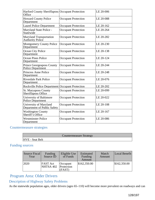| Harford County Sheriffaposs Occupant Protection<br>Office    |                            | LE 20-006 |
|--------------------------------------------------------------|----------------------------|-----------|
| <b>Howard County Police</b><br>Department                    | <b>Occupant Protection</b> | LE 20-088 |
| <b>Laurel Police Department</b>                              | <b>Occupant Protection</b> | LE 20-162 |
| Maryland State Police -<br>Statewide                         | <b>Occupant Protection</b> | LE 20-264 |
| <b>Maryland Transportation</b><br><b>Authority Police</b>    | <b>Occupant Protection</b> | LE 20-282 |
| <b>Montgomery County Police</b><br>Department                | <b>Occupant Protection</b> | LE 20-230 |
| Ocean City Police<br>Department                              | <b>Occupant Protection</b> | LE 20-138 |
| <b>Ocean Pines Police</b><br>Department                      | <b>Occupant Protection</b> | LE 20-124 |
| <b>Prince Georgeaposs County</b><br><b>Police Department</b> | <b>Occupant Protection</b> | LE 20-244 |
| <b>Princess Anne Police</b><br>Department                    | <b>Occupant Protection</b> | LE 20-248 |
| <b>Riverdale Park Police</b><br>Department                   | <b>Occupant Protection</b> | LE 20-076 |
| Rockville Police Department Occupant Protection              |                            | LE 20-202 |
| <b>St. Maryaposs County</b><br>Sheriffaposs Office           | <b>Occupant Protection</b> | LE 20-099 |
| University of Baltimore<br><b>Police Department</b>          | <b>Occupant Protection</b> | LE 20-022 |
| University of Maryland<br>Department of Public Safety        | <b>Occupant Protection</b> | LE 20-108 |
| <b>Washington County</b><br>Sheriff's Office                 | <b>Occupant Protection</b> | LE 20-167 |
| <b>Westminster Police</b><br>Department                      | <b>Occupant Protection</b> | LE 20-086 |

# Countermeasure strategies

|                        | <b>Countermeasure Strategy</b> |  |
|------------------------|--------------------------------|--|
| <b>HVE</b> - Seat Belt |                                |  |

## Funding sources

| Source Fiscal<br>Year | Funding<br>Source ID         | Eligible Use<br>of Funds       | Estimated<br>Funding<br>Amount | Match<br>Amount | Local Benefit |
|-----------------------|------------------------------|--------------------------------|--------------------------------|-----------------|---------------|
| 2020                  | <b>FAST Act</b><br>NHTSA 402 | Occupant<br>Protection<br>FAST | \$162,350.00                   |                 | \$162,350.00  |

# Program Area: Older Drivers

# Description of Highway Safety Problems

As the statewide population ages, older drivers (ages 65–110) will become more prevalent on roadways and can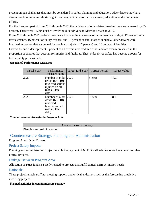present unique challenges that must be considered in safety planning and education. Older drivers may have slower reaction times and shorter sight distances, which factor into awareness, education, and enforcement efforts.

For the five-year period from 2013 through 2017, the incidence of older-driver involved crashes increased by 35 percent. There were 15,004 crashes involving older drivers on Maryland roads in 2017.

From 2013 through 2017, older drivers were involved in an average of more than one in eight (12 percent) of all traffic crashes, 16 percent of injury crashes, and 18 percent of fatal crashes annually. Older drivers were involved in crashes that accounted for one in six injuries (17 percent) and 18 percent of fatalities. Drivers 65 and older represent 8 percent of all drivers involved in crashes and are over-represented in the proportion of crashes that account for injuries and fatalities. Thus, older driver safety has become a focus for traffic safety professionals.

#### Associated Performance Measures

| <b>Fiscal Year</b> | Performance<br>measure name                                                                                | Target End Year | <b>Target Period</b> | <b>Target Value</b> |
|--------------------|------------------------------------------------------------------------------------------------------------|-----------------|----------------------|---------------------|
| 2020               | Number of older 12020<br>driver $(65-110)$<br>involved serious<br>injuries on all<br>roads (State<br>data) |                 | 5 Year               | 442.1               |
| 2020               | Number of older 2020<br>driver $(65-110)$<br>involved<br>fatalities on all<br>roads (State<br>data)        |                 | 5 Year               | 68.1                |

#### Countermeasure Strategies in Program Area

|                             | Countermeasure Strategy |
|-----------------------------|-------------------------|
| Planning and Administration |                         |

## Countermeasure Strategy: Planning and Administration

Program Area: Older Drivers

#### Project Safety Impacts

Planning and Administration projects enable the payment of MHSO staff salaries as well as numerous other critical projects.

Linkage Between Program Area

Allocation of P&A funds is strictly related to projects that fulfill critical MHSO mission needs.

## Rationale

These projects enable staffing, meeting support, and critical endeavors such as the forecasting predictive modeling project.

#### Planned activities in countermeasure strategy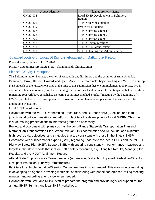| Unique Identifier | <b>Planned Activity Name</b>                  |
|-------------------|-----------------------------------------------|
| GN 20-078         | Local SHSP Development in Baltimore<br>Region |
| GN 20-221         | <b>MHSO Meetings Support</b>                  |
| GN 20-239         | <b>Predictive Modeling</b>                    |
| GN 20-267         | <b>MHSO Staffing Grant 1</b>                  |
| GN 20-278         | <b>MHSO Staffing Grant 2</b>                  |
| GN 20-279         | <b>MHSO Staffing Grant 3</b>                  |
| GN 20-288         | <b>MHSO</b> Communications                    |
| GN 20-291         | <b>MHSO GPS Grant System</b>                  |
| GN 20-301         | <b>MHSO Planning and Administration</b>       |

## Planned Activity: Local SHSP Development in Baltimore Region

Planned activity number: GN 20-078

Primary Countermeasure Strategy ID: Planning and Administration

## Planned Activity Description

The Baltimore region includes the cities of Annapolis and Baltimore and the counties of Anne Arundel, Baltimore, Carroll, Harford, Howard, and Queen Anne's. The coordinator began working in FY2019 to develop plans in each of the jurisdictions and, at the time of this submission, has one in implementation phase, two in committee plan development, and the remaining four recruiting local partners. It is anticipated that two of those remaining four will have established a steering committee and had a kickoff meeting by the beginning of FY2020, while the two in development will move into the implementation phase and the last one will be undergoing evaluation.

Local SHSP coordinator will:

Collaborate with the MHSO Partnerships, Resources, and Outreach (PRO) Section, and lead jurisdictional outreach meetings and efforts to facilitate the development of local SHSPs. This may include making presentations to interested groups as necessary.

Review and coordinate with plans such as the Long-Range Statewide Transportation Plan and Metropolitan Transportation Plan. Where relevant, this coordination should include, at a minimum, high-level goals, objectives, and strategies that are consistent with those in the State's SHSP. Coordinate with subject matter experts (SME) regarding updates to the local SHSPs and the MHSO Highway Safety Plan (HSP). Support SMEs with ensuring consistency in performance measures and targets in the state reports that include traffic safety measures, e.g., Tangible Results, Managing for Results, and the MDOT Attainment Report.

Attend State Emphasis Area Team meetings (Aggressive, Distracted, Impaired, Pedestrian/Bicyclist, Occupant Protection, Highway Infrastructure).

Facilitate local Implementation/Steering Committee meetings as needed. This may include assisting in developing an agenda, providing materials, administering web/phone conferences, taking meeting minutes, and recording attendance when needed.

Collaborate with BMC and MHSO staff to prepare the program and provide logistical support for the annual SHSP Summit and local SHSP workshops.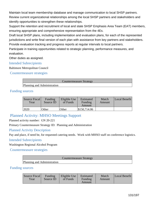Maintain local team membership database and manage communication to local SHSP partners. Review current organizational relationships among the local SHSP partners and stakeholders and identify opportunities to strengthen these relationships.

Support the retention and recruitment of local and state SHSP Emphasis Area Team (EAT) members, ensuring appropriate and comprehensive representation from the 4Es.

Draft local SHSP plans, including implementation and evaluation plans, for each of the represented jurisdictions and write final version of each plan with assistance from key partners and stakeholders. Provide evaluation tracking and progress reports at regular intervals to local partners.

Participate in training opportunities related to strategic planning, performance measures, and evaluation.

Other duties as assigned.

#### Intended Subrecipients

Baltimore Metropolitan Council

Countermeasure strategies

Countermeasure Strategy

Planning and Administration

#### Funding sources

| Source Fiscal<br>Year | Funding<br>Source ID | Eligible Use<br>of Funds | Estimated<br>Funding<br>Amount | Match<br>Amount | Local Benefit |
|-----------------------|----------------------|--------------------------|--------------------------------|-----------------|---------------|
| 12020                 | Other                | Other                    | \$150,714.06                   |                 |               |

## Planned Activity: MHSO Meetings Support

Planned activity number: GN 20-221

Primary Countermeasure Strategy ID: Planning and Administration

#### Planned Activity Description

Pay and place, if need be, for requested catering needs. Work with MHSO staff on conference logistics.

#### Intended Subrecipients

Washington Regional Alcohol Program

Countermeasure strategies

|                             | Countermeasure Strategy |
|-----------------------------|-------------------------|
| Planning and Administration |                         |

#### Funding sources

| Source Fiscal<br>Year | Funding<br>Source ID | Eligible Use<br>of Funds | Estimated<br>Funding<br>Amount | Match<br>Amount | Local Benefit |
|-----------------------|----------------------|--------------------------|--------------------------------|-----------------|---------------|
|-----------------------|----------------------|--------------------------|--------------------------------|-----------------|---------------|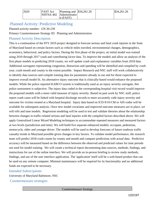| 2020 | <b>FAST Act</b> | Planning and $\frac{\$34,261.20}{\$}$<br>NHTSA 402 Administratio<br>$n$ (FAST) |  |  | $\frac{$34,261.20}{ }$ |
|------|-----------------|--------------------------------------------------------------------------------|--|--|------------------------|
|------|-----------------|--------------------------------------------------------------------------------|--|--|------------------------|

## Planned Activity: Predictive Modeling

Planned activity number: GN 20-239

Primary Countermeasure Strategy ID: Planning and Administration

## Planned Activity Description

This is a continuation of the FFY 2019 project designed to forecast serious and fatal crash injuries in the State of Maryland based on certain factors such as vehicle miles traveled, environmental changes, demographics, economics, behavioral, and policy factors. During the first phase of the project, an initial model was trained using 2010 through 2017 crash and contributing factor data. To improve the models and allow an analysis of the first phase models in predicting 2018 counts, we will update crash and explanatory variables from 2018 data. Additional surrogates representing congestion, distraction and speeding will be identified and compiled by crash year, crash month and county to the extent possible. Impact Research and NSC staff will work collaboratively to identify data sources and compile training data for parameters already in use and for those expected to improve overall model fit. An alternative injury outcome that is clinically-based would enhance the proposed models. While the police reported KABCO system is traditionally used as an injury severity surrogate, this police assessment is subjective. The injury data coded in the corresponding hospital visit record would improve the proposed models with a more valid measure of injury severity. Based on past work by NSC staff, police report crash cases will be linked with hospital discharge records to more accurately code injury severity and outcome for victims treated at a Maryland hospital. Injury data based on ICD-9/10-CM or AIS codes will be available for subsequent analysis. Once new model covariates and improved outcome measures are in place, we will refit and tune models. Regression modeling will be used to test and validate theories about the relationship between changes in traffic-related serious and fatal injuries with the compiled factors described above. We will apply Generalized Linear Mixed Modeling techniques to accommodate repeated measures and measured factors at two levels (jurisdiction and time). We will build five separate enhanced models: occupant, pedestrian, motorcycle, older and younger driver. The models will be used to develop forecasts of future roadway traffic casualty trends in Maryland possible given changes in key factors. To validate model performance, the research team will predict 2018 crash counts by county and month and compare predictions with actual data. Predictive accuracy will be measured based on the difference between the observed and predicted values for time periods not used for model training. We will create a technical report documenting data sources, methods, findings, and instructions for use of the online interface. We will provide an in-person briefing to review study methods, findings, and use of the user interface application. The 'application' itself will be a web-based product that can be used on any remote computer. Minimal maintenance will be required for its functionality and no additional funds are expected to be necessary.

#### Intended Subrecipients

University of Maryland Baltimore, NSC

Countermeasure strategies

Countermeasure Strategy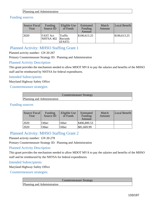#### Planning and Administration

## Funding sources

| Source Fiscal<br>Year | Funding<br>Source ID         | Eligible Use<br>of Funds            | Estimated<br>Funding<br>Amount | Match<br>Amount | Local Benefit |
|-----------------------|------------------------------|-------------------------------------|--------------------------------|-----------------|---------------|
| 2020                  | <b>FAST Act</b><br>NHTSA 402 | <b>Traffic</b><br>Records<br>(FAST) | \$100,613.25                   |                 | \$100,613.25  |

## Planned Activity: MHSO Staffing Grant 1

Planned activity number: GN 20-267

Primary Countermeasure Strategy ID: Planning and Administration

### Planned Activity Description

This grant provides the mechanism needed to allow MDOT MVA to pay the salaries and benefits of the MHSO staff and be reimbursed by NHTSA for federal expenditures.

## Intended Subrecipients

Maryland Highway Safety Office

Countermeasure strategies

|                             | <b>Countermeasure Strategy</b> |
|-----------------------------|--------------------------------|
| Planning and Administration |                                |

## Funding sources

| Source Fiscal<br>Year | Funding<br>Source ID | Eligible Use<br>of Funds | Estimated<br>Funding<br>Amount | Match<br>Amount | Local Benefit |
|-----------------------|----------------------|--------------------------|--------------------------------|-----------------|---------------|
| 2020                  | Other                | Other                    | \$406,800.53                   |                 |               |
| '2020                 | Other                | Other                    | \$81,669.99                    |                 |               |

## Planned Activity: MHSO Staffing Grant 2

Planned activity number: GN 20-278

Primary Countermeasure Strategy ID: Planning and Administration

### Planned Activity Description

This grant provides the mechanism needed to allow MDOT MVA to pay the salaries and benefits of the MHSO staff and be reimbursed by the NHTSA for federal expenditures.

#### Intended Subrecipients

Maryland Highway Safety Office

Countermeasure strategies

Countermeasure Strategy

Planning and Administration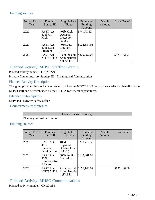### Funding sources

| <b>Source Fiscal</b><br>Year | Funding<br>Source ID                    | Eligible Use<br>of Funds                      | Estimated<br>Funding<br>Amount | Match<br>Amount | Local Benefit |
|------------------------------|-----------------------------------------|-----------------------------------------------|--------------------------------|-----------------|---------------|
| 2020                         | <b>FAST Act</b><br>405b OP<br>High      | 405b High<br>Occupant<br>Protection<br>(FAST) | \$74,173.52                    |                 |               |
| 2020                         | <b>FAST</b> Act<br>405c Data<br>Program | 405c Data<br>Program<br>(FAST)                | \$122,684.98                   |                 |               |
| 2020                         | <b>FAST Act</b><br>NHTSA 402            | Planning and<br>Administratio<br>$n$ (FAST)   | \$879,752.05                   |                 | \$879,752.05  |

# Planned Activity: MHSO Staffing Grant 3

Planned activity number: GN 20-279

Primary Countermeasure Strategy ID: Planning and Administration

## Planned Activity Description

This grant provides the mechanism needed to allow the MDOT MVA to pay the salaries and benefits of the MHSO staff and be reimbursed by the NHTSA for federal expenditures.

#### Intended Subrecipients

Maryland Highway Safety Office

### Countermeasure strategies

|                             | Countermeasure Strategy |
|-----------------------------|-------------------------|
| Planning and Administration |                         |

### Funding sources

| <b>Source Fiscal</b><br>Year | <b>Funding</b><br>Source ID                        | Eligible Use<br>of Funds                    | Estimated<br>Funding<br>Amount | Match<br>Amount | <b>Local Benefit</b> |
|------------------------------|----------------------------------------------------|---------------------------------------------|--------------------------------|-----------------|----------------------|
| 2020                         | <b>FAST</b> Act<br>405d<br>Impaired<br>Driving Low | 405d<br>Impaired<br>Driving Low<br>(FAST)   | \$233,716.33                   |                 |                      |
| 2020                         | <b>FAST</b> Act<br>405h<br>Nonmotorize<br>d Safety | 405h Public<br>Education                    | \$122,881.09                   |                 |                      |
| 2020                         | <b>FAST Act</b><br>NHTSA 402                       | Planning and<br>Administratio<br>$n$ (FAST) | \$156,148.69                   |                 | \$156,148.69         |

## Planned Activity: MHSO Communications

Planned activity number: GN 20-288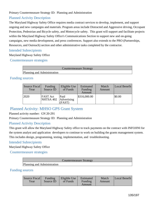Primary Countermeasure Strategy ID: Planning and Administration

## Planned Activity Description

The Maryland Highway Safety Office requires media contract services to develop, implement, and support ongoing and new campaigns and materials. Program areas include Distracted and Aggressive driving, Occupant Protection, Pedestrian and Bicycle safety, and Motorcycle safety. This grant will support and facilitate projects within the Maryland Highway Safety Office's Communications Section to support new and on-going campaigns, new media development, and press conferences. Support also extends to the PRO (Partnerships, Resources, and Outreach) section and other administrative tasks completed by the contractor.

## Intended Subrecipients

Maryland Highway Safety Office

Countermeasure strategies

|                             | Countermeasure Strategy |
|-----------------------------|-------------------------|
| Planning and Administration |                         |

## Funding sources

| Source Fiscal<br>Year | Funding<br>Source ID         | Eligible Use<br>of Funds     | Estimated<br>Funding<br>Amount | Match<br>Amount | Local Benefit |
|-----------------------|------------------------------|------------------------------|--------------------------------|-----------------|---------------|
| 2020                  | <b>FAST</b> Act<br>NHTSA 402 | Paid<br>Advertising<br>(FAST | \$316,000.00                   |                 | \$0.00        |

## Planned Activity: MHSO GPS Grant System

#### Planned activity number: GN 20-291

Primary Countermeasure Strategy ID: Planning and Administration

## Planned Activity Description

This grant will allow the Maryland Highway Safety office to track payments on the contract with INFOJINI for the system analyst and application developers to continue to work on building the grants management system. This includes design, programming, testing, implementation, and troubleshooting.

#### Intended Subrecipients

Maryland Highway Safety Office

#### Countermeasure strategies

|                             | Countermeasure Strategy |
|-----------------------------|-------------------------|
| Planning and Administration |                         |

## Funding sources

| Source Fiscal<br>Year | Funding<br>Source ID | Eligible Use<br>of Funds | Estimated<br>Funding<br>Amount | Match<br>Amount | Local Benefit |
|-----------------------|----------------------|--------------------------|--------------------------------|-----------------|---------------|
|-----------------------|----------------------|--------------------------|--------------------------------|-----------------|---------------|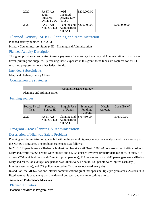| 2020 | <b>FAST Act</b><br>405d<br>Impaired<br>Driving Low | 405d<br>Impaired<br>Driving Low<br>  (FAST) | \$200,000.00 |              |
|------|----------------------------------------------------|---------------------------------------------|--------------|--------------|
| 2020 | <b>FAST Act</b><br>NHTSA 402 Administratio         | Planning and \$200,000.00<br>$n$ (FAST)     |              | \$200,000.00 |

# Planned Activity: MHSO Planning and Administration

Planned activity number: GN 20-301

Primary Countermeasure Strategy ID: Planning and Administration

## Planned Activity Description

This grant provides a mechanism to track payments for everyday Planning and Administration costs such as travel, printing and supplies. By tracking these expenses in this grant, these funds are captured for MHSO reporting purposes wit our other federal funds.

### Intended Subrecipients

Maryland Highway Safety Office

Countermeasure strategies

|                             | Countermeasure Strategy |
|-----------------------------|-------------------------|
| Planning and Administration |                         |

### Funding sources

| Source Fiscal<br>Year | Funding<br>Source ID         | Eligible Use<br>of Funds                                      | Estimated<br>Funding<br>Amount | Match<br>Amount | Local Benefit |
|-----------------------|------------------------------|---------------------------------------------------------------|--------------------------------|-----------------|---------------|
| 2020                  | <b>FAST Act</b><br>NHTSA 402 | Planning and $\vert$ \$76,430.00<br>Administratio<br>n (FAST) |                                |                 | \$76,430.00   |

## Program Area: Planning & Administration

## Description of Highway Safety Problems

Planning and Administration grants fall within the general highway safety data analysis and span a variety of the MHSO's programs. The problem statement is as follows:

In 2018, 513 people were killed—the highest number since 2009—in 120,120 police-reported traffic crashes in Maryland, while 50,865 people were injured and 84,955 crashes involved property damage only. In total, 315 drivers (250 vehicle drivers and 65 motorcycle operators), 127 non-motorists, and 80 passengers were killed on Maryland roads. On average, one person was killed every 17 hours, 139 people were injured each day (6 injuries every hour), and 329 police-reported traffic crashes occurred every day.

In addition, the MHSO has one internal communications grant that spans multiple program areas. As such, it is listed here but is used to support a variety of outreach and communications efforts.

#### Associated Performance Measures

#### Planned Activities

Planned Activities in Program Area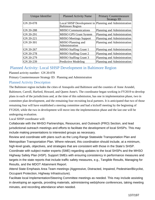| Unique Identifier | <b>Planned Activity Name</b>        | <b>Primary Countermeasure</b><br><b>Strategy ID</b>   |
|-------------------|-------------------------------------|-------------------------------------------------------|
| GN 20-078         | <b>Baltimore Region</b>             | Local SHSP Development in Planning and Administration |
| GN 20-288         | <b>MHSO</b> Communications          | Planning and Administration                           |
| GN 20-291         | <b>MHSO GPS Grant System</b>        | Planning and Administration                           |
| GN 20-221         | <b>MHSO Meetings Support</b>        | Planning and Administration                           |
| GN 20-301         | MHSO Planning and<br>Administration | Planning and Administration                           |
| GN 20-267         | <b>MHSO Staffing Grant 1</b>        | Planning and Administration                           |
| GN 20-278         | <b>MHSO Staffing Grant 2</b>        | Planning and Administration                           |
| GN 20-279         | <b>MHSO Staffing Grant 3</b>        | Planning and Administration                           |
| GN 20-239         | <b>Predictive Modeling</b>          | Planning and Administration                           |

## Planned Activity: Local SHSP Development in Baltimore Region

Planned activity number: GN 20-078

Primary Countermeasure Strategy ID: Planning and Administration

## Planned Activity Description

The Baltimore region includes the cities of Annapolis and Baltimore and the counties of Anne Arundel, Baltimore, Carroll, Harford, Howard, and Queen Anne's. The coordinator began working in FY2019 to develop plans in each of the jurisdictions and, at the time of this submission, has one in implementation phase, two in committee plan development, and the remaining four recruiting local partners. It is anticipated that two of those remaining four will have established a steering committee and had a kickoff meeting by the beginning of FY2020, while the two in development will move into the implementation phase and the last one will be undergoing evaluation.

Local SHSP coordinator will:

Collaborate with the MHSO Partnerships, Resources, and Outreach (PRO) Section, and lead jurisdictional outreach meetings and efforts to facilitate the development of local SHSPs. This may include making presentations to interested groups as necessary.

Review and coordinate with plans such as the Long-Range Statewide Transportation Plan and Metropolitan Transportation Plan. Where relevant, this coordination should include, at a minimum, high-level goals, objectives, and strategies that are consistent with those in the State's SHSP. Coordinate with subject matter experts (SME) regarding updates to the local SHSPs and the MHSO Highway Safety Plan (HSP). Support SMEs with ensuring consistency in performance measures and targets in the state reports that include traffic safety measures, e.g., Tangible Results, Managing for Results, and the MDOT Attainment Report.

Attend State Emphasis Area Team meetings (Aggressive, Distracted, Impaired, Pedestrian/Bicyclist, Occupant Protection, Highway Infrastructure).

Facilitate local Implementation/Steering Committee meetings as needed. This may include assisting in developing an agenda, providing materials, administering web/phone conferences, taking meeting minutes, and recording attendance when needed.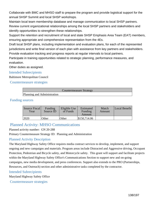Collaborate with BMC and MHSO staff to prepare the program and provide logistical support for the annual SHSP Summit and local SHSP workshops.

Maintain local team membership database and manage communication to local SHSP partners. Review current organizational relationships among the local SHSP partners and stakeholders and identify opportunities to strengthen these relationships.

Support the retention and recruitment of local and state SHSP Emphasis Area Team (EAT) members, ensuring appropriate and comprehensive representation from the 4Es.

Draft local SHSP plans, including implementation and evaluation plans, for each of the represented jurisdictions and write final version of each plan with assistance from key partners and stakeholders. Provide evaluation tracking and progress reports at regular intervals to local partners.

Participate in training opportunities related to strategic planning, performance measures, and evaluation.

Other duties as assigned.

### Intended Subrecipients

Baltimore Metropolitan Council

#### Countermeasure strategies

|                             | <b>Countermeasure Strategy</b> |  |
|-----------------------------|--------------------------------|--|
| Planning and Administration |                                |  |

#### Funding sources

| Source Fiscal<br>Year | Funding<br>Source ID | Eligible Use<br>of Funds | Estimated<br>Funding<br>Amount | Match<br>Amount | Local Benefit |
|-----------------------|----------------------|--------------------------|--------------------------------|-----------------|---------------|
| 12020                 | Other                | Other                    | \$150,714.06                   |                 |               |

## Planned Activity: MHSO Communications

#### Planned activity number: GN 20-288

Primary Countermeasure Strategy ID: Planning and Administration

## Planned Activity Description

The Maryland Highway Safety Office requires media contract services to develop, implement, and support ongoing and new campaigns and materials. Program areas include Distracted and Aggressive driving, Occupant Protection, Pedestrian and Bicycle safety, and Motorcycle safety. This grant will support and facilitate projects within the Maryland Highway Safety Office's Communications Section to support new and on-going campaigns, new media development, and press conferences. Support also extends to the PRO (Partnerships, Resources, and Outreach) section and other administrative tasks completed by the contractor.

#### Intended Subrecipients

Maryland Highway Safety Office

Countermeasure strategies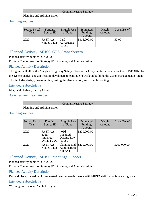#### Countermeasure Strategy

Planning and Administration

### Funding sources

| Source Fiscal<br>Year | Funding<br>Source ID         | Eligible Use<br>of Funds      | Estimated<br>Funding<br>Amount | Match<br>Amount | Local Benefit |
|-----------------------|------------------------------|-------------------------------|--------------------------------|-----------------|---------------|
| 2020                  | <b>FAST Act</b><br>NHTSA 402 | Paid<br>Advertising<br>(FAST) | \$316,000.00                   |                 | \$0.00        |

# Planned Activity: MHSO GPS Grant System

Planned activity number: GN 20-291

Primary Countermeasure Strategy ID: Planning and Administration

## Planned Activity Description

This grant will allow the Maryland Highway Safety office to track payments on the contract with INFOJINI for the system analyst and application developers to continue to work on building the grants management system. This includes design, programming, testing, implementation, and troubleshooting.

### Intended Subrecipients

Maryland Highway Safety Office

Countermeasure strategies

|                             | Countermeasure Strategy |
|-----------------------------|-------------------------|
| Planning and Administration |                         |

#### Funding sources

| <b>Source Fiscal</b><br>Year | Funding<br>Source ID                               | Eligible Use<br>of Funds                                        | Estimated<br>Funding<br>Amount | Match<br>Amount | Local Benefit |
|------------------------------|----------------------------------------------------|-----------------------------------------------------------------|--------------------------------|-----------------|---------------|
| 2020                         | <b>FAST Act</b><br>405d<br>Impaired<br>Driving Low | 405d<br>Impaired<br>Driving Low<br>(FAST)                       | \$200,000.00                   |                 |               |
| 2020                         | <b>FAST Act</b><br>NHTSA 402                       | Planning and $\mid$ \$200,000.00<br>Administratio<br>$n$ (FAST) |                                |                 | \$200,000.00  |

## Planned Activity: MHSO Meetings Support

Planned activity number: GN 20-221

Primary Countermeasure Strategy ID: Planning and Administration

## Planned Activity Description

Pay and place, if need be, for requested catering needs. Work with MHSO staff on conference logistics.

#### Intended Subrecipients

Washington Regional Alcohol Program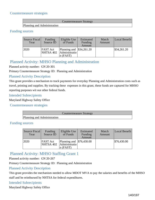### Countermeasure strategies

|                             | <b>Countermeasure Strategy</b> |
|-----------------------------|--------------------------------|
| Planning and Administration |                                |

### Funding sources

| Source Fiscal<br>Year | Funding<br>Source ID         | Eligible Use<br>of Funds                                             | Estimated<br>Funding<br>Amount | Match<br>Amount | Local Benefit          |
|-----------------------|------------------------------|----------------------------------------------------------------------|--------------------------------|-----------------|------------------------|
| 2020                  | <b>FAST Act</b><br>NHTSA 402 | Planning and $\frac{\$34,261.20}{\$}$<br>Administratio<br>$n$ (FAST) |                                |                 | $\frac{$34,261.20}{ }$ |

# Planned Activity: MHSO Planning and Administration

Planned activity number: GN 20-301

Primary Countermeasure Strategy ID: Planning and Administration

### Planned Activity Description

This grant provides a mechanism to track payments for everyday Planning and Administration costs such as travel, printing and supplies. By tracking these expenses in this grant, these funds are captured for MHSO reporting purposes wit our other federal funds.

#### Intended Subrecipients

Maryland Highway Safety Office

Countermeasure strategies

|                             | Countermeasure Strategy |  |
|-----------------------------|-------------------------|--|
| Planning and Administration |                         |  |

## Funding sources

| Source Fiscal<br>Year | Funding<br>Source ID         | Eligible Use<br>of Funds                                                  | Estimated<br>Funding<br>Amount | Match<br>Amount | Local Benefit |
|-----------------------|------------------------------|---------------------------------------------------------------------------|--------------------------------|-----------------|---------------|
| 2020                  | <b>FAST</b> Act<br>NHTSA 402 | Planning and $\frac{1576,430.00}{500,600}$<br>Administratio<br>$n$ (FAST) |                                |                 | \$76,430.00   |

# Planned Activity: MHSO Staffing Grant 1

Planned activity number: GN 20-267

Primary Countermeasure Strategy ID: Planning and Administration

#### Planned Activity Description

This grant provides the mechanism needed to allow MDOT MVA to pay the salaries and benefits of the MHSO staff and be reimbursed by NHTSA for federal expenditures.

## Intended Subrecipients

Maryland Highway Safety Office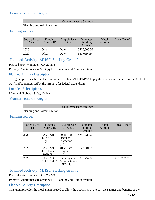### Countermeasure strategies

|                             | <b>Countermeasure Strategy</b> |
|-----------------------------|--------------------------------|
| Planning and Administration |                                |

### Funding sources

| Source Fiscal<br>Year | Funding<br>Source ID | Eligible Use<br>of Funds | Estimated<br>Funding<br>Amount | Match<br>Amount | Local Benefit |
|-----------------------|----------------------|--------------------------|--------------------------------|-----------------|---------------|
| 2020                  | Other                | Other                    | \$406,800.53                   |                 |               |
| 2020                  | Other                | Other                    | \$81,669.99                    |                 |               |

# Planned Activity: MHSO Staffing Grant 2

Planned activity number: GN 20-278

Primary Countermeasure Strategy ID: Planning and Administration

## Planned Activity Description

This grant provides the mechanism needed to allow MDOT MVA to pay the salaries and benefits of the MHSO staff and be reimbursed by the NHTSA for federal expenditures.

### Intended Subrecipients

Maryland Highway Safety Office

Countermeasure strategies

## Countermeasure Strategy

Planning and Administration

## Funding sources

| Source Fiscal<br>Year | Funding<br>Source ID                    | Eligible Use<br>of Funds                      | Estimated<br>Funding<br>Amount | Match<br>Amount | Local Benefit |
|-----------------------|-----------------------------------------|-----------------------------------------------|--------------------------------|-----------------|---------------|
| 2020                  | <b>FAST Act</b><br>405b OP<br>High      | 405b High<br>Occupant<br>Protection<br>(FAST) | \$74,173.52                    |                 |               |
| 2020                  | <b>FAST Act</b><br>405c Data<br>Program | 405c Data<br>Program<br>(FAST)                | \$122,684.98                   |                 |               |
| 2020                  | <b>FAST Act</b><br>NHTSA 402            | Planning and<br>Administratio<br>$n$ (FAST)   | \$879,752.05                   |                 | \$879,752.05  |

# Planned Activity: MHSO Staffing Grant 3

Planned activity number: GN 20-279

Primary Countermeasure Strategy ID: Planning and Administration

## Planned Activity Description

This grant provides the mechanism needed to allow the MDOT MVA to pay the salaries and benefits of the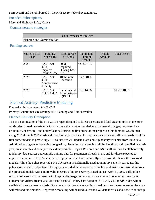MHSO staff and be reimbursed by the NHTSA for federal expenditures.

## Intended Subrecipients

Maryland Highway Safety Office

Countermeasure strategies

|                             | Countermeasure Strategy |
|-----------------------------|-------------------------|
| Planning and Administration |                         |

## Funding sources

| <b>Source Fiscal</b><br>Year | Funding<br>Source ID                               | Eligible Use<br>of Funds                    | Estimated<br>Funding<br>Amount | Match<br>Amount | Local Benefit |
|------------------------------|----------------------------------------------------|---------------------------------------------|--------------------------------|-----------------|---------------|
| 2020                         | <b>FAST</b> Act<br>405d<br>Impaired<br>Driving Low | 405d<br>Impaired<br>Driving Low<br>(FAST)   | \$233,716.33                   |                 |               |
| 2020                         | FAST Act<br>405h<br>Nonmotorize<br>d Safety        | 405h Public<br>Education                    | \$122,881.09                   |                 |               |
| 2020                         | <b>FAST</b> Act<br>NHTSA 402                       | Planning and<br>Administratio<br>$n$ (FAST) | \$156,148.69                   |                 | \$156,148.69  |

# Planned Activity: Predictive Modeling

Planned activity number: GN 20-239

Primary Countermeasure Strategy ID: Planning and Administration

## Planned Activity Description

This is a continuation of the FFY 2019 project designed to forecast serious and fatal crash injuries in the State of Maryland based on certain factors such as vehicle miles traveled, environmental changes, demographics, economics, behavioral, and policy factors. During the first phase of the project, an initial model was trained using 2010 through 2017 crash and contributing factor data. To improve the models and allow an analysis of the first phase models in predicting 2018 counts, we will update crash and explanatory variables from 2018 data. Additional surrogates representing congestion, distraction and speeding will be identified and compiled by crash year, crash month and county to the extent possible. Impact Research and NSC staff will work collaboratively to identify data sources and compile training data for parameters already in use and for those expected to improve overall model fit. An alternative injury outcome that is clinically-based would enhance the proposed models. While the police reported KABCO system is traditionally used as an injury severity surrogate, this police assessment is subjective. The injury data coded in the corresponding hospital visit record would improve the proposed models with a more valid measure of injury severity. Based on past work by NSC staff, police report crash cases will be linked with hospital discharge records to more accurately code injury severity and outcome for victims treated at a Maryland hospital. Injury data based on ICD-9/10-CM or AIS codes will be available for subsequent analysis. Once new model covariates and improved outcome measures are in place, we will refit and tune models. Regression modeling will be used to test and validate theories about the relationship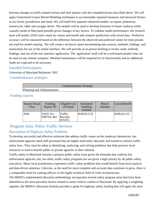between changes in traffic-related serious and fatal injuries with the compiled factors described above. We will apply Generalized Linear Mixed Modeling techniques to accommodate repeated measures and measured factors at two levels (jurisdiction and time). We will build five separate enhanced models: occupant, pedestrian, motorcycle, older and younger driver. The models will be used to develop forecasts of future roadway traffic casualty trends in Maryland possible given changes in key factors. To validate model performance, the research team will predict 2018 crash counts by county and month and compare predictions with actual data. Predictive accuracy will be measured based on the difference between the observed and predicted values for time periods not used for model training. We will create a technical report documenting data sources, methods, findings, and instructions for use of the online interface. We will provide an in-person briefing to review study methods, findings, and use of the user interface application. The 'application' itself will be a web-based product that can be used on any remote computer. Minimal maintenance will be required for its functionality and no additional funds are expected to be necessary.

### Intended Subrecipients

University of Maryland Baltimore, NSC

Countermeasure strategies

|                             | Countermeasure Strategy |
|-----------------------------|-------------------------|
| Planning and Administration |                         |

## Funding sources

| Source Fiscal<br>Year | Funding<br>Source ID         | Eligible Use<br>of Funds           | Estimated<br>Funding<br>Amount | Match<br>Amount | Local Benefit |
|-----------------------|------------------------------|------------------------------------|--------------------------------|-----------------|---------------|
| 12020                 | <b>FAST</b> Act<br>NHTSA 402 | <b>Traffic</b><br>Records<br>(FAST | \$100,613.25                   |                 | \$100,613.25  |

## Program Area: Police Traffic Services

## Description of Highway Safety Problems

To develop successful and effective solutions that address traffic issues on the roadways themselves, law enforcement agencies need staff personnel that are highly motivated, educated, and trained to enforce traffic safety laws. They must be adept at identifying, analyzing, and solving problems that help preserve local resources or tend to benefit public or private agencies in their solution.

Traffic safety in Maryland remains a primary public safety issue given the demands that confront law enforcement agencies, but, too often, traffic safety programs are not given a high priority by all public safety executives. Many local jurisdictions experience traffic safety problems that would benefit from local analysis and data-driven solutions. Likewise, as the need for more complete and accurate data continues to grow, there is a comparable need for training officers in the highly technical field of crash reconstruction.

The MHSO's implemented allocation methodology incorporates several safety program areas that have been identified as the most prevalent factors related to motor vehicle crashes in Maryland. By applying a weighting regimen, the MHSO's allocation formula provides a guide for highway safety funding that will apply the most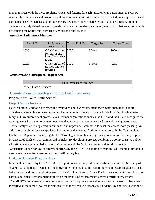money to areas with the most problems. Once total funding for each jurisdiction is determined, the MHSO reviews the frequencies and proportions of crash sub-categories (i.e. impaired, distracted, motorcycle, etc.) and compares these frequencies and proportions by law enforcement agency within each jurisdiction. Funding decisions are truly data-driven and provide guidance for the identification of jurisdictions that are most capable of reducing the State's total number of serious and fatal crashes.

#### Associated Performance Measures

| <b>Fiscal Year</b> | Performance<br>measure name                                                     | Target End Year | <b>Target Period</b> | <b>Target Value</b> |
|--------------------|---------------------------------------------------------------------------------|-----------------|----------------------|---------------------|
| 2020               | $ C-2 $ Number of $ 2020 $<br>serious injuries<br>in traffic crashes<br>(State) |                 | 5 Year               | 3029.4              |
| 2020               | $ C-1)$ Number of $ 2020$<br>traffic fatalities<br>(FARS)                       |                 | 5 Year               | 425.7               |

#### Countermeasure Strategies in Program Area

|                                | Countermeasure Strategy |  |
|--------------------------------|-------------------------|--|
| <b>Police Traffic Services</b> |                         |  |

## Countermeasure Strategy: Police Traffic Services

Program Area: Police Traffic Services

## Project Safety Impacts

New techniques and tools are emerging every day, and law enforcement needs State support for a more effective way to embrace these resources. The economies of scale make this kind of training invaluable to Maryland law enforcement professionals. Partner organizations such as the MSA and the MCPA recognize the training needs for law enforcement members that are not adequately met by State and local governments. Traffic safety is often neglected or diminished in importance, compared to what may seem more pressing law enforcement training issues experienced by individual agencies. Additionally, as noted in the Congressional Conference Report accompanying the FAST Act legislation, there is a growing concern for the dangers posed by unsecured loads on non-commercial vehicles. By developing projects combining a comprehensive public education campaign coupled with an HVE component, the MHSO hopes to address this concern.

 Consistent support for law enforcement efforts by the MHSO, in addition to training, will enable Maryland to ensure adequate enforcement of existing traffic safety laws.

## Linkage Between Program Area

Maryland is required by the FAST ACT to report on several key enforcement-based measures. Over the past several years, there has been a decline in overall enforcement output regarding certain categories such as seat belt citations and impaired driving arrests. The MHSO utilizes its Police Traffic Services Section and LELs to continue to educate enforcement partners on the impact of enforcement to overall traffic safety efforts.

 The MHSO's implemented allocation methodology incorporates several safety program areas that have been identified as the most prevalent factors related to motor vehicle crashes in Maryland. By applying a weighting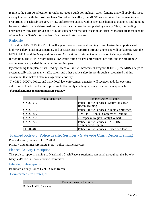regimen, the MHSO's allocation formula provides a guide for highway safety funding that will apply the most money to areas with the most problems. To further this effort, the MHSO was provided the frequencies and proportions of each sub-category by law enforcement agency within each jurisdiction so that once total funding for each jurisdiction is determined, further stratification may be completed by agency. Thus, the funding decisions are truly data-driven and provide guidance for the identification of jurisdictions that are most capable of reducing the State's total number of serious and fatal crashes.

#### Rationale

Throughout FFY 2019, the MHSO will support law enforcement training to emphasize the importance of highway safety, crash investigations, and accurate crash reporting through grants and will collaborate with the MCPA, MSA, and the Maryland Police and Correctional Training Commission on training and officer recognition. The MHSO coordinates a TSS certification for law enforcement officers, and the program will continue to be expanded throughout the coming year.

By continuing to implement its Leading Effective Traffic Enforcement Program (LETEP), the MHSO helps to systematically address many traffic safety and other public safety issues through a recognized training curriculum that makes traffic management a priority.

 The MSP, MDTA Police, and many local law enforcement agencies will receive funds for overtime enforcement to address the most pressing traffic safety challenges, using a data-driven approach.

#### Planned activities in countermeasure strategy

| Unique Identifier | <b>Planned Activity Name</b>                                       |
|-------------------|--------------------------------------------------------------------|
| GN 20-090         | Police Traffic Services - Statewide Crash<br><b>Recon Training</b> |
| $ GN 20-135$      | Police Traffic Services - Chiefs Conference                        |
| $ GN 20-209$      | <b>MML PEA Annual Conference Training</b>                          |
| $ GN 20-218$      | <b>Chesapeake Region Safety Council</b>                            |
| $ GN 20-270$      | Police Traffic Services - IACP HSC,<br><b>Commanders Summit</b>    |
| LE 20-284         | Police Traffic Services - Unsecured loads                          |

## Planned Activity: Police Traffic Services - Statewide Crash Recon Training

Planned activity number: GN 20-090

Primary Countermeasure Strategy ID: Police Traffic Services

#### Planned Activity Description

This project supports training to Maryland's Crash Reconstructionist personnel throughout the State by Maryland's Crash Reconstruction Committee.

Intended Subrecipients

Baltimore County Police Dept. - Crash Recon

Countermeasure strategies

Countermeasure Strategy

Police Traffic Services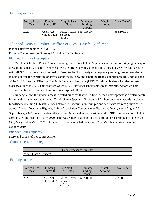## Funding sources

| Source Fiscal<br>Year | Funding<br>Source ID         | Eligible Use<br>of Funds                                   | Estimated<br>Funding<br>Amount | Match<br>Amount | Local Benefit |
|-----------------------|------------------------------|------------------------------------------------------------|--------------------------------|-----------------|---------------|
| 2020                  | <b>FAST Act</b><br>NHTSA 402 | Police Traffic $\frac{1}{35,105.00}$<br>Services<br>(FAST) |                                |                 | \$35,105.00   |

## Planned Activity: Police Traffic Services - Chiefs Conference

Planned activity number: GN 20-135

Primary Countermeasure Strategy ID: Police Traffic Services

#### Planned Activity Description

The Maryland Chiefs of Police Annual Training Conference held in September is the start of bridging the gap of these training needs. The top level executives are offered a verity of educational sessions. MCPA has partnered with MHSO to promote the states goal of Zero Deaths. Two ninety minute plenary training session are planned to help educate the executives on traffic safety issues, new and emerging trends, countermeasures and the goals of the SHSP. Leading Effective Traffic Enforcement Programs (LETEP) training is also scheduled to take place two times in 2020. This program which MCPA provides scholarships to, targets supervisors who are assigned with traffic safety and enforcement responsibilities.

This training allows the student access to tested practices that will allow for their development as a traffic safety leader within his or her department. Traffic Safety Specialist Program - Will host an annual awards luncheon for officers obtaining TSS status. Each officer will receive a uniform pin and certificate for recognition of TSS status. Annual Governor's Highway Safety Association Conference in Pittsburgh, Pennsylvania August 29- September 2, 2020. Four executive officers from Maryland agencies will attend. DRE Conference to be held in Ocean City, Maryland February 2020. Highway Safety Training for the Patrol Supervisor to be held in Ocean City, Maryland in March 2020. Annual DUI Conference held in Ocean City, Maryland during the month of October 2019.

## Intended Subrecipients

Maryland Chiefs of Police Association

Countermeasure strategies

|                                | Countermeasure Strategy |  |
|--------------------------------|-------------------------|--|
| <b>Police Traffic Services</b> |                         |  |

## Funding sources

| Source Fiscal<br>Year | Funding<br>Source ID         | Eligible Use<br>of Funds                          | Estimated<br>Funding<br>Amount | Match<br>Amount | Local Benefit |
|-----------------------|------------------------------|---------------------------------------------------|--------------------------------|-----------------|---------------|
| 2020                  | <b>FAST</b> Act<br>NHTSA 402 | Police Traffic \\$92,200.00<br>Services<br>(FAST) |                                |                 | \$92,200.00   |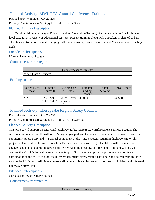## Planned Activity: MML PEA Annual Conference Training

Planned activity number: GN 20-209 Primary Countermeasure Strategy ID: Police Traffic Services

## Planned Activity Description

The Maryland Municipal League Police Executive Association Training Conference held in April offers top level executives a variety of educational sessions. Plenary training, along with a speaker, is planned to help educate executives on new and emerging traffic safety issues, countermeasures, and Maryland's traffic safety goals.

## Intended Subrecipients

Maryland Municipal League

Countermeasure strategies

|                                | Countermeasure Strategy |  |
|--------------------------------|-------------------------|--|
| <b>Police Traffic Services</b> |                         |  |

## Funding sources

| Source Fiscal<br>Year | Funding<br>Source ID         | Eligible Use<br>of Funds                              | Estimated<br>Funding<br>Amount | Match<br>Amount | Local Benefit |
|-----------------------|------------------------------|-------------------------------------------------------|--------------------------------|-----------------|---------------|
| 2020                  | <b>FAST Act</b><br>NHTSA 402 | Police Traffic \\$4,500.00<br>Services<br><b>FAST</b> |                                |                 | \$4,500.00    |

## Planned Activity: Chesapeake Region Safety Council

## Planned activity number: GN 20-218

Primary Countermeasure Strategy ID: Police Traffic Services

## Planned Activity Description

This project will support the Maryland Highway Safety Office's Law Enforcement Services Section. The section coordinates directly with office's largest group of grantee's--law enforcement. The law enforcement community across Maryland is a critical component of the state's strategy regarding highway safety. This project will support the hiring of four Law Enforcement Liaisons (LEL). The LEL's will ensure active engagement and collaboration between the MHSO and the local law enforcement community. They will oversee the MHSO's law enforcement grants (approx 90 grants) and projects, promote and coordinate participation in the MHSO's high visibility enforcement waves, recruit, coordinate and deliver training. It will also be the LEL's responsibilities to ensure alignment of law enforcement priorities within Maryland's Strategic Highway Safety Plan.

#### Intended Subrecipients

Chesapeake Region Safety Council

Countermeasure strategies

Countermeasure Strategy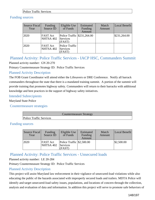#### Police Traffic Services

## Funding sources

| Source Fiscal<br>Year | Funding<br>Source ID         | Eligible Use<br>of Funds                                     | Estimated<br>Funding<br>Amount | Match<br>Amount | Local Benefit |
|-----------------------|------------------------------|--------------------------------------------------------------|--------------------------------|-----------------|---------------|
| 2020                  | <b>FAST Act</b><br>NHTSA 402 | Police Traffic $\frac{$231,264.00}{ }$<br>Services<br>(FAST) |                                |                 | \$231,264.00  |
| 2020                  | <b>FAST Act</b><br>NHTSA 402 | Police Traffic<br>Services<br>(FAST)                         |                                |                 |               |

Planned Activity: Police Traffic Services - IACP HSC, Commanders Summit

Planned activity number: GN 20-270

Primary Countermeasure Strategy ID: Police Traffic Services

## Planned Activity Description

The FOB Grant Coordinator will attend either the Lifesavers or DRE Conference. Notify all barrack commanders throughout the state that there is a mandated training summit. A portion of the summit will provide training that promotes highway safety. Commanders will return to their barracks with additional knowledge and best practices in the support of highway safety initiatives.

#### Intended Subrecipients

Maryland State Police

Countermeasure strategies

|                                | <b>Countermeasure Strategy</b> |
|--------------------------------|--------------------------------|
| <b>Police Traffic Services</b> |                                |

## Funding sources

| Source Fiscal<br>Year | Funding<br>Source ID         | Eligible Use<br>of Funds                                 | Estimated<br>Funding<br>Amount | Match<br>Amount | Local Benefit |
|-----------------------|------------------------------|----------------------------------------------------------|--------------------------------|-----------------|---------------|
| 2020                  | <b>FAST Act</b><br>NHTSA 402 | Police Traffic $\frac{1}{2}$ ,500.00<br>Services<br>FAST |                                |                 | \$2,500.00    |

## Planned Activity: Police Traffic Services - Unsecured loads

#### Planned activity number: LE 20-284

Primary Countermeasure Strategy ID: Police Traffic Services

## Planned Activity Description

This project will assist Maryland law enforcement in their vigilance of unsecured-load violations while also educating the public of the hazards associated with improperly secured loads and trailers. MDTA Police will identify and target unsecured-load safety issues, populations, and locations of concern through the collection, analysis and evaluation of data and information. In addition this project will serve to promote safe behaviors of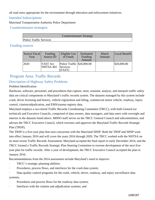all road users appropriate for the environment through education and enforcement initiatives.

#### Intended Subrecipients

Maryland Transportation Authority Police Department

Countermeasure strategies

|                                | Countermeasure Strategy |  |
|--------------------------------|-------------------------|--|
| <b>Police Traffic Services</b> |                         |  |

## Funding sources

| Source Fiscal<br>Year | Funding<br>Source ID         | Eligible Use<br>of Funds                         | Estimated<br>Funding<br>Amount | Match<br>Amount | Local Benefit |
|-----------------------|------------------------------|--------------------------------------------------|--------------------------------|-----------------|---------------|
| 2020                  | <b>FAST</b> Act<br>NHTSA 402 | Police Traffic \$20,000.00<br>Services<br>(FAST) |                                |                 | \$20,000.00   |

## Program Area: Traffic Records

## Description of Highway Safety Problems

## Problem Identification

Hardware, software, personnel, and procedures that capture, store, transmit, analyze, and interpret traffic safety data are critical components to Maryland's traffic records system. The datasets managed by this system include crash, driver licensing and history, vehicle registration and titling, commercial motor vehicle, roadway, injury control, citation/adjudication, and EMS/trauma registry data.

Maryland employs a two-tiered Traffic Records Coordinating Committee (TRCC), with both General (or technical) and Executive Councils, comprised of data owners, data managers, and data users with oversight and interest in the datasets listed above. MHSO staff serves on the TRCC General Council and subcommittees, and advises the TRCC Executive Council, which oversees and approves the Maryland Traffic Records Strategic Plan (TRSP).

The TRSP is a five-year plan that runs concurrent with the Maryland SHSP. Both the TRSP and SHSP went into effect January 2016 and will cover the years 2016 through 2020. The TRCC worked with the NHTSA on its most recent Traffic Records Assessment. Maryland accepted the final report in early December 2014, and the TRCC formed a Traffic Records Strategic Plan Steering Committee to oversee development of the next fiveyear plan for traffic records. After a year of development, the TRCC Executive Council accepted the plan in January 2016.

Recommendations from the 2014 assessment include Maryland's need to improve:

- TRCC's strategic planning abilities;
- Procedures, process flows, and interfaces for the crash data system;
- Data quality control programs for the crash, vehicle, driver, roadway, and injury surveillance data systems;
- Procedures and process flows for the roadway data system;
- · Interfaces with the citation and adjudication systems; and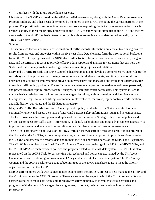· Interfaces with the injury surveillance systems.

Objectives in the TRSP are based on the 2010 and 2014 assessments, along with the Crash Data Improvement Program findings, and other needs determined by members of the TRCC, including the various partners in the process. The prioritization and selection process for projects requesting funds includes an evaluation of each project's ability to meet the priority objectives in the TRSP, considering the strategies in the SHSP and the fiveyear needs of the SHSP Emphasis Areas. Priority objectives are reviewed and determined annually by the TRCC Executive Council.

#### Solution

The accurate collection and timely dissemination of traffic records information are crucial to ensuring positive results from projects and strategies within the five-year plan. Data elements form the informational backbone for all the MHSO's programs and the SHSP itself. All activities, from enforcement to education, rely on good data, and the MHSO's focus is to provide effective data support and analysis for programs that can help the State meet traffic safety goals in reducing crashes and resulting injuries and fatalities.

Maryland's Traffic Records Executive Council's leadership goal is to develop a comprehensive statewide traffic records system that provides traffic safety professionals with reliable, accurate, and timely data to inform decisions and actions for implementing proven countermeasures and managing and evaluating safety activities to resolve traffic safety problems. The traffic records system encompasses the hardware, software, personnel, and procedures that capture, store, transmit, analyze, and interpret traffic safety data. This system is used to manage basic crash data from all law enforcement agencies, along with information on driver licensing and history, vehicle registration and titling, commercial motor vehicles, roadways, injury control efforts, citation and adjudication activities, and the EMS/trauma registry.

Maryland's Traffic Records Executive Council provides policy leadership to the TRCC and its efforts to continually review and assess the status of Maryland's traffic safety information system and its components. The TRCC oversees the development and update of the Traffic Records Strategic Plan to serve public- and private-sector needs for traffic safety information, to identify technologies and other advancements necessary to improve the system, and to support the coordination and implementation of system improvements. The MHSO participates on all levels of the TRCC through its own staff and through a grant-funded project at the NSC called the MCTSA, a more comprehensive, expert staff-based approach to provide services based on the CODES and other traffic records data and to meet the wide and varied needs of the MHSO and its partners. The MHSO is a member of the Crash Data Tri-Agency Council—consisting of the MSP, the MDOT SHA, and the MDOT MVA—which oversees policies and projects related to the crash data system. The MHSO is also represented on the ACRS Task Force, working with technical and policy experts named by the Tri-Agency Council to oversee continuing improvements of Maryland's newest electronic data system. The Tri-Agency Council and the ACRS Task Force act as subcommittees of the TRCC and share goals to meet the priority objectives set forth in the TRSP.

MHSO staff members work with subject matter experts from the MCTSA project to help manage the TRSP, and the MHSO continues the CODES program. These are some of the ways in which the MHSO relies on its many partner agencies to make data accessible for highway safety planning, as it employs various systems and programs, with the help of State agencies and grantees, to collect, maintain and analyze internal data information.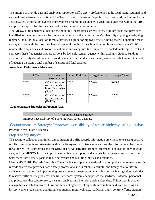The mission to provide data and analytical support to traffic safety professionals at the local, State, regional, and national levels drives the direction of the Traffic Records Program. Projects to be considered for funding by the Traffic Safety Information System Improvement Program must adhere to goals and objectives within the TRSP and provide support for the data needs of the traffic records community.

 The MHSO's implemented allocation methodology incorporates several safety program areas that have been identified as the most prevalent factors related to motor vehicle crashes in Maryland. By applying a weighting regimen, the MHSO's allocation formula provides a guide for highway safety funding that will apply the most money to areas with the most problems. Once total funding for each jurisdiction is determined, the MHSO reviews the frequencies and proportions of crash sub-categories (i.e. impaired, distracted, motorcycle, etc.) and compares these frequencies and proportions by law enforcement agency within each jurisdiction. Funding decisions are truly data-driven and provide guidance for the identification of jurisdictions that are most capable of reducing the State's total number of serious and fatal crashes.

#### Associated Performance Measures

| <b>Fiscal Year</b> | Performance<br>measure name                                                 | Target End Year | <b>Target Period</b> | <b>Target Value</b> |
|--------------------|-----------------------------------------------------------------------------|-----------------|----------------------|---------------------|
| 2020               | $C-2$ ) Number of 2020<br>serious injuries<br>in traffic crashes<br>(State) |                 | 5 Year               | 3029.4              |
| 2020               | $C-1$ ) Number of 2020<br>traffic fatalities<br>(FARS)                      |                 | 5 Year               | 425.7               |

Countermeasure Strategies in Program Area

Countermeasure Strategy Improves accessibility of a core highway safety database

Countermeasure Strategy: Improves accessibility of a core highway safety database Program Area: Traffic Records

#### Project Safety Impacts

The accurate collection and timely dissemination of traffic records information are crucial to ensuring positive results from projects and strategies within the five-year plan. Data elements form the informational backbone for all the MHSO's programs and the SHSP itself. All activities, from enforcement to education, rely on good data, and the MHSO's focus is to provide effective data support and analysis for programs that can help the State meet traffic safety goals in reducing crashes and resulting injuries and fatalities.

Maryland's Traffic Records Executive Council's leadership goal is to develop a comprehensive statewide traffic records system that provides traffic safety professionals with reliable, accurate, and timely data to inform decisions and actions for implementing proven countermeasures and managing and evaluating safety activities to resolve traffic safety problems. The traffic records system encompasses the hardware, software, personnel, and procedures that capture, store, transmit, analyze, and interpret traffic safety data. This system is used to manage basic crash data from all law enforcement agencies, along with information on driver licensing and history, vehicle registration and titling, commercial motor vehicles, roadways, injury control efforts, citation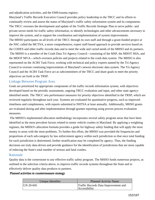and adjudication activities, and the EMS/trauma registry.

Maryland's Traffic Records Executive Council provides policy leadership to the TRCC and its efforts to continually review and assess the status of Maryland's traffic safety information system and its components. The TRCC oversees the development and update of the Traffic Records Strategic Plan to serve public- and private-sector needs for traffic safety information, to identify technologies and other advancements necessary to improve the system, and to support the coordination and implementation of system improvements. The MHSO participates on all levels of the TRCC through its own staff and through a grant-funded project at the NSC called the MCTSA, a more comprehensive, expert staff-based approach to provide services based on the CODES and other traffic records data and to meet the wide and varied needs of the MHSO and its partners. The MHSO is a member of the Crash Data Tri-Agency Council—consisting of the MSP, the MDOT SHA, and the MDOT MVA—which oversees policies and projects related to the crash data system. The MHSO is also represented on the ACRS Task Force, working with technical and policy experts named by the Tri-Agency Council to oversee continuing improvements of Maryland's newest electronic data system. The Tri-Agency Council and the ACRS Task Force act as subcommittees of the TRCC and share goals to meet the priority objectives set forth in the TRSP.

## Linkage Between Program Area

Goals are prioritized for appropriate components of the traffic records information system, with objectives developed based on the periodic assessments, ongoing TRCC evaluation and input, and other state agencyidentified needs. The TRCC sets performance measures for priority objectives identified in the TRSP, which are reviewed regularly throughout each year. Systems are evaluated for quantitative progress, such as improved timeliness and completeness, with reports submitted to NHTSA at least annually. Additionally, MHSO grants are evaluated during and after implementation through grantee reporting using proven process evaluation measures.

 The MHSO's implemented allocation methodology incorporates several safety program areas that have been identified as the most prevalent factors related to motor vehicle crashes in Maryland. By applying a weighting regimen, the MHSO's allocation formula provides a guide for highway safety funding that will apply the most money to areas with the most problems. To further this effort, the MHSO was provided the frequencies and proportions of each sub-category by law enforcement agency within each jurisdiction so that once total funding for each jurisdiction is determined, further stratification may be completed by agency. Thus, the funding decisions are truly data-driven and provide guidance for the identification of jurisdictions that are most capable of reducing the State's total number of serious and fatal crashes.

## Rationale

Quality data is the cornerstone to any effective traffic safety program. The MHSO funds numerous projects, as outlined in the selection criteria above, to improve traffic records systems throughout the State and to effectively deliver quality data products to partners.

#### Planned activities in countermeasure strategy

| Unique Identifier | <b>Planned Activity Name</b>                          |
|-------------------|-------------------------------------------------------|
| $IGN 20-045$      | Traffic Records Data Improvement and<br>Accessibility |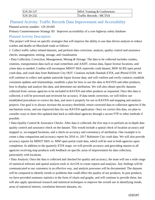| $ GN 20-137$ | <b>MSA Training &amp; Conferences</b> |
|--------------|---------------------------------------|
| $ GN 20-232$ | Traffic Records - MCTSA               |

## Planned Activity: Traffic Records Data Improvement and Accessibility Planned activity number: GN 20-045

Primary Countermeasure Strategy ID: Improves accessibility of a core highway safety database

## Planned Activity Description

This project will focus on specific strategies that will improve the ability to use data driven analysis to reduce crashes and deaths on Maryland roads as follows:

1. Collect traffic safety related datasets, and perform data correction, analysis, quality control and assurance checks, management, mining, storage, and visualization

• Data Collection, Correction, Management, Mining & Storage: The data to be collected includes crashes, citations, transportation data such as road centerlines and AADT, census data, liquor license locations, and crime data as needed. Crashes will encompass MDOT SHA statewide crash dataset, MSP ACRS open portal crash data, and crash data from Baltimore City DOT. Citations include Databak ETIX, and JPortal ETIX. We will continue to collect and update statewide liquor license data; and will confirm and verify contacts, establish consistent updates and relationships, establish a plan for how to use this data in RAVEN and other products, how to display and analyze this data, and determine our attribution. We will also obtain specific datasets collected from various agencies to be included in RAVEN and other products as requested. Once this data is collected, it will be processed and reviewed for accuracy. If data needs correction, we will follow our established procedures to correct the data, and store it properly for use in RAVEN and mapping and analysis projects. Our goal is to always increase the accuracy threshold, return corrected data to collection agencies if the mechanism exists, and use improved data for our RAVEN application. Once we correct this data, we plan to consider ways to share this updated data back to individual agencies through a secure FTP or other methods if possible.

• Data Quality Control & Assurance Checks: After data is collected, the first step is to perform an in-depth data quality control and assurance check on the dataset. This would include a spatial check of location accuracy and mapped vs. un-mapped locations, and a check on accuracy and consistency of attribution. One example is to create a data comparison and accuracy report for 2016 vs. 2017 Baltimore City crash data. We will also provide accuracy reports for MDOT SHA vs. MSP open portal crash data, which will be sent to both agencies upon completion. In addition to the quarterly ETIX maps, we will provide accuracy and geocoding reports to all agencies receiving map products with feedback on specific areas of improvement for data collection, particularly with locations.

• Data Analysis: Once the data is collected and checked for quality and accuracy, the team will use a wide range of statistical software and spatial analysis tools in ArcGIS to create reports and analyses. Any findings will be communicated to our customers in an effective way, and analysis processes will be documented. The datasets will be compared to identify trends or problems that could affect the quality of our products. In past products, we have provided summary statistics in the form of charts and graphs, and will continue to provide these, but will also apply operational research and statistical techniques to improve the overall use in identifying trends, areas of statistical interest, correlation between datasets, etc.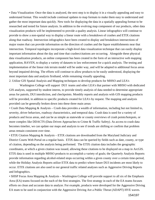• Data Visualization: Once the data is analyzed, the next step is to display it in a visually appealing and easy to understand format. This would include continual updates to map formats to make them easy to understand and gather the most important data quickly. New tools for displaying the data in a spatially appealing format to be researched and tested for future analysis. In addition to the evolving map component of our products, other data visualization products will be implemented to provide a quality analysis. Linear infographics will continue to provide to show a non-spatial way to display a linear route with a breakdown of crashes and ETIX citations along that roadway. Intersection infographics have been created to display and breakdown intersections of major routes that can provide information on the direction of crashes and the liquor establishments near that intersection. Temporal topologies incorporate a high-level data visualization technique that can easily display important information about the day and time that crashes/citations are occurring. Alongside these physical data visualization products, an online component has been created in the form of an interactive web mapping application, RAVEN, to display a variety of datasets to law enforcement for a quick analysis. The testing and implementation of the linear risk terrain model will be under way, and will be adapted to additional focus areas beyond impaired driving. The efforts will continue to allow products to be easily understood, displaying the most important data and analysis firsthand, while remaining visually appealing.

2. Utilize GIS Spatial Analysis and Mapping techniques to develop products for MHSO and LEA's

 Washington College will support DUI teams and other LEA's that partner with MHSO with dedicated GIS analysts, supported by student interns, to provide timely analysis of data needed to determine appropriate areas for patrols, DUI interdiction, and checkpoints. Monthly reports and analysis with GIS mapping products will be provided, in addition to specific products created for LEA's by request. The mapping and analysis provided can be generally broken down into these three main areas:

• Crash Data Mapping & Analysis – Crash data provides a wealth of information, including but not limited to, severity, driver behaviors, roadway characteristics, and temporal data. Crash data is used for a variety of products and focus areas, and can be as simple as statewide or county overviews of crash points/hotspots, or more complex like DDACTS (Data Driven Approaches to Crime & Traffic Safety). As access to crash data becomes timelier, we can update our maps and analysis to see if trends are shifting or confirm that problem areas remain consistent over time.

• ETIX Citation Mapping & Analysis – ETIX citations are downloaded from the Maryland Judiciary and District Courts Web Portal on a regular basis. ETIX data can be queried by fields such as date, county, or type of citation, depending on the analysis being performed. The ETIX citation data includes the geographic coordinates, at which a given citation was issued, allowing these citations to be displayed on a map in ArcGIS. ETIX data is used in multiple MHSO products to accomplish a variety of goals; the Quarterly Analysis Reports provide information regarding alcohol-related stops occurring within a given county over a certain time-period, while the Holiday Analysis Reports utilize ETIX data to predict where future DUI incidents are most likely to occur. ETIX citations are also used in our general traffic related analyses such as Aggressive Driving Reports and Infographics.

• SHSP Focus Area Mapping & Analysis – Washington College will provide support to all six of the Emphasis Area (EA) teams focused on the each of the first strategies. The first strategy in each of the EA teams focuses efforts on clean and accurate data to analyze. For example, products were developed for the Aggressive Driving EA team to be used in conjunction with the Aggressive Driving Are a Public Threat (ADAPT) HVE waves.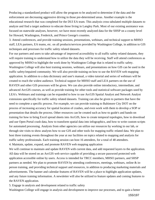Producing a standardized product will allow the program to be analyzed to determine if the data and the enforcement are decreasing aggressive driving in those pre-determined areas. Another example is the educational research that was completed for the DUI EA team. This analysis cross tabulated multiple datasets to analyze and find a target audience to educate those living in Langley Park. Most of our existing assistance was focused on statewide analyses, however, we have most recently analyzed data for the SHSP on a county level for Howard, Washington, Frederick, and Prince George's counties.

3. Attend conferences, and provide training sessions, presentations, webinars, and technical support to MHSO staff, LEA partners, EA teams, etc. on all products/services provided by Washington College, in addition to GIS techniques and processes for traffic safety related datasets.

For our partners and users to take advantage of improved accessibility to all traffic safety related datasets, they will require training to understand how to utilize the data they will be receiving. Staff will attend conferences as approved by MHSO to highlight the work done by Washington College that is related to traffic safety. Washington College will also host training sessions, webinars, and presentations on how GIS can be used in the traffic safety/impaired community. We will also provide training on how to use the RAVEN web mapping application. In addition to a data dictionary and user's manual, a video tutorial and series of webinars will be created to reach the widest audience. Technical support for MHSO staff and LEA partners on the use of RAVEN and other GIS processes will be given. We can also provide online introductory, intermediate, and advanced ArcGIS courses, as well as provide training for other tools and statistical software packages used by LEA's. Webinars and trainings can be expanded to how to use ArcGIS Spatial Analyst and Network Analyst extensions specifically for traffic safety related datasets. Training can also be given to partners that have the need to complete a specific process. For example, we can provide training to Baltimore City DOT on the process of increasing accuracy for spatial location of crashes, and even work with them to develop a SOP or presentation that details the process. Other resources can be created such as how-to guide's and hands-on training for how to bring Excel spread sheets into ArcGIS, how to create temporal topologies, how to download and use Open Portal crash data, how to transform spatial data into infographics, and how to write custom scripts for automated processing. Analysts from other agencies can utilize our resources by working in our lab, or through site visits to show analysts how to use GIS and other tools for mapping traffic related data. We plan to host three training events throughout the year at our facilities on topics related to mapping and analysis for traffic safety professionals. Each training session can host 16 attendees, for a total of 48 attendees. 4. Maintain, update, expand, and promote RAVEN web mapping application

We will continue to maintain and update RAVEN with current data, and add requested layers to the application. All data will be stored on an ArcGIS web service capable of providing a secure password protected web application accessible online by users. Access is intended for TRCC members, MHSO partners, and SHSP partners as needed. We plan to promote RAVEN by attending conferences, meetings, webinars, online & inperson training, and providing technical support and resources, in addition to producing marketing materials and advertisements. The banner and calendar features of RAVEN will be a place to highlight application updates, and any future training information. A newsletter will also be utilized to feature updates and coming features to the RAVEN application.

5. Engage in analysis and development related to traffic safety

Washington College will engage in analysis and development to improve our processes, and to gain a better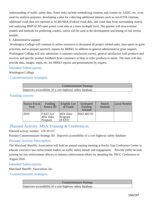understanding of traffic safety data. Some tasks include normalizing citations and crashes by AADT, etc. to be used for analysis purposes, developing a plan for collecting additional datasets such as non-ETIX citations, additional crash data not reported in ACRS/SHA (Federal crash data, and crash data from surrounding states), and analyzing MSP/ACRS open portal crash data at a more in-depth level. The grantee will also evaluate models and methods for predicting crashes, which will be used in the development and testing of risk terrain models.

#### 6. Administrative support

 Washington College will continue to utilize resources to document all project related tasks, time spent on grant activities, and to prepare quarterly reports for MHSO. In addition to general administrative grant support, Washington College will also administer a customer satisfaction survey, general satisfaction with products and services and specific product feedback from customers to help us tailor products to needs. The team will also provide data, images, maps, etc. for MHSO reports and presentations by request.

## Intended Subrecipients

#### Washington College

Countermeasure strategies

| Countermeasure Strategy                                  |
|----------------------------------------------------------|
| Improves accessibility of a core highway safety database |

#### Funding sources

| Source Fiscal<br>Year | Funding<br>Source ID                      | Eligible Use<br>of Funds         | Estimated<br>Funding<br>Amount | Match<br>Amount | Local Benefit |
|-----------------------|-------------------------------------------|----------------------------------|--------------------------------|-----------------|---------------|
| 2020                  | <b>FAST</b> Act<br>$405c$ Data<br>Program | $405c$ Data<br>Program<br>(FAST) | \$561,403.95                   |                 |               |

## Planned Activity: MSA Training & Conferences

#### Planned activity number: GN 20-137

Primary Countermeasure Strategy ID: Improves accessibility of a core highway safety database

#### Planned Activity Description

The Maryland Sheriffs; Association will hold an annual training meeting at Rocky Gap Conference Center to educate executive law enforcement leaders on traffic safety initials and engagement. Provide traffic records training for law enforcement officers to enhance enforcement efforts by attending the TRCC Conference in August 2020.

## Intended Subrecipients

Maryland Sheriffs' Association, Inc.

Countermeasure strategies

Countermeasure Strategy Improves accessibility of a core highway safety database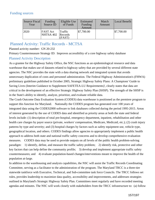#### Funding sources

| Source Fiscal<br>Year | Funding<br>Source ID  | Eligible Use<br>of Funds      | Estimated<br>Funding<br>Amount | Match<br>Amount | Local Benefit         |
|-----------------------|-----------------------|-------------------------------|--------------------------------|-----------------|-----------------------|
| 2020                  | FAST Act<br>NHTSA 402 | Traffic <br>Records<br>(FAST) | \$7,700.00                     |                 | $\frac{1}{37,700.00}$ |

## Planned Activity: Traffic Records - MCTSA

Planned activity number: GN 20-232

Primary Countermeasure Strategy ID: Improves accessibility of a core highway safety database

#### Planned Activity Description

As a grantee for the Highway Safety Office, the NSC functions as an epidemiological resource and data warehouse that makes use of datasets related to highway safety that are provided by several different state agencies. The NSC provides the state with a data sharing network and integrated system that avoids unnecessary duplication of costs and personnel administration. The Federal Highway Administration's (FHWA) preliminary guidelines published in October 2005, Strategic Highway Safety Plans: A Champions' Guide to Saving Lives (Interim Guidance to Supplement SAFETEA-LU Requirements)', clearly states that data are critical in the development of an effective Strategic Highway Safety Plan (SHSP). The strength of the SHSP is in the State's ability to identify, analyze, prioritize, and evaluate reliable data.

The Crash Outcome Data Evaluation System (CODES) data warehouse is positioned as the premiere program to support this function for Maryland. Nationally the CODES program has generated over 100 years of integrated data using the CODES2000 software to link databases collected during the period 1995-2015. Areas of interest generated by the use of CODES data and identified as priority areas at both the state and federal levels include: (1) description of total pre-hospital, emergency department, inpatient, rehabilitation and other health care charges by payer source (private, workers' compensation, Medicare, Medicaid, etc.); (2) crash injury patterns by type and severity; and (3) hospital charges by factors such as safety equipment use, vehicle type, geographical location, and others. CODES findings allow agencies to appropriately implement a public health approach to address both state and national traffic safety concerns and to develop comprehensive evaluation measures. CODES data may be used to provide outputs on all levels of the public health problem-solving paradigm: 1) identify, define, and measure the traffic safety problem; 2) identify risk, protective and other key factors that can help define the community profile; 3) develop and implement appropriate traffic safety countermeasures; and 4) evaluate population-based changes/interventions meant to improve the health of the population at-large.

In addition to the warehousing and analysis capabilities, the NSC will assist the Traffic Records Coordinating Committee, serving as a facilitator to the administration of the program. The Maryland TRCC is a three-tier statewide taskforce with Executive, Technical, and Sub-committee task force Councils. The TRCC follows set rules, provides leadership to maximize data quality, accessibility and improvements, and addresses strategies outlined in Maryland's Strategic Highway Safety Plan. Committees meet regularly and have recorded meeting agendas and minutes. The NSC will work closely with stakeholders from the TRCC infrastructure to: (a) follow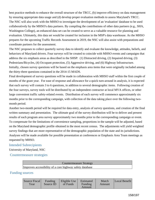best practice methods to enhance the overall structure of the TRCC, (b) improve efficiency on data management by ensuring appropriate data usage and (d) develop proper evaluation methods to assess Maryland's TRCC. The NSC will also work with the MHSO to investigate the development of an 'evaluation' database to be used collaboratively by the MHSO's data partners. By compiling the contributions of other data partners (e.g., SHA, Washington College), an enhanced data set can be created to serve as a valuable resource for planning and evaluation. Ultimately, this data set would be created for inclusion in the MSP's data warehouse. As the MHSO prepares for the upcoming Traffic Records Assessment in 2019, the NSC will also assist with preparations and coordinate partners for the assessment.

The NSC proposes to collect quarterly survey data to identify and evaluate the knowledge, attitudes, beliefs, and behaviors of Maryland drivers. Four surveys will be created to coincide with MHSO events and campaigns that address the six emphasis areas as described in the SHSP: (1) Distracted driving, (2) Impaired driving, (3) Pedestrians/Bicycles, (4) Occupant protection, (5) Aggressive driving, and (6) Highway Infrastructure. Initially, chosen survey questions will be based on the emphasis area items that were originally included among the thirty-three questions contained in the 2014-15 MADS.

Final development of survey questions will be made in collaboration with MHSO staff within the first couple of months of the grant year. For ease of response and allowance for a quick turn-around in analysis, it is expected that each survey will contain 3 to 6 questions, in addition to several demographic items. Following creation of the four surveys, survey tools will be distributed by an independent contractor at local MVA offices, or other large convenient traffic safety-related events. Distribution of each survey will commence approximately six months prior to the corresponding campaign, with collection of the data taking place over the following twomonth period.

Another two-month period will be required for data entry, analysis of survey questions, and creation of the final written summary and presentation. The ultimate goal of the survey distribution will be to deliver and present results of each program area survey approximately two months prior to the corresponding campaign or event. To compensate for the limitations of convenience sampling, proportions in the sample will be adjusted, based on the Maryland demographic profile obtained in the most recent census. The adjustments will yield weighted survey findings that are more representative of the demographic population of the state and its jurisdictions. Analyses will be made available for possible presentation at conferences or Emphasis Area Team meetings as requested by MHSO.

#### Intended Subrecipients

University of Maryland, NSC

Countermeasure strategies

| Countermeasure Strategy                                  |  |
|----------------------------------------------------------|--|
| Improves accessibility of a core highway safety database |  |

#### Funding sources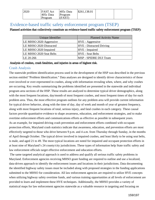| 2020<br><b>FAST Act</b><br>$405c$ Data<br>Program | $405c$ Data<br>Program<br>(FAST) | \$261,138.01 |  |  |
|---------------------------------------------------|----------------------------------|--------------|--|--|
|---------------------------------------------------|----------------------------------|--------------|--|--|

## Evidence-based traffic safety enforcement program (TSEP)

#### Planned activities that collectively constitute an evidence-based traffic safety enforcement program (TSEP):

| Unique Identifier       | <b>Planned Activity Name</b>    |
|-------------------------|---------------------------------|
| LE MHSO 2020 Aggressive | HVE - Aggressive                |
| LE MHSO 2020 Distracted | <b>HVE</b> - Distracted Driving |
| LE MHSO 2020 Impaired   | HVE - Impaired                  |
| LE MHSO 2020 Seat Belts | <b>HVE</b> - Seat Belts         |
| LE 20-266               | MSP - SPIDRE DUI Team           |

#### Analysis of crashes, crash fatalities, and injuries in areas of highest risk.

## Crash Analysis

The statewide problem identification process used in the development of the HSP was described in the previous section entitled "Problem Identification." Data analyses are designed to identify driver characteristics of those over-involved or over-represented in crashes, along with information revealing when, where, and why crashes are occurring. Key results summarizing the problems identified are presented in the statewide and individual program area sections of the HSP. These results are analyzed to determine typical driver demographics, along with the most frequent locations, day/month of most frequent crashes, and most frequent times of day for each problem area. Thus, the most effective program outlines for any problem area will provide current information for typical driver behavior, along with the time of day, day of week and month of year of greatest frequency, along with most frequent locations of total, serious injury, and fatal crashes in each category. These causal factors provide quantitative evidence to shape awareness, education, and enforcement strategies, and to make overtime enforcement efforts and communications efforts as effective as possible in subsequent years. As an example, for impaired driving crash prevention and enforcement efforts combined with occupant protection efforts, Maryland crash statistics indicate that awareness, education, and prevention efforts are most effectively targeted to those who drive between 9 p.m. and 4 a.m. from Thursday through Sunday, in the months of April through October. The typical driver involved in impaired crashes, and least likely to be using seat belts, is male, and aged 21 to 49. The most typical locations are noted for impaired and occupant protection efforts in at least nine of Maryland's 24 county/city jurisdictions. These types of information help State traffic safety and law enforcement officials target effective enforcement and education efforts.

 The same targeted analytical approach is used to address and qualify all serious traffic safety problems in Maryland. Enforcement agencies receiving MHSO grant funding are required to outline and use a localized, data-driven approach to identify the enforcement issues and locations in their jurisdictions. Data documenting the identified highway safety issues must be included along with proposed strategies in the funding applications submitted to the MHSO for consideration. All law enforcement agencies are required to utilize HVE concepts when utilizing highway safety overtime funds, and various training opportunities at all levels of enforcement are provided to learn and implement these HVE techniques. Additionally, the MHSO provides a variety of statistical maps for law enforcement agencies statewide as a valuable resource in targeting and focusing on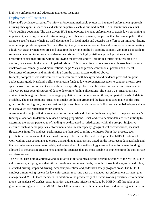high-risk enforcement and education/awareness locations.

#### Deployment of Resources

Maryland's evidence-based traffic safety enforcement methodology uses an integrated enforcement approach utilizing checkpoint inspections and saturation patrols, each as outlined in NHTSA's Countermeasures that Work guiding document. The data-driven, HVE methodology includes enforcement of traffic laws pertaining to impairment, speeding, occupant restraint usage, and other safety issues, coupled with enforcement patrols that saturate specific areas, which are well-documented in local media and describe the effort as an impaired-driving or other appropriate campaign. Such an effort typically includes uniformed law enforcement officers saturating a high-risk crash or incidence area and engaging the driving public by stopping as many violators as possible to serve as a deterrent to improper and dangerous driving. This highly visible approach provides a public perception of risk that driving without following the law can and will result in a traffic stop, resulting in a citation, or an arrest in the case of impaired driving. This occurs often in concurrence with associated national crackdowns or campaigns and mobilizations, helps Maryland provide continuous Specific and General Deterrence of improper and unsafe driving from the causal factors outlined above.

In-depth, comprehensive enforcement efforts, combined with background and evidence provided on grant applications, guide Maryland's efforts to allocate funds to law enforcement agencies to conduct priority areaspecific overtime enforcement services based on specific problem identification and recent statistical results. The MHSO uses several sources of data to determine funding allocations. The State's 24 jurisdictions are divided into three groups based on average population over the most recent three-year period for which data is available. The most populous jurisdictions make up the top group and the least populated make up the third group. Within each group, crashes (serious injury and fatal) and citations (DUI, speed and unbelted) per vehicle miles traveled are calculated by jurisdiction.

Average ranks per jurisdiction are computed across crash and citation fields and applied to the previous year's funding allocations to determine revised funding proportions. Crash and enforcement data are used initially to determine the proper percentage of funding to be disbursed to jurisdictions within the groups. Subjective measures such as demographics, enforcement and outreach capacity, geographical considerations, seasonal fluctuations in traffic, and past performance are then used to refine the figures. From that process, each jurisdiction receives a total allocation of funding to be used in the next fiscal year. The MHSO continues to work with its data consultants to ensure that funding allocations are based on the most recent data available and that formulas are accurate, reasonable, and achievable. This methodology ensures that enforcement funding is allocated to the areas in greatest need and to the agencies that are most capable of implementing the appropriate countermeasures.

The MHSO uses both quantitative and qualitative criteria to measure the desired outcomes of the MHSO's law enforcement grant programs that utilize overtime enforcement funds, including those in the aggressive driving, distracted driving, impaired driving, occupant protection, and pedestrian safety program areas. The MHSO employs a monitoring system for law enforcement reporting data that engages law enforcement partners, grant managers and MHSO team members. In addition to the productivity of officers working overtime enforcement grants, an analysis of crashes, crash fatalities, and serious injuries is utilized by MHSO staff throughout the grant monitoring process. The MHSO's four LELs provide more direct contact with individual agencies across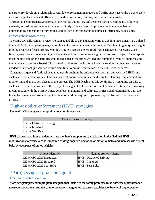the State. By developing relationships with law enforcement managers and traffic supervisors, the LELs closely monitor project success and efficiently provide information, training, and outreach materials.

 Through this comprehensive approach, the MHSO and its law enforcement partners continually follow up, evaluate, and adjust enforcement plans accordingly. This approach improves effectiveness, enhances understanding and support of programs, and utilizes highway safety resources as efficiently as possible.

## Effectiveness Monitoring

To ensure law enforcement projects remain adaptable to any situation, various tracking mechanisms are utilized to enable MHSO program managers and law enforcement managers throughout Maryland to gain quick insights into the progress of each project. Monthly progress reports are required from each agency receiving grant funding to ensure an understanding of the goals and outcomes measuring outputs of each project. These reports must include data on the activities conducted, such as the times worked, the numbers of vehicle contacts, and the numbers of citations issued. This type of continuous monitoring allows for small or large adjustments as needed within each jurisdiction in sufficient time to provide for the most efficient use of resources.

 Constant critique and feedback is maintained throughout the enforcement program between the MHSO and each law enforcement agency. This ensures continuous communication during the planning, implementation, monitoring and evaluation phases of the project. The MHSO achieves this continuity by assigning an LEL to each law enforcement agency as their project manager. The Law Enforcement Services Section Chief, working in conjunction with the MHSO Chief, develops, maintains, and cultivates professional relationships with top law enforcement executives across the State to build the required top-down support for traffic enforcement efforts.

# High-visibility enforcement (HVE) strategies

Planned HVE strategies to support national mobilizations:

|                                 | <b>Countermeasure Strategy</b> |
|---------------------------------|--------------------------------|
| <b>HVE</b> - Distracted Driving |                                |
| HVE - Impaired                  |                                |
| HVE - Seat Belt                 |                                |
|                                 |                                |

HVE planned activities that demonstrate the State's support and participation in the National HVE mobilizations to reduce alcohol-impaired or drug impaired operation of motor vehicles and increase use of seat belts by occupants of motor vehicles:

| Unique Identifier       | <b>Planned Activity Name</b>    |
|-------------------------|---------------------------------|
| LE MHSO 2020 Distracted | <b>HVE</b> - Distracted Driving |
| LE MHSO 2020 Impaired   | HVE - Impaired                  |
| LE MHSO 2020 Seat Belts | <b>HVE</b> - Seat Belts         |

# 405(b) Occupant protection grant

## Occupant protection plan

 State occupant protection program area plan that identifies the safety problems to be addressed, performance measures and targets, and the countermeasure strategies and planned activities the State will implement to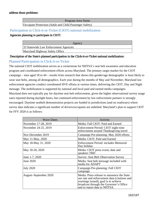#### address those problems:

Program Area Name Occupant Protection (Adult and Child Passenger Safety)

#### Participation in Click-it-or-Ticket (CIOT) national mobilization

#### Agencies planning to participate in CIOT:

| 33 Statewide Law Enforcement Agencies |
|---------------------------------------|
| Maryland Highway Safety Office        |

#### Description of the State's planned participation in the Click-it-or-Ticket national mobilization:

#### Planned Participation in Click-it-or-Ticket

The national CIOT mobilization serves as a cornerstone for NHTSA's seat belt awareness and education program and coordinated enforcement efforts across Maryland. The primary target market for the CIOT campaign – men aged 18 to 44 – results from research that shows this gender/age demographic is least likely to wear seat belts, among all demographics. Each year during the months of May and November, Maryland law enforcement agencies conduct coordinated HVE efforts at various times, delivering the CIOT, Day and Night message. The mobilization is supported by national and local paid and earned media campaigns. Maryland does not typically pay for daytime seat belt enforcement, given the higher observational survey usage rates reported during daylight hours, but continued enforcement by law enforcement partners is strongly encouraged. Daytime seatbelt demonstration projects are funded in jurisdictions (and on roadways) where survey data indicates a significant number of drivers/occupants are unbelted. Maryland's plan to support CIOT for FFY 2020 is as follows:

| <b>Wave Dates</b>     | Activity                                                                                                                                                                                                      |
|-----------------------|---------------------------------------------------------------------------------------------------------------------------------------------------------------------------------------------------------------|
| November 17-28, 2019  | Media: Fall CIOT: Paid and Earned                                                                                                                                                                             |
| November 24-25, 2019  | Enforcement Period: CIOT night-time<br>enforcement around Thanksgiving travel                                                                                                                                 |
| Nov-December 2019     | Campaign Pre-planning: May 2020 efforts                                                                                                                                                                       |
| May 11-May, 2020      | Media: CIOT; Paid and Earned                                                                                                                                                                                  |
| May 18-May 31, 2020   | <b>Enforcement Period: includes Memorial</b><br>Day holiday                                                                                                                                                   |
| May 18-20, 2020       | Media: CIOT press event; date and<br>speakers TBD                                                                                                                                                             |
| June 1-7, 2020        | <b>Survey: Seat Belt Observation Survey</b>                                                                                                                                                                   |
| June 2020             | Media: Seat belt message included with<br>media for ADAPT                                                                                                                                                     |
| <b>July 2020</b>      | Campaign Pre-planning: Fall CIOT<br>campaign                                                                                                                                                                  |
| August-September 2020 | Media: Press release to announce the State<br>use rate and enforcement data (citations and<br>warnings issued); goal is to achieve<br>broadcast through the Governor's Office<br>and to report data to NHTSA. |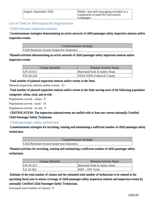| August-September 2020 | Media: Seat belt messaging included as a<br>component of paid DUI prevention |
|-----------------------|------------------------------------------------------------------------------|
|                       | campaigns                                                                    |

List of Task for Participants & Organizations

#### Child restraint inspection stations

 Countermeasure strategies demonstrating an active network of child passenger safety inspection stations and/or inspection events:

Countermeasure Strategy

Child Restraint System Inspection Station(s)

Planned activities demonstrating an active network of child passenger safety inspection stations and/or inspection events:

| Unique Identifier | <b>Planned Activity Name</b>      |  |
|-------------------|-----------------------------------|--|
| $ GN 20-013 $     | Maryland Kids In Safety Seats     |  |
| $ GN 20-254 $     | <b>SAFE KIDS Frederick County</b> |  |

Total number of planned inspection stations and/or events in the State.

Planned inspection stations and/or events: 22

 Total number of planned inspection stations and/or events in the State serving each of the following population categories: urban, rural, and at-risk:

Populations served - urban: 9

Populations served - rural: 14

Populations served - at risk: 9

 CERTIFICATION: The inspection stations/events are staffed with at least one current nationally Certified Child Passenger Safety Technician.

## Child passenger safety technicians

 Countermeasure strategies for recruiting, training and maintaining a sufficient number of child passenger safety technicians:

Countermeasure Strategy

Child Restraint System Inspection Station(s)

Planned activities for recruiting, training and maintaining a sufficient number of child passenger safety technicians:

| Unique Identifier | <b>Planned Activity Name</b>  |
|-------------------|-------------------------------|
| GN 20-013         | Maryland Kids In Safety Seats |
| LE 20-264         | <b>MSP</b> - CPS Techs        |

Estimate of the total number of classes and the estimated total number of technicians to be trained in the upcoming fiscal year to ensure coverage of child passenger safety inspection stations and inspection events by nationally Certified Child Passenger Safety Technicians.

Estimated total number of classes: 8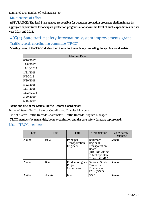Estimated total number of technicians: 80

#### Maintenance of effort

 ASSURANCE: The lead State agency responsible for occupant protection programs shall maintain its aggregate expenditures for occupant protection programs at or above the level of such expenditures in fiscal year 2014 and 2015.

## 405(c) State traffic safety information system improvements grant Traffic records coordinating committee (TRCC)

Meeting dates of the TRCC during the 12 months immediately preceding the application due date:

| <b>Meeting Date</b> |
|---------------------|
| 8/16/2017           |
| 11/8/2017           |
| 11/16/2017          |
| 1/31/2018           |
| 5/2/2018            |
| 5/30/2018           |
| 8/22/2018           |
| 11/7/2018           |
| 11/27/2018          |
| 3/20/2019           |
| 5/15/2019           |

#### Name and title of the State's Traffic Records Coordinator:

Name of State's Traffic Records Coordinator: Douglas Mowbray

Title of State's Traffic Records Coordinator: Traffic Records Program Manager

#### TRCC members by name, title, home organization and the core safety database represented:

List of TRCC members

| Last   | First  | Title                                      | Organization                                                                                                         | <b>Core Safety</b><br>Database |
|--------|--------|--------------------------------------------|----------------------------------------------------------------------------------------------------------------------|--------------------------------|
| Akundi | Bala   | Principal<br>Transportation<br>Engineer    | <b>Baltimore</b><br>Regional<br>Transportation<br><b>Board</b><br>(BRTB)/Baltimo<br>re Metropolitan<br>Council (BMC) | General                        |
| Auman  | Kim    | Epidemiologist /<br>Project<br>Coordinator | National Study<br>Center for<br>Trauma amp<br>EMS (NSC)                                                              | General                        |
| Aviles | Alexis | Intern                                     | <b>NSC</b>                                                                                                           | General                        |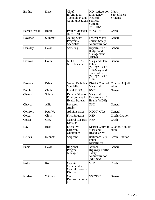| <b>Balthis</b>      | Dave         | Chief,<br>Information<br>Technology and<br><b>Communications Services</b> | MD Institute for<br>Emergency<br>Medical<br><b>Systems</b><br>(MIEMSS)                                          | Injury<br>Surveillance<br><b>Systems</b>    |
|---------------------|--------------|---------------------------------------------------------------------------|-----------------------------------------------------------------------------------------------------------------|---------------------------------------------|
| <b>Barnett-Wake</b> | Robin        | Project Manager<br>(MSCAN)                                                | <b>MDOT SHA</b>                                                                                                 | Crash                                       |
| Bowman              | Summer       | <b>Acting State</b><br>Programs<br>Specialist                             | <b>Federal Motor</b><br><b>Carrier Safety</b><br>Administration                                                 | General                                     |
| <b>Brinkley</b>     | David        | Secretary                                                                 | Department of<br>Budget and<br>Management<br>(DBM)                                                              | General                                     |
| <b>Bristow</b>      | Colin        | <b>MDOT SHA-</b><br><b>MSP Liaison</b>                                    | <b>Maryland State</b><br>Police<br>(MSP)/MDOT<br>SHAMaryland<br><b>State Police</b><br>(MSP)/MDOT<br><b>SHA</b> | General                                     |
| <b>Browne</b>       | <b>Brian</b> | Specialist                                                                | Senior Technical District Court of<br>Maryland                                                                  | Citation/Adjudic<br>ation                   |
| <b>Burch</b>        | Cindy        | Local SHSP                                                                | <b>BMC</b>                                                                                                      | General                                     |
| Chandar             | Subha        | Deputy Director, Maryland<br>Environmental<br><b>Health Bureau</b>        | Department of<br>Health (MDH)                                                                                   |                                             |
| Chavez              | Allie        | Research<br>Analyst                                                       | <b>NSC</b>                                                                                                      | General                                     |
| Comfort             | Paul W.      | Administrator                                                             | <b>MDOT MTA</b>                                                                                                 | General                                     |
| Corea               | Chris        | <b>First Sergeant</b>                                                     | <b>MSP</b>                                                                                                      | Crash; Citation                             |
| Coster              | Greg         | <b>Central Records</b><br>Division                                        | <b>MSP</b>                                                                                                      | Crash                                       |
| Day                 | Rose         | Executive<br>Director,<br>Operations                                      | Maryland<br>Headquarters                                                                                        | District Court of Citation/Adjudic<br>ation |
| Deluca              | Kenneth      | Sergeant                                                                  | <b>Baltimore City</b><br>Police<br>Department                                                                   | Crash; Citation                             |
| Ennis               | David        | Regional<br>Program<br>Manager                                            | <b>National</b><br><b>Highway Traffic</b><br>Safety<br>Administration<br>(NHTSA)                                | General                                     |
| Fisher              | Ron          | Captain:<br>Commander,<br><b>Central Records</b><br>Division              | <b>MSP</b>                                                                                                      | Crash                                       |
| Folden              | William      | Crash<br>Reconstructionis<br>t                                            | <b>NSCNSC</b>                                                                                                   | General                                     |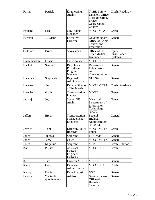| Foster          | Patrick                   | Engineering<br>Analyst                                  | <b>Traffic Safety</b><br>Division, Office<br>of Engineering,<br>Prince<br>Georgeaposs<br>County | Crash; Roadway                           |
|-----------------|---------------------------|---------------------------------------------------------|-------------------------------------------------------------------------------------------------|------------------------------------------|
| Fothergill      | Leo                       | <b>GIS</b> Project<br>Manager                           | <b>MDOT MTA</b>                                                                                 | Crash                                    |
| Fueston         | V. Glenn                  | Executive<br>Director                                   | Governoraposs<br>Office of Crime<br>Control and<br>Prevention                                   | General                                  |
| Goldfarb        | <b>Bruce</b>              | Spokesman                                               | Office of the<br><b>Chief Medical</b><br>Examiner                                               | Injury<br>Surveillance<br><b>Systems</b> |
| Habtemariam     | Hiwut                     | <b>Crash Analysis</b>                                   | <b>MDOT SHA</b>                                                                                 |                                          |
| Hackett         | Semia                     | Bicycle and<br>Pedestrian<br>Program<br>Manager         | Department of<br><b>Public Works</b><br>and<br>Transportation                                   | General                                  |
| Hancock         | Stephanie                 | Regional<br>Administrator                               | <b>NHTSA</b>                                                                                    | General                                  |
| Harkness        | Jim                       | Deputy Director<br>of Engineering                       | <b>MDOT MDTA</b>                                                                                | Crash; Roadway                           |
| Hurwitz         | Gladys                    | Transportation<br>Planner                               | <b>MDOT</b>                                                                                     | General                                  |
| Jebaraj         | Jeyan                     | Senior GIS<br>Analyst                                   | Maryland<br>Department of<br>Information<br>Technology<br>(DOIT)                                | General                                  |
| <b>Jeffers</b>  | <b>Breck</b>              | Transportation<br>Management<br>Engineer                | Federal<br>Highway<br>Administration<br>(FHWA)                                                  | General                                  |
| <b>Jeffries</b> | Tom                       | Director, Police<br>Records                             | <b>MDOT MDTA</b><br>Police                                                                      | Crash                                    |
| Jolley          | Juleesa                   | Sergeant                                                | Ft. Meade                                                                                       | General                                  |
| Jones           | Jerry                     | Chief                                                   | <b>MDOT MDTA</b>                                                                                | General                                  |
| Jones           | Mujaihid                  | Sergeant                                                | <b>MSP</b>                                                                                      | Crash; Citation                          |
| Kar             | Puskar                    | Assistant<br><b>District</b><br>Engineer,<br>District 7 | <b>MDOT SHA</b>                                                                                 | Crash                                    |
| Kerns           | Tim                       | Director MHSO                                           | <b>MHSO</b>                                                                                     | General                                  |
| Klein           | Gary                      | Database<br>Administrator                               | <b>MDOT SHA</b>                                                                                 | Crash                                    |
| Knopp           | Daniel                    | Data Analyst                                            | <b>NSC</b>                                                                                      | General                                  |
| Landon          | Walter F.<br>quotPetequot | Advisor                                                 | Governoraposs<br>Office of<br>Homeland<br>Security                                              | General                                  |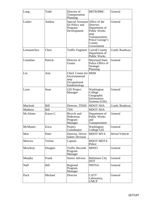| Lang            | Todd     | Director of<br>Transportation<br>Planning                                     | <b>BRTB/BMC</b>                                                                                                 | General        |
|-----------------|----------|-------------------------------------------------------------------------------|-----------------------------------------------------------------------------------------------------------------|----------------|
| Lasker          | Andrea   | Special Assistant Office of the<br>for Policy and<br>Program<br>Development   | Director.<br>Department of<br>Public Works<br>amp<br>Transportation,<br>Prince George's<br>County<br>Government | General        |
| Letnaunchyn     | Chris    | <b>Traffic Engineer</b>                                                       | Carroll County<br>Department of<br>Public Works                                                                 | Crash; Roadway |
| Linnehan        | Patrick  | Director of<br>Grants                                                         | <b>Maryland State</b><br>Police Office of<br>Strategic<br>Planning                                              | General        |
| Liu             | Ann      | Chief, Center for MDH<br>Environmental<br>amp<br>Occupational<br>Epidemiology |                                                                                                                 |                |
| Lynn            | Sean     | <b>GIS</b> Project<br>Manager                                                 | Washington<br>College<br>Geographic<br>Information<br>Systems (GIS)                                             | General        |
| Macleod         | Bill     | Director, TDSD                                                                | <b>MDOT SHA</b>                                                                                                 | Crash; Roadway |
| Matheny         | Bill     | <b>TDS</b>                                                                    | <b>MDOT SHA</b>                                                                                                 |                |
| McAlister       | Karyn C. | Bicycle and<br>Pedestrian<br>Program<br>Manager                               | Department of<br><b>Public Works</b><br>and<br>Transportation                                                   | General        |
| <b>McMaster</b> | Erica    | Project<br>Coordinator                                                        | Washington<br>College GIS                                                                                       | General        |
| Moe             | Peter    | Director, Driver<br><b>Safety Division</b>                                    | <b>MDOT MVA</b>                                                                                                 | Driver/Vehicle |
| Morrow          | Verlon   | Captain                                                                       | <b>MDOT MDTA</b><br>Police                                                                                      |                |
| Mowbray         | Douglas  | <b>Traffic Records</b><br>Program<br>Manager                                  | <b>MHSO</b>                                                                                                     | General        |
| Murphy          | Frank    | Senior Advisor                                                                | <b>Baltimore City</b><br><b>DOT</b>                                                                             | General        |
| Naff            | Bill     | Regional<br>Program<br>Manager                                                | <b>NHTSA</b>                                                                                                    | General        |
| Pack            | Michael  | Director                                                                      | <b>CATT</b><br>Laboratory,<br><b>UMCP</b>                                                                       | General        |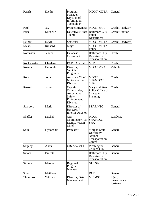| Parish         | Diedre         | Program<br>Manager,<br>Division of<br>Information<br>Technology           | <b>MDOT MDTA</b>                                                          | General                                  |
|----------------|----------------|---------------------------------------------------------------------------|---------------------------------------------------------------------------|------------------------------------------|
| Patel          | Jay            | Project Engineer MDOT SHA                                                 |                                                                           | Crash; Roadway                           |
| Price          | Michelle       | Detective (Crash Baltimore City<br>Team)                                  | Police<br>Department                                                      | Crash; Citation                          |
| Reigrut        | Kevin          | Secretary                                                                 | <b>MDOT MDTA</b>                                                          | Crash; Roadway                           |
| Ricko          | Richard        | Major                                                                     | <b>MDOT MDTA</b><br>Police                                                |                                          |
| Robinson       | Jeanne         | Database<br>Consultant                                                    | <b>Baltimore City</b><br>Department of<br>Transportation                  | Crash                                    |
| Rock-Foster    | Charlene       | <b>FARS Analyst</b>                                                       | <b>MSP</b>                                                                | Crash                                    |
| Rogers         | Deborah        | Director,<br>Vehicle<br>Programs                                          | <b>MDOT MVA</b>                                                           | Vehicle                                  |
| Rotz           | John           | Assistant Chief,<br><b>Motor Carrier</b><br>Division                      | <b>MDOT</b><br><b>SHAMDOT</b><br><b>SHA</b>                               | Crash                                    |
| <b>Russell</b> | James          | Captain;<br>Commander,<br>Automative<br>Safety<br>Enforcement<br>Division | <b>Maryland State</b><br>Police Office of<br>Strategic<br>Planning        | Crash                                    |
| Scarboro       | Mark           | Director of<br>Research /<br><b>Interim Director</b>                      | STAR/NSC                                                                  | General                                  |
| Sheffer        | Michel         | <b>GIS</b><br>Coordinator/Ass SHAMDOT<br>istant Division<br>Chief         | <b>MDOT</b><br><b>SHA</b>                                                 | Roadway                                  |
| Shin           | Hyeonshic      | Professor                                                                 | Morgan State<br>University<br><b>National</b><br>Transportation<br>Center | General                                  |
| Shipley        | Alicia         | <b>GIS Analyst I</b>                                                      | Washington<br>College GIS                                                 | General                                  |
| Sihota         | <b>Bineeta</b> |                                                                           | <b>Baltimore City</b><br>Department of<br>Transportation                  | General                                  |
| <b>Simms</b>   | Marcia         | Regional<br>Program<br>Manager                                            | <b>NHTSA</b>                                                              |                                          |
| Sokol          | Matthew        |                                                                           | <b>DOIT</b>                                                               | General                                  |
| Thompson       | William        | Director, Data<br>Management                                              | <b>MIEMSS</b>                                                             | Injury<br>Surveillance<br><b>Systems</b> |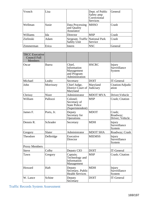| Vronch           | Lisa  |                                                | Dept. of Public<br>Safety amp<br>Correctional<br>Services | General |
|------------------|-------|------------------------------------------------|-----------------------------------------------------------|---------|
| Wellman          | Susie | Data Processing<br>and Quality<br>Assurance    | <b>MHSO</b>                                               | Crash   |
| Williams         | Ida   | Director                                       | <b>MSP</b>                                                | Crash   |
| <b>Zielinski</b> | Adam  | Sergeant, Traffic National Park<br>Safety Unit | Service                                                   | Crash   |
| Zimmerman        | Erica | Intern                                         | <b>NSC</b>                                                | General |

| <b>TRCC</b> Executive<br><b>Council Full</b><br>Members |            |                                                                      |                       |                                       |
|---------------------------------------------------------|------------|----------------------------------------------------------------------|-----------------------|---------------------------------------|
| Oscar                                                   | Ibarra     | Chief.<br>Information<br>Management<br>and Program<br>Administration | <b>HSCRC</b>          | Injury<br>Surveillance<br>System      |
| Michael                                                 | Leahy      | Secretary                                                            | <b>DOIT</b>           | <b>IT-General</b>                     |
| John                                                    | Morrissey  | Chief Judge,<br>District Court of<br>Maryland                        | Maryland<br>Judiciary | Citation/Adjudic<br>ation             |
| Chrissy                                                 | Nizer      | Administrator                                                        | <b>MDOT MVA</b>       | Driver; Vehicle                       |
| William                                                 | Pallozzi   | Colonel;<br>Secretary of<br><b>State Police</b><br>(Superintendent)  | <b>MSP</b>            | <b>Crash</b> ; Citation               |
| James F.                                                | Ports, Jr. | Deputy<br>Secretary for<br>Operations                                | <b>MDOT</b>           | Crash;<br>Roadway;<br>Driver; Vehicle |
| Dennis R.                                               | Schrader   | Secretary                                                            | <b>MDH</b>            | Injury<br>Surveillance<br>System      |
| Gregory                                                 | Slater     | Administrator                                                        | <b>MDOT SHA</b>       | Roadway; Crash                        |
| Theodore                                                | Delbridge  | Executive<br>Director                                                | <b>MIEMSS</b>         | Injury<br>Surveillance<br>System      |
| <b>Proxy Members</b>                                    |            |                                                                      |                       |                                       |
| <b>Steve</b>                                            | Colby      | Deputy CIO                                                           | <b>DOIT</b>           | <b>IT-General</b>                     |
| Tawn                                                    | Gregory    | Captain;<br>Technology and<br>Information<br>Management              | <b>MSP</b>            | Crash; Citation                       |
| Howard                                                  | Haft       | Deputy<br>Secretary, Public<br><b>Health Services</b>                | <b>MDH</b>            | Injury<br>Surveillance<br>System      |
| W. Lance                                                | Schine     | Deputy<br>Secretary                                                  | <b>DOIT</b>           | <b>IT-General</b>                     |

Traffic Records System Assessment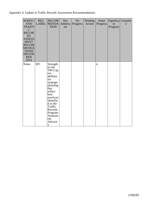Appendix 4: Update to Traffic Records Assessment Recommendations

| <b>MARYL</b><br><b>AND</b><br><b>TRAFFI</b><br>$\mathcal{C}$<br><b>RECOR</b><br><b>DS</b><br><b>ASSESS</b><br><b>MENT</b><br><b>RECOM</b><br><b>MENDA</b><br><b>TIONS</b><br><b>DECEM</b><br><b>BER</b><br>2014 | <b>REC</b><br><b>LABEL</b> | <b>RECOM</b><br><b>MENDA</b><br><b>TION</b>                                                                                                                                                                                  | <b>Not</b><br><b>Address</b><br>ed | $\rm No$<br>Progress | Pending<br>Action | Some<br>Progress | nt<br>Progress | Significa Complet<br>e |
|-----------------------------------------------------------------------------------------------------------------------------------------------------------------------------------------------------------------|----------------------------|------------------------------------------------------------------------------------------------------------------------------------------------------------------------------------------------------------------------------|------------------------------------|----------------------|-------------------|------------------|----------------|------------------------|
| <b>Notes</b>                                                                                                                                                                                                    | SP <sub>1</sub>            | Strength<br>en the<br>TRCCap<br><b>OSS</b><br>abilities<br>for<br>strategic<br>planning<br>that<br>reflect<br>best<br>practices<br>identifie<br>d in the<br>Traffic<br>Records<br>Program<br>Assessm<br>ent<br>Advisor<br>y. |                                    |                      |                   | ü                |                |                        |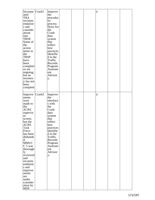| Incorpor Crash1<br>ated<br><b>TRA</b><br>recomm<br>endation<br>s and<br>consider<br>ations<br>into<br>TRSP.<br>Some of<br>the<br>action<br>items in<br>the<br><b>TRSP</b><br>have<br>been<br>complete<br>or are<br>ongoing,<br>but an<br>inventor<br>y has not<br>been<br>complete                                                       |        | Improve<br>the<br>procedur<br>es/<br>process<br>flows for<br>the<br>Crash<br>data<br>system<br>that<br>reflect<br>best<br>practices<br>identifie<br>d in the<br>Traffic<br>Records<br>Program<br>Assessm<br>ent<br>Advisor<br>у. |  | ü |  |
|------------------------------------------------------------------------------------------------------------------------------------------------------------------------------------------------------------------------------------------------------------------------------------------------------------------------------------------|--------|----------------------------------------------------------------------------------------------------------------------------------------------------------------------------------------------------------------------------------|--|---|--|
| Improve<br>ments<br>were<br>made to<br>the<br><b>ACRS</b><br>supervis<br><b>or</b><br>screen,<br>but the<br><b>ACRS</b><br>Task<br>Force<br>has been<br>disbande<br>d.<br><b>MMUC</b><br>C 5 was<br>thorough<br>ly<br>reviewed<br>and<br>recomm<br>endation<br>s and<br>improve<br>ments<br>are<br>under<br>consider<br>ation by<br>MSP. | Crash2 | Improve<br>the<br>interface<br>s with<br>the<br>Crash<br>data<br>system<br>that<br>reflect<br>best<br>practices<br>identifie<br>d in the<br>Traffic<br>Records<br>Program<br>Assessm<br>ent<br>Advisor<br>у.                     |  | ü |  |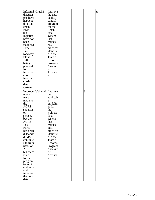| Informal Crash3<br>discussi<br>ons have<br>happene<br>$ d \text{ to link} $<br>$crash +$<br>EMS,<br>but<br>logistics<br>have not<br>been<br>finalized<br>. The $\,$<br>state<br>roadway<br>file is<br>still<br>being<br>planned<br>for<br>incorpor<br>ation<br>into the<br>crash<br>data<br>system.                             |                    | Improve<br>the data<br>quality<br>control<br>program<br>for the<br>Crash<br>data<br>system<br>that<br>reflects<br>best<br>practices<br>identifie<br>d in the<br>Traffic<br>Records<br>Program<br>Assessm<br>ent<br>Advisor<br>у. |  |   | ü |  |
|---------------------------------------------------------------------------------------------------------------------------------------------------------------------------------------------------------------------------------------------------------------------------------------------------------------------------------|--------------------|----------------------------------------------------------------------------------------------------------------------------------------------------------------------------------------------------------------------------------|--|---|---|--|
| Improve<br>ments<br>were<br>made to<br>the<br><b>ACRS</b><br>supervis<br> or<br>screen,<br>but the<br><b>ACRS</b><br>Task<br>Force<br>has been<br>disbande<br>d. MSP<br>continue<br>s to train<br>users on<br>ACRS,<br>but there<br>is no<br>formal<br>program<br>to track<br>and train<br>and<br>improve<br>the crash<br>data. | Vehicle1   Improve | the<br>applicabl<br>e<br>guidelin<br>es for<br>the<br>Vehicle<br>data<br>system<br>that<br>reflects<br>best<br>practices<br>identifie<br>d in the<br>Traffic<br>Records<br>Program<br>Assessm<br>ent<br>Advisor<br>у.            |  | ü |   |  |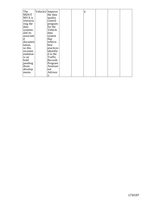| The<br>MDOT | Vehicle2 Improve | the data  |  | ü |  |  |
|-------------|------------------|-----------|--|---|--|--|
| MVA is      |                  | quality   |  |   |  |  |
| restructu   |                  | control   |  |   |  |  |
| ring the    |                  | program   |  |   |  |  |
| data        |                  | for the   |  |   |  |  |
| systems     |                  | Vehicle   |  |   |  |  |
| and its     |                  | data      |  |   |  |  |
| associate   |                  | system    |  |   |  |  |
| d           |                  | that      |  |   |  |  |
| documen     |                  | reflects  |  |   |  |  |
| tation,     |                  | best      |  |   |  |  |
| so this     |                  | practices |  |   |  |  |
| recomm      |                  | identifie |  |   |  |  |
| endation    |                  | d in the  |  |   |  |  |
| is on       |                  | Traffic   |  |   |  |  |
| hold        |                  | Records   |  |   |  |  |
| pending     |                  | Program   |  |   |  |  |
| those       |                  | Assessm   |  |   |  |  |
| develop     |                  | ent       |  |   |  |  |
| ments.      |                  | Advisor   |  |   |  |  |
|             |                  | y.        |  |   |  |  |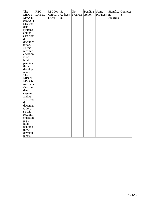| The         | <b>REC</b>   | <b>RECOM</b> Not |    | N <sub>o</sub> | Pending             | Some     |          | Significa Complet |
|-------------|--------------|------------------|----|----------------|---------------------|----------|----------|-------------------|
| <b>MDOT</b> | <b>LABEL</b> | MENDA Address    |    | Progress       | Action <sup>1</sup> | Progress | nt       | e                 |
| MVA is      |              | <b>TION</b>      | ed |                |                     |          | Progress |                   |
| restructu   |              |                  |    |                |                     |          |          |                   |
| ring the    |              |                  |    |                |                     |          |          |                   |
| data        |              |                  |    |                |                     |          |          |                   |
| systems     |              |                  |    |                |                     |          |          |                   |
| and its     |              |                  |    |                |                     |          |          |                   |
| associate   |              |                  |    |                |                     |          |          |                   |
| $\mathbf d$ |              |                  |    |                |                     |          |          |                   |
| documen     |              |                  |    |                |                     |          |          |                   |
| tation,     |              |                  |    |                |                     |          |          |                   |
| so this     |              |                  |    |                |                     |          |          |                   |
| recomm      |              |                  |    |                |                     |          |          |                   |
| endation    |              |                  |    |                |                     |          |          |                   |
| is on       |              |                  |    |                |                     |          |          |                   |
| hold        |              |                  |    |                |                     |          |          |                   |
|             |              |                  |    |                |                     |          |          |                   |
| pending     |              |                  |    |                |                     |          |          |                   |
| those       |              |                  |    |                |                     |          |          |                   |
| develop     |              |                  |    |                |                     |          |          |                   |
| ments.      |              |                  |    |                |                     |          |          |                   |
| The         |              |                  |    |                |                     |          |          |                   |
| <b>MDOT</b> |              |                  |    |                |                     |          |          |                   |
| MVA is      |              |                  |    |                |                     |          |          |                   |
| restructu   |              |                  |    |                |                     |          |          |                   |
| ring the    |              |                  |    |                |                     |          |          |                   |
| data        |              |                  |    |                |                     |          |          |                   |
| systems     |              |                  |    |                |                     |          |          |                   |
| and its     |              |                  |    |                |                     |          |          |                   |
| associate   |              |                  |    |                |                     |          |          |                   |
| $\mathbf d$ |              |                  |    |                |                     |          |          |                   |
| documen     |              |                  |    |                |                     |          |          |                   |
| tation,     |              |                  |    |                |                     |          |          |                   |
| so this     |              |                  |    |                |                     |          |          |                   |
| recomm      |              |                  |    |                |                     |          |          |                   |
| endation    |              |                  |    |                |                     |          |          |                   |
| is on       |              |                  |    |                |                     |          |          |                   |
| hold        |              |                  |    |                |                     |          |          |                   |
| pending     |              |                  |    |                |                     |          |          |                   |
| those       |              |                  |    |                |                     |          |          |                   |
| develop     |              |                  |    |                |                     |          |          |                   |
| ments.      |              |                  |    |                |                     |          |          |                   |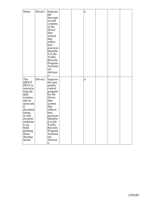| Notes                                                                                                                                                                                                                            | Driver1             | Improve<br>the<br>descripti<br>on and<br>contents<br>of the<br>Driver<br>data<br>system<br>that<br>reflect<br>best<br>practices<br>identifie<br>d in the<br>Traffic<br>Records<br>Program<br>Assessm<br>ent<br>Advisor<br>у.      |  | ü |  |  |
|----------------------------------------------------------------------------------------------------------------------------------------------------------------------------------------------------------------------------------|---------------------|-----------------------------------------------------------------------------------------------------------------------------------------------------------------------------------------------------------------------------------|--|---|--|--|
| The<br><b>MDOT</b><br>MVA is<br>restructu<br>ring the<br>data<br>systems<br>and its<br>associate<br>$ {\rm d}$<br>documen<br>tation,<br>so this<br>recomm<br>endation<br>is on<br>hold<br> pending<br>those<br>develop<br>ments. | Driver <sub>2</sub> | Improve<br>the data<br>quality<br>control<br>program<br>for the<br>Driver<br>data<br>system<br>that<br>reflects<br>best<br>practices<br>identifie<br>d in the<br>Traffic<br>Records<br>Program<br>Assessm<br>ent<br>Advisor<br>y. |  | ü |  |  |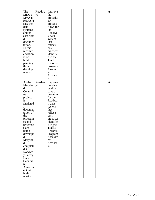| The<br><b>MDOT</b> | Roadwa<br>y1 | Improve<br>the     |  |  | ü |  |
|--------------------|--------------|--------------------|--|--|---|--|
| MVA is             |              | procedur           |  |  |   |  |
|                    |              | es/                |  |  |   |  |
| restructu          |              |                    |  |  |   |  |
| ring the           |              | process            |  |  |   |  |
| data               |              | flows for          |  |  |   |  |
| systems            |              | the                |  |  |   |  |
| and its            |              | Roadwa             |  |  |   |  |
| associate          |              | y data             |  |  |   |  |
| d                  |              | system             |  |  |   |  |
| documen            |              | that               |  |  |   |  |
| tation,            |              | reflects           |  |  |   |  |
| so this            |              | best               |  |  |   |  |
| recomm             |              | practices          |  |  |   |  |
| endation           |              | identifie          |  |  |   |  |
| is on              |              | d in the           |  |  |   |  |
|                    |              | Traffic            |  |  |   |  |
| hold               |              |                    |  |  |   |  |
| pending            |              | Records            |  |  |   |  |
| those              |              | Program            |  |  |   |  |
| develop            |              | Assessm            |  |  |   |  |
| ments.             |              | ent                |  |  |   |  |
|                    |              | Advisor            |  |  |   |  |
|                    |              | у.                 |  |  |   |  |
| As the             | Roadwa       | Improve            |  |  | ü |  |
| Marylan  y2        |              | the data           |  |  |   |  |
| d                  |              | quality            |  |  |   |  |
| Centerli           |              | control            |  |  |   |  |
| ne                 |              |                    |  |  |   |  |
|                    |              | program<br>for the |  |  |   |  |
| project            |              |                    |  |  |   |  |
| is                 |              | Roadwa             |  |  |   |  |
| finalized          |              | y data             |  |  |   |  |
|                    |              | system             |  |  |   |  |
| documen            |              | that               |  |  |   |  |
| tation of          |              | reflects           |  |  |   |  |
| the                |              | best               |  |  |   |  |
| procedur           |              | practices          |  |  |   |  |
| es and             |              | identifie          |  |  |   |  |
| processe           |              | d in the           |  |  |   |  |
| s are              |              | Traffic            |  |  |   |  |
| being              |              | Records            |  |  |   |  |
| develope           |              | Program            |  |  |   |  |
| d.                 |              | Assessm            |  |  |   |  |
| Marylan            |              | ent                |  |  |   |  |
| d                  |              | Advisor            |  |  |   |  |
| complete           |              | у.                 |  |  |   |  |
| d a                |              |                    |  |  |   |  |
| Roadwa             |              |                    |  |  |   |  |
| y Safety           |              |                    |  |  |   |  |
| Data               |              |                    |  |  |   |  |
| Capabili           |              |                    |  |  |   |  |
| ties               |              |                    |  |  |   |  |
| Assessm            |              |                    |  |  |   |  |
| ent with           |              |                    |  |  |   |  |
|                    |              |                    |  |  |   |  |
| high               |              |                    |  |  |   |  |
| marks.             |              |                    |  |  |   |  |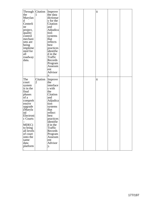| Through Citation<br>the<br>Marylan<br>d<br>Centerli<br>ne<br>project,<br>quality<br>control<br>mechani<br>sms are<br>being<br>impleme<br>nted for<br>all<br>roadway<br>data.                                                   | L                          | Improve<br>the data<br>dictionar<br>y for the<br>Citation<br>and<br>Adjudica<br>tion<br>systems<br>that<br>reflects<br>best<br>practices<br>identifie<br>d in the<br>Traffic<br>Records<br>Program<br>Assessm<br>ent<br>Advisor<br>y. |  | ü |  |
|--------------------------------------------------------------------------------------------------------------------------------------------------------------------------------------------------------------------------------|----------------------------|---------------------------------------------------------------------------------------------------------------------------------------------------------------------------------------------------------------------------------------|--|---|--|
| The<br>court<br>system<br>is in the<br>final<br>phases<br>of a<br>compreh<br>ensive<br>upgrade<br>Maryla<br>nd<br>Electroni<br>c Courts<br>MDEC)<br>to bring<br>all levels<br>of court<br>onto the<br>same<br>data<br>platform | Citation<br>$\overline{2}$ | Improve<br>the<br>interface<br>s with<br>the<br>Citation<br>and<br>Adjudica<br>tion<br>systems<br>that<br>reflect<br>best<br>practices<br>identifie<br>d in the<br>Traffic<br>Records<br>Program<br>Assessm<br>ent<br>Advisor<br>у.   |  | ü |  |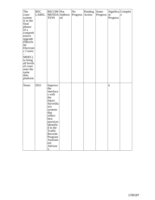| The<br>court<br>system<br>is in the<br>final<br>phases<br>of a<br>compreh<br>ensive<br>upgrade<br> (Maryla<br>nd<br>Electroni<br>c Courts<br>MDEC)<br>to bring<br>all levels<br>of court<br>onto the<br>same<br>data | <b>REC</b><br><b>LABEL</b> | <b>RECOM</b> Not<br>MENDA Address<br><b>TION</b>                                                                                                                                                                           | ed | No<br>Progress | Pending<br>Action | Some<br>Progress | nt<br>Progress | Significa Complet<br>e |
|----------------------------------------------------------------------------------------------------------------------------------------------------------------------------------------------------------------------|----------------------------|----------------------------------------------------------------------------------------------------------------------------------------------------------------------------------------------------------------------------|----|----------------|-------------------|------------------|----------------|------------------------|
| platform<br>Notes                                                                                                                                                                                                    | ISS <sub>1</sub>           | Improve<br>the<br>interface<br>s with<br>the<br>Injury<br>Surveilla<br>nce<br>systems<br>that<br>reflect<br>best<br>practices<br>identifie<br>d in the<br>Traffic<br>Records<br>Program<br>Assessm<br>ent<br>Advisor<br>у. |    |                |                   |                  | ü              |                        |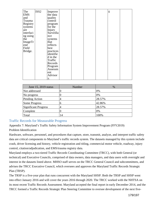| The       | ISS <sub>2</sub> | Improve   |  |  | ü |  |
|-----------|------------------|-----------|--|--|---|--|
| EMS       |                  | the data  |  |  |   |  |
| and       |                  | quality   |  |  |   |  |
| Trauma    |                  | control   |  |  |   |  |
| Registry  |                  | program   |  |  |   |  |
| systems   |                  | for the   |  |  |   |  |
| are       |                  | Injury    |  |  |   |  |
| interfaci |                  | Surveilla |  |  |   |  |
| ng using  |                  | nce       |  |  |   |  |
| the       |                  | systems   |  |  |   |  |
| ImageTr   |                  | that      |  |  |   |  |
| end       |                  | reflects  |  |  |   |  |
| Field     |                  | best      |  |  |   |  |
| Bridge.   |                  | practices |  |  |   |  |
|           |                  | identifie |  |  |   |  |
|           |                  | d in the  |  |  |   |  |
|           |                  | Traffic   |  |  |   |  |
|           |                  | Records   |  |  |   |  |
|           |                  | Program   |  |  |   |  |
|           |                  | Assessm   |  |  |   |  |
|           |                  | ent       |  |  |   |  |
|           |                  | Advisor   |  |  |   |  |
|           |                  | у.        |  |  |   |  |

| June 15, 2019 status        | Number | %      |
|-----------------------------|--------|--------|
| Not addressed               |        | 0%     |
| No progress                 |        | 0%     |
| Pending Action              | 4      | 28.57% |
| <b>Some Progress</b>        | n      | 42.86% |
| <b>Significant Progress</b> | 4      | 28.57% |
| Complete                    |        | 0%     |
| Total                       | 14     | 100%   |

## Traffic Records for Measurable Progress

Appendix 7: Maryland's Traffic Safety Information System Improvement Program (FFY2019) Problem Identification

Hardware, software, personnel, and procedures that capture, store, transmit, analyze, and interpret traffic safety data are critical components to Maryland's traffic records system. The datasets managed by this system include crash, driver licensing and history, vehicle registration and titling, commercial motor vehicle, roadway, injury control, citation/adjudication, and EMS/trauma registry data.

Maryland employs a two-tiered Traffic Records Coordinating Committee (TRCC), with both General (or technical) and Executive Councils, comprised of data owners, data managers, and data users with oversight and interest in the datasets listed above. MHSO staff serves on the TRCC General Council and subcommittees, and advises the TRCC Executive Council, which oversees and approves the Maryland Traffic Records Strategic Plan (TRSP).

The TRSP is a five-year plan that runs concurrent with the Maryland SHSP. Both the TRSP and SHSP went into effect January 2016 and will cover the years 2016 through 2020. The TRCC worked with the NHTSA on its most recent Traffic Records Assessment. Maryland accepted the final report in early December 2014, and the TRCC formed a Traffic Records Strategic Plan Steering Committee to oversee development of the next five-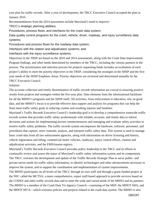year plan for traffic records. After a year of development, the TRCC Executive Council accepted the plan in January 2016.

Recommendations from the 2014 assessment include Maryland's need to improve:

TRCC's strategic planning abilities;

Procedures, process flows, and interfaces for the crash data system;

Data quality control programs for the crash, vehicle, driver, roadway, and injury surveillance data systems;

Procedures and process flows for the roadway data system;

Interfaces with the citation and adjudication systems; and

Interfaces with the injury surveillance systems.

Objectives in the TRSP are based on the 2010 and 2014 assessments, along with the Crash Data Improvement Program findings, and other needs determined by members of the TRCC, including the various partners in the process. The prioritization and selection process for projects requesting funds includes an evaluation of each project's ability to meet the priority objectives in the TRSP, considering the strategies in the SHSP and the fiveyear needs of the SHSP Emphasis Areas. Priority objectives are reviewed and determined annually by the TRCC Executive Council.

Solution

The accurate collection and timely dissemination of traffic records information are crucial to ensuring positive results from projects and strategies within the five-year plan. Data elements form the informational backbone for all the MHSO's programs and the SHSP itself. All activities, from enforcement to education, rely on good data, and the MHSO's focus is to provide effective data support and analysis for programs that can help the State meet traffic safety goals in reducing crashes and resulting injuries and fatalities.

Maryland's Traffic Records Executive Council's leadership goal is to develop a comprehensive statewide traffic records system that provides traffic safety professionals with reliable, accurate, and timely data to inform decisions and actions for implementing proven countermeasures and managing and evaluate safety activities to resolve traffic safety problems. The traffic records system encompasses the hardware, software, personnel, and procedures that capture, store, transmit, analyze, and interpret traffic safety data. This system is used to manage basic crash data from all law enforcement agencies, along with information on driver licensing and history, vehicle registration and titling, commercial motor vehicles, roadways, injury control efforts, citation and adjudication activities, and the EMS/trauma registry.

Maryland's Traffic Records Executive Council provides policy leadership to the TRCC and its efforts to continually review and assess the status of Maryland's traffic safety information system and its components. The TRCC oversees the development and update of the Traffic Records Strategic Plan to serve public- and private-sector needs for traffic safety information, to identify technologies and other advancements necessary to improve the system, and to support the coordination and implementation of system improvements.

The MHSO participates on all levels of the TRCC through its own staff and through a grant-funded project at the NSC called the MCTSA, a more comprehensive, expert staff-based approach to provide services based on the CODES and other traffic records data and to meet the wide and varied needs of the MHSO and its partners. The MHSO is a member of the Crash Data Tri-Agency Council—consisting of the MSP, the MDOT SHA, and the MDOT MVA—which oversees policies and projects related to the crash data system. The MHSO is also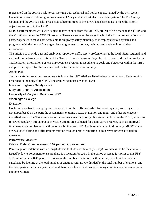represented on the ACRS Task Force, working with technical and policy experts named by the Tri-Agency Council to oversee continuing improvements of Maryland's newest electronic data system. The Tri-Agency Council and the ACRS Task Force act as subcommittees of the TRCC and share goals to meet the priority objectives set forth in the TRSP.

MHSO staff members work with subject matter experts from the MCTSA project to help manage the TRSP, and the MHSO continues the CODES program. These are some of the ways in which the MHSO relies on its many partner agencies to make data accessible for highway safety planning, as it employs various systems and programs, with the help of State agencies and grantees, to collect, maintain and analyze internal data information.

The mission to provide data and analytical support to traffic safety professionals at the local, State, regional, and national levels drives the direction of the Traffic Records Program. Projects to be considered for funding by the Traffic Safety Information System Improvement Program must adhere to goals and objectives within the TRSP and provide support for the data needs of the traffic records community.

#### Action Plan

Traffic safety information system projects funded for FFY 2020 are listed below in bullet form. Each grant is described in the body of the HSP. The grantee agencies are as follows:

Maryland Highway Safety Office

Maryland Sheriff's Association

University of Maryland Baltimore, NSC

#### Washington College

### Evaluation

Goals are prioritized for appropriate components of the traffic records information system, with objectives developed based on the periodic assessments, ongoing TRCC evaluation and input, and other state agencyidentified needs. The TRCC sets performance measures for priority objectives identified in the TRSP, which are reviewed regularly throughout each year. Systems are evaluated for quantitative progress, such as improved timeliness and completeness, with reports submitted to NHTSA at least annually. Additionally, MHSO grants are evaluated during and after implementation through grantee reporting using proven process evaluation measures.

### Performance Measures

# Citation Data: Completeness: 0.67 percent improvement

Percentage of e-citations with no longitude and latitude coordinates (i.e., x/y). We assess the traffic citations issued by law enforcement to ensure there is a location for each. In the period assessed just prior to this FFY 2020 submission, a 0.40 percent decrease in the number of citations without an x/y was found, which is calculated by looking at the total number of citations with no x/y divided by the total number of citations, and then comparing the same a year later, and there were fewer citations with no x/y coordinates as a percent of all citations written.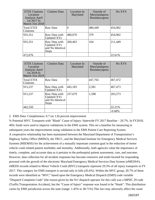| <b>ETIX Citations</b><br>Location<br>Analysis April<br>1st 2017 to<br>March 31st 2018 | <b>Citation Data</b>                                                    | Location In<br>Maryland | Outside of<br>Marylandaposs<br>Boundaryaposs | No XYS  |
|---------------------------------------------------------------------------------------|-------------------------------------------------------------------------|-------------------------|----------------------------------------------|---------|
| Total ETIX<br>Citations                                                               | Raw Data                                                                | $\left( \right)$        | 480,449                                      | 454,902 |
| 935,351                                                                               | Raw Data with<br><b>Updated XYs</b>                                     | 480,070                 | 379                                          | 454,902 |
| 935,351                                                                               | Raw Data with<br><b>Updated XYs</b><br>and No Identical<br><b>Stops</b> | 260,463                 | 164                                          | 211,449 |
| 472,076                                                                               |                                                                         |                         |                                              | 22.61%  |

| <b>ETIX Citations</b><br>Location<br>Analysis April<br>1st 2018 to<br>March 31st 2019 | <b>Citation Data</b>                                                    | Location In<br>Maryland | Outside of<br>Marylandaposs<br>Boundaryaposs | No XYS   |
|---------------------------------------------------------------------------------------|-------------------------------------------------------------------------|-------------------------|----------------------------------------------|----------|
| <b>Total ETIX</b><br>Citations                                                        | Raw Data                                                                | $\theta$                | 447,765                                      | 467,472  |
| 915,237                                                                               | Raw Data with<br><b>Updated XYs</b>                                     | 445,183                 | 2,581                                        | 467,473  |
| 915,237                                                                               | Raw Data with<br><b>Updated XYs</b><br>and No Identical<br><b>Stops</b> | 237,679                 | 1,598                                        | 203,273  |
| 442,550                                                                               |                                                                         |                         |                                              | 22.21%   |
|                                                                                       |                                                                         |                         |                                              | $-0.40%$ |

2. EMS Data: Completeness: 6.7 (or 1.8) percent improvement

% Potential MVC Transports with "Blank" Cause of Injury: Statewide FY 2017 Baseline – 20.7%. In FY2018, 405c funds were used to improve validations in the EMS system. This set a baseline for measuring in subsequent years the improvements using validation in the EMS Patient Care Reporting System. A cooperative relationship has been maintained between the Maryland Department of Transportation's Highway Safety Office (MHSO), the TRCC, and the Maryland Institute for Emergency Medical Services Systems (MIEMSS) for the achievement of a mutually important common goal in the reduction of motor vehicle crash related patient morbidity and mortality. Additionally, both agencies value the importance of timely, complete, and accurate data as it pertains to the prehospital patient assessment, care, and outcome. However, data collection for all incident responses has become extensive and multi-faceted for responding personal with the growth of the electronic Maryland Emergency Medical Services Data System (eMEDS®). eMEDS records related to Motor Vehicle Crash (MVC) transports represent 29.3% of all injury transports in FY 2017. This category for EMS transport is second only to falls (45.6%). Within the MVC group, 20.7% of these records were identified as "MVC" based upon the Emergency Medical Dispatch (EMD) code variable "Dispatch Complaint Code" (the reason given by the 911 dispatch operator for this call) was a MPDC 29 code (Traffic/Transportation Accident), but the "Cause of Injury" response was found to be "blank". This distribution varies by EMS jurisdiction across the state (range: 1.45% to 38.71%) This fact may adversely affect the count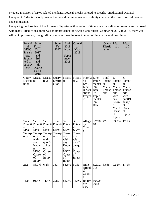or query inclusion of MVC related incidents. Logical checks tailored to specific jurisdictional Dispatch Complaint Codes is the only means that would permit a means of validity checks at the time of record creation and submission.

Comparing the baseline of blank cause of injuries with a period of time when the validation rules came on board with many jurisdictions, there was an improvement in fewer blank causes. Comparing 2017 to 2018, there was still an improvement, though slightly smaller than the select period of time in the middle column.

| Potenti<br>al<br><b>MVC</b><br>Transp<br>orts<br>Submit<br>ted in<br>eMED<br><b>S®</b> | <b>State</b><br>Fiscal<br>Year<br>2017<br>and<br>3rd<br>and<br>4th<br>Quarte<br>r FFY<br>2018              |                                                                                                                                                                                      | <b>State</b><br><b>FY</b><br>2017           | April<br>2018<br>throug<br>$\mathbf{h}$<br>Septe<br>mber<br>2018                                              | Calend<br>ar<br>Year<br>2018                                                                                            |                                                                                 |                                                                           | Query<br>Distrib<br>ution                              | Measu<br>re 1                                                                                              | Measu<br>re <sub>2</sub>                                                                                                              |
|----------------------------------------------------------------------------------------|------------------------------------------------------------------------------------------------------------|--------------------------------------------------------------------------------------------------------------------------------------------------------------------------------------|---------------------------------------------|---------------------------------------------------------------------------------------------------------------|-------------------------------------------------------------------------------------------------------------------------|---------------------------------------------------------------------------------|---------------------------------------------------------------------------|--------------------------------------------------------|------------------------------------------------------------------------------------------------------------|---------------------------------------------------------------------------------------------------------------------------------------|
| Query<br>Distrib $ re 1$<br>ution                                                      | Measu                                                                                                      | Measu<br>re 2                                                                                                                                                                        | Query<br>Distrib<br>ution                   | Measu   Measu<br>re 1                                                                                         | re <sub>2</sub>                                                                                                         | Maryla Elite<br>nd<br><b>EMS</b><br>Elite<br>Jurisdi<br>ctional<br>Progra<br>ms | Imple<br>mentat<br>ion<br>DateEl<br>ite<br>Imple<br>mentat<br>ion<br>Date | Total<br>Potenti<br>al<br><b>MVC</b><br>Transp<br>orts | $\%$<br>al<br><b>MVC</b><br>orts<br>with<br>any<br>Know<br>n<br><b>MVC</b><br>Cause<br>οf<br><b>Injury</b> | $\%$<br>Potenti Potenti<br>al<br><b>MVC</b><br>Transp Transp<br>orts<br>with<br>quotBl<br>ankqu<br><b>ot</b><br>Cause<br>of<br>Injury |
| Total<br>al<br><b>MVC</b><br>Transp Transp<br>orts                                     | $\%$<br>al<br><b>MVC</b><br>orts<br>with<br>any<br>Know<br>n<br><b>MVC</b><br>Cause<br>of<br><b>Injury</b> | $\%$<br>Potenti   Potenti   Potenti   Potenti   Potenti   Potenti   ny<br>al<br>$\overline{\text{MVC}}$<br>Transp<br>orts<br>with<br>quotBl<br>ankqu<br>ot<br>Cause<br>∣of<br>Injury | Total<br>al<br><b>MVC</b><br>Transp<br>orts | $\%$<br>al<br><b>MVC</b><br>Transp<br>orts<br>with<br>any<br>Know<br>n<br><b>MVC</b><br>Cause<br>of<br>Injury | $\%$<br>al<br><b>MVC</b><br>Transp<br>orts<br>with<br>quot <sub>Bl</sub><br>ankqu<br><b>ot</b><br>Cause<br>ΟÌ<br>Injury | Allega<br>Count<br>y                                                            | 5/7/20<br>18                                                              | 479                                                    | 93.2%                                                                                                      | 17.1%                                                                                                                                 |
| 212                                                                                    | 88.7%                                                                                                      | 6.2%                                                                                                                                                                                 | 333                                         | 83.5%                                                                                                         | 6.3%                                                                                                                    | Anne<br>Arund<br>el<br>Count<br>v                                               | 5/29/2<br>018                                                             | 3,665                                                  | 92.2%                                                                                                      | 17.1%                                                                                                                                 |
| 1138                                                                                   | 91.4%                                                                                                      | 11.5%                                                                                                                                                                                | 2282                                        | 81.0%                                                                                                         | 11.6%                                                                                                                   | <b>Baltim</b><br>ore<br>City                                                    | 10/22/<br>2018                                                            |                                                        |                                                                                                            |                                                                                                                                       |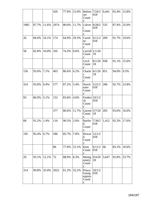|      |       |       | 426  | 77.9% | 15.0% | <b>Baltim</b><br>ore<br>Count<br>v         | 7/24/2<br>018 | 6,441 | 92.4% | 15.8% |
|------|-------|-------|------|-------|-------|--------------------------------------------|---------------|-------|-------|-------|
| 1085 | 87.7% | 11.6% | 2974 | 80.0% | 11.7% | Calver<br>t.<br>Count<br>V                 | 8/28/2<br>018 | 535   | 87.4% | 32.0% |
| 26   | 84.6% | 16.1% | 174  | 64.9% | 29.3% | Caroli<br>ne<br>Count<br>V                 | 6/11/2<br>018 | 209   | 91.7% | 19.6% |
| 58   | 82.8% | 10.8% | 105  | 74.3% | 8.6%  | Carroll 1/1/20<br>Count<br>V               | 19            |       |       |       |
|      |       |       |      |       |       | Cecil<br>Count<br>y                        | 8/1/20<br>18  | 958   | 91.1% | 15.6% |
| 156  | 93.6% | 7.1%  | 403  | 86.6% | 6.2%  | Charle<br>${\bf S}$<br>Count<br>V          | 6/1/20<br>18  | 851   | 94.0% | 9.5%  |
| 324  | 93.8% | 6.9%  | 577  | 87.2% | 5.4%  | Dorch<br>ester<br>Count<br>v               | 5/21/2<br>018 | 286   | 92.7% | 23.8% |
| 93   | 86.0% | 5.1%  | 152  | 83.6% | 4.6%  | Frederi 10/1/2<br>ck<br>Count<br>V         | 018           |       |       |       |
|      |       |       | 377  | 80.6% | 11.7% | Garrett 5/7/20<br>Count<br>V               | 18            | 205   | 93.6% | 16.6% |
| 68   | 91.2% | 1.4%  | 116  | 90.5% | 2.6%  | Harfor 7/30/2<br>$\mathbf d$<br>Count<br>v | 018           | 1,412 | 92.3% | 17.6% |
| 195  | 95.4% | 6.7%  | 586  | 85.7% | 7.8%  | Howar<br>d<br>Count<br>V                   | 12/1/2<br>018 |       |       |       |
|      |       |       | 86   | 77.9% | 15.1% | Kent<br>Count<br>V                         | 6/11/2<br>018 | 66    | 83.1% | 10.6% |
| 29   | 93.1% | 12.1% | 72   | 88.9% | 8.3%  | Montg<br>omery<br>Count<br>V               | 9/4/20<br>18  | 5,647 | 92.8% | 23.7% |
| 314  | 90.8% | 35.0% | 2022 | 61.2% | 32.2% | Prince<br>Georg<br>eaposs<br>Count<br>V    | 10/1/2<br>018 |       |       |       |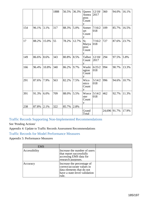|     |       |       | 1888 | 56.5% | 36.3% | Queen<br>Annea<br>poss<br>Count<br>$\mathbf{V}$ | 12/18/<br>2017 | 360    | 94.0% | 16.1% |
|-----|-------|-------|------|-------|-------|-------------------------------------------------|----------------|--------|-------|-------|
| 154 | 96.1% | 3.1%  | 317  | 88.3% | 5.0%  | Somer<br>set<br>Count<br>y                      | 7/16/2<br>018  | 109    | 85.7% | 16.5% |
| 17  | 88.2% | 15.0% | 55   | 78.2% | 12.7% | St.<br>Marya<br>poss<br>Count<br>V              | 7/16/2<br>018  | 727    | 87.6% | 23.7% |
| 149 | 86.6% | 8.6%  | 343  | 80.8% | 8.5%  | Talbot<br>Count<br>V                            | 12/18/<br>2017 | 294    | 97.5% | 5.8%  |
| 166 | 96.4% | 10.8% | 340  | 86.2% | 9.7%  | Washi<br>ngton<br>Count<br>V                    | 6/25/2<br>018  | 994    | 90.7% | 13.3% |
| 291 | 87.6% | 7.9%  | 563  | 82.2% | 7.5%  | Wico<br>mico<br>Count<br>V                      | 5/14/2<br>018  | 996    | 94.6% | 10.7% |
| 391 | 91.3% | 6.0%  | 709  | 88.0% | 5.5%  | Worce<br>ster<br>Count<br>y                     | 5/14/2<br>018  | 462    | 92.7% | 11.3% |
| 238 | 87.8% | 2.1%  | 322  | 85.7% | 2.8%  |                                                 |                |        |       |       |
|     |       |       |      |       |       | Grand<br>Total                                  |                | 24,696 | 91.7% | 17.9% |

Traffic Records Supporting Non-Implemented Recommendations

See 'Pending Actions'

Appendix 4: Update to Traffic Records Assessment Recommendations

Traffic Records for Model Performance Measures

Appendix 5: Performance Measures

| <b>EMS</b>    |                                                                                                                                 |  |
|---------------|---------------------------------------------------------------------------------------------------------------------------------|--|
| Accessibility | Increase the number of users<br>that report successfully<br>accessing EMS data for<br>research purposes.                        |  |
| Accuracy      | Increase the percentage of<br>correct/accurate values in<br>data elements that do not<br>have a state-level validation<br>rule. |  |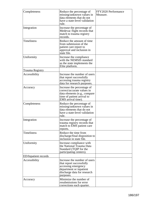| Completeness                 | Reduce the percentage of<br>missing/unknown values in<br>data elements that do not<br>have a state-level validation<br>rule.                           | FFY2020 Performance<br>Measure. |
|------------------------------|--------------------------------------------------------------------------------------------------------------------------------------------------------|---------------------------------|
| Integration                  | Increase the percentage of<br>Medevac flight records that<br>match to trauma registry<br>records.                                                      |                                 |
| <b>Timeliness</b>            | Reduce the amount of time<br>from submission of the<br>patient care report to<br>approval and inclusion in<br>state file.                              |                                 |
| Uniformity                   | Increase the compliance<br>with the NEMSIS standard<br>as the state implements the<br>Elite platform.                                                  |                                 |
| Trauma Registry              |                                                                                                                                                        |                                 |
| Accessibility                | Increase the number of users<br>that report successfully<br>accessing trauma registry<br>data for research purposes.                                   |                                 |
| Accuracy                     | Increase the percentage of<br>correct/accurate values in<br>data elements (e.g., compare<br>time of patient arrival to<br>EMS arrival time).           |                                 |
| Completeness                 | Reduce the percentage of<br>missing/unknown values in<br>data elements that do not<br>have a state-level validation<br>rule.                           |                                 |
| Integration                  | Increase the percentage of<br>trauma registry records that<br>match to EMS patient care<br>reports.                                                    |                                 |
| <b>Timeliness</b>            | Reduce the time from<br>discharge/final disposition to<br>inclusion in state file.                                                                     |                                 |
| Uniformity                   | Increase compliance with<br>the National Trauma Data<br>Standard (TQIP for the<br>participating centers).                                              |                                 |
| <b>ED</b> /Inpatient records |                                                                                                                                                        |                                 |
| Accessibility                | Increase the number of users<br>that report successfully<br>accessing emergency<br>department or inpatient<br>discharge data for research<br>purposes. |                                 |
| Accuracy                     | Minimize the number of<br>resubmissions for error<br>corrections each quarter.                                                                         |                                 |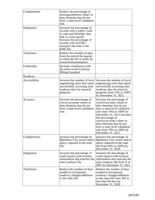| Completeness      | Reduce the percentage of<br>missing/unknown values in<br>data elements that do not<br>have a state-level validation<br>rule.                                                                                    |                                                                                                                                                                                                                                                                                                                                                            |
|-------------------|-----------------------------------------------------------------------------------------------------------------------------------------------------------------------------------------------------------------|------------------------------------------------------------------------------------------------------------------------------------------------------------------------------------------------------------------------------------------------------------------------------------------------------------------------------------------------------------|
| Integration       | Increase the percentage of<br>records with a traffic crash<br>E-code and MAISgt1 that<br>link to crash reports.<br>Increase the percentage of<br>records with an EMS<br>transport that link to the<br>EMS file. |                                                                                                                                                                                                                                                                                                                                                            |
| <b>Timeliness</b> | Reduce the number of days<br>from the end of the quarter<br>to when the file is ready for<br>research/dissemination.                                                                                            |                                                                                                                                                                                                                                                                                                                                                            |
| Uniformity        | Increase compliance with<br>the most recent Uniform<br>Billing Standard.                                                                                                                                        |                                                                                                                                                                                                                                                                                                                                                            |
| Roadway           |                                                                                                                                                                                                                 |                                                                                                                                                                                                                                                                                                                                                            |
| Accessibility     | Increase the number of local<br>engineering users that report<br>successfully accessing state<br>roadway data for research<br>purposes.                                                                         | Increase the number of local<br>engineering users that report<br>successfully accessing state<br>roadway data for research<br>purposes from 33% to 100%<br>by December $31, 2021$                                                                                                                                                                          |
| Accuracy          | Increase the percentage of<br>correct/accurate values in<br>data elements that do not<br>have a state-level validation<br>rule.                                                                                 | Increase the percentage of<br>correct/accurate values in<br>data elements that do not<br>have a state-level validation<br>rule from 70% to 100% by<br>December 31, 2021. Increase<br>the percentage of<br>correct/accurate values in<br>data elements that do not<br>have a state-level validation<br>rule from $70\%$ to $100\%$ by<br>December 31, 2021. |
| Completeness      | Increase the percentage of<br>Baltimore City streets and/or<br>alleys captured in the state<br>file.                                                                                                            | Increase the percentage of<br>Baltimore City streets and/or<br>alleys captured in the state<br>file from $60\%$ to $100\%$ by<br>December 31, 2020.                                                                                                                                                                                                        |
| Integration       | Increase the percentage of<br>crash reports with location<br>information that matches the<br>state roadway file.                                                                                                | Increase the percentage of<br>crash reports with location<br>information that matches the<br>state roadway file from X to<br>90% by December 31, 2021                                                                                                                                                                                                      |
| <b>Timeliness</b> | Reduce the number of days<br>needed to incorporate<br>roadway changes/additions<br>to the state file.                                                                                                           | Reduce the number of days<br>needed to incorporate<br>roadway changes/additions<br>to the state file from 365 to<br>less than 90 days by<br>December 31, 2020.                                                                                                                                                                                             |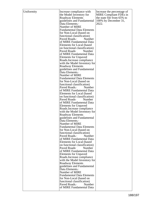| Uniformity | Increase compliance with         | Increase the percentage of    |
|------------|----------------------------------|-------------------------------|
|            |                                  |                               |
|            | the Model Inventory for          | <b>MIRE</b> Compliant FDEs in |
|            | Roadway Elements                 | the state file from 65% to    |
|            | guidelines and Fundamental       | 100% by December 31,          |
|            | Data Elements.                   | 2022.                         |
|            | Number of MIRE                   |                               |
|            | <b>Fundamental Data Elements</b> |                               |
|            |                                  |                               |
|            | for Non-Local (based on          |                               |
|            | functional classification)       |                               |
|            | Number<br>Paved Roads.           |                               |
|            | of MIRE Fundamental Data         |                               |
|            | Elements for Local (based)       |                               |
|            | on functional classification)    |                               |
|            | Paved Roads.<br>Number           |                               |
|            | of MIRE Fundamental Data         |                               |
|            |                                  |                               |
|            | <b>Elements for Unpaved</b>      |                               |
|            | Roads. Increase compliance       |                               |
|            | with the Model Inventory for     |                               |
|            | Roadway Elements                 |                               |
|            | guidelines and Fundamental       |                               |
|            | Data Elements.                   |                               |
|            | Number of MIRE                   |                               |
|            |                                  |                               |
|            | <b>Fundamental Data Elements</b> |                               |
|            | for Non-Local (based on          |                               |
|            | functional classification)       |                               |
|            | Paved Roads.<br>Number           |                               |
|            | of MIRE Fundamental Data         |                               |
|            | Elements for Local (based)       |                               |
|            | on functional classification)    |                               |
|            | Paved Roads.<br>Number           |                               |
|            | of MIRE Fundamental Data         |                               |
|            |                                  |                               |
|            | <b>Elements for Unpaved</b>      |                               |
|            | Roads. Increase compliance       |                               |
|            | with the Model Inventory for     |                               |
|            | <b>Roadway Elements</b>          |                               |
|            | guidelines and Fundamental       |                               |
|            | Data Elements.                   |                               |
|            | Number of MIRE                   |                               |
|            | <b>Fundamental Data Elements</b> |                               |
|            |                                  |                               |
|            | for Non-Local (based on          |                               |
|            | functional classification)       |                               |
|            | Paved Roads.<br>Number           |                               |
|            | of MIRE Fundamental Data         |                               |
|            | Elements for Local (based        |                               |
|            | on functional classification)    |                               |
|            | Paved Roads.<br>Number           |                               |
|            | of MIRE Fundamental Data         |                               |
|            |                                  |                               |
|            | <b>Elements for Unpaved</b>      |                               |
|            | Roads. Increase compliance       |                               |
|            | with the Model Inventory for     |                               |
|            | <b>Roadway Elements</b>          |                               |
|            | guidelines and Fundamental       |                               |
|            | Data Elements.                   |                               |
|            | Number of MIRE                   |                               |
|            | <b>Fundamental Data Elements</b> |                               |
|            |                                  |                               |
|            | for Non-Local (based on          |                               |
|            | functional classification)       |                               |
|            | Paved Roads.<br>Number           |                               |
|            | of MIRE Fundamental Data         |                               |
|            |                                  |                               |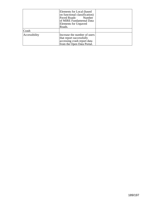|               | Elements for Local (based)<br>on functional classification)<br>Paved Roads Number<br>of MIRE Fundamental Data<br><b>Elements for Unpaved</b><br>Roads. |  |
|---------------|--------------------------------------------------------------------------------------------------------------------------------------------------------|--|
| Crash         |                                                                                                                                                        |  |
| Accessibility | Increase the number of users<br>that report successfully<br>accessing crash report data<br>from the Open Data Portal.                                  |  |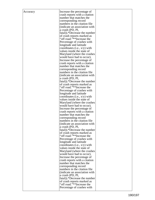| Accuracy | Increase the percentage of      |  |
|----------|---------------------------------|--|
|          | crash reports with a citation   |  |
|          |                                 |  |
|          | number that matches the         |  |
|          | corresponding record            |  |
|          | numbers in the citation file.   |  |
|          | (indicate an association with)  |  |
|          |                                 |  |
|          | a crash (PD, PI,                |  |
|          | fatal)).*Decrease the number    |  |
|          | of crash reports marked as      |  |
|          | "off road."**Increase the       |  |
|          |                                 |  |
|          | Percentage of crashes with      |  |
|          | longitude and latitude          |  |
|          | coordinates (i.e., $x/y$ ) with |  |
|          | values inside the state of      |  |
|          | Maryland (where the crashes     |  |
|          |                                 |  |
|          | would have had to occur).       |  |
|          | Increase the percentage of      |  |
|          | crash reports with a citation   |  |
|          | number that matches the         |  |
|          |                                 |  |
|          | corresponding record            |  |
|          | numbers in the citation file.   |  |
|          | (indicate an association with)  |  |
|          | a crash (PD, PI,                |  |
|          | fatal)).*Decrease the number    |  |
|          |                                 |  |
|          | of crash reports marked as      |  |
|          | "off road."**Increase the       |  |
|          | Percentage of crashes with      |  |
|          | longitude and latitude          |  |
|          | coordinates (i.e., $x/y$ ) with |  |
|          |                                 |  |
|          | values inside the state of      |  |
|          | Maryland (where the crashes     |  |
|          | would have had to occur).       |  |
|          | Increase the percentage of      |  |
|          | crash reports with a citation   |  |
|          |                                 |  |
|          | number that matches the         |  |
|          | corresponding record            |  |
|          | numbers in the citation file.   |  |
|          | (indicate an association with)  |  |
|          | a crash (PD, PI,                |  |
|          |                                 |  |
|          | fatal)).*Decrease the number    |  |
|          | of crash reports marked as      |  |
|          | "off road."**Increase the       |  |
|          | Percentage of crashes with      |  |
|          | longitude and latitude          |  |
|          |                                 |  |
|          | coordinates (i.e., $x/y$ ) with |  |
|          | values inside the state of      |  |
|          | Maryland (where the crashes     |  |
|          | would have had to occur).       |  |
|          |                                 |  |
|          | Increase the percentage of      |  |
|          | crash reports with a citation   |  |
|          | number that matches the         |  |
|          | corresponding record            |  |
|          | numbers in the citation file.   |  |
|          |                                 |  |
|          | (indicate an association with)  |  |
|          | a crash (PD, PI,                |  |
|          | fatal)).*Decrease the number    |  |
|          | of crash reports marked as      |  |
|          | "off road."**Increase the       |  |
|          |                                 |  |
|          | Percentage of crashes with      |  |
|          |                                 |  |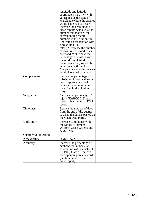|                       | longitude and latitude<br>coordinates (i.e., $x/y$ ) with<br>values inside the state of<br>Maryland (where the crashes<br>would have had to occur).<br>Increase the percentage of<br>crash reports with a citation<br>number that matches the<br>corresponding record<br>numbers in the citation file.<br>(indicate an association with<br>a crash (PD, PI,<br>fatal)).*Decrease the number<br>of crash reports marked as<br>"off road."**Increase the<br>Percentage of crashes with<br>longitude and latitude<br>coordinates (i.e., $x/y$ ) with<br>values inside the state of<br>Maryland (where the crashes<br>would have had to occur). |  |
|-----------------------|---------------------------------------------------------------------------------------------------------------------------------------------------------------------------------------------------------------------------------------------------------------------------------------------------------------------------------------------------------------------------------------------------------------------------------------------------------------------------------------------------------------------------------------------------------------------------------------------------------------------------------------------|--|
| Completeness          | Reduce the percentage of<br>missing/unknown values on<br>crash reports that should<br>have a citation number (as<br>identified in the citation<br>file).                                                                                                                                                                                                                                                                                                                                                                                                                                                                                    |  |
| Integration           | Increase the percentage of<br>injury (KABCO 2-5) crash<br>records that link to an EMS<br>record.                                                                                                                                                                                                                                                                                                                                                                                                                                                                                                                                            |  |
| <b>Timeliness</b>     | Reduce the number of days<br>from the end of the quarter<br>to when the data is posted on<br>the Open Data Portal.                                                                                                                                                                                                                                                                                                                                                                                                                                                                                                                          |  |
| Uniformity            | Increase compliance with<br>the Model Minimum<br>Uniform Crash Criteria and<br>ANSI D.16.                                                                                                                                                                                                                                                                                                                                                                                                                                                                                                                                                   |  |
| Citation/Adjudication |                                                                                                                                                                                                                                                                                                                                                                                                                                                                                                                                                                                                                                             |  |
| Accessibility         | <b>UNKNOWN</b>                                                                                                                                                                                                                                                                                                                                                                                                                                                                                                                                                                                                                              |  |
| Accuracy              | Increase the percentage of<br>citations that indicate an<br>association with a crash (PD,<br>PI, fatal) that will match a<br>corresponding crash record<br>(citation number listed on<br>crash report).                                                                                                                                                                                                                                                                                                                                                                                                                                     |  |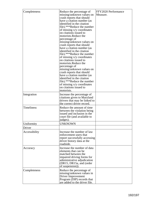| Completeness  | Reduce the percentage of<br>missing/unknown values on<br>crash reports that should<br>have a citation number (as<br>identified in the citation<br>file).***Reduce the number<br>of missing x/y coordinates<br>on citations issued to<br>motorists. Reduce the<br>percentage of<br>missing/unknown values on<br>crash reports that should<br>have a citation number (as<br>identified in the citation<br>file).***Reduce the number<br>of missing x/y coordinates<br>on citations issued to<br>motorists.Reduce the<br>percentage of<br>missing/unknown values on<br>crash reports that should<br>have a citation number (as<br>identified in the citation<br>file).***Reduce the number<br>of missing x/y coordinates<br>on citations issued to<br>motorists. | FFY2020 Performance<br>Measure. |
|---------------|---------------------------------------------------------------------------------------------------------------------------------------------------------------------------------------------------------------------------------------------------------------------------------------------------------------------------------------------------------------------------------------------------------------------------------------------------------------------------------------------------------------------------------------------------------------------------------------------------------------------------------------------------------------------------------------------------------------------------------------------------------------|---------------------------------|
| Integration   | Increase the percentage of<br>citations given to Maryland<br>drivers that may be linked to<br>the correct driver record.                                                                                                                                                                                                                                                                                                                                                                                                                                                                                                                                                                                                                                      |                                 |
| Timeliness    | Reduce the amount of time.<br>between the violation being<br>issued and inclusion in the<br>court file (and available to<br>judges).                                                                                                                                                                                                                                                                                                                                                                                                                                                                                                                                                                                                                          |                                 |
| Uniformity    | <b>UNKNOWN</b>                                                                                                                                                                                                                                                                                                                                                                                                                                                                                                                                                                                                                                                                                                                                                |                                 |
| Driver        |                                                                                                                                                                                                                                                                                                                                                                                                                                                                                                                                                                                                                                                                                                                                                               |                                 |
| Accessibility | Increase the number of law<br>enforcement users that<br>report successfully accessing<br>driver history data at the<br>roadside.                                                                                                                                                                                                                                                                                                                                                                                                                                                                                                                                                                                                                              |                                 |
| Accuracy      | Increase the number of data<br>elements that can be<br>matched between the<br>impaired driving forms for<br>administrative adjudication<br>(DR15, DR15a, and (order)<br>of suspension)).                                                                                                                                                                                                                                                                                                                                                                                                                                                                                                                                                                      |                                 |
| Completeness  | Reduce the percentage of<br>missing/unknown values in<br>Driver Improvement<br>Program (DIP) records that<br>are added to the driver file.                                                                                                                                                                                                                                                                                                                                                                                                                                                                                                                                                                                                                    |                                 |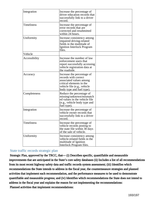| Integration       | Increase the percentage of<br>driver education records that<br>successfully link to a driver<br>record.                                                               |  |  |
|-------------------|-----------------------------------------------------------------------------------------------------------------------------------------------------------------------|--|--|
| <b>Timeliness</b> | Increase the percentage of<br>error records that are<br>corrected and resubmitted<br>within 24 hours.                                                                 |  |  |
| Uniformity        | Increase consistency among<br>impaired driving-related<br>fields in the multitude of<br>Ignition Interlock Program<br>files.                                          |  |  |
| Vehicle           |                                                                                                                                                                       |  |  |
| Accessibility     | Increase the number of law<br>enforcement users that<br>report successfully accessing<br>vehicle registration data at<br>the roadside.                                |  |  |
| Accuracy          | Increase the percentage of<br>records with correct<br>associated values among<br>critical elements in the<br>vehicle file (e.g., vehicle<br>body type and fuel type). |  |  |
| Completeness      | Reduce the percentage of<br>missing/unknown/mismatch<br>ed values in the vehicle file<br>(e.g., vehicle body type and<br>fuel type)                                   |  |  |
| Integration       | Increase the percentage of<br>vehicle owner records that<br>successfully link to a driver<br>record.                                                                  |  |  |
| Timeliness        | Increase the percentage of<br>vehicle records posting to<br>the state file within 30 days<br>of the sale of vehicle.                                                  |  |  |
| Uniformity        | Increase consistency among<br>vehicle-related fields in the<br>multitude of Ignition<br>Interlock Program files.                                                      |  |  |

# State traffic records strategic plan

 Strategic Plan, approved by the TRCC, that— (i) Describes specific, quantifiable and measurable improvements that are anticipated in the State's core safety databases (ii) Includes a list of all recommendations from its most recent highway safety data and traffic records system assessment; (iii) Identifies which recommendations the State intends to address in the fiscal year, the countermeasure strategies and planned activities that implement each recommendation, and the performance measures to be used to demonstrate quantifiable and measurable progress; and (iv) Identifies which recommendations the State does not intend to address in the fiscal year and explains the reason for not implementing the recommendations: Planned activities that implement recommendations: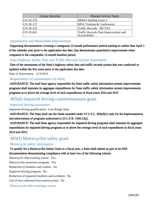| Unique Identifier | <b>Planned Activity Name</b>                          |
|-------------------|-------------------------------------------------------|
| GN 20-278         | <b>MHSO Staffing Grant 2</b>                          |
| GN 20-137         | <b>MSA Training &amp; Conferences</b>                 |
| $ GN 20-232 $     | Traffic Records - MCTSA                               |
| GN 20-045         | Traffic Records Data Improvement and<br>Accessibility |

### Quantitative and Measurable Improvement

 Supporting documentation covering a contiguous 12-month performance period starting no earlier than April 1 of the calendar year prior to the application due date, that demonstrates quantitative improvement when compared to the comparable 12-month baseline period.

# State Highway Safety Data and Traffic Records System Assessment

 Date of the assessment of the State's highway safety data and traffic records system that was conducted or updated within the five years prior to the application due date:

Date of Assessment: 12/3/2014

## Requirement for maintenance of effort

 ASSURANCE: The lead State agency responsible for State traffic safety information system improvements programs shall maintain its aggregate expenditures for State traffic safety information system improvements programs at or above the average level of such expenditures in fiscal years 2014 and 2015

# 405(d) Impaired driving countermeasures grant

# Impaired driving assurances

Impaired driving qualification: Low-Range State

 ASSURANCE: The State shall use the funds awarded under 23 U.S.C. 405(d)(1) only for the implementation and enforcement of programs authorized in 23 C.F.R. 1300.23(j).

 ASSURANCE: The lead State agency responsible for impaired driving programs shall maintain its aggregate expenditures for impaired driving programs at or above the average level of such expenditures in fiscal years 2014 and 2015.

# 405(f) Motorcyclist safety grant

# Motorcycle safety information

 To qualify for a Motorcyclist Safety Grant in a fiscal year, a State shall submit as part of its HSP documentation demonstrating compliance with at least two of the following criteria:

Motorcycle rider training course: Yes Motorcyclist awareness program: Yes Reduction of fatalities and crashes: No Impaired driving program: No Reduction of impaired fatalities and accidents: No Use of fees collected from motorcyclists: No Motorcycle rider training course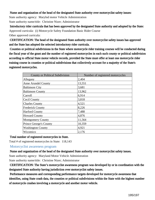#### Name and organization of the head of the designated State authority over motorcyclist safety issues:

State authority agency: Marylnd motor Vehicle Administration State authority name/title: Christine Nizer; Administrator

 Introductory rider curricula that has been approved by the designated State authority and adopted by the State: Approved curricula: (i) Motorcycle Safety Foundation Basic Rider Course Other approved curricula:

CERTIFICATION: The head of the designated State authority over motorcyclist safety issues has approved and the State has adopted the selected introductory rider curricula.

 Counties or political subdivisions in the State where motorcycle rider training courses will be conducted during the fiscal year of the grant and the number of registered motorcycles in each such county or political subdivision according to official State motor vehicle records, provided the State must offer at least one motorcycle rider training course in counties or political subdivisions that collectively account for a majority of the State's registered motorcycles.

| <b>County or Political Subdivision</b> | Number of registered motorcycles |
|----------------------------------------|----------------------------------|
| Allegany                               | 2,404                            |
| <b>Anne Arundel County</b>             | 13,551                           |
| <b>Baltimore City</b>                  | 3,681                            |
| <b>Baltimore County</b>                | 13,962                           |
| Carroll                                | 6,914                            |
| Cecil County                           | 3,818                            |
| <b>Charles County</b>                  | 4,521                            |
| <b>Frederick County</b>                | 8,226                            |
| <b>Harford County</b>                  | 7,488                            |
| <b>Howard County</b>                   | 4,876                            |
| <b>Montgomery County</b>               | 11,564                           |
| Prince George's County                 | 10,359                           |
| <b>Washington County</b>               | 4,921                            |
| Wicomico                               | 2,176                            |

### Total number of registered motorcycles in State.

Total # of registered motorcycles in State: 118,143

### Motorcyclist awareness program

Name and organization of the head of the designated State authority over motorcyclist safety issues.

State authority agency: Maryland Motor Vehicle Administration

State authority name/title: Christine Nizer; Administrator

 CERTIFICATION: The State's motorcyclist awareness program was developed by or in coordination with the designated State authority having jurisdiction over motorcyclist safety issues.

 Performance measures and corresponding performance targets developed for motorcycle awareness that identifies, using State crash data, the counties or political subdivisions within the State with the highest number of motorcycle crashes involving a motorcycle and another motor vehicle.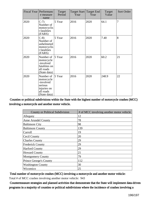|      | Fiscal Year   Performanc<br>e measure<br>name                                               | Target<br>Period | Year | Target Start Target End<br>Year | Target<br>Value | Sort Order |
|------|---------------------------------------------------------------------------------------------|------------------|------|---------------------------------|-----------------|------------|
| 2020 | $C-7$<br>Number of<br>motorcyclis<br>t fatalities<br>(FARS)                                 | 5 Year           | 2016 | 2020                            | 64.1            | 7          |
| 2020 | $C-8$<br>Number of<br>unhelmeted<br>motorcyclis<br>t fatalities<br>(FARS)                   | 5 Year           | 2016 | 2020                            | 7.40            | 8          |
| 2020 | Number of<br>motorcycle<br>-involved<br>fatalities on<br>all roads<br>(State data)          | 5 Year           | 2016 | 2020                            | 60.2            | 21         |
| 2020 | Number of<br>motorcycle<br>-involved<br>serious<br>injuries on<br>all roads<br>(State data) | 5 Year           | 2016 | 2020                            | 248.9           | 22         |

Counties or political subdivisions within the State with the highest number of motorcycle crashes (MCC) involving a motorcycle and another motor vehicle.

| <b>County or Political Subdivision</b> | # of MCC involving another motor vehicle |
|----------------------------------------|------------------------------------------|
| Allegany                               | 12                                       |
| <b>Anne Arundel County</b>             | 78                                       |
| <b>Baltimore City</b>                  | 98                                       |
| <b>Baltimore County</b>                | 139                                      |
| Carroll                                | 19                                       |
| Cecil County                           | 20                                       |
| <b>Charles County</b>                  | 29                                       |
| <b>Frederick County</b>                | 29                                       |
| <b>Harford County</b>                  | 29                                       |
| <b>Howard County</b>                   | 21                                       |
| <b>Montgomery County</b>               | 79                                       |
| <b>Prince George's County</b>          | 112                                      |
| <b>Washington County</b>               | 30                                       |
| Wicomico                               | 25                                       |

Total number of motorcycle crashes (MCC) involving a motorcycle and another motor vehicle:

Total # of MCC crashes involving another motor vehicle: 943

 Countermeasure strategies and planned activities that demonstrate that the State will implement data-driven programs in a majority of counties or political subdivisions where the incidence of crashes involving a